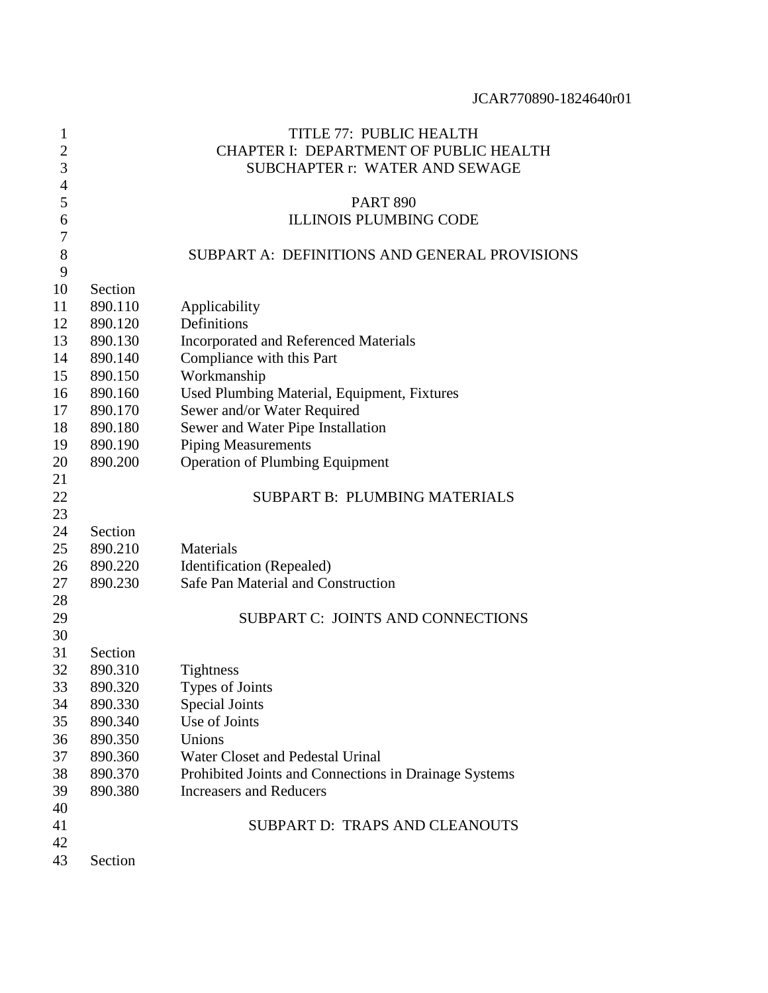| 1              |                                        | TITLE 77: PUBLIC HEALTH                               |  |  |  |
|----------------|----------------------------------------|-------------------------------------------------------|--|--|--|
| $\overline{c}$ | CHAPTER I: DEPARTMENT OF PUBLIC HEALTH |                                                       |  |  |  |
| 3              | SUBCHAPTER r: WATER AND SEWAGE         |                                                       |  |  |  |
| $\overline{4}$ |                                        |                                                       |  |  |  |
| 5              | <b>PART 890</b>                        |                                                       |  |  |  |
| 6              |                                        | <b>ILLINOIS PLUMBING CODE</b>                         |  |  |  |
| 7              |                                        |                                                       |  |  |  |
| 8              |                                        | SUBPART A: DEFINITIONS AND GENERAL PROVISIONS         |  |  |  |
| 9              |                                        |                                                       |  |  |  |
| 10             | Section                                |                                                       |  |  |  |
| 11             | 890.110                                | Applicability                                         |  |  |  |
| 12             | 890.120                                | Definitions                                           |  |  |  |
| 13             | 890.130                                | Incorporated and Referenced Materials                 |  |  |  |
| 14             | 890.140                                | Compliance with this Part                             |  |  |  |
| 15             | 890.150                                | Workmanship                                           |  |  |  |
| 16             | 890.160                                | Used Plumbing Material, Equipment, Fixtures           |  |  |  |
| 17             | 890.170                                | Sewer and/or Water Required                           |  |  |  |
| 18             | 890.180                                | Sewer and Water Pipe Installation                     |  |  |  |
| 19             | 890.190                                | <b>Piping Measurements</b>                            |  |  |  |
| 20             | 890.200                                | <b>Operation of Plumbing Equipment</b>                |  |  |  |
| 21             |                                        |                                                       |  |  |  |
| 22             |                                        | <b>SUBPART B: PLUMBING MATERIALS</b>                  |  |  |  |
| 23             |                                        |                                                       |  |  |  |
| 24             | Section                                |                                                       |  |  |  |
| 25             | 890.210                                | Materials                                             |  |  |  |
| 26             | 890.220                                | Identification (Repealed)                             |  |  |  |
| 27             | 890.230                                | Safe Pan Material and Construction                    |  |  |  |
| 28             |                                        |                                                       |  |  |  |
| 29             |                                        | SUBPART C: JOINTS AND CONNECTIONS                     |  |  |  |
| 30             |                                        |                                                       |  |  |  |
| 31             | Section                                |                                                       |  |  |  |
| 32             | 890.310                                | <b>Tightness</b>                                      |  |  |  |
| 33             | 890.320                                | Types of Joints                                       |  |  |  |
| 34             | 890.330                                | Special Joints                                        |  |  |  |
| 35             | 890.340                                | Use of Joints                                         |  |  |  |
| 36             | 890.350                                | Unions                                                |  |  |  |
| 37             | 890.360                                | Water Closet and Pedestal Urinal                      |  |  |  |
| 38             | 890.370                                | Prohibited Joints and Connections in Drainage Systems |  |  |  |
| 39             | 890.380                                | <b>Increasers and Reducers</b>                        |  |  |  |
| 40             |                                        |                                                       |  |  |  |
| 41             |                                        | <b>SUBPART D: TRAPS AND CLEANOUTS</b>                 |  |  |  |
| 42             |                                        |                                                       |  |  |  |
| 43             | Section                                |                                                       |  |  |  |
|                |                                        |                                                       |  |  |  |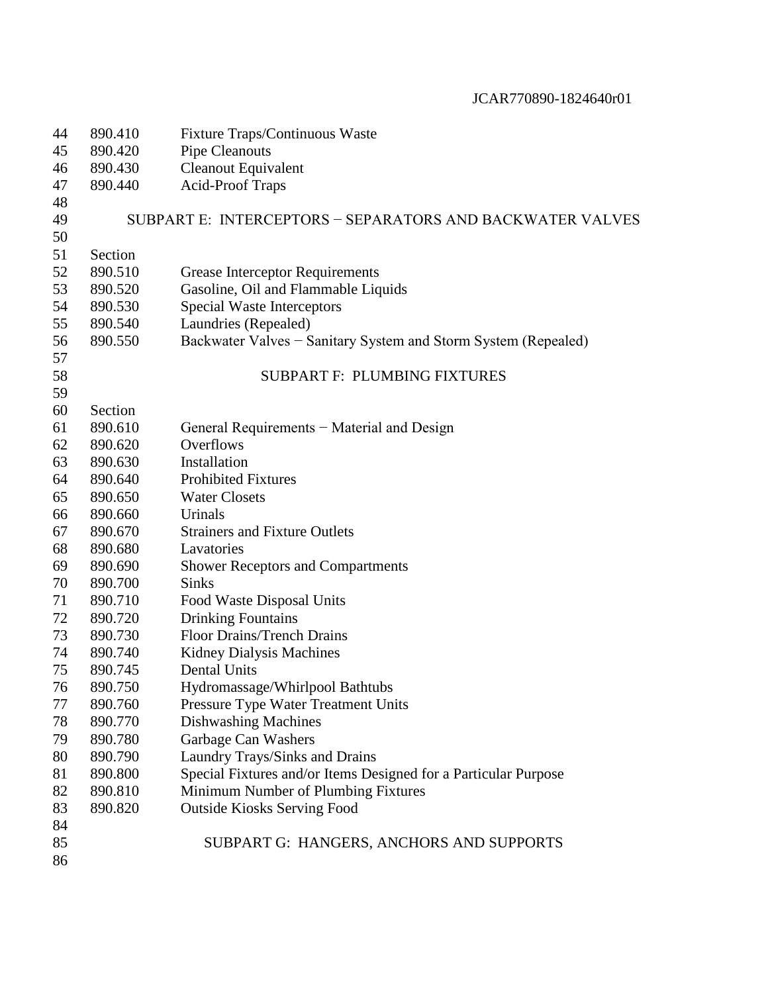| 44 | 890.410 | Fixture Traps/Continuous Waste                                  |
|----|---------|-----------------------------------------------------------------|
| 45 | 890.420 | <b>Pipe Cleanouts</b>                                           |
| 46 | 890.430 | <b>Cleanout Equivalent</b>                                      |
| 47 | 890.440 | <b>Acid-Proof Traps</b>                                         |
| 48 |         |                                                                 |
| 49 |         | SUBPART E: INTERCEPTORS - SEPARATORS AND BACKWATER VALVES       |
| 50 |         |                                                                 |
| 51 | Section |                                                                 |
| 52 | 890.510 | <b>Grease Interceptor Requirements</b>                          |
| 53 | 890.520 | Gasoline, Oil and Flammable Liquids                             |
| 54 | 890.530 | <b>Special Waste Interceptors</b>                               |
| 55 | 890.540 | Laundries (Repealed)                                            |
| 56 | 890.550 | Backwater Valves – Sanitary System and Storm System (Repealed)  |
| 57 |         |                                                                 |
| 58 |         | <b>SUBPART F: PLUMBING FIXTURES</b>                             |
| 59 |         |                                                                 |
| 60 | Section |                                                                 |
| 61 | 890.610 | General Requirements – Material and Design                      |
| 62 | 890.620 | Overflows                                                       |
| 63 | 890.630 | Installation                                                    |
| 64 | 890.640 | <b>Prohibited Fixtures</b>                                      |
| 65 | 890.650 | <b>Water Closets</b>                                            |
| 66 | 890.660 | Urinals                                                         |
| 67 | 890.670 | <b>Strainers and Fixture Outlets</b>                            |
| 68 | 890.680 | Lavatories                                                      |
| 69 | 890.690 | <b>Shower Receptors and Compartments</b>                        |
| 70 | 890.700 | <b>Sinks</b>                                                    |
| 71 | 890.710 | Food Waste Disposal Units                                       |
| 72 | 890.720 | <b>Drinking Fountains</b>                                       |
| 73 | 890.730 | <b>Floor Drains/Trench Drains</b>                               |
| 74 | 890.740 | <b>Kidney Dialysis Machines</b>                                 |
| 75 | 890.745 | Dental Units                                                    |
| 76 | 890.750 | Hydromassage/Whirlpool Bathtubs                                 |
| 77 | 890.760 | Pressure Type Water Treatment Units                             |
| 78 | 890.770 | <b>Dishwashing Machines</b>                                     |
| 79 | 890.780 | Garbage Can Washers                                             |
| 80 | 890.790 | Laundry Trays/Sinks and Drains                                  |
| 81 | 890.800 | Special Fixtures and/or Items Designed for a Particular Purpose |
| 82 | 890.810 | Minimum Number of Plumbing Fixtures                             |
| 83 | 890.820 | <b>Outside Kiosks Serving Food</b>                              |
| 84 |         |                                                                 |
| 85 |         | SUBPART G: HANGERS, ANCHORS AND SUPPORTS                        |
| 86 |         |                                                                 |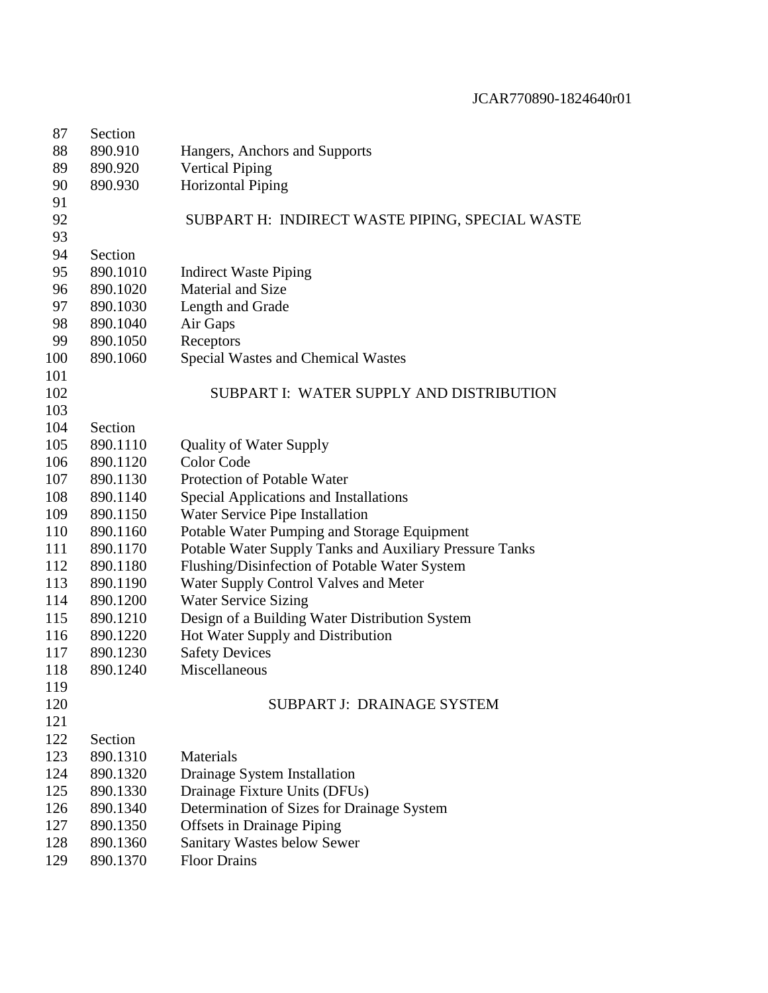| Section  |                                                                                             |
|----------|---------------------------------------------------------------------------------------------|
| 890.910  | Hangers, Anchors and Supports                                                               |
| 890.920  | <b>Vertical Piping</b>                                                                      |
| 890.930  | <b>Horizontal Piping</b>                                                                    |
|          |                                                                                             |
|          | SUBPART H: INDIRECT WASTE PIPING, SPECIAL WASTE                                             |
|          |                                                                                             |
| Section  |                                                                                             |
| 890.1010 | <b>Indirect Waste Piping</b>                                                                |
| 890.1020 | <b>Material and Size</b>                                                                    |
| 890.1030 | Length and Grade                                                                            |
| 890.1040 | Air Gaps                                                                                    |
| 890.1050 | Receptors                                                                                   |
| 890.1060 | <b>Special Wastes and Chemical Wastes</b>                                                   |
|          |                                                                                             |
|          | SUBPART I: WATER SUPPLY AND DISTRIBUTION                                                    |
|          |                                                                                             |
|          |                                                                                             |
|          | <b>Quality of Water Supply</b>                                                              |
|          | Color Code                                                                                  |
|          | Protection of Potable Water                                                                 |
|          | Special Applications and Installations                                                      |
|          | Water Service Pipe Installation                                                             |
|          | Potable Water Pumping and Storage Equipment                                                 |
|          | Potable Water Supply Tanks and Auxiliary Pressure Tanks                                     |
| 890.1180 | Flushing/Disinfection of Potable Water System                                               |
| 890.1190 | Water Supply Control Valves and Meter                                                       |
| 890.1200 | <b>Water Service Sizing</b>                                                                 |
| 890.1210 | Design of a Building Water Distribution System                                              |
| 890.1220 | Hot Water Supply and Distribution                                                           |
| 890.1230 | <b>Safety Devices</b>                                                                       |
| 890.1240 | Miscellaneous                                                                               |
|          |                                                                                             |
|          | <b>SUBPART J: DRAINAGE SYSTEM</b>                                                           |
|          |                                                                                             |
| Section  |                                                                                             |
| 890.1310 | Materials                                                                                   |
| 890.1320 | Drainage System Installation                                                                |
| 890.1330 | Drainage Fixture Units (DFUs)                                                               |
| 890.1340 | Determination of Sizes for Drainage System                                                  |
| 890.1350 | <b>Offsets in Drainage Piping</b>                                                           |
| 890.1360 | Sanitary Wastes below Sewer                                                                 |
| 890.1370 | <b>Floor Drains</b>                                                                         |
|          | Section<br>890.1110<br>890.1120<br>890.1130<br>890.1140<br>890.1150<br>890.1160<br>890.1170 |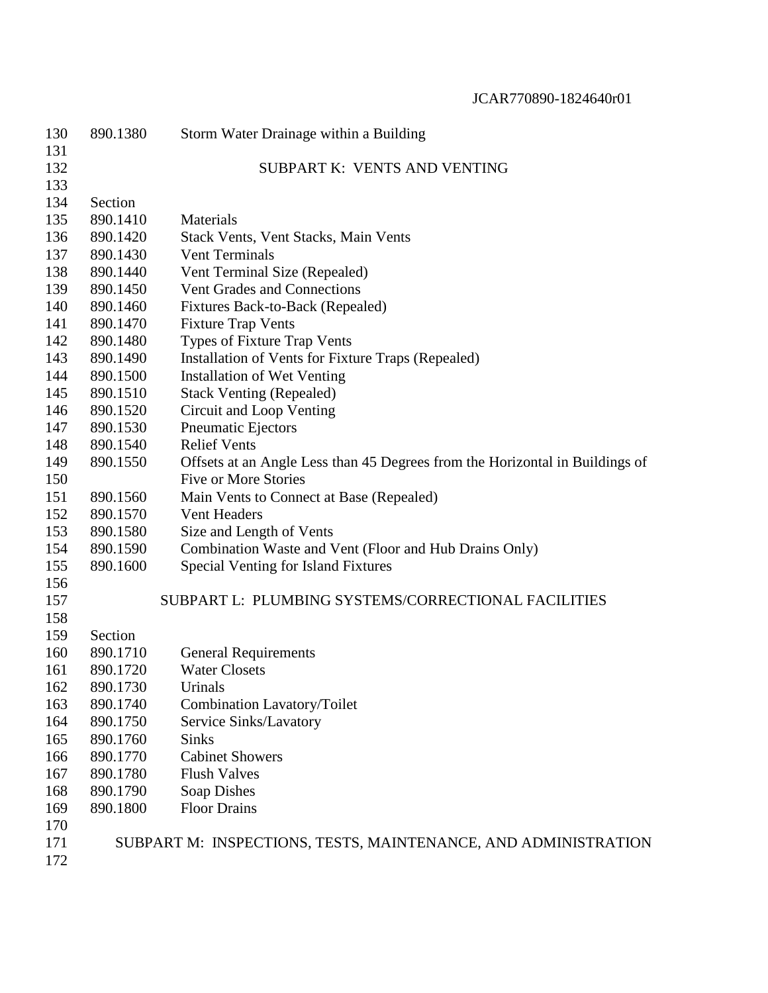| 130 | 890.1380 | Storm Water Drainage within a Building                                       |
|-----|----------|------------------------------------------------------------------------------|
| 131 |          |                                                                              |
| 132 |          | SUBPART K: VENTS AND VENTING                                                 |
| 133 |          |                                                                              |
| 134 | Section  |                                                                              |
| 135 | 890.1410 | Materials                                                                    |
| 136 | 890.1420 | Stack Vents, Vent Stacks, Main Vents                                         |
| 137 | 890.1430 | <b>Vent Terminals</b>                                                        |
| 138 | 890.1440 | Vent Terminal Size (Repealed)                                                |
| 139 | 890.1450 | Vent Grades and Connections                                                  |
| 140 | 890.1460 | Fixtures Back-to-Back (Repealed)                                             |
| 141 | 890.1470 | <b>Fixture Trap Vents</b>                                                    |
| 142 | 890.1480 | Types of Fixture Trap Vents                                                  |
| 143 | 890.1490 | Installation of Vents for Fixture Traps (Repealed)                           |
| 144 | 890.1500 | <b>Installation of Wet Venting</b>                                           |
| 145 | 890.1510 | <b>Stack Venting (Repealed)</b>                                              |
| 146 | 890.1520 | Circuit and Loop Venting                                                     |
| 147 | 890.1530 | <b>Pneumatic Ejectors</b>                                                    |
| 148 | 890.1540 | <b>Relief Vents</b>                                                          |
| 149 | 890.1550 | Offsets at an Angle Less than 45 Degrees from the Horizontal in Buildings of |
| 150 |          | <b>Five or More Stories</b>                                                  |
| 151 | 890.1560 | Main Vents to Connect at Base (Repealed)                                     |
| 152 | 890.1570 | <b>Vent Headers</b>                                                          |
| 153 | 890.1580 | Size and Length of Vents                                                     |
| 154 | 890.1590 | Combination Waste and Vent (Floor and Hub Drains Only)                       |
| 155 | 890.1600 | <b>Special Venting for Island Fixtures</b>                                   |
| 156 |          |                                                                              |
| 157 |          | SUBPART L: PLUMBING SYSTEMS/CORRECTIONAL FACILITIES                          |
| 158 |          |                                                                              |
| 159 | Section  |                                                                              |
| 160 | 890.1710 | <b>General Requirements</b>                                                  |
| 161 | 890.1720 | <b>Water Closets</b>                                                         |
| 162 | 890.1730 | Urinals                                                                      |
| 163 | 890.1740 | Combination Lavatory/Toilet                                                  |
| 164 | 890.1750 | Service Sinks/Lavatory                                                       |
| 165 | 890.1760 | <b>Sinks</b>                                                                 |
| 166 | 890.1770 | <b>Cabinet Showers</b>                                                       |
| 167 | 890.1780 | <b>Flush Valves</b>                                                          |
| 168 | 890.1790 | Soap Dishes                                                                  |
| 169 | 890.1800 | <b>Floor Drains</b>                                                          |
| 170 |          |                                                                              |
| 171 |          | SUBPART M: INSPECTIONS, TESTS, MAINTENANCE, AND ADMINISTRATION               |
| 172 |          |                                                                              |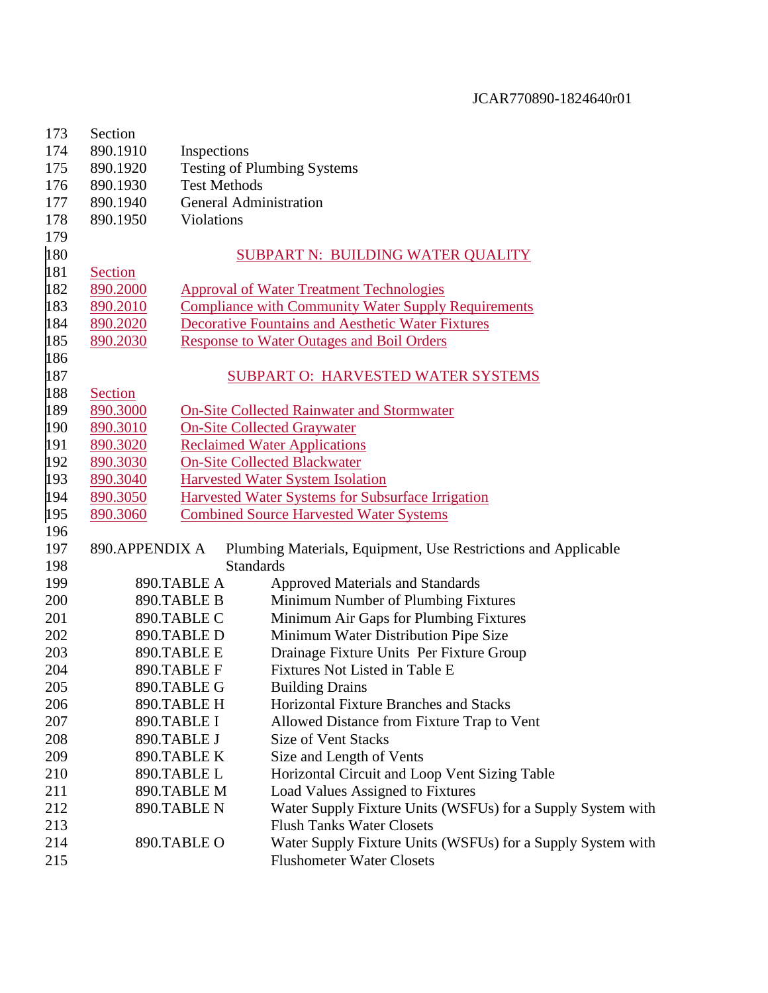| 173 | Section                                        |                     |                                                                |  |  |
|-----|------------------------------------------------|---------------------|----------------------------------------------------------------|--|--|
| 174 | 890.1910                                       | Inspections         |                                                                |  |  |
| 175 | <b>Testing of Plumbing Systems</b><br>890.1920 |                     |                                                                |  |  |
| 176 | 890.1930                                       | <b>Test Methods</b> |                                                                |  |  |
| 177 | 890.1940                                       |                     | <b>General Administration</b>                                  |  |  |
| 178 | 890.1950                                       | Violations          |                                                                |  |  |
| 179 |                                                |                     |                                                                |  |  |
| 180 |                                                |                     | <b>SUBPART N: BUILDING WATER QUALITY</b>                       |  |  |
| 181 | <b>Section</b>                                 |                     |                                                                |  |  |
| 182 | 890.2000                                       |                     | <b>Approval of Water Treatment Technologies</b>                |  |  |
| 183 | 890.2010                                       |                     | <b>Compliance with Community Water Supply Requirements</b>     |  |  |
| 184 | 890.2020                                       |                     | <b>Decorative Fountains and Aesthetic Water Fixtures</b>       |  |  |
| 185 | 890.2030                                       |                     | <b>Response to Water Outages and Boil Orders</b>               |  |  |
| 186 |                                                |                     |                                                                |  |  |
| 187 |                                                |                     | <b>SUBPART O: HARVESTED WATER SYSTEMS</b>                      |  |  |
| 188 | Section                                        |                     |                                                                |  |  |
| 189 | 890.3000                                       |                     | <b>On-Site Collected Rainwater and Stormwater</b>              |  |  |
| 190 | 890.3010                                       |                     | <b>On-Site Collected Graywater</b>                             |  |  |
| 191 | 890.3020                                       |                     | <b>Reclaimed Water Applications</b>                            |  |  |
| 192 | 890.3030                                       |                     | <b>On-Site Collected Blackwater</b>                            |  |  |
| 193 | 890.3040                                       |                     | <b>Harvested Water System Isolation</b>                        |  |  |
| 194 | 890.3050                                       |                     | Harvested Water Systems for Subsurface Irrigation              |  |  |
| 195 | 890.3060                                       |                     | <b>Combined Source Harvested Water Systems</b>                 |  |  |
| 196 |                                                |                     |                                                                |  |  |
| 197 | 890.APPENDIX A                                 |                     | Plumbing Materials, Equipment, Use Restrictions and Applicable |  |  |
| 198 |                                                |                     | <b>Standards</b>                                               |  |  |
| 199 |                                                | 890.TABLE A         | <b>Approved Materials and Standards</b>                        |  |  |
| 200 |                                                | 890.TABLE B         | Minimum Number of Plumbing Fixtures                            |  |  |
| 201 |                                                | 890.TABLE C         | Minimum Air Gaps for Plumbing Fixtures                         |  |  |
| 202 |                                                | 890.TABLE D         | Minimum Water Distribution Pipe Size                           |  |  |
| 203 |                                                | 890.TABLE E         | Drainage Fixture Units Per Fixture Group                       |  |  |
| 204 |                                                | 890.TABLE F         | Fixtures Not Listed in Table E                                 |  |  |
| 205 |                                                | 890.TABLE G         | <b>Building Drains</b>                                         |  |  |
| 206 |                                                | 890.TABLE H         | Horizontal Fixture Branches and Stacks                         |  |  |
| 207 |                                                | 890.TABLE I         | Allowed Distance from Fixture Trap to Vent                     |  |  |
| 208 |                                                | 890.TABLE J         | <b>Size of Vent Stacks</b>                                     |  |  |
| 209 |                                                | 890.TABLE K         | Size and Length of Vents                                       |  |  |
| 210 |                                                | 890.TABLE L         | Horizontal Circuit and Loop Vent Sizing Table                  |  |  |
| 211 |                                                | 890.TABLE M         | Load Values Assigned to Fixtures                               |  |  |
| 212 |                                                | 890.TABLE N         | Water Supply Fixture Units (WSFUs) for a Supply System with    |  |  |
| 213 |                                                |                     | <b>Flush Tanks Water Closets</b>                               |  |  |
| 214 |                                                | 890.TABLE O         | Water Supply Fixture Units (WSFUs) for a Supply System with    |  |  |
| 215 |                                                |                     | <b>Flushometer Water Closets</b>                               |  |  |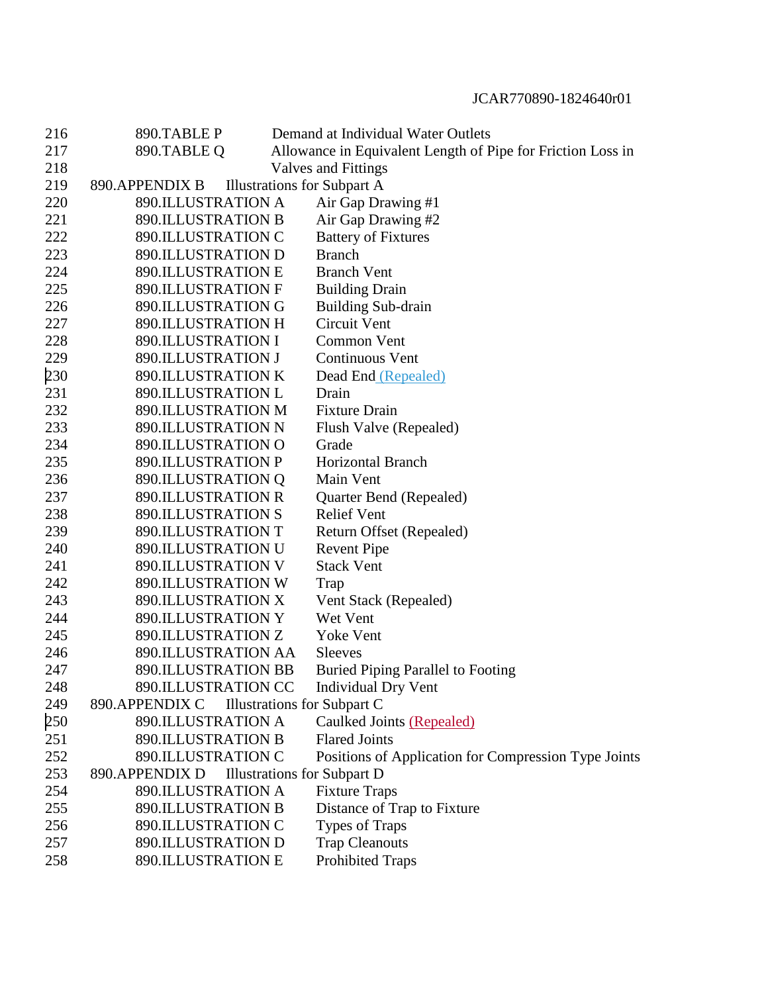| 216 | 890.TABLE P               | Demand at Individual Water Outlets                          |
|-----|---------------------------|-------------------------------------------------------------|
| 217 | 890.TABLE Q               | Allowance in Equivalent Length of Pipe for Friction Loss in |
| 218 |                           | Valves and Fittings                                         |
| 219 | 890.APPENDIX B            | <b>Illustrations for Subpart A</b>                          |
| 220 | 890.ILLUSTRATION A        | Air Gap Drawing #1                                          |
| 221 | 890.ILLUSTRATION B        | Air Gap Drawing #2                                          |
| 222 | 890.ILLUSTRATION C        | <b>Battery of Fixtures</b>                                  |
| 223 | 890.ILLUSTRATION D        | <b>Branch</b>                                               |
| 224 | <b>890.ILLUSTRATION E</b> | <b>Branch Vent</b>                                          |
| 225 | <b>890.ILLUSTRATION F</b> | <b>Building Drain</b>                                       |
| 226 | 890.ILLUSTRATION G        | <b>Building Sub-drain</b>                                   |
| 227 | 890.ILLUSTRATION H        | Circuit Vent                                                |
| 228 | 890.ILLUSTRATION I        | <b>Common Vent</b>                                          |
| 229 | 890.ILLUSTRATION J        | <b>Continuous Vent</b>                                      |
| 230 | 890.ILLUSTRATION K        | Dead End (Repealed)                                         |
| 231 | 890.ILLUSTRATION L        | Drain                                                       |
| 232 | 890.ILLUSTRATION M        | <b>Fixture Drain</b>                                        |
| 233 | 890.ILLUSTRATION N        | Flush Valve (Repealed)                                      |
| 234 | 890.ILLUSTRATION O        | Grade                                                       |
| 235 | <b>890.ILLUSTRATION P</b> | <b>Horizontal Branch</b>                                    |
| 236 | 890.ILLUSTRATION Q        | Main Vent                                                   |
| 237 | <b>890.ILLUSTRATION R</b> | Quarter Bend (Repealed)                                     |
| 238 | <b>890.ILLUSTRATION S</b> | <b>Relief Vent</b>                                          |
| 239 | 890.ILLUSTRATION T        | Return Offset (Repealed)                                    |
| 240 | 890.ILLUSTRATION U        | <b>Revent Pipe</b>                                          |
| 241 | <b>890.ILLUSTRATION V</b> | <b>Stack Vent</b>                                           |
| 242 | 890.ILLUSTRATION W        | Trap                                                        |
| 243 | 890.ILLUSTRATION X        | Vent Stack (Repealed)                                       |
| 244 | 890.ILLUSTRATION Y        | Wet Vent                                                    |
| 245 | 890.ILLUSTRATION Z        | Yoke Vent                                                   |
| 246 | 890.ILLUSTRATION AA       | <b>Sleeves</b>                                              |
| 247 | 890.ILLUSTRATION BB       | <b>Buried Piping Parallel to Footing</b>                    |
| 248 | 890.ILLUSTRATION CC       | Individual Dry Vent                                         |
| 249 | 890.APPENDIX C            | Illustrations for Subpart C                                 |
| 250 | 890.ILLUSTRATION A        | Caulked Joints (Repealed)                                   |
| 251 | <b>890.ILLUSTRATION B</b> | <b>Flared Joints</b>                                        |
| 252 | 890.ILLUSTRATION C        | Positions of Application for Compression Type Joints        |
| 253 | 890.APPENDIX D            | <b>Illustrations for Subpart D</b>                          |
| 254 | 890.ILLUSTRATION A        | <b>Fixture Traps</b>                                        |
| 255 | 890.ILLUSTRATION B        | Distance of Trap to Fixture                                 |
| 256 | 890.ILLUSTRATION C        | <b>Types of Traps</b>                                       |
| 257 | 890.ILLUSTRATION D        | <b>Trap Cleanouts</b>                                       |
| 258 | 890.ILLUSTRATION E        | <b>Prohibited Traps</b>                                     |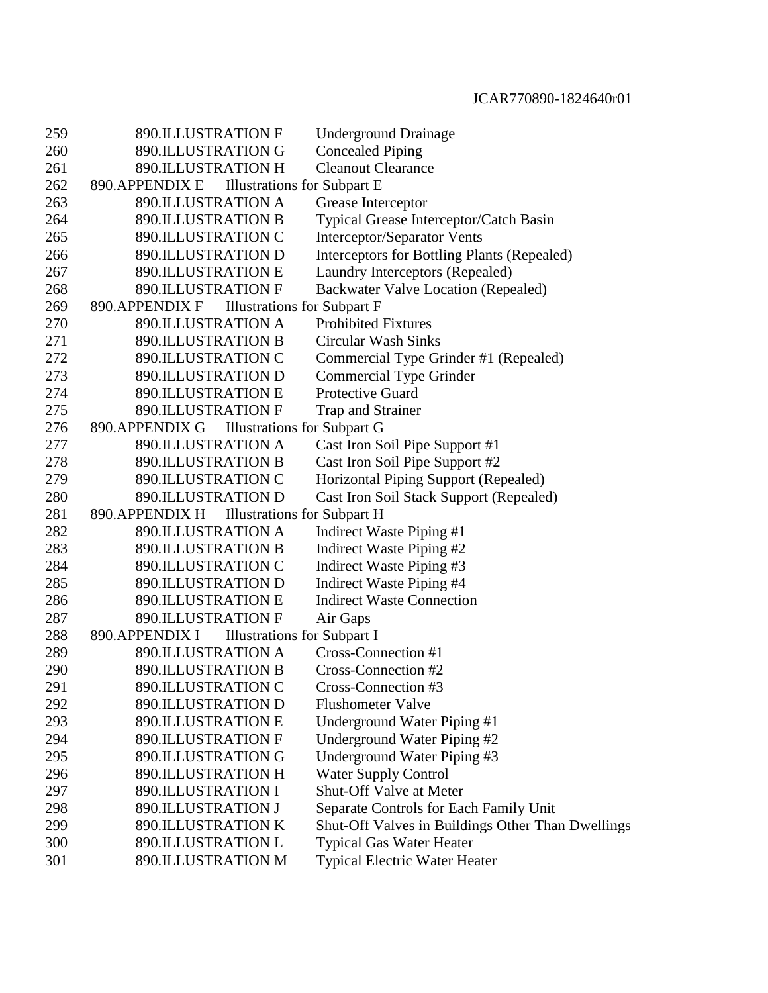| 259 | <b>890.ILLUSTRATION F</b>                            | <b>Underground Drainage</b>                       |
|-----|------------------------------------------------------|---------------------------------------------------|
| 260 | 890.ILLUSTRATION G                                   | <b>Concealed Piping</b>                           |
| 261 | <b>890.ILLUSTRATION H</b>                            | <b>Cleanout Clearance</b>                         |
| 262 | 890.APPENDIX E<br><b>Illustrations for Subpart E</b> |                                                   |
| 263 | 890.ILLUSTRATION A                                   | Grease Interceptor                                |
| 264 | 890.ILLUSTRATION B                                   | Typical Grease Interceptor/Catch Basin            |
| 265 | 890.ILLUSTRATION C                                   | Interceptor/Separator Vents                       |
| 266 | 890.ILLUSTRATION D                                   | Interceptors for Bottling Plants (Repealed)       |
| 267 | <b>890.ILLUSTRATION E</b>                            | Laundry Interceptors (Repealed)                   |
| 268 | <b>890.ILLUSTRATION F</b>                            | <b>Backwater Valve Location (Repealed)</b>        |
| 269 | 890.APPENDIX F<br><b>Illustrations for Subpart F</b> |                                                   |
| 270 | 890.ILLUSTRATION A                                   | <b>Prohibited Fixtures</b>                        |
| 271 | <b>890.ILLUSTRATION B</b>                            | <b>Circular Wash Sinks</b>                        |
| 272 | 890.ILLUSTRATION C                                   | Commercial Type Grinder #1 (Repealed)             |
| 273 | 890.ILLUSTRATION D                                   | Commercial Type Grinder                           |
| 274 | 890.ILLUSTRATION E                                   | <b>Protective Guard</b>                           |
| 275 | 890.ILLUSTRATION F                                   | Trap and Strainer                                 |
| 276 | 890.APPENDIX G<br><b>Illustrations for Subpart G</b> |                                                   |
| 277 | <b>890.ILLUSTRATION A</b>                            | Cast Iron Soil Pipe Support #1                    |
| 278 | 890.ILLUSTRATION B                                   | Cast Iron Soil Pipe Support #2                    |
| 279 | 890.ILLUSTRATION C                                   | Horizontal Piping Support (Repealed)              |
| 280 | 890.ILLUSTRATION D                                   | Cast Iron Soil Stack Support (Repealed)           |
| 281 | 890.APPENDIX H<br><b>Illustrations for Subpart H</b> |                                                   |
| 282 | 890.ILLUSTRATION A                                   | Indirect Waste Piping #1                          |
| 283 | 890.ILLUSTRATION B                                   | Indirect Waste Piping #2                          |
| 284 | 890.ILLUSTRATION C                                   | Indirect Waste Piping #3                          |
| 285 | 890.ILLUSTRATION D                                   | Indirect Waste Piping #4                          |
| 286 | <b>890.ILLUSTRATION E</b>                            | <b>Indirect Waste Connection</b>                  |
| 287 | <b>890.ILLUSTRATION F</b>                            | Air Gaps                                          |
| 288 | 890.APPENDIX I<br><b>Illustrations for Subpart I</b> |                                                   |
| 289 | 890.ILLUSTRATION A                                   | Cross-Connection #1                               |
| 290 | 890.ILLUSTRATION B                                   | Cross-Connection #2                               |
| 291 | 890.ILLUSTRATION C                                   | Cross-Connection #3                               |
| 292 | 890.ILLUSTRATION D                                   | <b>Flushometer Valve</b>                          |
| 293 | <b>890.ILLUSTRATION E</b>                            | Underground Water Piping #1                       |
| 294 | <b>890.ILLUSTRATION F</b>                            | Underground Water Piping #2                       |
| 295 | 890.ILLUSTRATION G                                   | Underground Water Piping #3                       |
| 296 | 890.ILLUSTRATION H                                   | <b>Water Supply Control</b>                       |
| 297 | 890.ILLUSTRATION I                                   | Shut-Off Valve at Meter                           |
| 298 | 890.ILLUSTRATION J                                   | Separate Controls for Each Family Unit            |
| 299 | 890.ILLUSTRATION K                                   | Shut-Off Valves in Buildings Other Than Dwellings |
| 300 | 890.ILLUSTRATION L                                   | <b>Typical Gas Water Heater</b>                   |
| 301 | 890.ILLUSTRATION M                                   | <b>Typical Electric Water Heater</b>              |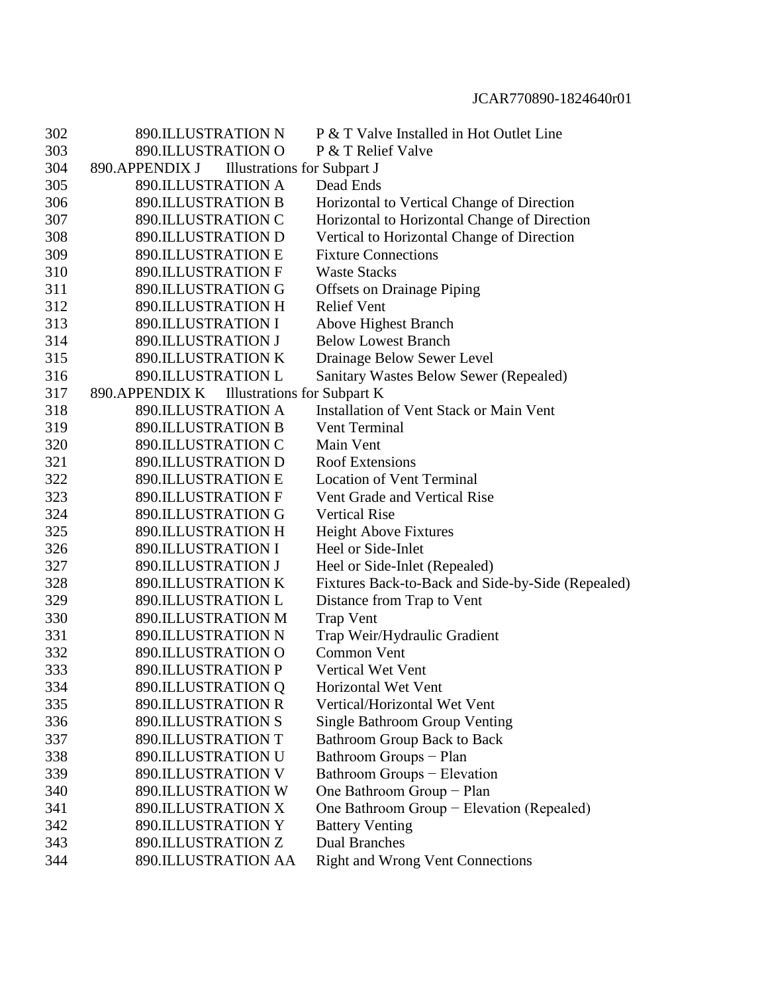| 302 | <b>890.ILLUSTRATION N</b>                            | P & T Valve Installed in Hot Outlet Line          |
|-----|------------------------------------------------------|---------------------------------------------------|
| 303 | 890.ILLUSTRATION O                                   | P & T Relief Valve                                |
| 304 | 890.APPENDIX J<br><b>Illustrations for Subpart J</b> |                                                   |
| 305 | 890.ILLUSTRATION A                                   | Dead Ends                                         |
| 306 | <b>890.ILLUSTRATION B</b>                            | Horizontal to Vertical Change of Direction        |
| 307 | 890.ILLUSTRATION C                                   | Horizontal to Horizontal Change of Direction      |
| 308 | 890.ILLUSTRATION D                                   | Vertical to Horizontal Change of Direction        |
| 309 | <b>890.ILLUSTRATION E</b>                            | <b>Fixture Connections</b>                        |
| 310 | 890.ILLUSTRATION F                                   | <b>Waste Stacks</b>                               |
| 311 | 890.ILLUSTRATION G                                   | <b>Offsets on Drainage Piping</b>                 |
| 312 | 890.ILLUSTRATION H                                   | <b>Relief Vent</b>                                |
| 313 | 890.ILLUSTRATION I                                   | <b>Above Highest Branch</b>                       |
| 314 | 890.ILLUSTRATION J                                   | <b>Below Lowest Branch</b>                        |
| 315 | 890.ILLUSTRATION K                                   | Drainage Below Sewer Level                        |
| 316 | <b>890.ILLUSTRATION L</b>                            | Sanitary Wastes Below Sewer (Repealed)            |
| 317 | <b>Illustrations for Subpart K</b><br>890.APPENDIX K |                                                   |
| 318 | 890.ILLUSTRATION A                                   | <b>Installation of Vent Stack or Main Vent</b>    |
| 319 | <b>890.ILLUSTRATION B</b>                            | Vent Terminal                                     |
| 320 | 890.ILLUSTRATION C                                   | Main Vent                                         |
| 321 | 890.ILLUSTRATION D                                   | <b>Roof Extensions</b>                            |
| 322 | <b>890.ILLUSTRATION E</b>                            | <b>Location of Vent Terminal</b>                  |
| 323 | 890.ILLUSTRATION F                                   | Vent Grade and Vertical Rise                      |
| 324 | 890.ILLUSTRATION G                                   | <b>Vertical Rise</b>                              |
| 325 | 890.ILLUSTRATION H                                   | Height Above Fixtures                             |
| 326 | 890.ILLUSTRATION I                                   | Heel or Side-Inlet                                |
| 327 | 890.ILLUSTRATION J                                   | Heel or Side-Inlet (Repealed)                     |
| 328 | 890.ILLUSTRATION K                                   | Fixtures Back-to-Back and Side-by-Side (Repealed) |
| 329 | <b>890.ILLUSTRATION L</b>                            | Distance from Trap to Vent                        |
| 330 | 890.ILLUSTRATION M                                   | <b>Trap Vent</b>                                  |
| 331 | 890.ILLUSTRATION N                                   | Trap Weir/Hydraulic Gradient                      |
| 332 | 890.ILLUSTRATION O                                   | <b>Common Vent</b>                                |
| 333 | 890.ILLUSTRATION P                                   | <b>Vertical Wet Vent</b>                          |
| 334 | 890.ILLUSTRATION Q                                   | Horizontal Wet Vent                               |
| 335 | <b>890.ILLUSTRATION R</b>                            | Vertical/Horizontal Wet Vent                      |
| 336 | <b>890.ILLUSTRATION S</b>                            | <b>Single Bathroom Group Venting</b>              |
| 337 | <b>890.ILLUSTRATION T</b>                            | <b>Bathroom Group Back to Back</b>                |
| 338 | <b>890.ILLUSTRATION U</b>                            | Bathroom Groups - Plan                            |
| 339 | 890.ILLUSTRATION V                                   | Bathroom Groups - Elevation                       |
| 340 | 890.ILLUSTRATION W                                   | One Bathroom Group - Plan                         |
| 341 | 890.ILLUSTRATION X                                   | One Bathroom Group - Elevation (Repealed)         |
| 342 | <b>890.ILLUSTRATION Y</b>                            | <b>Battery Venting</b>                            |
| 343 | 890.ILLUSTRATION Z                                   | <b>Dual Branches</b>                              |
| 344 | 890.ILLUSTRATION AA                                  | <b>Right and Wrong Vent Connections</b>           |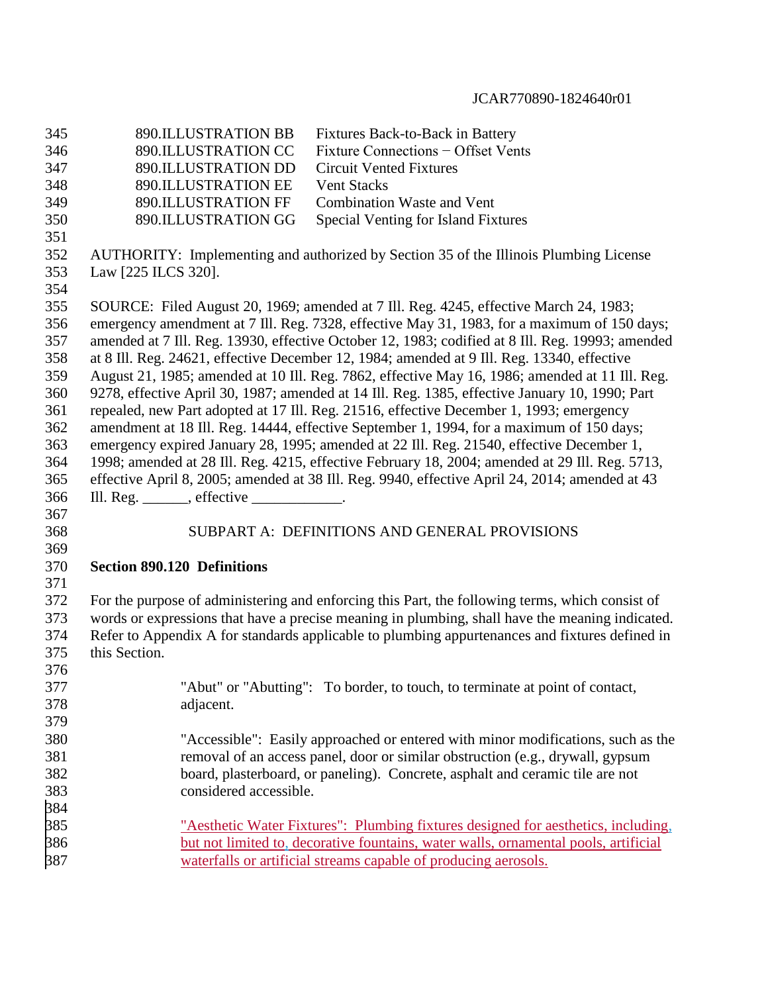| 345 | <b>890.ILLUSTRATION BB</b>                                    | Fixtures Back-to-Back in Battery                                                                 |
|-----|---------------------------------------------------------------|--------------------------------------------------------------------------------------------------|
| 346 | 890.ILLUSTRATION CC                                           | Fixture Connections - Offset Vents                                                               |
| 347 | 890.ILLUSTRATION DD                                           | <b>Circuit Vented Fixtures</b>                                                                   |
| 348 | 890.ILLUSTRATION EE                                           | <b>Vent Stacks</b>                                                                               |
| 349 | 890.ILLUSTRATION FF                                           | <b>Combination Waste and Vent</b>                                                                |
| 350 | 890.ILLUSTRATION GG                                           | Special Venting for Island Fixtures                                                              |
| 351 |                                                               |                                                                                                  |
| 352 |                                                               | AUTHORITY: Implementing and authorized by Section 35 of the Illinois Plumbing License            |
| 353 | Law [225 ILCS 320].                                           |                                                                                                  |
| 354 |                                                               |                                                                                                  |
| 355 |                                                               | SOURCE: Filed August 20, 1969; amended at 7 Ill. Reg. 4245, effective March 24, 1983;            |
| 356 |                                                               | emergency amendment at 7 Ill. Reg. 7328, effective May 31, 1983, for a maximum of 150 days;      |
| 357 |                                                               | amended at 7 Ill. Reg. 13930, effective October 12, 1983; codified at 8 Ill. Reg. 19993; amended |
| 358 |                                                               | at 8 Ill. Reg. 24621, effective December 12, 1984; amended at 9 Ill. Reg. 13340, effective       |
| 359 |                                                               | August 21, 1985; amended at 10 Ill. Reg. 7862, effective May 16, 1986; amended at 11 Ill. Reg.   |
| 360 |                                                               | 9278, effective April 30, 1987; amended at 14 Ill. Reg. 1385, effective January 10, 1990; Part   |
| 361 |                                                               | repealed, new Part adopted at 17 Ill. Reg. 21516, effective December 1, 1993; emergency          |
| 362 |                                                               | amendment at 18 Ill. Reg. 14444, effective September 1, 1994, for a maximum of 150 days;         |
| 363 |                                                               | emergency expired January 28, 1995; amended at 22 Ill. Reg. 21540, effective December 1,         |
| 364 |                                                               | 1998; amended at 28 Ill. Reg. 4215, effective February 18, 2004; amended at 29 Ill. Reg. 5713,   |
| 365 |                                                               | effective April 8, 2005; amended at 38 Ill. Reg. 9940, effective April 24, 2014; amended at 43   |
| 366 | Ill. Reg. $\_\_\_\_\$ , effective $\_\_\_\_\_\_\_\_\_\_\_\$ . |                                                                                                  |
| 367 |                                                               |                                                                                                  |
| 368 |                                                               | SUBPART A: DEFINITIONS AND GENERAL PROVISIONS                                                    |
| 369 |                                                               |                                                                                                  |
| 370 | <b>Section 890.120 Definitions</b>                            |                                                                                                  |
| 371 |                                                               |                                                                                                  |
| 372 |                                                               | For the purpose of administering and enforcing this Part, the following terms, which consist of  |
| 373 |                                                               | words or expressions that have a precise meaning in plumbing, shall have the meaning indicated.  |
| 374 |                                                               | Refer to Appendix A for standards applicable to plumbing appurtenances and fixtures defined in   |
| 375 | this Section.                                                 |                                                                                                  |
| 376 |                                                               |                                                                                                  |
| 377 |                                                               | "Abut" or "Abutting": To border, to touch, to terminate at point of contact,                     |
| 378 | adjacent.                                                     |                                                                                                  |
| 379 |                                                               |                                                                                                  |
| 380 |                                                               | "Accessible": Easily approached or entered with minor modifications, such as the                 |
| 381 |                                                               | removal of an access panel, door or similar obstruction (e.g., drywall, gypsum                   |
| 382 |                                                               | board, plasterboard, or paneling). Concrete, asphalt and ceramic tile are not                    |
| 383 | considered accessible.                                        |                                                                                                  |
| 384 |                                                               |                                                                                                  |
| 385 |                                                               | <u>"Aesthetic Water Fixtures": Plumbing fixtures designed for aesthetics, including,</u>         |
| 386 |                                                               | but not limited to, decorative fountains, water walls, ornamental pools, artificial              |
| 387 |                                                               | waterfalls or artificial streams capable of producing aerosols.                                  |
|     |                                                               |                                                                                                  |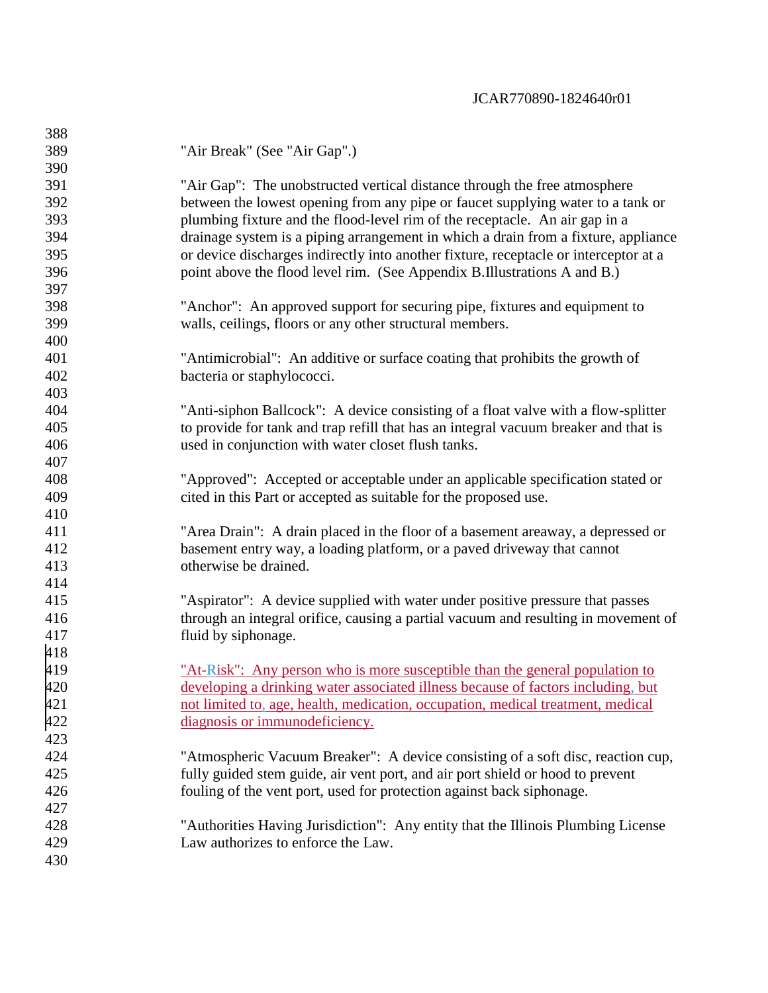| 388 |                                                                                      |
|-----|--------------------------------------------------------------------------------------|
| 389 | "Air Break" (See "Air Gap".)                                                         |
| 390 |                                                                                      |
| 391 | "Air Gap": The unobstructed vertical distance through the free atmosphere            |
| 392 | between the lowest opening from any pipe or faucet supplying water to a tank or      |
| 393 | plumbing fixture and the flood-level rim of the receptacle. An air gap in a          |
| 394 | drainage system is a piping arrangement in which a drain from a fixture, appliance   |
| 395 | or device discharges indirectly into another fixture, receptacle or interceptor at a |
| 396 | point above the flood level rim. (See Appendix B.Illustrations A and B.)             |
| 397 |                                                                                      |
| 398 | "Anchor": An approved support for securing pipe, fixtures and equipment to           |
| 399 | walls, ceilings, floors or any other structural members.                             |
| 400 |                                                                                      |
| 401 | "Antimicrobial": An additive or surface coating that prohibits the growth of         |
| 402 | bacteria or staphylococci.                                                           |
| 403 |                                                                                      |
| 404 | "Anti-siphon Ballcock": A device consisting of a float valve with a flow-splitter    |
| 405 | to provide for tank and trap refill that has an integral vacuum breaker and that is  |
| 406 | used in conjunction with water closet flush tanks.                                   |
| 407 |                                                                                      |
| 408 | "Approved": Accepted or acceptable under an applicable specification stated or       |
| 409 | cited in this Part or accepted as suitable for the proposed use.                     |
| 410 |                                                                                      |
| 411 | "Area Drain": A drain placed in the floor of a basement areaway, a depressed or      |
| 412 | basement entry way, a loading platform, or a paved driveway that cannot              |
| 413 | otherwise be drained.                                                                |
| 414 |                                                                                      |
| 415 | "Aspirator": A device supplied with water under positive pressure that passes        |
| 416 | through an integral orifice, causing a partial vacuum and resulting in movement of   |
| 417 | fluid by siphonage.                                                                  |
| 418 |                                                                                      |
| 419 | "At-Risk": Any person who is more susceptible than the general population to         |
| 420 | developing a drinking water associated illness because of factors including, but     |
| 421 | not limited to, age, health, medication, occupation, medical treatment, medical      |
| 422 | diagnosis or immunodeficiency.                                                       |
| 423 |                                                                                      |
| 424 | "Atmospheric Vacuum Breaker": A device consisting of a soft disc, reaction cup,      |
| 425 | fully guided stem guide, air vent port, and air port shield or hood to prevent       |
| 426 | fouling of the vent port, used for protection against back siphonage.                |
| 427 |                                                                                      |
| 428 | "Authorities Having Jurisdiction": Any entity that the Illinois Plumbing License     |
| 429 | Law authorizes to enforce the Law.                                                   |
| 430 |                                                                                      |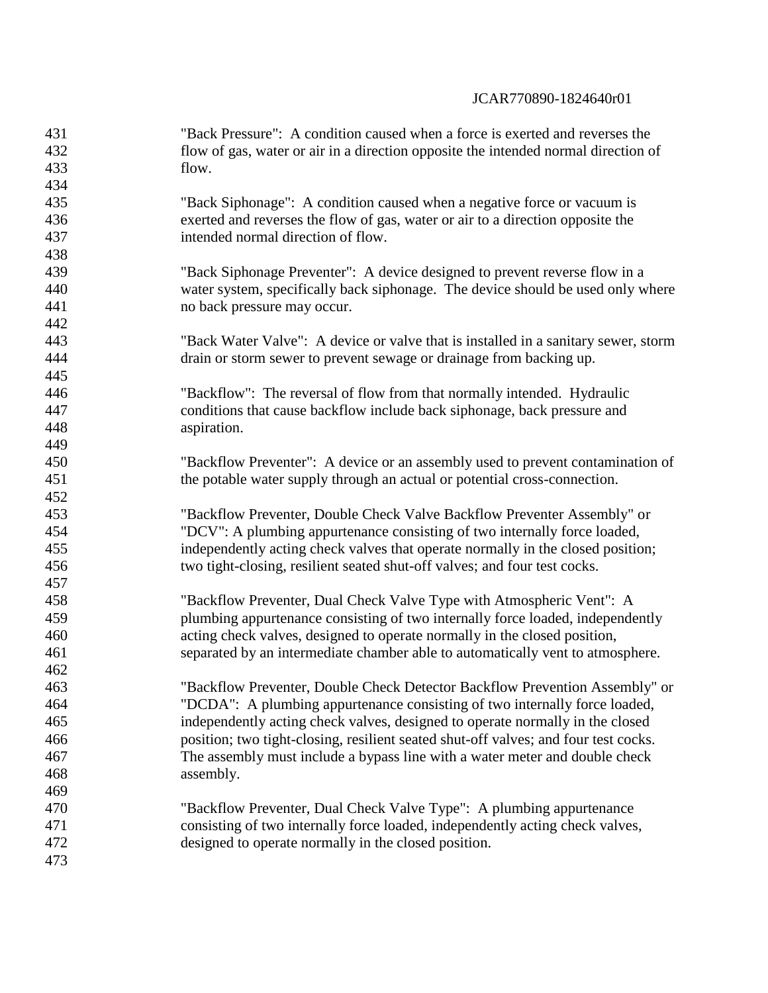| 431 | "Back Pressure": A condition caused when a force is exerted and reverses the        |
|-----|-------------------------------------------------------------------------------------|
| 432 | flow of gas, water or air in a direction opposite the intended normal direction of  |
| 433 | flow.                                                                               |
| 434 |                                                                                     |
| 435 | "Back Siphonage": A condition caused when a negative force or vacuum is             |
| 436 | exerted and reverses the flow of gas, water or air to a direction opposite the      |
| 437 | intended normal direction of flow.                                                  |
| 438 |                                                                                     |
| 439 | "Back Siphonage Preventer": A device designed to prevent reverse flow in a          |
| 440 | water system, specifically back siphonage. The device should be used only where     |
| 441 | no back pressure may occur.                                                         |
| 442 |                                                                                     |
| 443 | "Back Water Valve": A device or valve that is installed in a sanitary sewer, storm  |
| 444 | drain or storm sewer to prevent sewage or drainage from backing up.                 |
| 445 |                                                                                     |
| 446 | "Backflow": The reversal of flow from that normally intended. Hydraulic             |
| 447 | conditions that cause backflow include back siphonage, back pressure and            |
| 448 | aspiration.                                                                         |
| 449 |                                                                                     |
| 450 | "Backflow Preventer": A device or an assembly used to prevent contamination of      |
| 451 | the potable water supply through an actual or potential cross-connection.           |
| 452 |                                                                                     |
| 453 | "Backflow Preventer, Double Check Valve Backflow Preventer Assembly" or             |
| 454 | "DCV": A plumbing appurtenance consisting of two internally force loaded,           |
| 455 | independently acting check valves that operate normally in the closed position;     |
| 456 | two tight-closing, resilient seated shut-off valves; and four test cocks.           |
| 457 |                                                                                     |
| 458 | "Backflow Preventer, Dual Check Valve Type with Atmospheric Vent": A                |
| 459 | plumbing appurtenance consisting of two internally force loaded, independently      |
| 460 | acting check valves, designed to operate normally in the closed position,           |
| 461 | separated by an intermediate chamber able to automatically vent to atmosphere.      |
| 462 |                                                                                     |
| 463 | "Backflow Preventer, Double Check Detector Backflow Prevention Assembly" or         |
| 464 | "DCDA": A plumbing appurtenance consisting of two internally force loaded,          |
| 465 | independently acting check valves, designed to operate normally in the closed       |
| 466 | position; two tight-closing, resilient seated shut-off valves; and four test cocks. |
| 467 | The assembly must include a bypass line with a water meter and double check         |
| 468 | assembly.                                                                           |
| 469 |                                                                                     |
| 470 | "Backflow Preventer, Dual Check Valve Type": A plumbing appurtenance                |
| 471 | consisting of two internally force loaded, independently acting check valves,       |
| 472 | designed to operate normally in the closed position.                                |
| 473 |                                                                                     |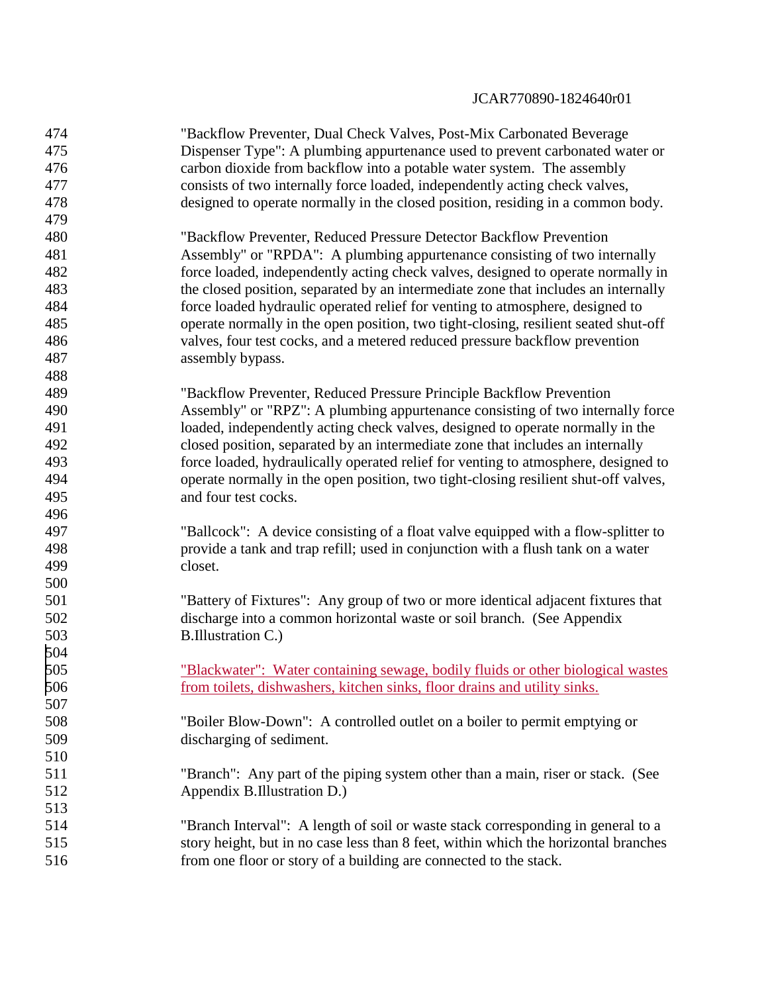| 474 | "Backflow Preventer, Dual Check Valves, Post-Mix Carbonated Beverage                |
|-----|-------------------------------------------------------------------------------------|
| 475 | Dispenser Type": A plumbing appurtenance used to prevent carbonated water or        |
| 476 | carbon dioxide from backflow into a potable water system. The assembly              |
| 477 | consists of two internally force loaded, independently acting check valves,         |
| 478 | designed to operate normally in the closed position, residing in a common body.     |
| 479 |                                                                                     |
| 480 | "Backflow Preventer, Reduced Pressure Detector Backflow Prevention                  |
| 481 | Assembly" or "RPDA": A plumbing appurtenance consisting of two internally           |
| 482 | force loaded, independently acting check valves, designed to operate normally in    |
| 483 | the closed position, separated by an intermediate zone that includes an internally  |
| 484 | force loaded hydraulic operated relief for venting to atmosphere, designed to       |
| 485 | operate normally in the open position, two tight-closing, resilient seated shut-off |
| 486 | valves, four test cocks, and a metered reduced pressure backflow prevention         |
| 487 | assembly bypass.                                                                    |
| 488 |                                                                                     |
| 489 | "Backflow Preventer, Reduced Pressure Principle Backflow Prevention                 |
| 490 | Assembly" or "RPZ": A plumbing appurtenance consisting of two internally force      |
| 491 | loaded, independently acting check valves, designed to operate normally in the      |
| 492 | closed position, separated by an intermediate zone that includes an internally      |
| 493 | force loaded, hydraulically operated relief for venting to atmosphere, designed to  |
| 494 | operate normally in the open position, two tight-closing resilient shut-off valves, |
| 495 | and four test cocks.                                                                |
| 496 |                                                                                     |
| 497 | "Ballcock": A device consisting of a float valve equipped with a flow-splitter to   |
| 498 | provide a tank and trap refill; used in conjunction with a flush tank on a water    |
| 499 | closet.                                                                             |
| 500 |                                                                                     |
| 501 | "Battery of Fixtures": Any group of two or more identical adjacent fixtures that    |
| 502 | discharge into a common horizontal waste or soil branch. (See Appendix              |
| 503 | B.Illustration C.)                                                                  |
| 504 |                                                                                     |
| 505 | "Blackwater": Water containing sewage, bodily fluids or other biological wastes     |
| 506 | from toilets, dishwashers, kitchen sinks, floor drains and utility sinks.           |
| 507 |                                                                                     |
| 508 | "Boiler Blow-Down": A controlled outlet on a boiler to permit emptying or           |
| 509 | discharging of sediment.                                                            |
| 510 |                                                                                     |
| 511 | "Branch": Any part of the piping system other than a main, riser or stack. (See     |
| 512 | Appendix B.Illustration D.)                                                         |
| 513 |                                                                                     |
| 514 | "Branch Interval": A length of soil or waste stack corresponding in general to a    |
| 515 | story height, but in no case less than 8 feet, within which the horizontal branches |
| 516 | from one floor or story of a building are connected to the stack.                   |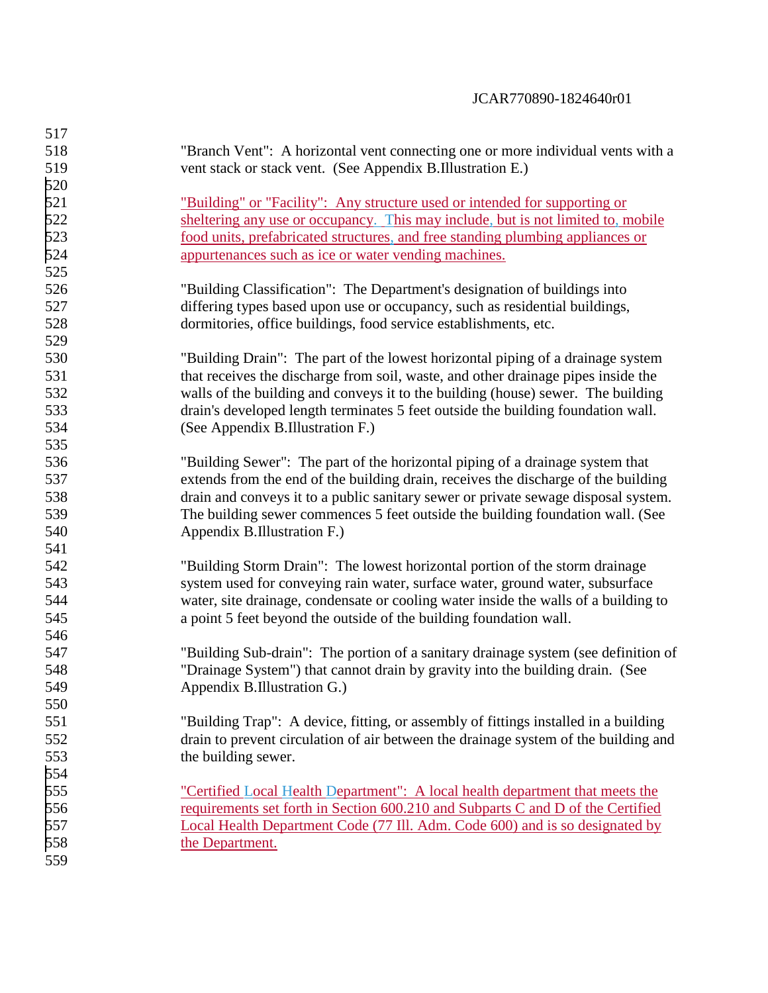| 517 |                                                                                     |
|-----|-------------------------------------------------------------------------------------|
| 518 | "Branch Vent": A horizontal vent connecting one or more individual vents with a     |
| 519 | vent stack or stack vent. (See Appendix B.Illustration E.)                          |
| 520 |                                                                                     |
| 521 | <u>"Building" or "Facility": Any structure used or intended for supporting or</u>   |
| 522 | sheltering any use or occupancy. This may include, but is not limited to, mobile    |
| 523 | food units, prefabricated structures, and free standing plumbing appliances or      |
| 524 | appurtenances such as ice or water vending machines.                                |
| 525 |                                                                                     |
| 526 | "Building Classification": The Department's designation of buildings into           |
| 527 | differing types based upon use or occupancy, such as residential buildings,         |
| 528 | dormitories, office buildings, food service establishments, etc.                    |
| 529 |                                                                                     |
| 530 | "Building Drain": The part of the lowest horizontal piping of a drainage system     |
| 531 | that receives the discharge from soil, waste, and other drainage pipes inside the   |
| 532 | walls of the building and conveys it to the building (house) sewer. The building    |
| 533 | drain's developed length terminates 5 feet outside the building foundation wall.    |
| 534 | (See Appendix B.Illustration F.)                                                    |
| 535 |                                                                                     |
| 536 | "Building Sewer": The part of the horizontal piping of a drainage system that       |
| 537 | extends from the end of the building drain, receives the discharge of the building  |
| 538 | drain and conveys it to a public sanitary sewer or private sewage disposal system.  |
| 539 | The building sewer commences 5 feet outside the building foundation wall. (See      |
| 540 | Appendix B.Illustration F.)                                                         |
| 541 |                                                                                     |
| 542 | "Building Storm Drain": The lowest horizontal portion of the storm drainage         |
| 543 | system used for conveying rain water, surface water, ground water, subsurface       |
| 544 | water, site drainage, condensate or cooling water inside the walls of a building to |
| 545 | a point 5 feet beyond the outside of the building foundation wall.                  |
| 546 |                                                                                     |
| 547 | "Building Sub-drain": The portion of a sanitary drainage system (see definition of  |
| 548 | "Drainage System") that cannot drain by gravity into the building drain. (See       |
| 549 | Appendix B.Illustration G.)                                                         |
| 550 |                                                                                     |
| 551 | "Building Trap": A device, fitting, or assembly of fittings installed in a building |
| 552 | drain to prevent circulation of air between the drainage system of the building and |
| 553 | the building sewer.                                                                 |
| 554 |                                                                                     |
| 555 | "Certified Local Health Department": A local health department that meets the       |
| 556 | requirements set forth in Section 600.210 and Subparts C and D of the Certified     |
| 557 | Local Health Department Code (77 III. Adm. Code 600) and is so designated by        |
| 558 | the Department.                                                                     |
| 559 |                                                                                     |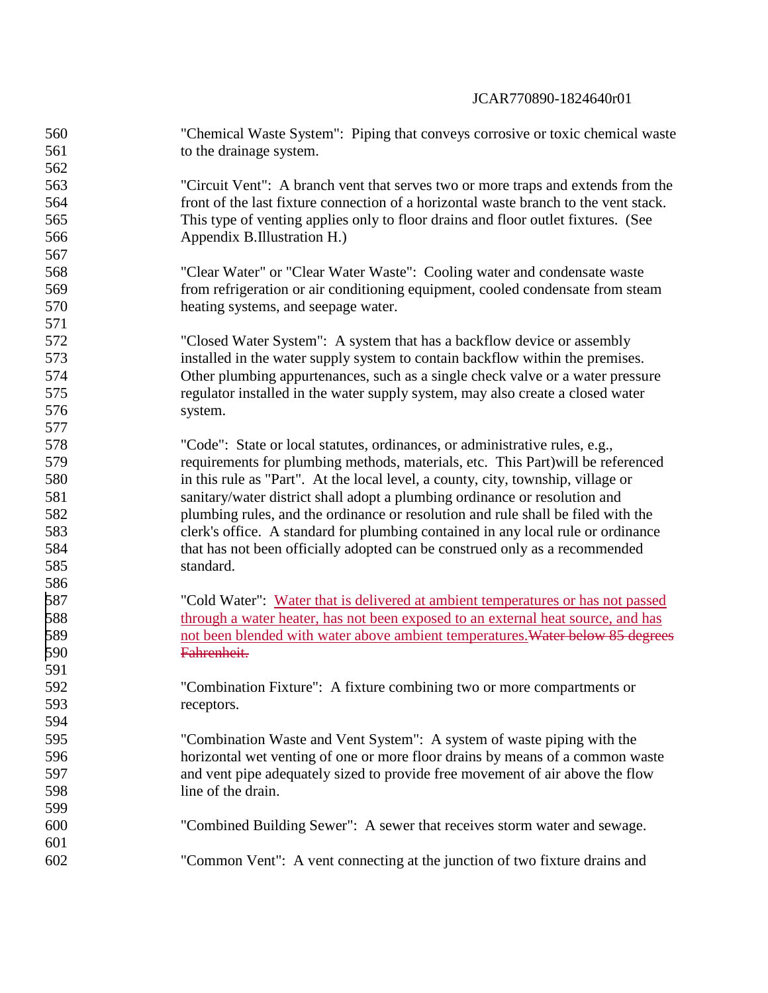| 560 | "Chemical Waste System": Piping that conveys corrosive or toxic chemical waste       |
|-----|--------------------------------------------------------------------------------------|
| 561 | to the drainage system.                                                              |
| 562 |                                                                                      |
| 563 | "Circuit Vent": A branch vent that serves two or more traps and extends from the     |
| 564 | front of the last fixture connection of a horizontal waste branch to the vent stack. |
| 565 | This type of venting applies only to floor drains and floor outlet fixtures. (See    |
| 566 | Appendix B.Illustration H.)                                                          |
| 567 |                                                                                      |
| 568 | "Clear Water" or "Clear Water Waste": Cooling water and condensate waste             |
| 569 | from refrigeration or air conditioning equipment, cooled condensate from steam       |
| 570 | heating systems, and seepage water.                                                  |
| 571 |                                                                                      |
| 572 | "Closed Water System": A system that has a backflow device or assembly               |
| 573 | installed in the water supply system to contain backflow within the premises.        |
| 574 | Other plumbing appurtenances, such as a single check valve or a water pressure       |
| 575 | regulator installed in the water supply system, may also create a closed water       |
| 576 | system.                                                                              |
| 577 |                                                                                      |
| 578 | "Code": State or local statutes, ordinances, or administrative rules, e.g.,          |
| 579 | requirements for plumbing methods, materials, etc. This Part) will be referenced     |
| 580 | in this rule as "Part". At the local level, a county, city, township, village or     |
| 581 | sanitary/water district shall adopt a plumbing ordinance or resolution and           |
| 582 | plumbing rules, and the ordinance or resolution and rule shall be filed with the     |
| 583 | clerk's office. A standard for plumbing contained in any local rule or ordinance     |
| 584 | that has not been officially adopted can be construed only as a recommended          |
| 585 | standard.                                                                            |
| 586 |                                                                                      |
| 587 | "Cold Water": Water that is delivered at ambient temperatures or has not passed      |
| 588 | through a water heater, has not been exposed to an external heat source, and has     |
| 589 | not been blended with water above ambient temperatures. Water below 85 degrees       |
| 590 | Fahrenheit.                                                                          |
| 591 |                                                                                      |
| 592 | "Combination Fixture": A fixture combining two or more compartments or               |
| 593 | receptors.                                                                           |
| 594 |                                                                                      |
| 595 | "Combination Waste and Vent System": A system of waste piping with the               |
| 596 | horizontal wet venting of one or more floor drains by means of a common waste        |
| 597 | and vent pipe adequately sized to provide free movement of air above the flow        |
| 598 | line of the drain.                                                                   |
| 599 |                                                                                      |
| 600 | "Combined Building Sewer": A sewer that receives storm water and sewage.             |
| 601 |                                                                                      |
| 602 | "Common Vent": A vent connecting at the junction of two fixture drains and           |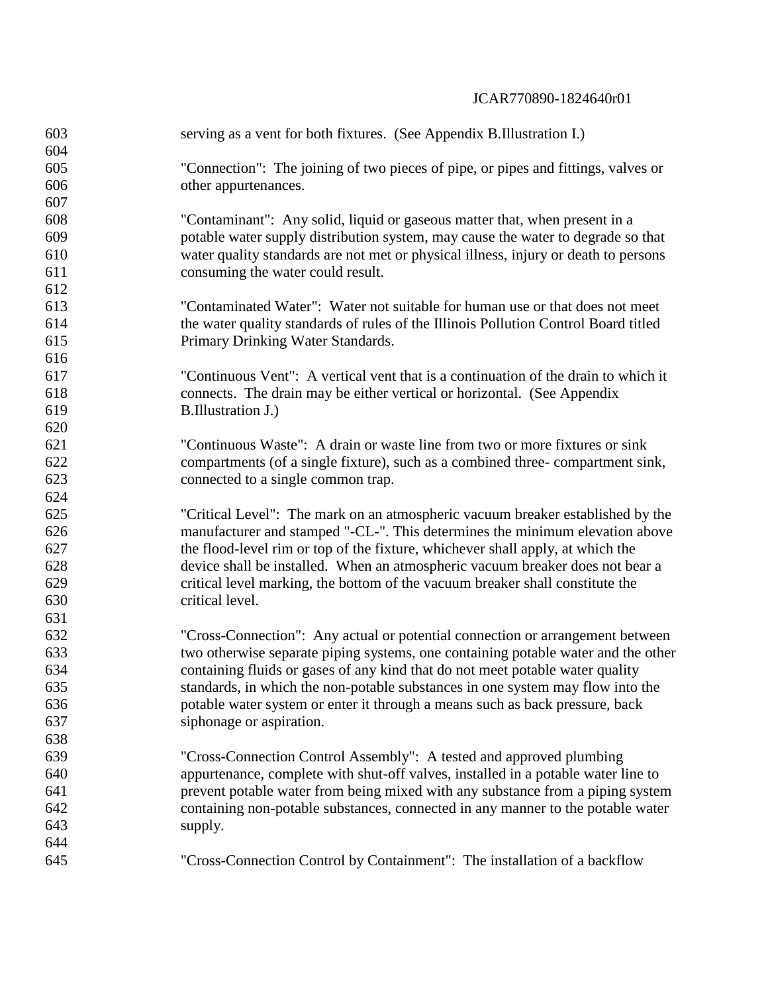| "Connection": The joining of two pieces of pipe, or pipes and fittings, valves or                                                                                                                                                             |
|-----------------------------------------------------------------------------------------------------------------------------------------------------------------------------------------------------------------------------------------------|
|                                                                                                                                                                                                                                               |
|                                                                                                                                                                                                                                               |
|                                                                                                                                                                                                                                               |
| potable water supply distribution system, may cause the water to degrade so that                                                                                                                                                              |
| water quality standards are not met or physical illness, injury or death to persons                                                                                                                                                           |
|                                                                                                                                                                                                                                               |
|                                                                                                                                                                                                                                               |
| "Contaminated Water": Water not suitable for human use or that does not meet                                                                                                                                                                  |
| the water quality standards of rules of the Illinois Pollution Control Board titled                                                                                                                                                           |
|                                                                                                                                                                                                                                               |
|                                                                                                                                                                                                                                               |
| "Continuous Vent": A vertical vent that is a continuation of the drain to which it                                                                                                                                                            |
|                                                                                                                                                                                                                                               |
|                                                                                                                                                                                                                                               |
|                                                                                                                                                                                                                                               |
| "Continuous Waste": A drain or waste line from two or more fixtures or sink                                                                                                                                                                   |
| compartments (of a single fixture), such as a combined three-compartment sink,                                                                                                                                                                |
|                                                                                                                                                                                                                                               |
|                                                                                                                                                                                                                                               |
| "Critical Level": The mark on an atmospheric vacuum breaker established by the                                                                                                                                                                |
| manufacturer and stamped "-CL-". This determines the minimum elevation above                                                                                                                                                                  |
|                                                                                                                                                                                                                                               |
| device shall be installed. When an atmospheric vacuum breaker does not bear a                                                                                                                                                                 |
|                                                                                                                                                                                                                                               |
|                                                                                                                                                                                                                                               |
|                                                                                                                                                                                                                                               |
| "Cross-Connection": Any actual or potential connection or arrangement between                                                                                                                                                                 |
| two otherwise separate piping systems, one containing potable water and the other                                                                                                                                                             |
| containing fluids or gases of any kind that do not meet potable water quality                                                                                                                                                                 |
| standards, in which the non-potable substances in one system may flow into the                                                                                                                                                                |
| potable water system or enter it through a means such as back pressure, back                                                                                                                                                                  |
|                                                                                                                                                                                                                                               |
|                                                                                                                                                                                                                                               |
|                                                                                                                                                                                                                                               |
| appurtenance, complete with shut-off valves, installed in a potable water line to                                                                                                                                                             |
| prevent potable water from being mixed with any substance from a piping system                                                                                                                                                                |
| containing non-potable substances, connected in any manner to the potable water                                                                                                                                                               |
|                                                                                                                                                                                                                                               |
|                                                                                                                                                                                                                                               |
| "Cross-Connection Control by Containment": The installation of a backflow                                                                                                                                                                     |
| "Contaminant": Any solid, liquid or gaseous matter that, when present in a<br>the flood-level rim or top of the fixture, whichever shall apply, at which the<br>critical level marking, the bottom of the vacuum breaker shall constitute the |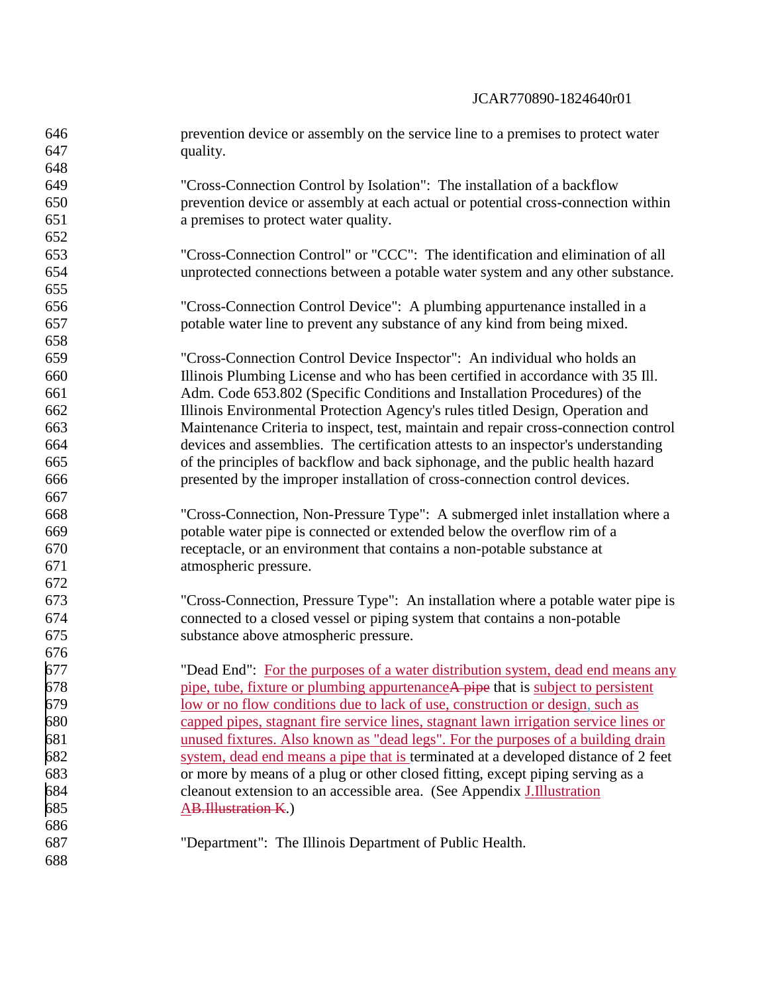| 646 | prevention device or assembly on the service line to a premises to protect water     |
|-----|--------------------------------------------------------------------------------------|
| 647 | quality.                                                                             |
| 648 |                                                                                      |
| 649 | "Cross-Connection Control by Isolation": The installation of a backflow              |
| 650 | prevention device or assembly at each actual or potential cross-connection within    |
| 651 | a premises to protect water quality.                                                 |
| 652 |                                                                                      |
| 653 | "Cross-Connection Control" or "CCC": The identification and elimination of all       |
| 654 | unprotected connections between a potable water system and any other substance.      |
| 655 |                                                                                      |
| 656 | "Cross-Connection Control Device": A plumbing appurtenance installed in a            |
| 657 | potable water line to prevent any substance of any kind from being mixed.            |
| 658 |                                                                                      |
| 659 | "Cross-Connection Control Device Inspector": An individual who holds an              |
| 660 | Illinois Plumbing License and who has been certified in accordance with 35 Ill.      |
| 661 | Adm. Code 653.802 (Specific Conditions and Installation Procedures) of the           |
| 662 | Illinois Environmental Protection Agency's rules titled Design, Operation and        |
| 663 | Maintenance Criteria to inspect, test, maintain and repair cross-connection control  |
| 664 | devices and assemblies. The certification attests to an inspector's understanding    |
| 665 | of the principles of backflow and back siphonage, and the public health hazard       |
| 666 | presented by the improper installation of cross-connection control devices.          |
| 667 |                                                                                      |
| 668 | "Cross-Connection, Non-Pressure Type": A submerged inlet installation where a        |
| 669 | potable water pipe is connected or extended below the overflow rim of a              |
| 670 | receptacle, or an environment that contains a non-potable substance at               |
| 671 | atmospheric pressure.                                                                |
| 672 |                                                                                      |
| 673 | "Cross-Connection, Pressure Type": An installation where a potable water pipe is     |
| 674 | connected to a closed vessel or piping system that contains a non-potable            |
| 675 | substance above atmospheric pressure.                                                |
| 676 |                                                                                      |
| 677 | "Dead End": For the purposes of a water distribution system, dead end means any      |
| 678 | pipe, tube, fixture or plumbing appurtenance A pipe that is subject to persistent    |
| 679 | <u>low or no flow conditions due to lack of use, construction or design, such as</u> |
| 680 | capped pipes, stagnant fire service lines, stagnant lawn irrigation service lines or |
| 681 | unused fixtures. Also known as "dead legs". For the purposes of a building drain     |
| 682 | system, dead end means a pipe that is terminated at a developed distance of 2 feet   |
| 683 | or more by means of a plug or other closed fitting, except piping serving as a       |
| 684 | cleanout extension to an accessible area. (See Appendix J.Illustration               |
| 685 | <b>AB.Illustration K.)</b>                                                           |
| 686 |                                                                                      |
| 687 | "Department": The Illinois Department of Public Health.                              |
| 688 |                                                                                      |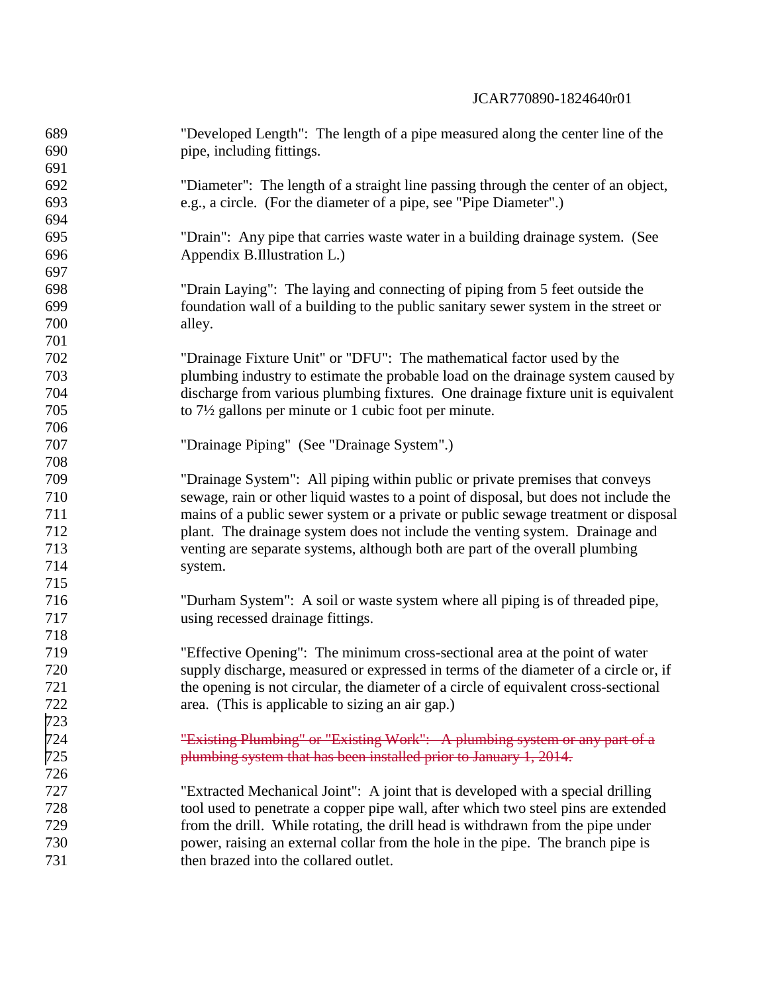| 689 | "Developed Length": The length of a pipe measured along the center line of the       |
|-----|--------------------------------------------------------------------------------------|
| 690 | pipe, including fittings.                                                            |
| 691 |                                                                                      |
| 692 | "Diameter": The length of a straight line passing through the center of an object,   |
| 693 | e.g., a circle. (For the diameter of a pipe, see "Pipe Diameter".)                   |
| 694 |                                                                                      |
| 695 | "Drain": Any pipe that carries waste water in a building drainage system. (See       |
| 696 | Appendix B.Illustration L.)                                                          |
| 697 |                                                                                      |
| 698 | "Drain Laying": The laying and connecting of piping from 5 feet outside the          |
| 699 | foundation wall of a building to the public sanitary sewer system in the street or   |
| 700 | alley.                                                                               |
| 701 |                                                                                      |
| 702 | "Drainage Fixture Unit" or "DFU": The mathematical factor used by the                |
| 703 | plumbing industry to estimate the probable load on the drainage system caused by     |
| 704 | discharge from various plumbing fixtures. One drainage fixture unit is equivalent    |
| 705 | to $7\frac{1}{2}$ gallons per minute or 1 cubic foot per minute.                     |
| 706 |                                                                                      |
| 707 | "Drainage Piping" (See "Drainage System".)                                           |
| 708 |                                                                                      |
| 709 | "Drainage System": All piping within public or private premises that conveys         |
| 710 | sewage, rain or other liquid wastes to a point of disposal, but does not include the |
| 711 | mains of a public sewer system or a private or public sewage treatment or disposal   |
| 712 | plant. The drainage system does not include the venting system. Drainage and         |
| 713 | venting are separate systems, although both are part of the overall plumbing         |
| 714 | system.                                                                              |
| 715 |                                                                                      |
| 716 | "Durham System": A soil or waste system where all piping is of threaded pipe,        |
| 717 | using recessed drainage fittings.                                                    |
| 718 |                                                                                      |
| 719 | "Effective Opening": The minimum cross-sectional area at the point of water          |
| 720 | supply discharge, measured or expressed in terms of the diameter of a circle or, if  |
| 721 | the opening is not circular, the diameter of a circle of equivalent cross-sectional  |
| 722 | area. (This is applicable to sizing an air gap.)                                     |
| 723 |                                                                                      |
| 724 | "Existing Plumbing" or "Existing Work": A plumbing system or any part of a           |
| 725 | plumbing system that has been installed prior to January 1, 2014.                    |
| 726 |                                                                                      |
| 727 | "Extracted Mechanical Joint": A joint that is developed with a special drilling      |
| 728 | tool used to penetrate a copper pipe wall, after which two steel pins are extended   |
| 729 | from the drill. While rotating, the drill head is withdrawn from the pipe under      |
| 730 | power, raising an external collar from the hole in the pipe. The branch pipe is      |
| 731 | then brazed into the collared outlet.                                                |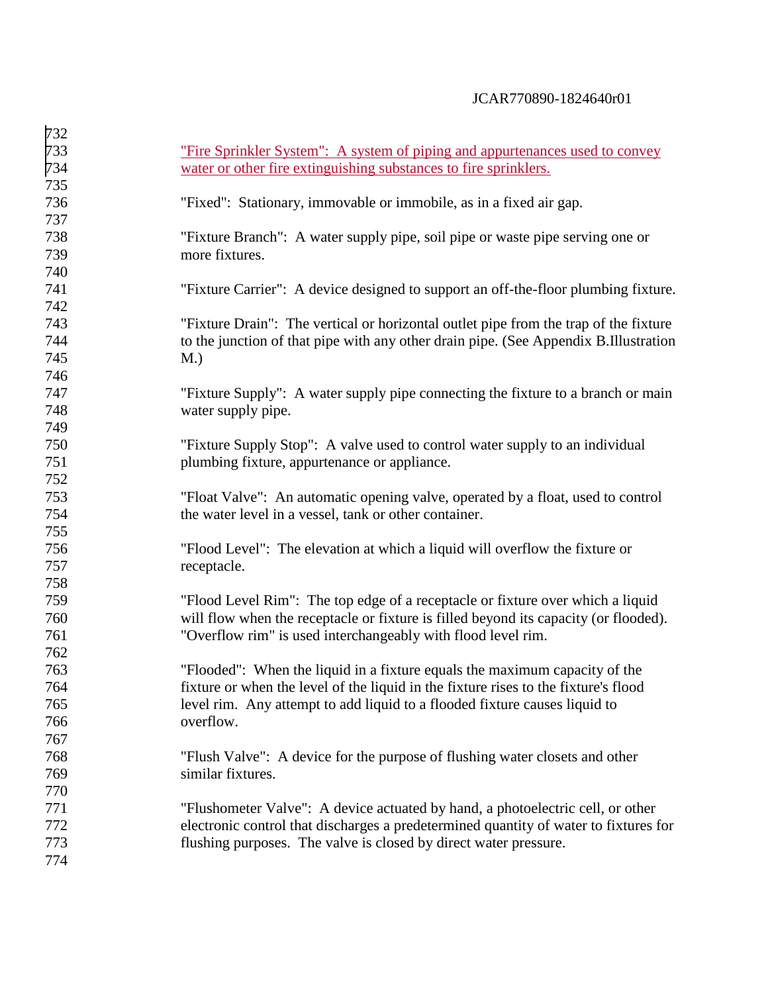| 732 |                                                                                      |
|-----|--------------------------------------------------------------------------------------|
| 733 | "Fire Sprinkler System": A system of piping and appurtenances used to convey         |
| 734 | water or other fire extinguishing substances to fire sprinklers.                     |
| 735 |                                                                                      |
| 736 | "Fixed": Stationary, immovable or immobile, as in a fixed air gap.                   |
| 737 |                                                                                      |
| 738 | "Fixture Branch": A water supply pipe, soil pipe or waste pipe serving one or        |
| 739 | more fixtures.                                                                       |
| 740 |                                                                                      |
| 741 | "Fixture Carrier": A device designed to support an off-the-floor plumbing fixture.   |
| 742 |                                                                                      |
| 743 | "Fixture Drain": The vertical or horizontal outlet pipe from the trap of the fixture |
| 744 | to the junction of that pipe with any other drain pipe. (See Appendix B.Illustration |
| 745 | M.)                                                                                  |
| 746 |                                                                                      |
| 747 | "Fixture Supply": A water supply pipe connecting the fixture to a branch or main     |
| 748 | water supply pipe.                                                                   |
| 749 |                                                                                      |
| 750 | "Fixture Supply Stop": A valve used to control water supply to an individual         |
| 751 | plumbing fixture, appurtenance or appliance.                                         |
| 752 |                                                                                      |
| 753 | "Float Valve": An automatic opening valve, operated by a float, used to control      |
| 754 | the water level in a vessel, tank or other container.                                |
| 755 |                                                                                      |
| 756 | "Flood Level": The elevation at which a liquid will overflow the fixture or          |
| 757 | receptacle.                                                                          |
| 758 |                                                                                      |
| 759 | "Flood Level Rim": The top edge of a receptacle or fixture over which a liquid       |
| 760 | will flow when the receptacle or fixture is filled beyond its capacity (or flooded). |
| 761 | "Overflow rim" is used interchangeably with flood level rim.                         |
| 762 |                                                                                      |
| 763 | "Flooded": When the liquid in a fixture equals the maximum capacity of the           |
| 764 | fixture or when the level of the liquid in the fixture rises to the fixture's flood  |
| 765 | level rim. Any attempt to add liquid to a flooded fixture causes liquid to           |
| 766 | overflow.                                                                            |
| 767 |                                                                                      |
| 768 | "Flush Valve": A device for the purpose of flushing water closets and other          |
| 769 | similar fixtures.                                                                    |
| 770 |                                                                                      |
| 771 | "Flushometer Valve": A device actuated by hand, a photoelectric cell, or other       |
| 772 | electronic control that discharges a predetermined quantity of water to fixtures for |
| 773 | flushing purposes. The valve is closed by direct water pressure.                     |
| 774 |                                                                                      |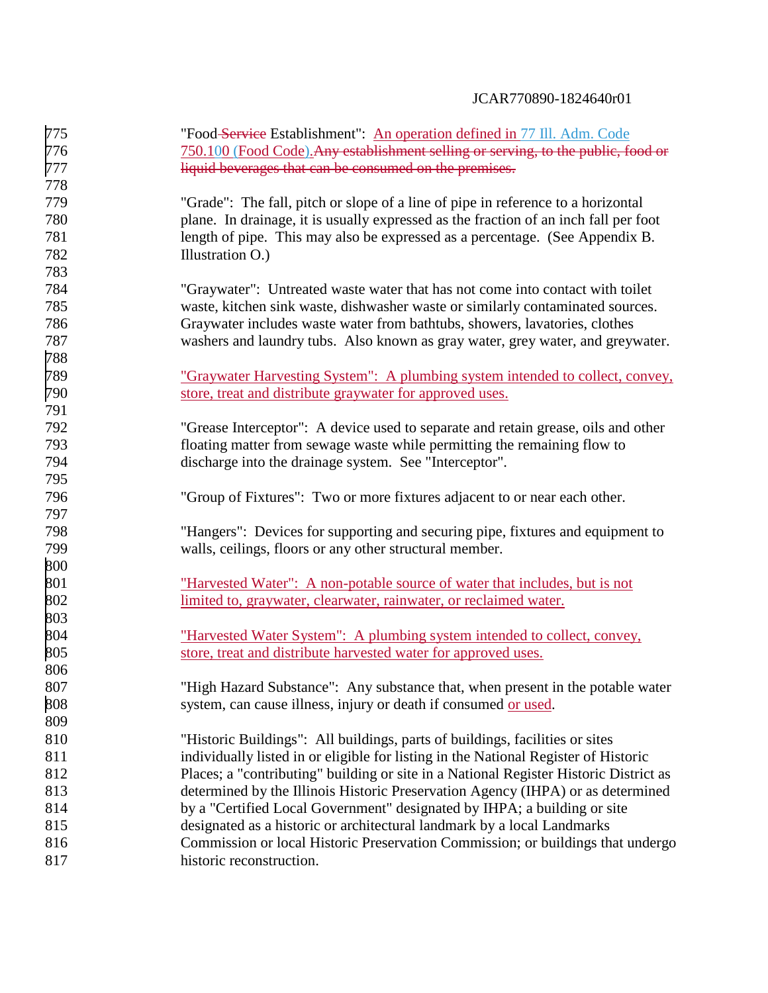| 775 | "Food-Service Establishment": An operation defined in 77 Ill. Adm. Code               |
|-----|---------------------------------------------------------------------------------------|
| 776 | 750.100 (Food Code). Any establishment selling or serving, to the public, food or     |
| 777 | liquid beverages that can be consumed on the premises.                                |
| 778 |                                                                                       |
| 779 | "Grade": The fall, pitch or slope of a line of pipe in reference to a horizontal      |
| 780 | plane. In drainage, it is usually expressed as the fraction of an inch fall per foot  |
| 781 | length of pipe. This may also be expressed as a percentage. (See Appendix B.          |
| 782 | Illustration O.)                                                                      |
| 783 |                                                                                       |
| 784 | "Graywater": Untreated waste water that has not come into contact with toilet         |
| 785 | waste, kitchen sink waste, dishwasher waste or similarly contaminated sources.        |
| 786 | Graywater includes waste water from bathtubs, showers, lavatories, clothes            |
| 787 | washers and laundry tubs. Also known as gray water, grey water, and greywater.        |
| 788 |                                                                                       |
| 789 | "Graywater Harvesting System": A plumbing system intended to collect, convey,         |
| 790 | store, treat and distribute graywater for approved uses.                              |
| 791 |                                                                                       |
| 792 | "Grease Interceptor": A device used to separate and retain grease, oils and other     |
| 793 | floating matter from sewage waste while permitting the remaining flow to              |
| 794 | discharge into the drainage system. See "Interceptor".                                |
| 795 |                                                                                       |
| 796 | "Group of Fixtures": Two or more fixtures adjacent to or near each other.             |
| 797 |                                                                                       |
| 798 | "Hangers": Devices for supporting and securing pipe, fixtures and equipment to        |
| 799 | walls, ceilings, floors or any other structural member.                               |
| 800 |                                                                                       |
| 801 | "Harvested Water": A non-potable source of water that includes, but is not            |
| 802 | limited to, graywater, clearwater, rainwater, or reclaimed water.                     |
| 803 |                                                                                       |
| 804 | "Harvested Water System": A plumbing system intended to collect, convey,              |
| 805 | store, treat and distribute harvested water for approved uses.                        |
| 806 |                                                                                       |
| 807 | "High Hazard Substance": Any substance that, when present in the potable water        |
| 808 | system, can cause illness, injury or death if consumed or used.                       |
| 809 |                                                                                       |
| 810 | "Historic Buildings": All buildings, parts of buildings, facilities or sites          |
| 811 | individually listed in or eligible for listing in the National Register of Historic   |
| 812 | Places; a "contributing" building or site in a National Register Historic District as |
| 813 | determined by the Illinois Historic Preservation Agency (IHPA) or as determined       |
| 814 | by a "Certified Local Government" designated by IHPA; a building or site              |
| 815 | designated as a historic or architectural landmark by a local Landmarks               |
| 816 | Commission or local Historic Preservation Commission; or buildings that undergo       |
| 817 | historic reconstruction.                                                              |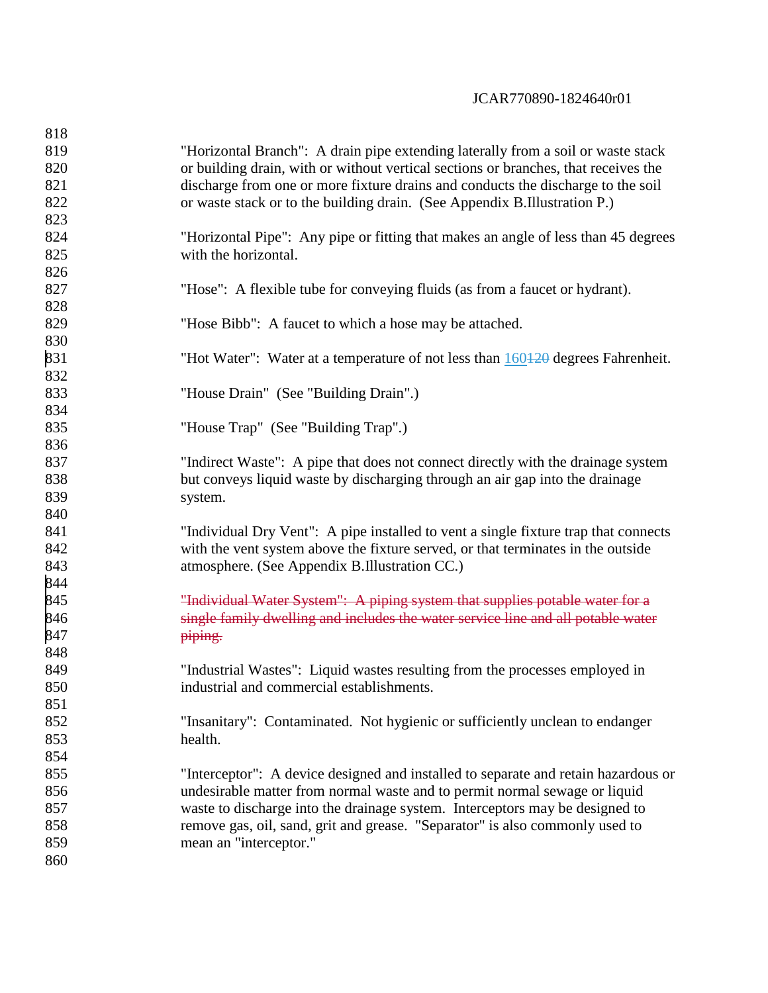| 818 |                                                                                     |
|-----|-------------------------------------------------------------------------------------|
| 819 | "Horizontal Branch": A drain pipe extending laterally from a soil or waste stack    |
| 820 | or building drain, with or without vertical sections or branches, that receives the |
| 821 | discharge from one or more fixture drains and conducts the discharge to the soil    |
| 822 | or waste stack or to the building drain. (See Appendix B.Illustration P.)           |
| 823 |                                                                                     |
| 824 | "Horizontal Pipe": Any pipe or fitting that makes an angle of less than 45 degrees  |
| 825 | with the horizontal.                                                                |
| 826 |                                                                                     |
| 827 | "Hose": A flexible tube for conveying fluids (as from a faucet or hydrant).         |
| 828 |                                                                                     |
| 829 | "Hose Bibb": A faucet to which a hose may be attached.                              |
| 830 |                                                                                     |
| 831 | "Hot Water": Water at a temperature of not less than 160+20 degrees Fahrenheit.     |
| 832 |                                                                                     |
| 833 | "House Drain" (See "Building Drain".)                                               |
| 834 |                                                                                     |
| 835 | "House Trap" (See "Building Trap".)                                                 |
| 836 |                                                                                     |
| 837 | "Indirect Waste": A pipe that does not connect directly with the drainage system    |
| 838 | but conveys liquid waste by discharging through an air gap into the drainage        |
| 839 | system.                                                                             |
| 840 |                                                                                     |
| 841 | "Individual Dry Vent": A pipe installed to vent a single fixture trap that connects |
| 842 | with the vent system above the fixture served, or that terminates in the outside    |
| 843 | atmosphere. (See Appendix B.Illustration CC.)                                       |
| 844 |                                                                                     |
| 845 | "Individual Water System": A piping system that supplies potable water for a        |
| 846 | single family dwelling and includes the water service line and all potable water    |
| 847 | piping.                                                                             |
| 848 |                                                                                     |
| 849 | "Industrial Wastes": Liquid wastes resulting from the processes employed in         |
| 850 | industrial and commercial establishments.                                           |
| 851 |                                                                                     |
| 852 | "Insanitary": Contaminated. Not hygienic or sufficiently unclean to endanger        |
| 853 | health.                                                                             |
| 854 |                                                                                     |
| 855 | "Interceptor": A device designed and installed to separate and retain hazardous or  |
| 856 | undesirable matter from normal waste and to permit normal sewage or liquid          |
| 857 | waste to discharge into the drainage system. Interceptors may be designed to        |
| 858 | remove gas, oil, sand, grit and grease. "Separator" is also commonly used to        |
| 859 | mean an "interceptor."                                                              |
| 860 |                                                                                     |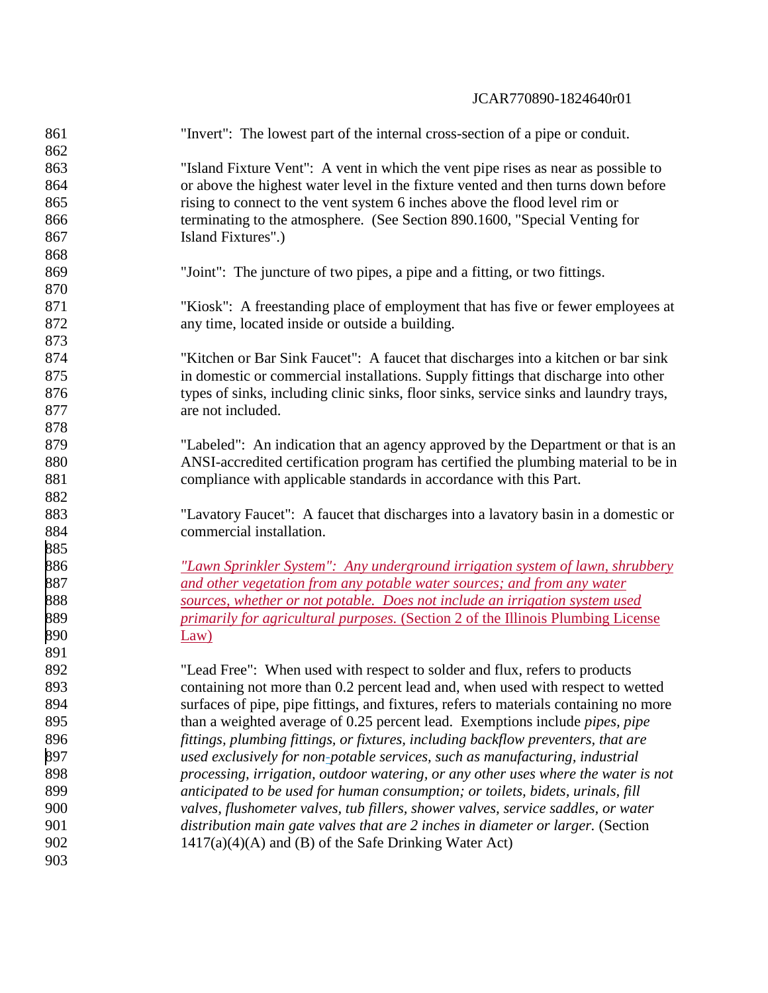| 861<br>862 | "Invert": The lowest part of the internal cross-section of a pipe or conduit.           |
|------------|-----------------------------------------------------------------------------------------|
| 863        | "Island Fixture Vent": A vent in which the vent pipe rises as near as possible to       |
| 864        | or above the highest water level in the fixture vented and then turns down before       |
| 865        | rising to connect to the vent system 6 inches above the flood level rim or              |
| 866        | terminating to the atmosphere. (See Section 890.1600, "Special Venting for              |
| 867        | Island Fixtures".)                                                                      |
| 868        |                                                                                         |
| 869        | "Joint": The juncture of two pipes, a pipe and a fitting, or two fittings.              |
| 870        |                                                                                         |
| 871        | "Kiosk": A freestanding place of employment that has five or fewer employees at         |
| 872        | any time, located inside or outside a building.                                         |
| 873        |                                                                                         |
| 874        | "Kitchen or Bar Sink Faucet": A faucet that discharges into a kitchen or bar sink       |
| 875        | in domestic or commercial installations. Supply fittings that discharge into other      |
| 876        | types of sinks, including clinic sinks, floor sinks, service sinks and laundry trays,   |
| 877        | are not included.                                                                       |
| 878        |                                                                                         |
| 879        | "Labeled": An indication that an agency approved by the Department or that is an        |
| 880        | ANSI-accredited certification program has certified the plumbing material to be in      |
| 881        | compliance with applicable standards in accordance with this Part.                      |
| 882        |                                                                                         |
| 883        | "Lavatory Faucet": A faucet that discharges into a lavatory basin in a domestic or      |
| 884        | commercial installation.                                                                |
| 885        |                                                                                         |
| 886        | <u>"Lawn Sprinkler System": Any underground irrigation system of lawn, shrubbery</u>    |
| 887        | and other vegetation from any potable water sources; and from any water                 |
| 888        | sources, whether or not potable. Does not include an irrigation system used             |
| 889        | <i>primarily for agricultural purposes.</i> (Section 2 of the Illinois Plumbing License |
| 890        | Law)                                                                                    |
| 891        |                                                                                         |
| 892        | "Lead Free": When used with respect to solder and flux, refers to products              |
| 893        | containing not more than 0.2 percent lead and, when used with respect to wetted         |
| 894        | surfaces of pipe, pipe fittings, and fixtures, refers to materials containing no more   |
| 895        | than a weighted average of 0.25 percent lead. Exemptions include <i>pipes, pipe</i>     |
| 896        | fittings, plumbing fittings, or fixtures, including backflow preventers, that are       |
| 897        | used exclusively for non-potable services, such as manufacturing, industrial            |
| 898        | processing, irrigation, outdoor watering, or any other uses where the water is not      |
| 899        | anticipated to be used for human consumption; or toilets, bidets, urinals, fill         |
| 900        | valves, flushometer valves, tub fillers, shower valves, service saddles, or water       |
| 901        | distribution main gate valves that are 2 inches in diameter or larger. (Section         |
| 902        | $1417(a)(4)(A)$ and (B) of the Safe Drinking Water Act)                                 |
| 903        |                                                                                         |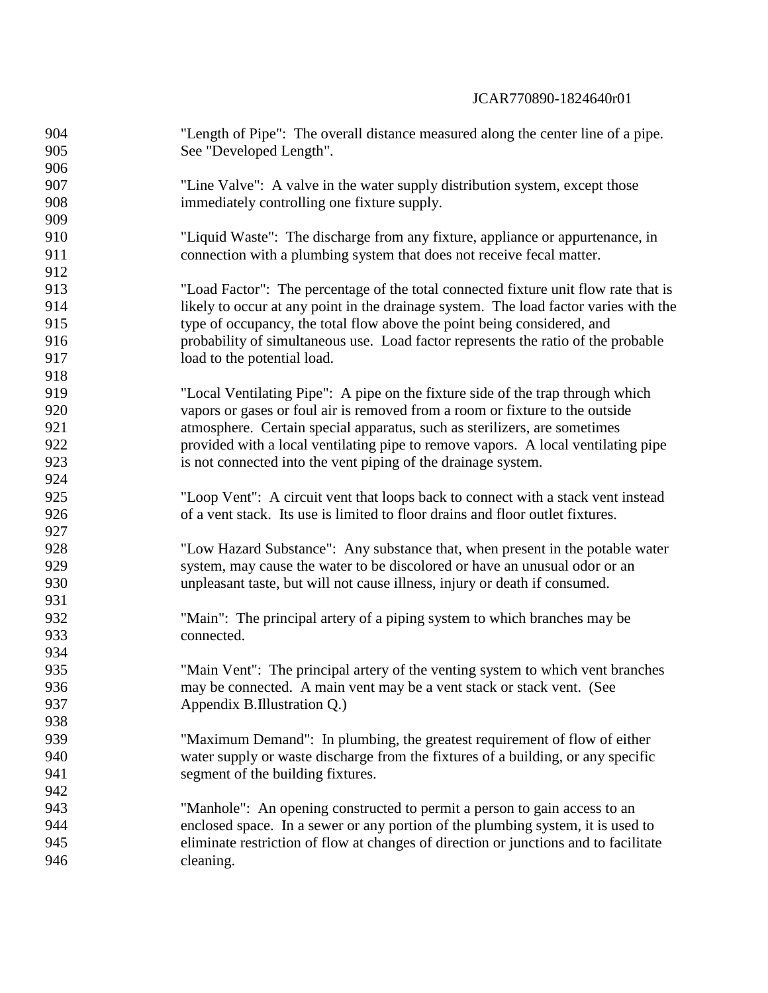| 904 | "Length of Pipe": The overall distance measured along the center line of a pipe.     |
|-----|--------------------------------------------------------------------------------------|
| 905 | See "Developed Length".                                                              |
| 906 |                                                                                      |
| 907 | "Line Valve": A valve in the water supply distribution system, except those          |
| 908 | immediately controlling one fixture supply.                                          |
| 909 |                                                                                      |
| 910 | "Liquid Waste": The discharge from any fixture, appliance or appurtenance, in        |
| 911 | connection with a plumbing system that does not receive fecal matter.                |
| 912 |                                                                                      |
| 913 | "Load Factor": The percentage of the total connected fixture unit flow rate that is  |
| 914 | likely to occur at any point in the drainage system. The load factor varies with the |
| 915 | type of occupancy, the total flow above the point being considered, and              |
| 916 | probability of simultaneous use. Load factor represents the ratio of the probable    |
| 917 | load to the potential load.                                                          |
| 918 |                                                                                      |
| 919 | "Local Ventilating Pipe": A pipe on the fixture side of the trap through which       |
| 920 | vapors or gases or foul air is removed from a room or fixture to the outside         |
| 921 | atmosphere. Certain special apparatus, such as sterilizers, are sometimes            |
| 922 | provided with a local ventilating pipe to remove vapors. A local ventilating pipe    |
| 923 | is not connected into the vent piping of the drainage system.                        |
| 924 |                                                                                      |
| 925 | "Loop Vent": A circuit vent that loops back to connect with a stack vent instead     |
| 926 | of a vent stack. Its use is limited to floor drains and floor outlet fixtures.       |
| 927 |                                                                                      |
| 928 | "Low Hazard Substance": Any substance that, when present in the potable water        |
| 929 | system, may cause the water to be discolored or have an unusual odor or an           |
| 930 | unpleasant taste, but will not cause illness, injury or death if consumed.           |
| 931 |                                                                                      |
| 932 | "Main": The principal artery of a piping system to which branches may be             |
| 933 | connected.                                                                           |
| 934 |                                                                                      |
| 935 | "Main Vent": The principal artery of the venting system to which vent branches       |
| 936 | may be connected. A main vent may be a vent stack or stack vent. (See                |
| 937 | Appendix B.Illustration Q.)                                                          |
| 938 |                                                                                      |
| 939 | "Maximum Demand": In plumbing, the greatest requirement of flow of either            |
| 940 | water supply or waste discharge from the fixtures of a building, or any specific     |
| 941 | segment of the building fixtures.                                                    |
| 942 |                                                                                      |
| 943 | "Manhole": An opening constructed to permit a person to gain access to an            |
| 944 | enclosed space. In a sewer or any portion of the plumbing system, it is used to      |
| 945 | eliminate restriction of flow at changes of direction or junctions and to facilitate |
| 946 | cleaning.                                                                            |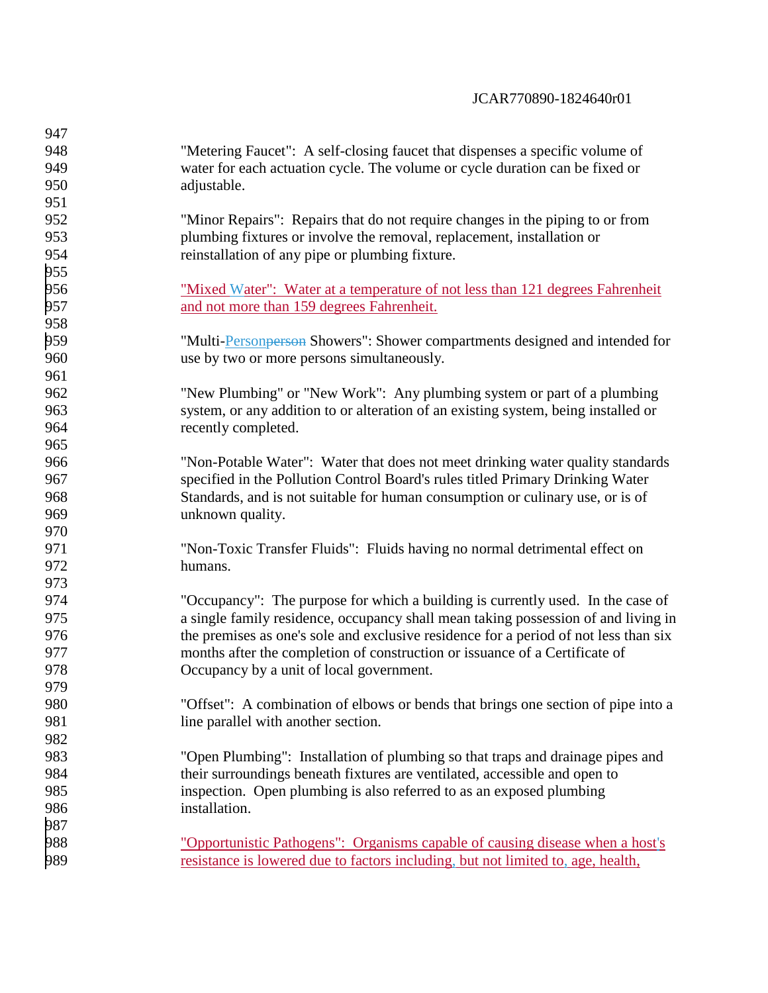| 947 |                                                                                      |
|-----|--------------------------------------------------------------------------------------|
| 948 | "Metering Faucet": A self-closing faucet that dispenses a specific volume of         |
| 949 | water for each actuation cycle. The volume or cycle duration can be fixed or         |
| 950 | adjustable.                                                                          |
| 951 |                                                                                      |
| 952 | "Minor Repairs": Repairs that do not require changes in the piping to or from        |
| 953 | plumbing fixtures or involve the removal, replacement, installation or               |
| 954 | reinstallation of any pipe or plumbing fixture.                                      |
| 955 |                                                                                      |
| 956 | <u>"Mixed Water": Water at a temperature of not less than 121 degrees Fahrenheit</u> |
| 957 | and not more than 159 degrees Fahrenheit.                                            |
| 958 |                                                                                      |
| 959 | "Multi-Person person Showers": Shower compartments designed and intended for         |
| 960 | use by two or more persons simultaneously.                                           |
| 961 |                                                                                      |
| 962 | "New Plumbing" or "New Work": Any plumbing system or part of a plumbing              |
| 963 | system, or any addition to or alteration of an existing system, being installed or   |
| 964 | recently completed.                                                                  |
| 965 |                                                                                      |
| 966 | "Non-Potable Water": Water that does not meet drinking water quality standards       |
| 967 | specified in the Pollution Control Board's rules titled Primary Drinking Water       |
| 968 | Standards, and is not suitable for human consumption or culinary use, or is of       |
| 969 | unknown quality.                                                                     |
| 970 |                                                                                      |
| 971 | "Non-Toxic Transfer Fluids": Fluids having no normal detrimental effect on           |
| 972 | humans.                                                                              |
| 973 |                                                                                      |
| 974 | "Occupancy": The purpose for which a building is currently used. In the case of      |
| 975 | a single family residence, occupancy shall mean taking possession of and living in   |
| 976 | the premises as one's sole and exclusive residence for a period of not less than six |
| 977 | months after the completion of construction or issuance of a Certificate of          |
| 978 | Occupancy by a unit of local government.                                             |
| 979 |                                                                                      |
| 980 | "Offset": A combination of elbows or bends that brings one section of pipe into a    |
| 981 | line parallel with another section.                                                  |
| 982 |                                                                                      |
| 983 | "Open Plumbing": Installation of plumbing so that traps and drainage pipes and       |
| 984 | their surroundings beneath fixtures are ventilated, accessible and open to           |
| 985 | inspection. Open plumbing is also referred to as an exposed plumbing                 |
| 986 | installation.                                                                        |
| 987 |                                                                                      |
| 988 | "Opportunistic Pathogens": Organisms capable of causing disease when a host's        |
| 989 | resistance is lowered due to factors including, but not limited to, age, health,     |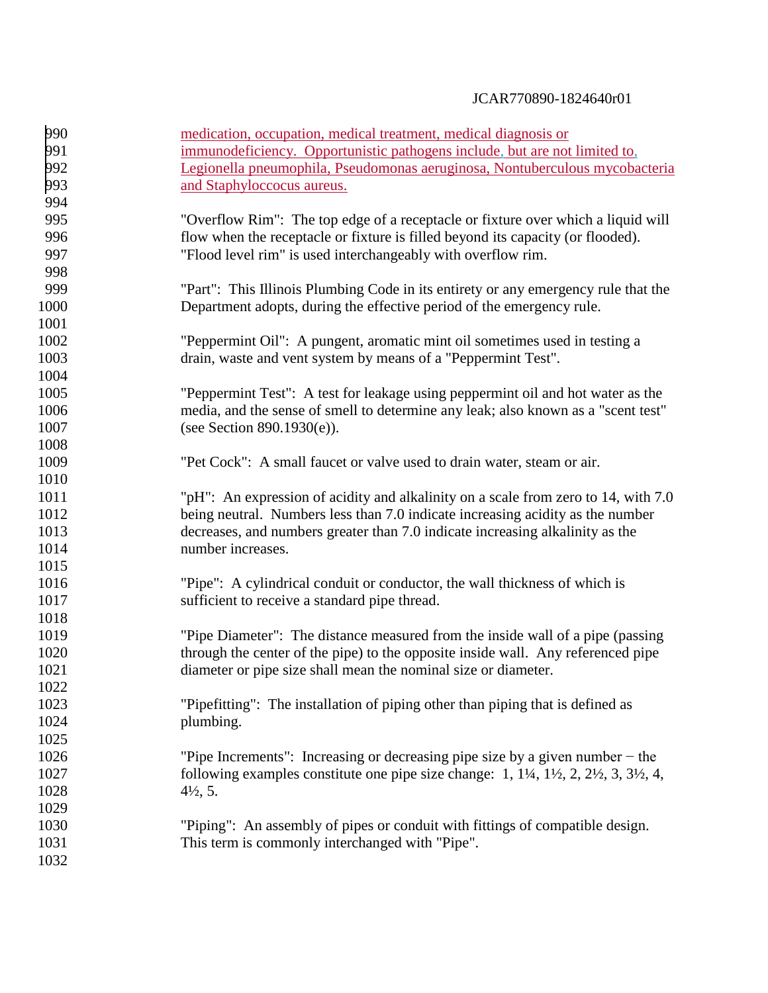| 990  | medication, occupation, medical treatment, medical diagnosis or                                                           |
|------|---------------------------------------------------------------------------------------------------------------------------|
| 991  | immunodeficiency. Opportunistic pathogens include, but are not limited to,                                                |
| 992  | Legionella pneumophila, Pseudomonas aeruginosa, Nontuberculous mycobacteria                                               |
| 993  | and Staphyloccocus aureus.                                                                                                |
| 994  |                                                                                                                           |
| 995  | "Overflow Rim": The top edge of a receptacle or fixture over which a liquid will                                          |
| 996  | flow when the receptacle or fixture is filled beyond its capacity (or flooded).                                           |
| 997  | "Flood level rim" is used interchangeably with overflow rim.                                                              |
| 998  |                                                                                                                           |
| 999  | "Part": This Illinois Plumbing Code in its entirety or any emergency rule that the                                        |
| 1000 | Department adopts, during the effective period of the emergency rule.                                                     |
| 1001 |                                                                                                                           |
| 1002 | "Peppermint Oil": A pungent, aromatic mint oil sometimes used in testing a                                                |
| 1003 | drain, waste and vent system by means of a "Peppermint Test".                                                             |
| 1004 |                                                                                                                           |
| 1005 | "Peppermint Test": A test for leakage using peppermint oil and hot water as the                                           |
| 1006 | media, and the sense of smell to determine any leak; also known as a "scent test"                                         |
| 1007 | (see Section $890.1930(e)$ ).                                                                                             |
| 1008 |                                                                                                                           |
| 1009 | "Pet Cock": A small faucet or valve used to drain water, steam or air.                                                    |
| 1010 |                                                                                                                           |
| 1011 | "pH": An expression of acidity and alkalinity on a scale from zero to 14, with 7.0                                        |
| 1012 | being neutral. Numbers less than 7.0 indicate increasing acidity as the number                                            |
| 1013 | decreases, and numbers greater than 7.0 indicate increasing alkalinity as the                                             |
| 1014 | number increases.                                                                                                         |
| 1015 |                                                                                                                           |
| 1016 | "Pipe": A cylindrical conduit or conductor, the wall thickness of which is                                                |
| 1017 | sufficient to receive a standard pipe thread.                                                                             |
| 1018 |                                                                                                                           |
| 1019 | "Pipe Diameter": The distance measured from the inside wall of a pipe (passing)                                           |
| 1020 | through the center of the pipe) to the opposite inside wall. Any referenced pipe                                          |
| 1021 | diameter or pipe size shall mean the nominal size or diameter.                                                            |
| 1022 |                                                                                                                           |
| 1023 | "Pipefitting": The installation of piping other than piping that is defined as                                            |
| 1024 | plumbing.                                                                                                                 |
| 1025 |                                                                                                                           |
| 1026 | "Pipe Increments": Increasing or decreasing pipe size by a given number $-$ the                                           |
| 1027 | following examples constitute one pipe size change: $1, 1\frac{1}{4}, 1\frac{1}{2}, 2, 2\frac{1}{2}, 3, 3\frac{1}{2}, 4,$ |
| 1028 | $4\frac{1}{2}$ , 5.                                                                                                       |
| 1029 |                                                                                                                           |
| 1030 | "Piping": An assembly of pipes or conduit with fittings of compatible design.                                             |
| 1031 | This term is commonly interchanged with "Pipe".                                                                           |
| 1032 |                                                                                                                           |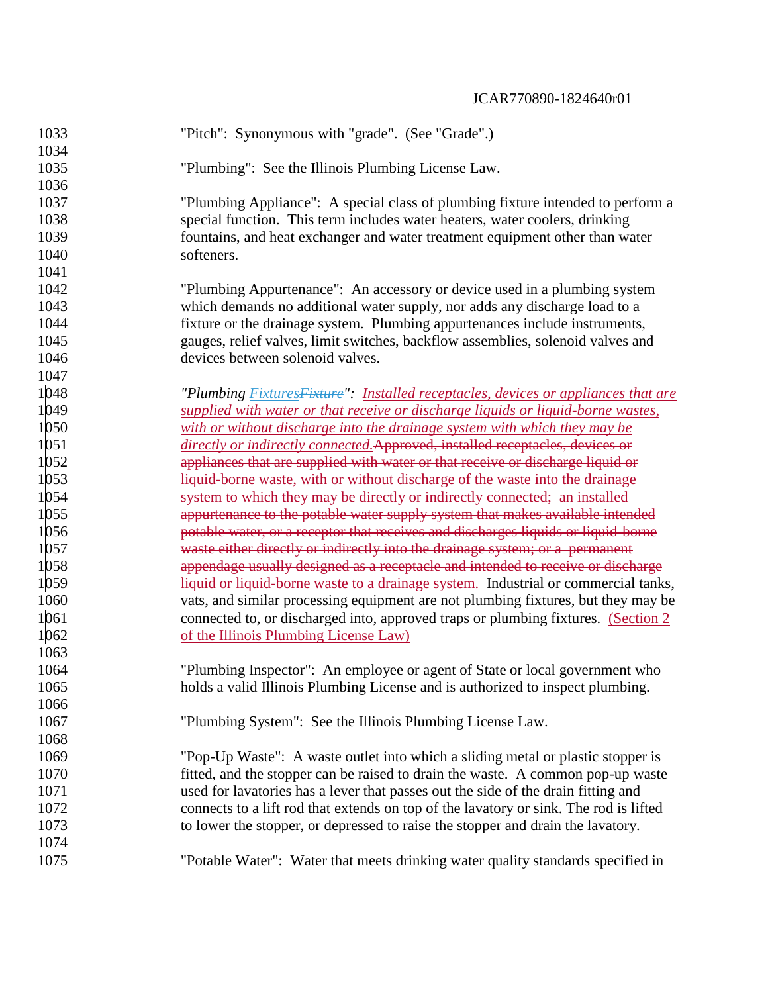| 1033<br>1034 | "Pitch": Synonymous with "grade". (See "Grade".)                                          |
|--------------|-------------------------------------------------------------------------------------------|
| 1035         |                                                                                           |
| 1036         | "Plumbing": See the Illinois Plumbing License Law.                                        |
| 1037         | "Plumbing Appliance": A special class of plumbing fixture intended to perform a           |
| 1038         | special function. This term includes water heaters, water coolers, drinking               |
| 1039         | fountains, and heat exchanger and water treatment equipment other than water              |
| 1040         | softeners.                                                                                |
| 1041         |                                                                                           |
| 1042         | "Plumbing Appurtenance": An accessory or device used in a plumbing system                 |
| 1043         | which demands no additional water supply, nor adds any discharge load to a                |
| 1044         | fixture or the drainage system. Plumbing appurtenances include instruments,               |
| 1045         | gauges, relief valves, limit switches, backflow assemblies, solenoid valves and           |
| 1046         | devices between solenoid valves.                                                          |
| 1047         |                                                                                           |
| 1048         | "Plumbing <b>Fixtures</b> Fixture": Installed receptacles, devices or appliances that are |
| 1049         | supplied with water or that receive or discharge liquids or liquid-borne wastes,          |
| 1050         | with or without discharge into the drainage system with which they may be                 |
| 1051         | directly or indirectly connected. Approved, installed receptacles, devices or             |
| 1052         | appliances that are supplied with water or that receive or discharge liquid or            |
| 1053         | liquid-borne waste, with or without discharge of the waste into the drainage              |
| 1054         | system to which they may be directly or indirectly connected; an installed                |
| 1055         | appurtenance to the potable water supply system that makes available intended             |
| 1056         | potable water, or a receptor that receives and discharges liquids or liquid-borne         |
| 1057         | waste either directly or indirectly into the drainage system; or a permanent              |
| 1058         | appendage usually designed as a receptacle and intended to receive or discharge           |
| 1059         | liquid or liquid borne waste to a drainage system. Industrial or commercial tanks,        |
| 1060         | vats, and similar processing equipment are not plumbing fixtures, but they may be         |
| 1061         | connected to, or discharged into, approved traps or plumbing fixtures. (Section 2)        |
| 1062         | of the Illinois Plumbing License Law)                                                     |
| 1063         |                                                                                           |
| 1064         | "Plumbing Inspector": An employee or agent of State or local government who               |
| 1065         | holds a valid Illinois Plumbing License and is authorized to inspect plumbing.            |
| 1066         |                                                                                           |
| 1067         | "Plumbing System": See the Illinois Plumbing License Law.                                 |
| 1068         |                                                                                           |
| 1069         | "Pop-Up Waste": A waste outlet into which a sliding metal or plastic stopper is           |
| 1070         | fitted, and the stopper can be raised to drain the waste. A common pop-up waste           |
| 1071         | used for lavatories has a lever that passes out the side of the drain fitting and         |
| 1072         | connects to a lift rod that extends on top of the lavatory or sink. The rod is lifted     |
| 1073         | to lower the stopper, or depressed to raise the stopper and drain the lavatory.           |
| 1074         |                                                                                           |
| 1075         | "Potable Water": Water that meets drinking water quality standards specified in           |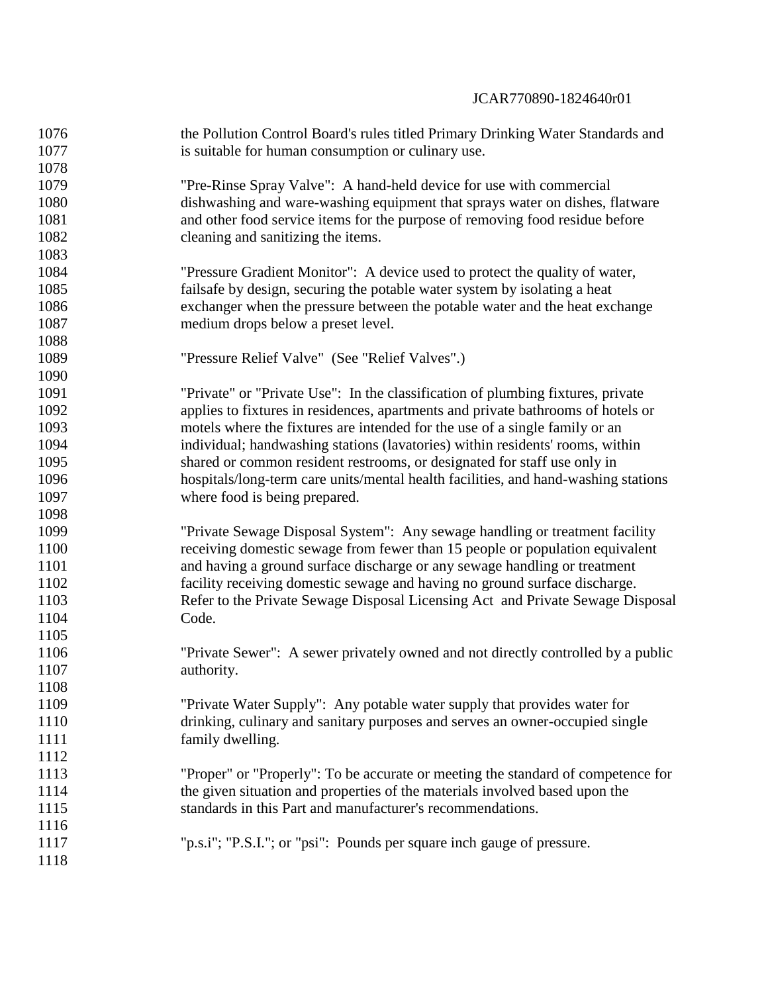| 1076 | the Pollution Control Board's rules titled Primary Drinking Water Standards and    |
|------|------------------------------------------------------------------------------------|
| 1077 | is suitable for human consumption or culinary use.                                 |
| 1078 |                                                                                    |
| 1079 | "Pre-Rinse Spray Valve": A hand-held device for use with commercial                |
| 1080 | dishwashing and ware-washing equipment that sprays water on dishes, flatware       |
| 1081 | and other food service items for the purpose of removing food residue before       |
| 1082 | cleaning and sanitizing the items.                                                 |
| 1083 |                                                                                    |
| 1084 | "Pressure Gradient Monitor": A device used to protect the quality of water,        |
| 1085 | fails afe by design, securing the potable water system by isolating a heat         |
| 1086 | exchanger when the pressure between the potable water and the heat exchange        |
| 1087 | medium drops below a preset level.                                                 |
| 1088 |                                                                                    |
| 1089 | "Pressure Relief Valve" (See "Relief Valves".)                                     |
| 1090 |                                                                                    |
| 1091 | "Private" or "Private Use": In the classification of plumbing fixtures, private    |
| 1092 | applies to fixtures in residences, apartments and private bathrooms of hotels or   |
| 1093 | motels where the fixtures are intended for the use of a single family or an        |
| 1094 | individual; handwashing stations (lavatories) within residents' rooms, within      |
| 1095 | shared or common resident restrooms, or designated for staff use only in           |
| 1096 | hospitals/long-term care units/mental health facilities, and hand-washing stations |
| 1097 | where food is being prepared.                                                      |
| 1098 |                                                                                    |
| 1099 | "Private Sewage Disposal System": Any sewage handling or treatment facility        |
| 1100 | receiving domestic sewage from fewer than 15 people or population equivalent       |
| 1101 | and having a ground surface discharge or any sewage handling or treatment          |
| 1102 | facility receiving domestic sewage and having no ground surface discharge.         |
| 1103 | Refer to the Private Sewage Disposal Licensing Act and Private Sewage Disposal     |
| 1104 | Code.                                                                              |
| 1105 |                                                                                    |
| 1106 | "Private Sewer": A sewer privately owned and not directly controlled by a public   |
| 1107 | authority.                                                                         |
| 1108 |                                                                                    |
| 1109 | "Private Water Supply": Any potable water supply that provides water for           |
| 1110 | drinking, culinary and sanitary purposes and serves an owner-occupied single       |
| 1111 | family dwelling.                                                                   |
| 1112 |                                                                                    |
| 1113 | "Proper" or "Properly": To be accurate or meeting the standard of competence for   |
| 1114 | the given situation and properties of the materials involved based upon the        |
| 1115 | standards in this Part and manufacturer's recommendations.                         |
| 1116 |                                                                                    |
| 1117 | "p.s.i"; "P.S.I."; or "psi": Pounds per square inch gauge of pressure.             |
| 1118 |                                                                                    |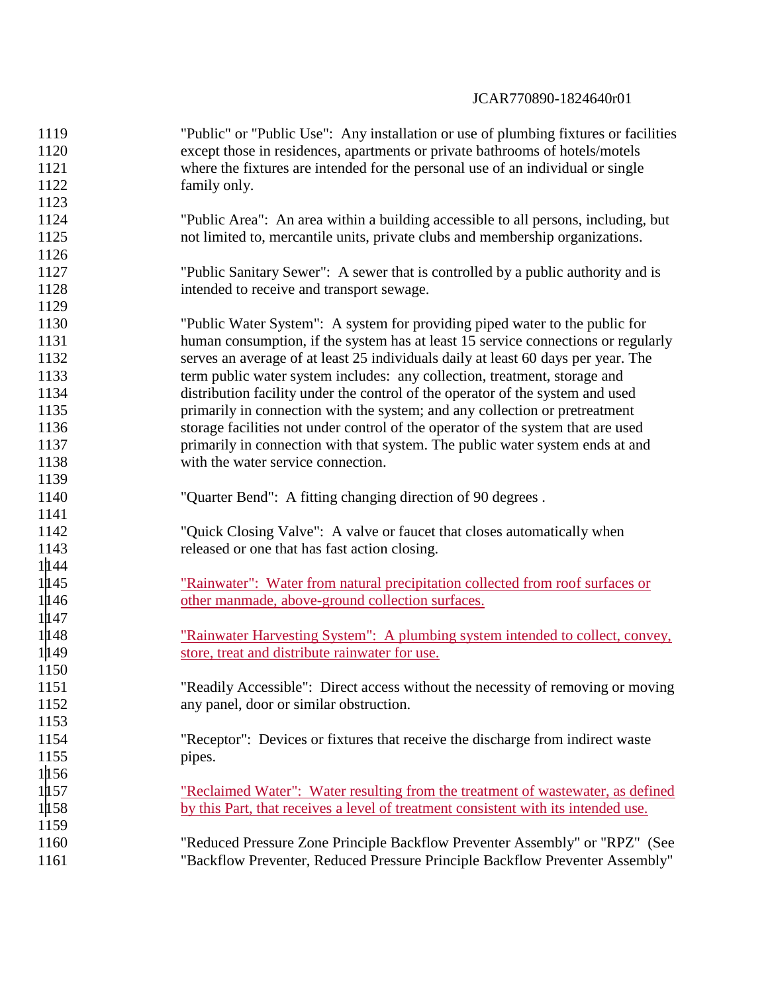| 1119  | "Public" or "Public Use": Any installation or use of plumbing fixtures or facilities |
|-------|--------------------------------------------------------------------------------------|
| 1120  | except those in residences, apartments or private bathrooms of hotels/motels         |
| 1121  | where the fixtures are intended for the personal use of an individual or single      |
| 1122  | family only.                                                                         |
| 1123  |                                                                                      |
| 1124  | "Public Area": An area within a building accessible to all persons, including, but   |
| 1125  | not limited to, mercantile units, private clubs and membership organizations.        |
| 1126  |                                                                                      |
| 1127  | "Public Sanitary Sewer": A sewer that is controlled by a public authority and is     |
| 1128  | intended to receive and transport sewage.                                            |
| 1129  |                                                                                      |
| 1130  | "Public Water System": A system for providing piped water to the public for          |
| 1131  | human consumption, if the system has at least 15 service connections or regularly    |
| 1132  | serves an average of at least 25 individuals daily at least 60 days per year. The    |
| 1133  | term public water system includes: any collection, treatment, storage and            |
| 1134  | distribution facility under the control of the operator of the system and used       |
| 1135  | primarily in connection with the system; and any collection or pretreatment          |
| 1136  | storage facilities not under control of the operator of the system that are used     |
| 1137  | primarily in connection with that system. The public water system ends at and        |
| 1138  | with the water service connection.                                                   |
| 1139  |                                                                                      |
| 1140  | "Quarter Bend": A fitting changing direction of 90 degrees.                          |
| 1141  |                                                                                      |
| 1142  | "Quick Closing Valve": A valve or faucet that closes automatically when              |
| 1143  | released or one that has fast action closing.                                        |
| 1144  |                                                                                      |
| 1145  | "Rainwater": Water from natural precipitation collected from roof surfaces or        |
| 1 146 | other manmade, above-ground collection surfaces.                                     |
| 1147  |                                                                                      |
| 1 148 | <u>"Rainwater Harvesting System": A plumbing system intended to collect, convey,</u> |
| 1149  | store, treat and distribute rainwater for use.                                       |
| 1150  |                                                                                      |
| 1151  | "Readily Accessible": Direct access without the necessity of removing or moving      |
| 1152  | any panel, door or similar obstruction.                                              |
| 1153  |                                                                                      |
| 1154  | "Receptor": Devices or fixtures that receive the discharge from indirect waste       |
| 1155  | pipes.                                                                               |
| 1156  |                                                                                      |
| 1157  | "Reclaimed Water": Water resulting from the treatment of wastewater, as defined      |
| 1158  | by this Part, that receives a level of treatment consistent with its intended use.   |
| 1159  |                                                                                      |
| 1160  | "Reduced Pressure Zone Principle Backflow Preventer Assembly" or "RPZ" (See          |
| 1161  | "Backflow Preventer, Reduced Pressure Principle Backflow Preventer Assembly"         |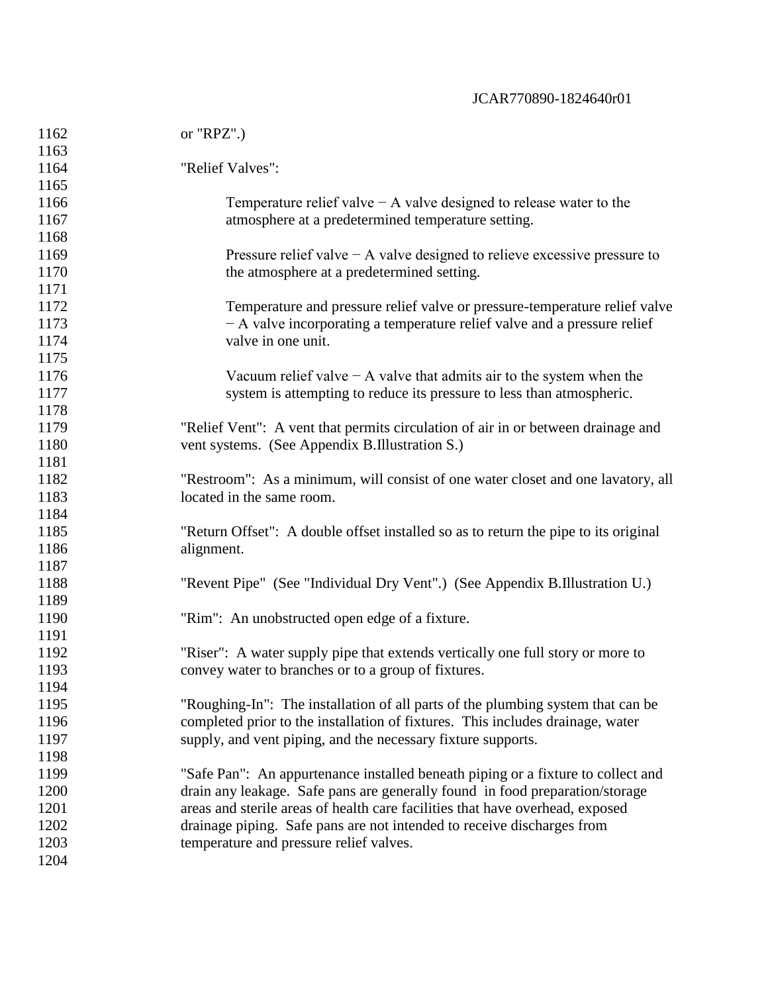| 1162 | or $"RPZ".$                                                                         |
|------|-------------------------------------------------------------------------------------|
| 1163 |                                                                                     |
| 1164 | "Relief Valves":                                                                    |
| 1165 |                                                                                     |
| 1166 | Temperature relief valve $-A$ valve designed to release water to the                |
| 1167 | atmosphere at a predetermined temperature setting.                                  |
| 1168 |                                                                                     |
| 1169 | Pressure relief valve $-A$ valve designed to relieve excessive pressure to          |
| 1170 | the atmosphere at a predetermined setting.                                          |
| 1171 |                                                                                     |
| 1172 | Temperature and pressure relief valve or pressure-temperature relief valve          |
| 1173 | - A valve incorporating a temperature relief valve and a pressure relief            |
| 1174 | valve in one unit.                                                                  |
| 1175 |                                                                                     |
| 1176 | Vacuum relief valve $-A$ valve that admits air to the system when the               |
| 1177 | system is attempting to reduce its pressure to less than atmospheric.               |
| 1178 |                                                                                     |
| 1179 | "Relief Vent": A vent that permits circulation of air in or between drainage and    |
| 1180 | vent systems. (See Appendix B.Illustration S.)                                      |
| 1181 |                                                                                     |
| 1182 | "Restroom": As a minimum, will consist of one water closet and one lavatory, all    |
| 1183 | located in the same room.                                                           |
| 1184 |                                                                                     |
| 1185 | "Return Offset": A double offset installed so as to return the pipe to its original |
| 1186 | alignment.                                                                          |
| 1187 |                                                                                     |
| 1188 | "Revent Pipe" (See "Individual Dry Vent".) (See Appendix B.Illustration U.)         |
| 1189 |                                                                                     |
| 1190 | "Rim": An unobstructed open edge of a fixture.                                      |
| 1191 |                                                                                     |
| 1192 | "Riser": A water supply pipe that extends vertically one full story or more to      |
| 1193 | convey water to branches or to a group of fixtures.                                 |
| 1194 |                                                                                     |
| 1195 | "Roughing-In": The installation of all parts of the plumbing system that can be     |
| 1196 | completed prior to the installation of fixtures. This includes drainage, water      |
| 1197 | supply, and vent piping, and the necessary fixture supports.                        |
| 1198 |                                                                                     |
| 1199 | "Safe Pan": An appurtenance installed beneath piping or a fixture to collect and    |
| 1200 | drain any leakage. Safe pans are generally found in food preparation/storage        |
| 1201 | areas and sterile areas of health care facilities that have overhead, exposed       |
| 1202 | drainage piping. Safe pans are not intended to receive discharges from              |
| 1203 | temperature and pressure relief valves.                                             |
| 1204 |                                                                                     |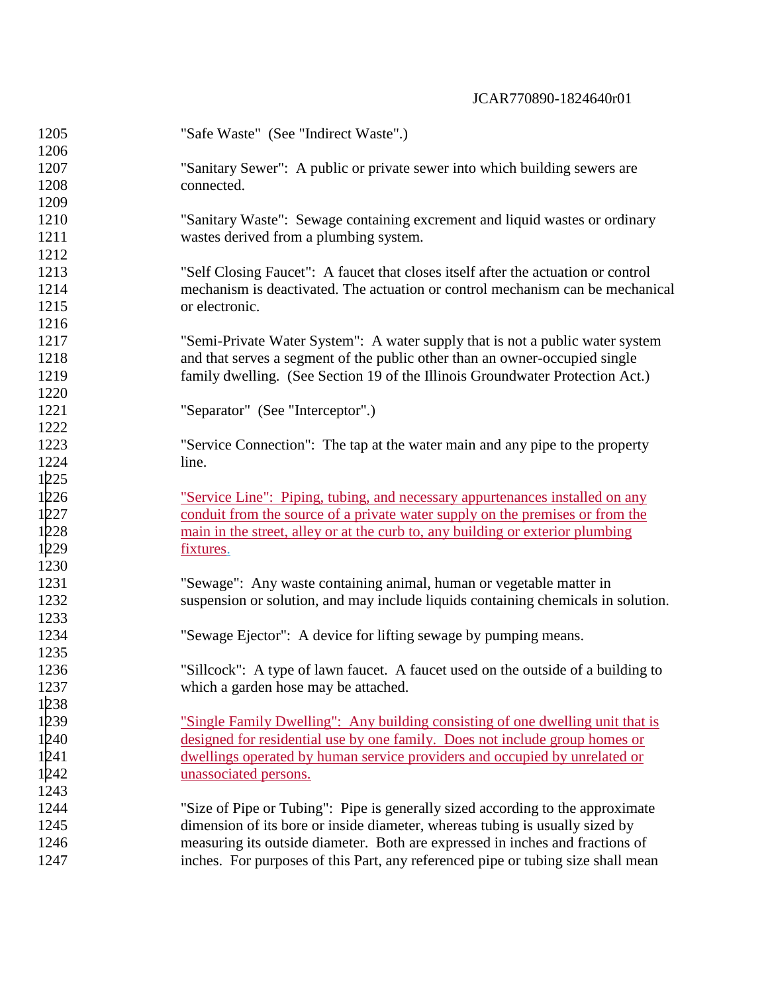| 1205 | "Safe Waste" (See "Indirect Waste".)                                                  |
|------|---------------------------------------------------------------------------------------|
| 1206 |                                                                                       |
| 1207 | "Sanitary Sewer": A public or private sewer into which building sewers are            |
| 1208 | connected.                                                                            |
| 1209 |                                                                                       |
| 1210 | "Sanitary Waste": Sewage containing excrement and liquid wastes or ordinary           |
| 1211 | wastes derived from a plumbing system.                                                |
| 1212 |                                                                                       |
| 1213 | "Self Closing Faucet": A faucet that closes itself after the actuation or control     |
| 1214 | mechanism is deactivated. The actuation or control mechanism can be mechanical        |
| 1215 | or electronic.                                                                        |
| 1216 |                                                                                       |
| 1217 | "Semi-Private Water System": A water supply that is not a public water system         |
| 1218 | and that serves a segment of the public other than an owner-occupied single           |
| 1219 | family dwelling. (See Section 19 of the Illinois Groundwater Protection Act.)         |
| 1220 |                                                                                       |
| 1221 | "Separator" (See "Interceptor".)                                                      |
| 1222 |                                                                                       |
| 1223 | "Service Connection": The tap at the water main and any pipe to the property          |
| 1224 | line.                                                                                 |
| 1225 |                                                                                       |
| 1226 | "Service Line": Piping, tubing, and necessary appurtenances installed on any          |
| 1227 | conduit from the source of a private water supply on the premises or from the         |
| 1228 | main in the street, alley or at the curb to, any building or exterior plumbing        |
| 1229 | fixtures.                                                                             |
| 1230 |                                                                                       |
| 1231 | "Sewage": Any waste containing animal, human or vegetable matter in                   |
| 1232 | suspension or solution, and may include liquids containing chemicals in solution.     |
| 1233 |                                                                                       |
| 1234 | "Sewage Ejector": A device for lifting sewage by pumping means.                       |
| 1235 |                                                                                       |
| 1236 | "Sillcock": A type of lawn faucet. A faucet used on the outside of a building to      |
| 1237 | which a garden hose may be attached.                                                  |
| 1238 |                                                                                       |
| 1239 | <u>"Single Family Dwelling": Any building consisting of one dwelling unit that is</u> |
| 1240 | designed for residential use by one family. Does not include group homes or           |
| 1241 | dwellings operated by human service providers and occupied by unrelated or            |
| 1242 | unassociated persons.                                                                 |
| 1243 |                                                                                       |
| 1244 | "Size of Pipe or Tubing": Pipe is generally sized according to the approximate        |
| 1245 | dimension of its bore or inside diameter, whereas tubing is usually sized by          |
| 1246 | measuring its outside diameter. Both are expressed in inches and fractions of         |
| 1247 | inches. For purposes of this Part, any referenced pipe or tubing size shall mean      |
|      |                                                                                       |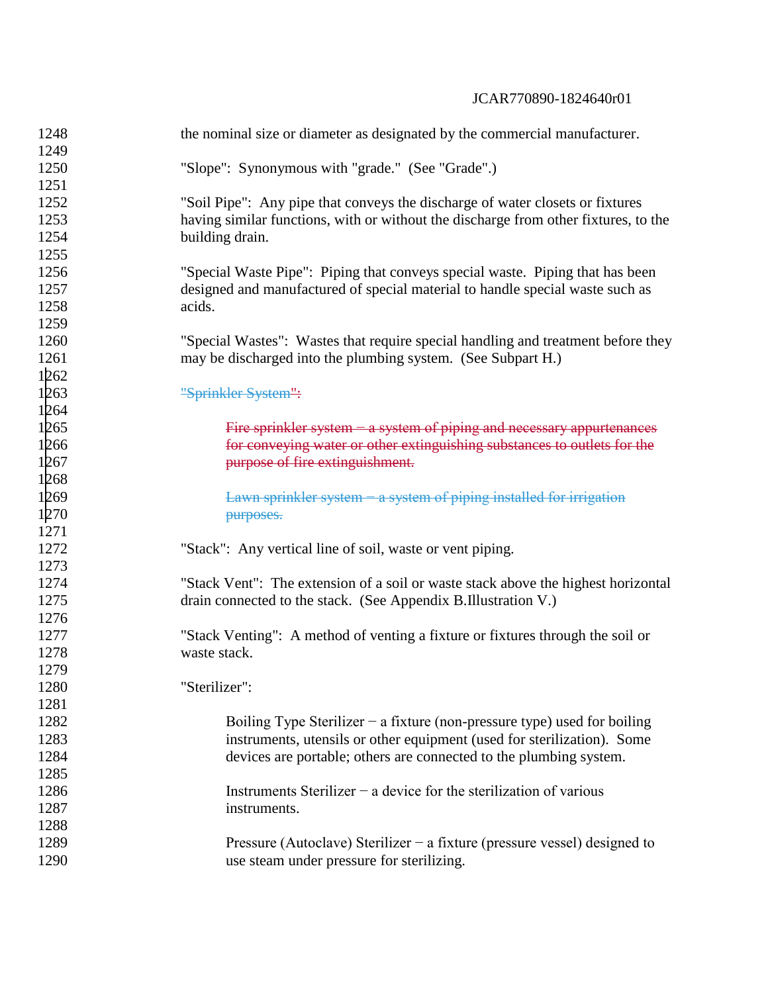| 1248         | the nominal size or diameter as designated by the commercial manufacturer.          |
|--------------|-------------------------------------------------------------------------------------|
| 1249         |                                                                                     |
| 1250<br>1251 | "Slope": Synonymous with "grade." (See "Grade".)                                    |
| 1252         | "Soil Pipe": Any pipe that conveys the discharge of water closets or fixtures       |
| 1253         | having similar functions, with or without the discharge from other fixtures, to the |
|              |                                                                                     |
| 1254         | building drain.                                                                     |
| 1255         |                                                                                     |
| 1256         | "Special Waste Pipe": Piping that conveys special waste. Piping that has been       |
| 1257         | designed and manufactured of special material to handle special waste such as       |
| 1258         | acids.                                                                              |
| 1259         |                                                                                     |
| 1260         | "Special Wastes": Wastes that require special handling and treatment before they    |
| 1261         | may be discharged into the plumbing system. (See Subpart H.)                        |
| 1262         |                                                                                     |
| 1263         | "Sprinkler System":                                                                 |
| 1264         |                                                                                     |
| 1265         | Fire sprinkler system – a system of piping and necessary appurtenances              |
| 1266         | for conveying water or other extinguishing substances to outlets for the            |
| 1267         | purpose of fire extinguishment.                                                     |
| 1268         |                                                                                     |
| 1269         | Lawn sprinkler system - a system of piping installed for irrigation                 |
| 1270         | purposes.                                                                           |
| 1271         |                                                                                     |
| 1272         | "Stack": Any vertical line of soil, waste or vent piping.                           |
| 1273         |                                                                                     |
| 1274         | "Stack Vent": The extension of a soil or waste stack above the highest horizontal   |
| 1275         | drain connected to the stack. (See Appendix B.Illustration V.)                      |
| 1276         |                                                                                     |
| 1277         | "Stack Venting": A method of venting a fixture or fixtures through the soil or      |
| 1278         | waste stack.                                                                        |
| 1279         |                                                                                     |
| 1280         | "Sterilizer":                                                                       |
| 1281         |                                                                                     |
| 1282         | Boiling Type Sterilizer – a fixture (non-pressure type) used for boiling            |
| 1283         | instruments, utensils or other equipment (used for sterilization). Some             |
| 1284         | devices are portable; others are connected to the plumbing system.                  |
| 1285         |                                                                                     |
| 1286         | Instruments Sterilizer – a device for the sterilization of various                  |
| 1287         | instruments.                                                                        |
| 1288         |                                                                                     |
| 1289         | Pressure (Autoclave) Sterilizer – a fixture (pressure vessel) designed to           |
| 1290         | use steam under pressure for sterilizing.                                           |
|              |                                                                                     |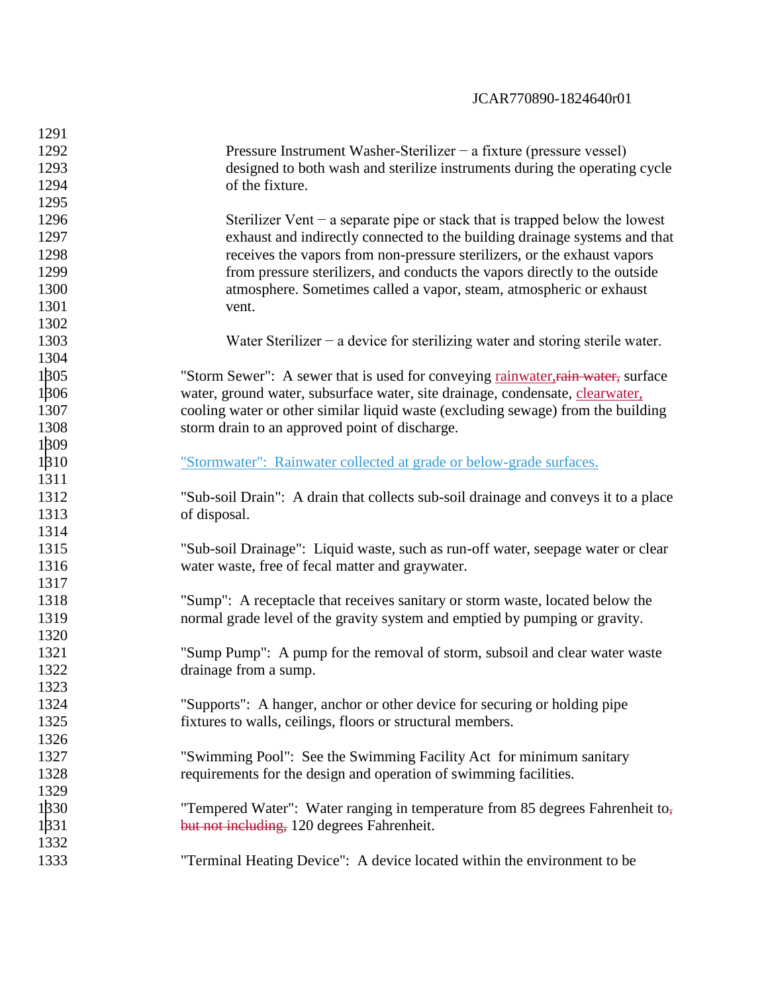| 1291 |                                                                                     |
|------|-------------------------------------------------------------------------------------|
| 1292 | Pressure Instrument Washer-Sterilizer – a fixture (pressure vessel)                 |
| 1293 | designed to both wash and sterilize instruments during the operating cycle          |
| 1294 | of the fixture.                                                                     |
| 1295 |                                                                                     |
| 1296 | Sterilizer Vent $-$ a separate pipe or stack that is trapped below the lowest       |
| 1297 | exhaust and indirectly connected to the building drainage systems and that          |
| 1298 | receives the vapors from non-pressure sterilizers, or the exhaust vapors            |
| 1299 | from pressure sterilizers, and conducts the vapors directly to the outside          |
| 1300 | atmosphere. Sometimes called a vapor, steam, atmospheric or exhaust                 |
| 1301 | vent.                                                                               |
| 1302 |                                                                                     |
| 1303 | Water Sterilizer $-$ a device for sterilizing water and storing sterile water.      |
| 1304 |                                                                                     |
| 1305 | "Storm Sewer": A sewer that is used for conveying rainwater, rain water, surface    |
| 1306 | water, ground water, subsurface water, site drainage, condensate, clearwater,       |
| 1307 | cooling water or other similar liquid waste (excluding sewage) from the building    |
| 1308 | storm drain to an approved point of discharge.                                      |
| 1309 |                                                                                     |
| 1310 | "Stormwater": Rainwater collected at grade or below-grade surfaces.                 |
| 1311 |                                                                                     |
| 1312 | "Sub-soil Drain": A drain that collects sub-soil drainage and conveys it to a place |
| 1313 | of disposal.                                                                        |
| 1314 |                                                                                     |
| 1315 | "Sub-soil Drainage": Liquid waste, such as run-off water, seepage water or clear    |
| 1316 | water waste, free of fecal matter and graywater.                                    |
| 1317 |                                                                                     |
| 1318 | "Sump": A receptacle that receives sanitary or storm waste, located below the       |
| 1319 | normal grade level of the gravity system and emptied by pumping or gravity.         |
| 1320 |                                                                                     |
| 1321 | "Sump Pump": A pump for the removal of storm, subsoil and clear water waste         |
| 1322 | drainage from a sump.                                                               |
| 1323 |                                                                                     |
| 1324 | "Supports": A hanger, anchor or other device for securing or holding pipe           |
| 1325 | fixtures to walls, ceilings, floors or structural members.                          |
| 1326 |                                                                                     |
| 1327 | "Swimming Pool": See the Swimming Facility Act for minimum sanitary                 |
| 1328 | requirements for the design and operation of swimming facilities.                   |
| 1329 |                                                                                     |
| 1330 | "Tempered Water": Water ranging in temperature from 85 degrees Fahrenheit to,       |
| 1331 | but not including, 120 degrees Fahrenheit.                                          |
| 1332 |                                                                                     |
| 1333 | "Terminal Heating Device": A device located within the environment to be            |
|      |                                                                                     |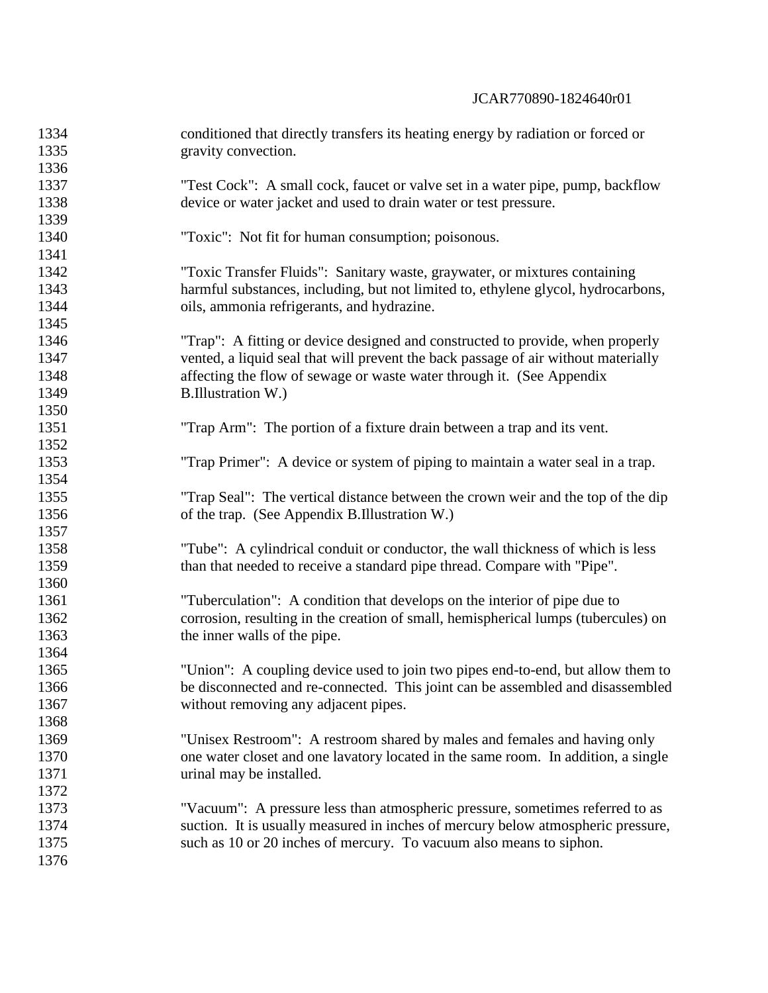| 1334 | conditioned that directly transfers its heating energy by radiation or forced or   |
|------|------------------------------------------------------------------------------------|
| 1335 | gravity convection.                                                                |
| 1336 |                                                                                    |
| 1337 | "Test Cock": A small cock, faucet or valve set in a water pipe, pump, backflow     |
| 1338 | device or water jacket and used to drain water or test pressure.                   |
| 1339 |                                                                                    |
| 1340 | "Toxic": Not fit for human consumption; poisonous.                                 |
| 1341 |                                                                                    |
| 1342 | "Toxic Transfer Fluids": Sanitary waste, graywater, or mixtures containing         |
| 1343 | harmful substances, including, but not limited to, ethylene glycol, hydrocarbons,  |
| 1344 | oils, ammonia refrigerants, and hydrazine.                                         |
| 1345 |                                                                                    |
| 1346 | "Trap": A fitting or device designed and constructed to provide, when properly     |
| 1347 | vented, a liquid seal that will prevent the back passage of air without materially |
| 1348 | affecting the flow of sewage or waste water through it. (See Appendix              |
| 1349 | <b>B.Illustration W.)</b>                                                          |
| 1350 |                                                                                    |
| 1351 | "Trap Arm": The portion of a fixture drain between a trap and its vent.            |
| 1352 |                                                                                    |
| 1353 | "Trap Primer": A device or system of piping to maintain a water seal in a trap.    |
| 1354 |                                                                                    |
| 1355 | "Trap Seal": The vertical distance between the crown weir and the top of the dip   |
| 1356 | of the trap. (See Appendix B.Illustration W.)                                      |
| 1357 |                                                                                    |
| 1358 | "Tube": A cylindrical conduit or conductor, the wall thickness of which is less    |
| 1359 | than that needed to receive a standard pipe thread. Compare with "Pipe".           |
| 1360 |                                                                                    |
| 1361 | "Tuberculation": A condition that develops on the interior of pipe due to          |
| 1362 | corrosion, resulting in the creation of small, hemispherical lumps (tubercules) on |
| 1363 | the inner walls of the pipe.                                                       |
| 1364 |                                                                                    |
| 1365 | "Union": A coupling device used to join two pipes end-to-end, but allow them to    |
| 1366 | be disconnected and re-connected. This joint can be assembled and disassembled     |
| 1367 | without removing any adjacent pipes.                                               |
| 1368 |                                                                                    |
| 1369 | "Unisex Restroom": A restroom shared by males and females and having only          |
| 1370 | one water closet and one lavatory located in the same room. In addition, a single  |
| 1371 | urinal may be installed.                                                           |
| 1372 |                                                                                    |
| 1373 | "Vacuum": A pressure less than atmospheric pressure, sometimes referred to as      |
| 1374 | suction. It is usually measured in inches of mercury below atmospheric pressure,   |
| 1375 | such as 10 or 20 inches of mercury. To vacuum also means to siphon.                |
| 1376 |                                                                                    |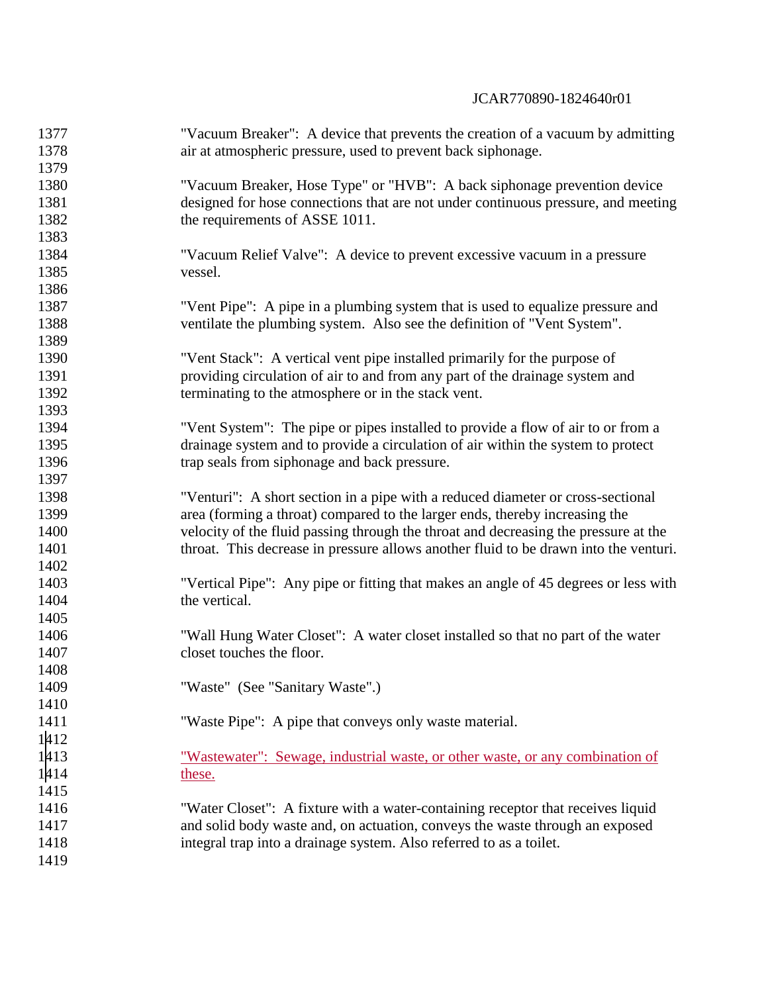| 1377 | "Vacuum Breaker": A device that prevents the creation of a vacuum by admitting       |
|------|--------------------------------------------------------------------------------------|
| 1378 | air at atmospheric pressure, used to prevent back siphonage.                         |
| 1379 |                                                                                      |
| 1380 | "Vacuum Breaker, Hose Type" or "HVB": A back siphonage prevention device             |
| 1381 | designed for hose connections that are not under continuous pressure, and meeting    |
| 1382 | the requirements of ASSE 1011.                                                       |
| 1383 |                                                                                      |
| 1384 | "Vacuum Relief Valve": A device to prevent excessive vacuum in a pressure            |
| 1385 | vessel.                                                                              |
| 1386 |                                                                                      |
| 1387 | "Vent Pipe": A pipe in a plumbing system that is used to equalize pressure and       |
| 1388 | ventilate the plumbing system. Also see the definition of "Vent System".             |
| 1389 |                                                                                      |
| 1390 | "Vent Stack": A vertical vent pipe installed primarily for the purpose of            |
| 1391 | providing circulation of air to and from any part of the drainage system and         |
| 1392 | terminating to the atmosphere or in the stack vent.                                  |
| 1393 |                                                                                      |
| 1394 | "Vent System": The pipe or pipes installed to provide a flow of air to or from a     |
| 1395 | drainage system and to provide a circulation of air within the system to protect     |
| 1396 | trap seals from siphonage and back pressure.                                         |
| 1397 |                                                                                      |
| 1398 | "Venturi": A short section in a pipe with a reduced diameter or cross-sectional      |
| 1399 | area (forming a throat) compared to the larger ends, thereby increasing the          |
| 1400 | velocity of the fluid passing through the throat and decreasing the pressure at the  |
| 1401 | throat. This decrease in pressure allows another fluid to be drawn into the venturi. |
| 1402 |                                                                                      |
| 1403 | "Vertical Pipe": Any pipe or fitting that makes an angle of 45 degrees or less with  |
| 1404 | the vertical.                                                                        |
| 1405 |                                                                                      |
| 1406 | "Wall Hung Water Closet": A water closet installed so that no part of the water      |
| 1407 | closet touches the floor.                                                            |
| 1408 |                                                                                      |
| 1409 | "Waste" (See "Sanitary Waste".)                                                      |
| 1410 |                                                                                      |
| 1411 | "Waste Pipe": A pipe that conveys only waste material.                               |
| 1412 |                                                                                      |
| 1413 | "Wastewater": Sewage, industrial waste, or other waste, or any combination of        |
| 1414 | these.                                                                               |
| 1415 |                                                                                      |
| 1416 | "Water Closet": A fixture with a water-containing receptor that receives liquid      |
| 1417 | and solid body waste and, on actuation, conveys the waste through an exposed         |
| 1418 | integral trap into a drainage system. Also referred to as a toilet.                  |
| 1419 |                                                                                      |
|      |                                                                                      |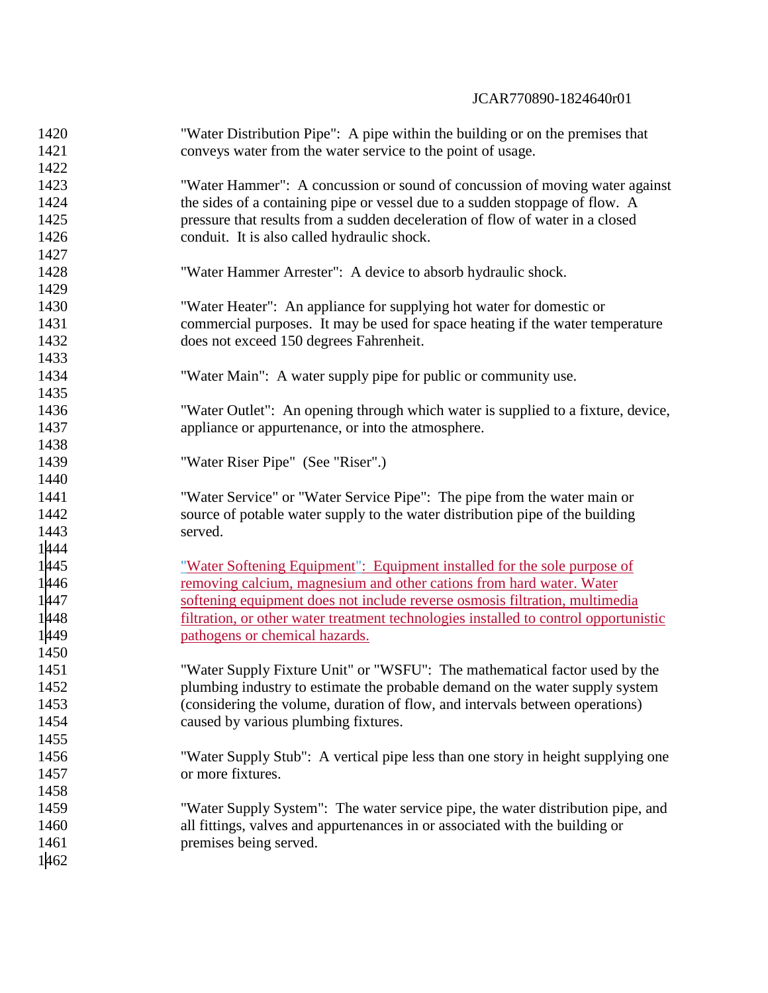| 1420 | "Water Distribution Pipe": A pipe within the building or on the premises that        |
|------|--------------------------------------------------------------------------------------|
| 1421 | conveys water from the water service to the point of usage.                          |
| 1422 |                                                                                      |
| 1423 | "Water Hammer": A concussion or sound of concussion of moving water against          |
| 1424 | the sides of a containing pipe or vessel due to a sudden stoppage of flow. A         |
| 1425 | pressure that results from a sudden deceleration of flow of water in a closed        |
| 1426 | conduit. It is also called hydraulic shock.                                          |
| 1427 |                                                                                      |
| 1428 | "Water Hammer Arrester": A device to absorb hydraulic shock.                         |
| 1429 |                                                                                      |
| 1430 | "Water Heater": An appliance for supplying hot water for domestic or                 |
| 1431 | commercial purposes. It may be used for space heating if the water temperature       |
| 1432 | does not exceed 150 degrees Fahrenheit.                                              |
| 1433 |                                                                                      |
| 1434 | "Water Main": A water supply pipe for public or community use.                       |
| 1435 |                                                                                      |
| 1436 | "Water Outlet": An opening through which water is supplied to a fixture, device,     |
| 1437 | appliance or appurtenance, or into the atmosphere.                                   |
| 1438 |                                                                                      |
| 1439 | "Water Riser Pipe" (See "Riser".)                                                    |
| 1440 |                                                                                      |
| 1441 | "Water Service" or "Water Service Pipe": The pipe from the water main or             |
| 1442 | source of potable water supply to the water distribution pipe of the building        |
| 1443 | served.                                                                              |
| 1444 |                                                                                      |
| 1445 | "Water Softening Equipment": Equipment installed for the sole purpose of             |
| 1446 | removing calcium, magnesium and other cations from hard water. Water                 |
| 1447 | softening equipment does not include reverse osmosis filtration, multimedia          |
| 1448 | filtration, or other water treatment technologies installed to control opportunistic |
| 1449 | pathogens or chemical hazards.                                                       |
| 1450 |                                                                                      |
| 1451 | "Water Supply Fixture Unit" or "WSFU": The mathematical factor used by the           |
| 1452 | plumbing industry to estimate the probable demand on the water supply system         |
| 1453 | (considering the volume, duration of flow, and intervals between operations)         |
| 1454 | caused by various plumbing fixtures.                                                 |
| 1455 |                                                                                      |
| 1456 | "Water Supply Stub": A vertical pipe less than one story in height supplying one     |
| 1457 | or more fixtures.                                                                    |
| 1458 |                                                                                      |
| 1459 | "Water Supply System": The water service pipe, the water distribution pipe, and      |
| 1460 | all fittings, valves and appurtenances in or associated with the building or         |
| 1461 | premises being served.                                                               |
| 1462 |                                                                                      |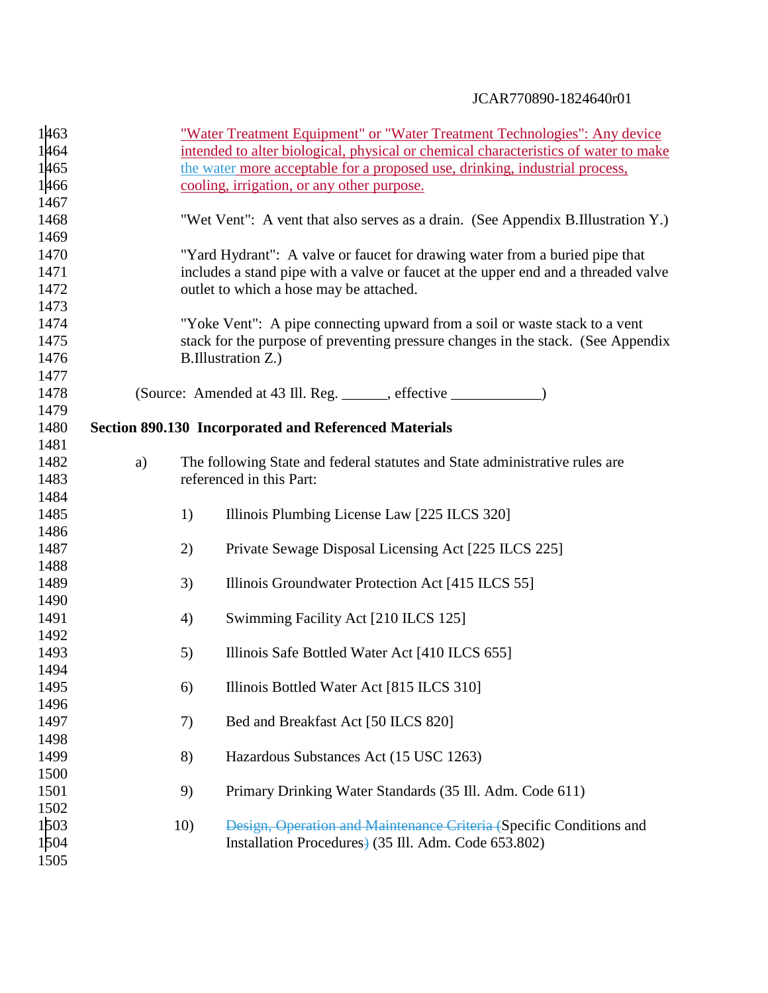| 1463         |    |     | "Water Treatment Equipment" or "Water Treatment Technologies": Any device           |
|--------------|----|-----|-------------------------------------------------------------------------------------|
| 1464         |    |     | intended to alter biological, physical or chemical characteristics of water to make |
| 1465         |    |     | the water more acceptable for a proposed use, drinking, industrial process,         |
| 1466         |    |     | cooling, irrigation, or any other purpose.                                          |
| 1467         |    |     |                                                                                     |
| 1468         |    |     | "Wet Vent": A vent that also serves as a drain. (See Appendix B.Illustration Y.)    |
| 1469         |    |     |                                                                                     |
| 1470         |    |     | "Yard Hydrant": A valve or faucet for drawing water from a buried pipe that         |
| 1471         |    |     | includes a stand pipe with a valve or faucet at the upper end and a threaded valve  |
| 1472         |    |     | outlet to which a hose may be attached.                                             |
| 1473         |    |     |                                                                                     |
| 1474         |    |     | "Yoke Vent": A pipe connecting upward from a soil or waste stack to a vent          |
| 1475         |    |     | stack for the purpose of preventing pressure changes in the stack. (See Appendix    |
| 1476         |    |     | B.Illustration Z.)                                                                  |
| 1477         |    |     |                                                                                     |
| 1478         |    |     |                                                                                     |
| 1479         |    |     |                                                                                     |
| 1480         |    |     | <b>Section 890.130 Incorporated and Referenced Materials</b>                        |
| 1481         |    |     |                                                                                     |
| 1482         | a) |     | The following State and federal statutes and State administrative rules are         |
| 1483         |    |     | referenced in this Part:                                                            |
| 1484         |    |     |                                                                                     |
| 1485<br>1486 |    | 1)  | Illinois Plumbing License Law [225 ILCS 320]                                        |
| 1487         |    | 2)  | Private Sewage Disposal Licensing Act [225 ILCS 225]                                |
| 1488         |    |     |                                                                                     |
| 1489         |    | 3)  | Illinois Groundwater Protection Act [415 ILCS 55]                                   |
| 1490         |    |     |                                                                                     |
| 1491         |    | 4)  | Swimming Facility Act [210 ILCS 125]                                                |
| 1492         |    |     |                                                                                     |
| 1493         |    | 5)  | Illinois Safe Bottled Water Act [410 ILCS 655]                                      |
| 1494         |    |     |                                                                                     |
| 1495         |    | 6)  | Illinois Bottled Water Act [815 ILCS 310]                                           |
| 1496         |    |     |                                                                                     |
| 1497         |    | 7)  | Bed and Breakfast Act [50 ILCS 820]                                                 |
| 1498         |    |     |                                                                                     |
| 1499         |    | 8)  | Hazardous Substances Act (15 USC 1263)                                              |
| 1500         |    |     |                                                                                     |
| 1501         |    | 9)  | Primary Drinking Water Standards (35 Ill. Adm. Code 611)                            |
| 1502         |    |     |                                                                                     |
| 1503         |    | 10) | Design, Operation and Maintenance Criteria (Specific Conditions and                 |
| 1504         |    |     | Installation Procedures) (35 Ill. Adm. Code 653.802)                                |
| 1505         |    |     |                                                                                     |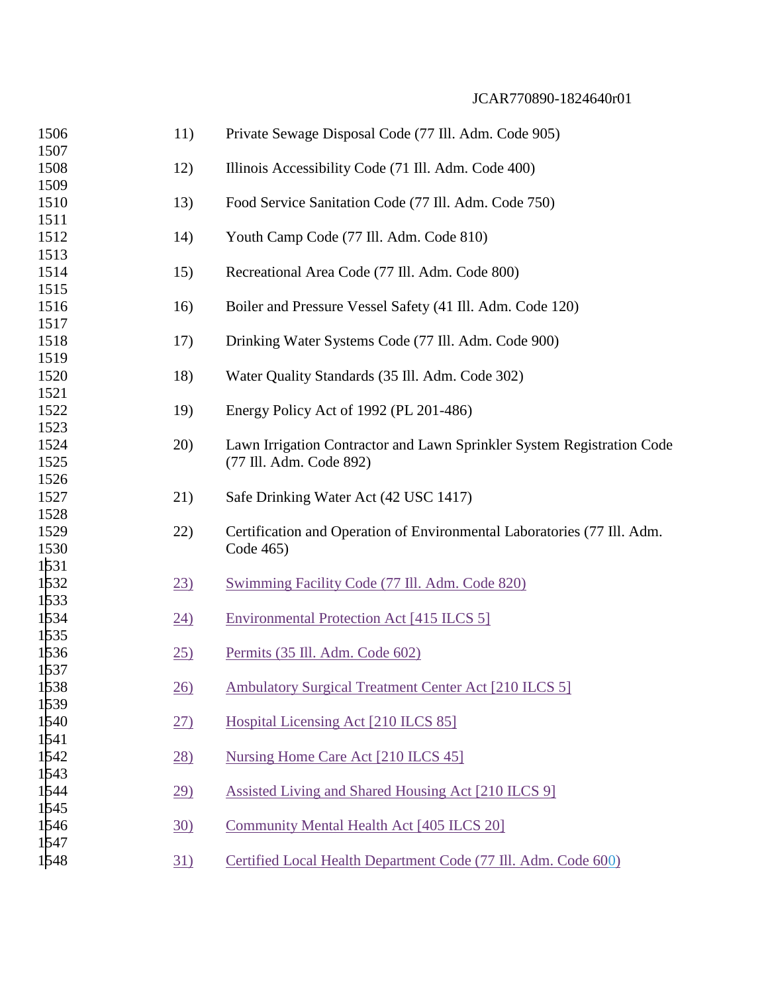| 1506         | 11)              | Private Sewage Disposal Code (77 Ill. Adm. Code 905)                    |
|--------------|------------------|-------------------------------------------------------------------------|
| 1507         |                  |                                                                         |
| 1508<br>1509 | 12)              | Illinois Accessibility Code (71 Ill. Adm. Code 400)                     |
| 1510         | 13)              | Food Service Sanitation Code (77 Ill. Adm. Code 750)                    |
| 1511         |                  |                                                                         |
| 1512         | 14)              | Youth Camp Code (77 Ill. Adm. Code 810)                                 |
| 1513         |                  |                                                                         |
| 1514         | 15)              | Recreational Area Code (77 Ill. Adm. Code 800)                          |
| 1515         |                  |                                                                         |
| 1516         | 16)              | Boiler and Pressure Vessel Safety (41 Ill. Adm. Code 120)               |
| 1517         |                  |                                                                         |
| 1518         | 17)              | Drinking Water Systems Code (77 Ill. Adm. Code 900)                     |
| 1519         |                  |                                                                         |
| 1520         | 18)              | Water Quality Standards (35 Ill. Adm. Code 302)                         |
| 1521         |                  |                                                                         |
| 1522         | 19)              | Energy Policy Act of 1992 (PL 201-486)                                  |
| 1523         |                  |                                                                         |
| 1524         | 20)              | Lawn Irrigation Contractor and Lawn Sprinkler System Registration Code  |
| 1525         |                  | (77 Ill. Adm. Code 892)                                                 |
| 1526         |                  |                                                                         |
| 1527         | 21)              | Safe Drinking Water Act (42 USC 1417)                                   |
| 1528         |                  |                                                                         |
| 1529         | 22)              | Certification and Operation of Environmental Laboratories (77 Ill. Adm. |
| 1530         |                  | Code 465)                                                               |
| 1531         |                  |                                                                         |
| 1532         | $\overline{23}$  | Swimming Facility Code (77 Ill. Adm. Code 820)                          |
| 1533         |                  |                                                                         |
| 1534         | $\underline{24}$ | <b>Environmental Protection Act [415 ILCS 5]</b>                        |
| 1535         |                  |                                                                         |
| 1536         | 25)              | Permits (35 Ill. Adm. Code 602)                                         |
| 1537         |                  |                                                                         |
| 1538         | $\frac{26}{2}$   | Ambulatory Surgical Treatment Center Act [210 ILCS 5]                   |
| 1539         |                  |                                                                         |
| 1540         | 27)              | Hospital Licensing Act [210 ILCS 85]                                    |
| 1541         |                  |                                                                         |
| 1542         | $\overline{28}$  | Nursing Home Care Act [210 ILCS 45]                                     |
| 1543<br>1544 |                  |                                                                         |
|              | <u>29)</u>       | Assisted Living and Shared Housing Act [210 ILCS 9]                     |
| 1545<br>1546 |                  |                                                                         |
| 1547         | 30)              | Community Mental Health Act [405 ILCS 20]                               |
| 1548         |                  | Certified Local Health Department Code (77 Ill. Adm. Code 600)          |
|              | <u>31)</u>       |                                                                         |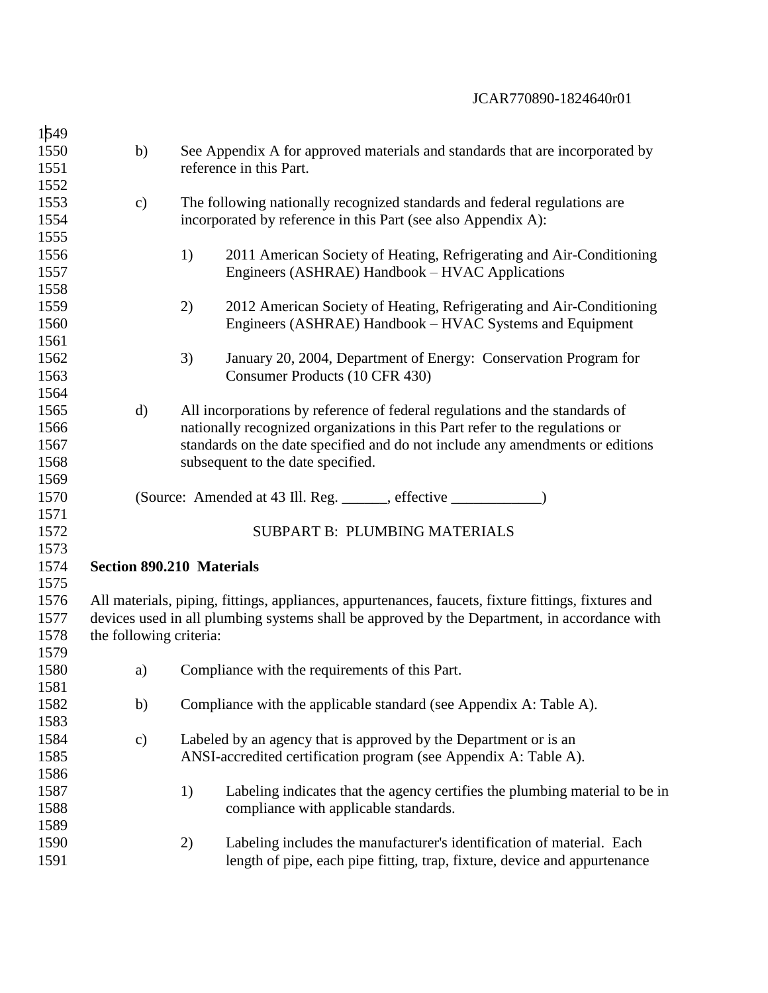| 1549 |                                  |    |                                                                                                     |  |  |  |
|------|----------------------------------|----|-----------------------------------------------------------------------------------------------------|--|--|--|
| 1550 | b)                               |    | See Appendix A for approved materials and standards that are incorporated by                        |  |  |  |
| 1551 |                                  |    | reference in this Part.                                                                             |  |  |  |
| 1552 |                                  |    |                                                                                                     |  |  |  |
| 1553 | $\mathbf{c})$                    |    | The following nationally recognized standards and federal regulations are                           |  |  |  |
| 1554 |                                  |    | incorporated by reference in this Part (see also Appendix A):                                       |  |  |  |
| 1555 |                                  |    |                                                                                                     |  |  |  |
| 1556 |                                  | 1) | 2011 American Society of Heating, Refrigerating and Air-Conditioning                                |  |  |  |
| 1557 |                                  |    | Engineers (ASHRAE) Handbook – HVAC Applications                                                     |  |  |  |
| 1558 |                                  |    |                                                                                                     |  |  |  |
| 1559 |                                  | 2) | 2012 American Society of Heating, Refrigerating and Air-Conditioning                                |  |  |  |
| 1560 |                                  |    | Engineers (ASHRAE) Handbook – HVAC Systems and Equipment                                            |  |  |  |
| 1561 |                                  |    |                                                                                                     |  |  |  |
| 1562 |                                  | 3) | January 20, 2004, Department of Energy: Conservation Program for                                    |  |  |  |
| 1563 |                                  |    | Consumer Products (10 CFR 430)                                                                      |  |  |  |
| 1564 |                                  |    |                                                                                                     |  |  |  |
| 1565 | d)                               |    | All incorporations by reference of federal regulations and the standards of                         |  |  |  |
| 1566 |                                  |    | nationally recognized organizations in this Part refer to the regulations or                        |  |  |  |
| 1567 |                                  |    | standards on the date specified and do not include any amendments or editions                       |  |  |  |
| 1568 |                                  |    | subsequent to the date specified.                                                                   |  |  |  |
| 1569 |                                  |    |                                                                                                     |  |  |  |
| 1570 |                                  |    |                                                                                                     |  |  |  |
| 1571 |                                  |    |                                                                                                     |  |  |  |
| 1572 |                                  |    | SUBPART B: PLUMBING MATERIALS                                                                       |  |  |  |
| 1573 |                                  |    |                                                                                                     |  |  |  |
| 1574 | <b>Section 890.210 Materials</b> |    |                                                                                                     |  |  |  |
| 1575 |                                  |    |                                                                                                     |  |  |  |
| 1576 |                                  |    | All materials, piping, fittings, appliances, appurtenances, faucets, fixture fittings, fixtures and |  |  |  |
| 1577 |                                  |    | devices used in all plumbing systems shall be approved by the Department, in accordance with        |  |  |  |
| 1578 | the following criteria:          |    |                                                                                                     |  |  |  |
| 1579 |                                  |    |                                                                                                     |  |  |  |
| 1580 | a)                               |    | Compliance with the requirements of this Part.                                                      |  |  |  |
| 1581 |                                  |    |                                                                                                     |  |  |  |
| 1582 | b)                               |    | Compliance with the applicable standard (see Appendix A: Table A).                                  |  |  |  |
| 1583 |                                  |    |                                                                                                     |  |  |  |
| 1584 | $\mathbf{c})$                    |    | Labeled by an agency that is approved by the Department or is an                                    |  |  |  |
| 1585 |                                  |    | ANSI-accredited certification program (see Appendix A: Table A).                                    |  |  |  |
| 1586 |                                  |    |                                                                                                     |  |  |  |
| 1587 |                                  | 1) | Labeling indicates that the agency certifies the plumbing material to be in                         |  |  |  |
| 1588 |                                  |    | compliance with applicable standards.                                                               |  |  |  |
| 1589 |                                  |    |                                                                                                     |  |  |  |
| 1590 |                                  | 2) | Labeling includes the manufacturer's identification of material. Each                               |  |  |  |
| 1591 |                                  |    | length of pipe, each pipe fitting, trap, fixture, device and appurtenance                           |  |  |  |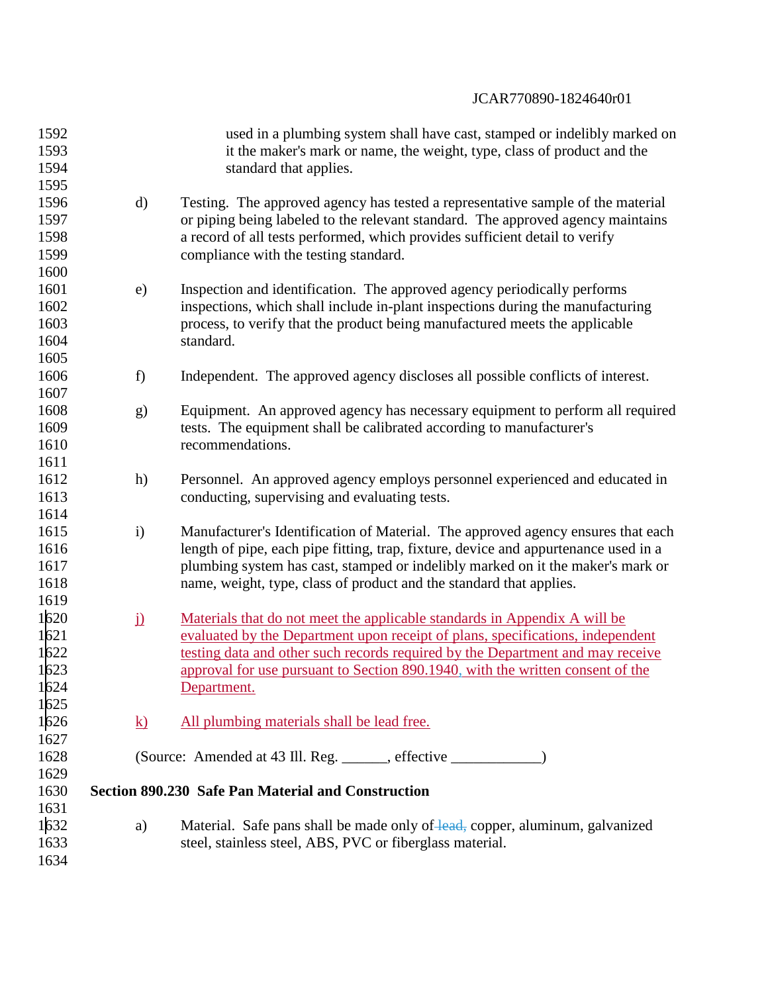| 1592<br>1593<br>1594                 |                     | used in a plumbing system shall have cast, stamped or indelibly marked on<br>it the maker's mark or name, the weight, type, class of product and the<br>standard that applies.                                                                                                                                                                 |
|--------------------------------------|---------------------|------------------------------------------------------------------------------------------------------------------------------------------------------------------------------------------------------------------------------------------------------------------------------------------------------------------------------------------------|
| 1595<br>1596<br>1597<br>1598<br>1599 | $\rm d)$            | Testing. The approved agency has tested a representative sample of the material<br>or piping being labeled to the relevant standard. The approved agency maintains<br>a record of all tests performed, which provides sufficient detail to verify<br>compliance with the testing standard.                                                     |
| 1600<br>1601<br>1602<br>1603<br>1604 | e)                  | Inspection and identification. The approved agency periodically performs<br>inspections, which shall include in-plant inspections during the manufacturing<br>process, to verify that the product being manufactured meets the applicable<br>standard.                                                                                         |
| 1605<br>1606                         | f)                  | Independent. The approved agency discloses all possible conflicts of interest.                                                                                                                                                                                                                                                                 |
| 1607<br>1608<br>1609<br>1610         | g)                  | Equipment. An approved agency has necessary equipment to perform all required<br>tests. The equipment shall be calibrated according to manufacturer's<br>recommendations.                                                                                                                                                                      |
| 1611<br>1612<br>1613<br>1614         | h)                  | Personnel. An approved agency employs personnel experienced and educated in<br>conducting, supervising and evaluating tests.                                                                                                                                                                                                                   |
| 1615<br>1616<br>1617<br>1618<br>1619 | $\mathbf{i}$        | Manufacturer's Identification of Material. The approved agency ensures that each<br>length of pipe, each pipe fitting, trap, fixture, device and appurtenance used in a<br>plumbing system has cast, stamped or indelibly marked on it the maker's mark or<br>name, weight, type, class of product and the standard that applies.              |
| 1620<br>1621<br>1622<br>1623<br>1624 | $\ddot{\mathbf{l}}$ | Materials that do not meet the applicable standards in Appendix A will be<br>evaluated by the Department upon receipt of plans, specifications, independent<br>testing data and other such records required by the Department and may receive<br>approval for use pursuant to Section 890.1940, with the written consent of the<br>Department. |
| 1625<br>1626                         | <u>k)</u>           | All plumbing materials shall be lead free.                                                                                                                                                                                                                                                                                                     |
| 1627<br>1628<br>1629                 |                     | (Source: Amended at 43 Ill. Reg. ______, effective __________)                                                                                                                                                                                                                                                                                 |
| 1630<br>1631                         |                     | <b>Section 890.230 Safe Pan Material and Construction</b>                                                                                                                                                                                                                                                                                      |
| 1632<br>1633<br>1634                 | a)                  | Material. Safe pans shall be made only of lead, copper, aluminum, galvanized<br>steel, stainless steel, ABS, PVC or fiberglass material.                                                                                                                                                                                                       |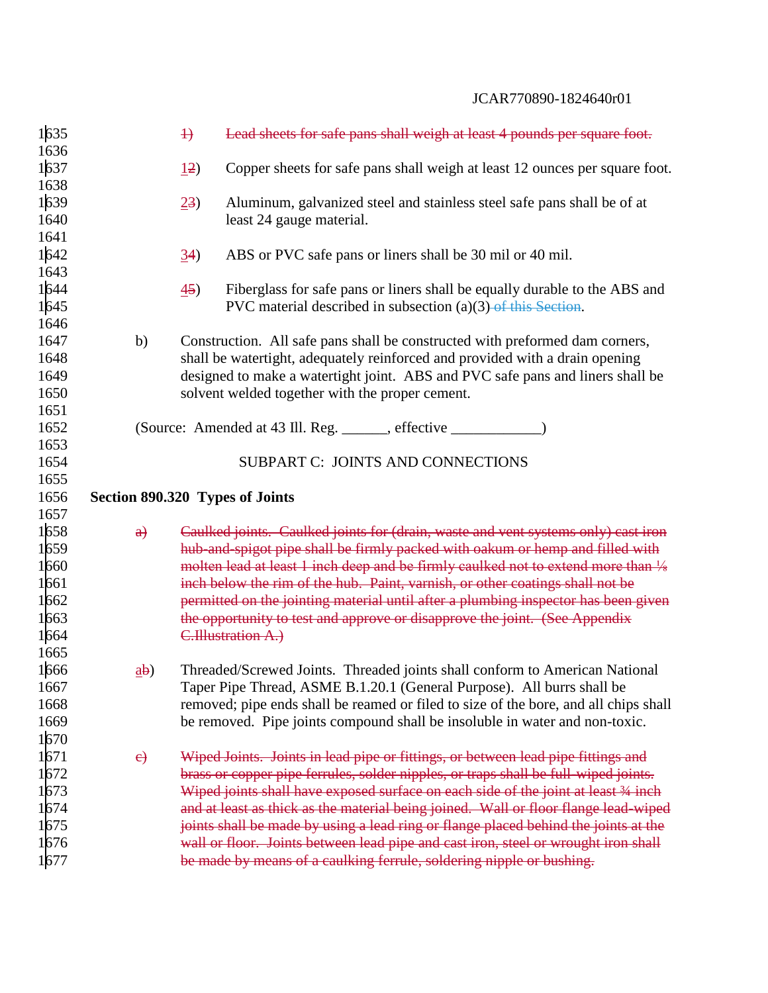| 1635<br>1636 |          | $\downarrow$   | Lead sheets for safe pans shall weigh at least 4 pounds per square foot.                                                                                   |
|--------------|----------|----------------|------------------------------------------------------------------------------------------------------------------------------------------------------------|
| 1637         |          | 12)            | Copper sheets for safe pans shall weigh at least 12 ounces per square foot.                                                                                |
| 1638         |          |                |                                                                                                                                                            |
| 1639         |          | 23)            | Aluminum, galvanized steel and stainless steel safe pans shall be of at                                                                                    |
| 1640         |          |                | least 24 gauge material.                                                                                                                                   |
| 1641         |          |                |                                                                                                                                                            |
| 1642         |          | (34)           | ABS or PVC safe pans or liners shall be 30 mil or 40 mil.                                                                                                  |
| 1643         |          |                |                                                                                                                                                            |
| 1644         |          | $\frac{45}{ }$ | Fiberglass for safe pans or liners shall be equally durable to the ABS and                                                                                 |
| 1645         |          |                | PVC material described in subsection $(a)(3)$ of this Section.                                                                                             |
| 1646         |          |                |                                                                                                                                                            |
| 1647         | b)       |                | Construction. All safe pans shall be constructed with preformed dam corners,                                                                               |
| 1648         |          |                | shall be watertight, adequately reinforced and provided with a drain opening                                                                               |
| 1649         |          |                | designed to make a watertight joint. ABS and PVC safe pans and liners shall be                                                                             |
| 1650         |          |                | solvent welded together with the proper cement.                                                                                                            |
| 1651         |          |                |                                                                                                                                                            |
| 1652         |          |                |                                                                                                                                                            |
| 1653<br>1654 |          |                | SUBPART C: JOINTS AND CONNECTIONS                                                                                                                          |
| 1655         |          |                |                                                                                                                                                            |
| 1656         |          |                | Section 890.320 Types of Joints                                                                                                                            |
| 1657         |          |                |                                                                                                                                                            |
| 1658         | $\theta$ |                | Caulked joints. Caulked joints for (drain, waste and vent systems only) cast iron                                                                          |
| 1659         |          |                | hub-and-spigot pipe shall be firmly packed with oakum or hemp and filled with                                                                              |
| 1660         |          |                | molten lead at least 1 inch deep and be firmly caulked not to extend more than 1/8                                                                         |
| 1661         |          |                | inch below the rim of the hub. Paint, varnish, or other coatings shall not be                                                                              |
| 1662         |          |                | permitted on the jointing material until after a plumbing inspector has been given                                                                         |
| 1663         |          |                | the opportunity to test and approve or disapprove the joint. (See Appendix                                                                                 |
| 1664         |          |                | C. Illustration A.)                                                                                                                                        |
| 1665         |          |                |                                                                                                                                                            |
| 1666         | ab)      |                | Threaded/Screwed Joints. Threaded joints shall conform to American National                                                                                |
| 1667         |          |                | Taper Pipe Thread, ASME B.1.20.1 (General Purpose). All burrs shall be                                                                                     |
|              |          |                |                                                                                                                                                            |
| 1668         |          |                | removed; pipe ends shall be reamed or filed to size of the bore, and all chips shall                                                                       |
| 1669         |          |                | be removed. Pipe joints compound shall be insoluble in water and non-toxic.                                                                                |
| 1670         |          |                |                                                                                                                                                            |
| 1671         | e)       |                | Wiped Joints. Joints in lead pipe or fittings, or between lead pipe fittings and                                                                           |
| 1672         |          |                | brass or copper pipe ferrules, solder nipples, or traps shall be full-wiped joints.                                                                        |
| 1673         |          |                | Wiped joints shall have exposed surface on each side of the joint at least 3/4 inch                                                                        |
| 1674         |          |                | and at least as thick as the material being joined. Wall or floor flange lead-wiped                                                                        |
| 1675         |          |                | joints shall be made by using a lead ring or flange placed behind the joints at the                                                                        |
| 1676<br>1677 |          |                | wall or floor. Joints between lead pipe and cast iron, steel or wrought iron shall<br>be made by means of a caulking ferrule, soldering nipple or bushing. |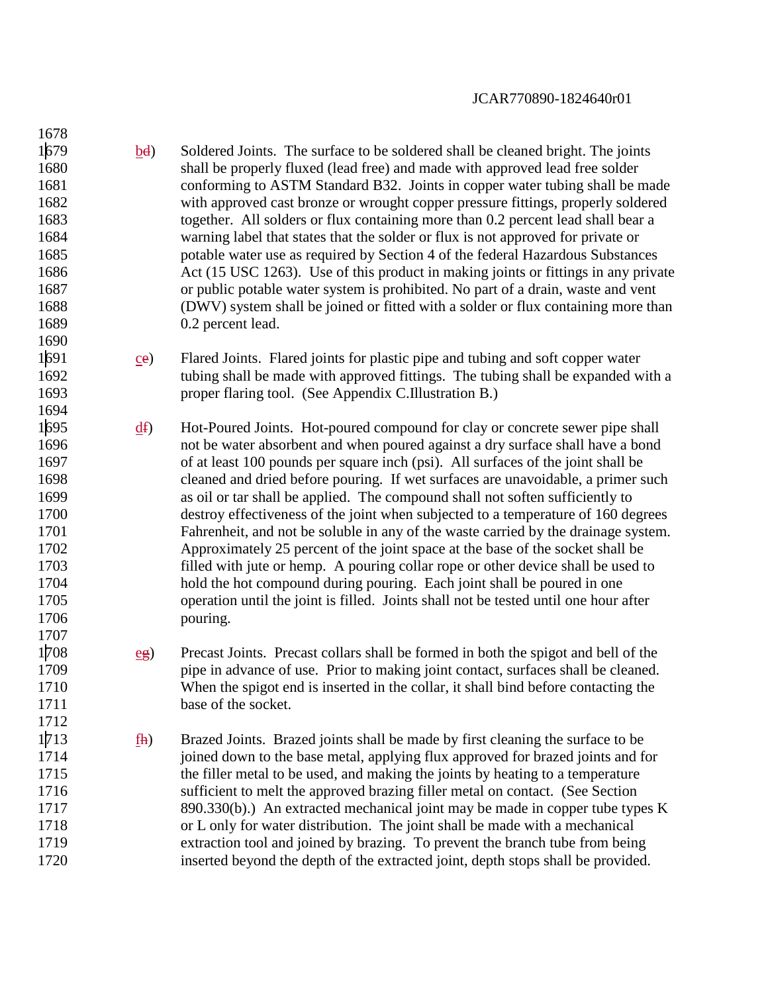1679 bd) Soldered Joints. The surface to be soldered shall be cleaned bright. The joints shall be properly fluxed (lead free) and made with approved lead free solder conforming to ASTM Standard B32. Joints in copper water tubing shall be made with approved cast bronze or wrought copper pressure fittings, properly soldered together. All solders or flux containing more than 0.2 percent lead shall bear a warning label that states that the solder or flux is not approved for private or potable water use as required by Section 4 of the federal Hazardous Substances 1686 Act (15 USC 1263). Use of this product in making joints or fittings in any private or public potable water system is prohibited. No part of a drain, waste and vent (DWV) system shall be joined or fitted with a solder or flux containing more than 0.2 percent lead. 

- ce) Flared Joints. Flared joints for plastic pipe and tubing and soft copper water tubing shall be made with approved fittings. The tubing shall be expanded with a proper flaring tool. (See Appendix C.Illustration B.)
- df) Hot-Poured Joints. Hot-poured compound for clay or concrete sewer pipe shall not be water absorbent and when poured against a dry surface shall have a bond of at least 100 pounds per square inch (psi). All surfaces of the joint shall be cleaned and dried before pouring. If wet surfaces are unavoidable, a primer such as oil or tar shall be applied. The compound shall not soften sufficiently to destroy effectiveness of the joint when subjected to a temperature of 160 degrees Fahrenheit, and not be soluble in any of the waste carried by the drainage system. Approximately 25 percent of the joint space at the base of the socket shall be filled with jute or hemp. A pouring collar rope or other device shall be used to hold the hot compound during pouring. Each joint shall be poured in one operation until the joint is filled. Joints shall not be tested until one hour after pouring.
- eg) Precast Joints. Precast collars shall be formed in both the spigot and bell of the pipe in advance of use. Prior to making joint contact, surfaces shall be cleaned. When the spigot end is inserted in the collar, it shall bind before contacting the 1711 base of the socket.
- 1712<br>1713  $f<sub>th</sub>$  Brazed Joints. Brazed joints shall be made by first cleaning the surface to be 1714 including ioned down to the base metal, applying flux approved for brazed joints and for the filler metal to be used, and making the joints by heating to a temperature sufficient to melt the approved brazing filler metal on contact. (See Section 890.330(b).) An extracted mechanical joint may be made in copper tube types K or L only for water distribution. The joint shall be made with a mechanical extraction tool and joined by brazing. To prevent the branch tube from being inserted beyond the depth of the extracted joint, depth stops shall be provided.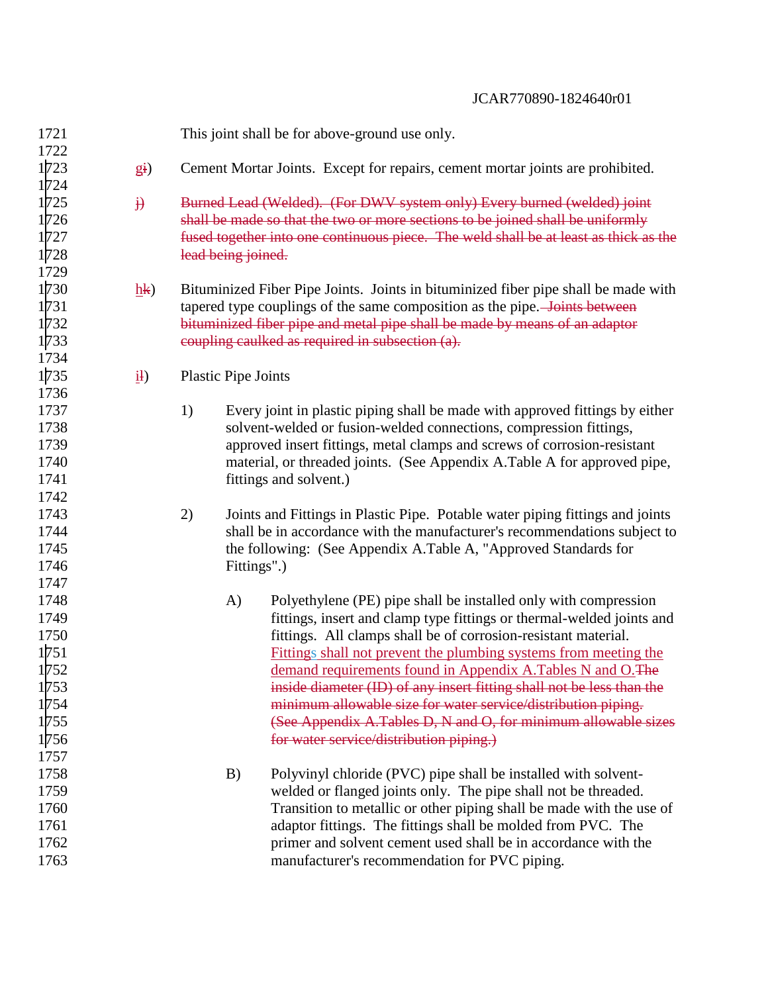| 1721 |                              |    |                            | This joint shall be for above-ground use only.                                       |
|------|------------------------------|----|----------------------------|--------------------------------------------------------------------------------------|
| 1722 |                              |    |                            |                                                                                      |
| 1723 | $g_i$                        |    |                            | Cement Mortar Joints. Except for repairs, cement mortar joints are prohibited.       |
| 1724 |                              |    |                            |                                                                                      |
| 1725 | $\ddot{\mathbf{b}}$          |    |                            | Burned Lead (Welded). (For DWV system only) Every burned (welded) joint              |
| 1726 |                              |    |                            | shall be made so that the two or more sections to be joined shall be uniformly       |
| 1727 |                              |    |                            | fused together into one continuous piece. The weld shall be at least as thick as the |
| 1728 |                              |    | lead being joined.         |                                                                                      |
| 1729 |                              |    |                            |                                                                                      |
| 1730 | $\underline{h}\underline{k}$ |    |                            | Bituminized Fiber Pipe Joints. Joints in bituminized fiber pipe shall be made with   |
| 1731 |                              |    |                            | tapered type couplings of the same composition as the pipe. Joints between           |
| 1732 |                              |    |                            | bituminized fiber pipe and metal pipe shall be made by means of an adaptor           |
| 1733 |                              |    |                            | coupling caulked as required in subsection (a).                                      |
| 1734 |                              |    |                            |                                                                                      |
| 1735 | $\underline{i}$              |    | <b>Plastic Pipe Joints</b> |                                                                                      |
| 1736 |                              |    |                            |                                                                                      |
| 1737 |                              | 1) |                            | Every joint in plastic piping shall be made with approved fittings by either         |
| 1738 |                              |    |                            | solvent-welded or fusion-welded connections, compression fittings,                   |
| 1739 |                              |    |                            | approved insert fittings, metal clamps and screws of corrosion-resistant             |
| 1740 |                              |    |                            | material, or threaded joints. (See Appendix A.Table A for approved pipe,             |
| 1741 |                              |    |                            | fittings and solvent.)                                                               |
| 1742 |                              |    |                            |                                                                                      |
| 1743 |                              | 2) |                            | Joints and Fittings in Plastic Pipe. Potable water piping fittings and joints        |
| 1744 |                              |    |                            | shall be in accordance with the manufacturer's recommendations subject to            |
| 1745 |                              |    |                            | the following: (See Appendix A.Table A, "Approved Standards for                      |
| 1746 |                              |    | Fittings".)                |                                                                                      |
| 1747 |                              |    |                            |                                                                                      |
| 1748 |                              |    | A)                         | Polyethylene (PE) pipe shall be installed only with compression                      |
| 1749 |                              |    |                            | fittings, insert and clamp type fittings or thermal-welded joints and                |
| 1750 |                              |    |                            | fittings. All clamps shall be of corrosion-resistant material.                       |
| 1751 |                              |    |                            | Fittings shall not prevent the plumbing systems from meeting the                     |
| 1752 |                              |    |                            | demand requirements found in Appendix A.Tables N and O.The                           |
| 1753 |                              |    |                            | inside diameter (ID) of any insert fitting shall not be less than the                |
| 1754 |                              |    |                            | minimum allowable size for water service/distribution piping.                        |
| 1755 |                              |    |                            | (See Appendix A.Tables D, N and O, for minimum allowable sizes                       |
| 1756 |                              |    |                            | for water service/distribution piping.)                                              |
| 1757 |                              |    |                            |                                                                                      |
| 1758 |                              |    | B)                         | Polyvinyl chloride (PVC) pipe shall be installed with solvent-                       |
| 1759 |                              |    |                            | welded or flanged joints only. The pipe shall not be threaded.                       |
| 1760 |                              |    |                            | Transition to metallic or other piping shall be made with the use of                 |
| 1761 |                              |    |                            | adaptor fittings. The fittings shall be molded from PVC. The                         |
| 1762 |                              |    |                            | primer and solvent cement used shall be in accordance with the                       |
| 1763 |                              |    |                            | manufacturer's recommendation for PVC piping.                                        |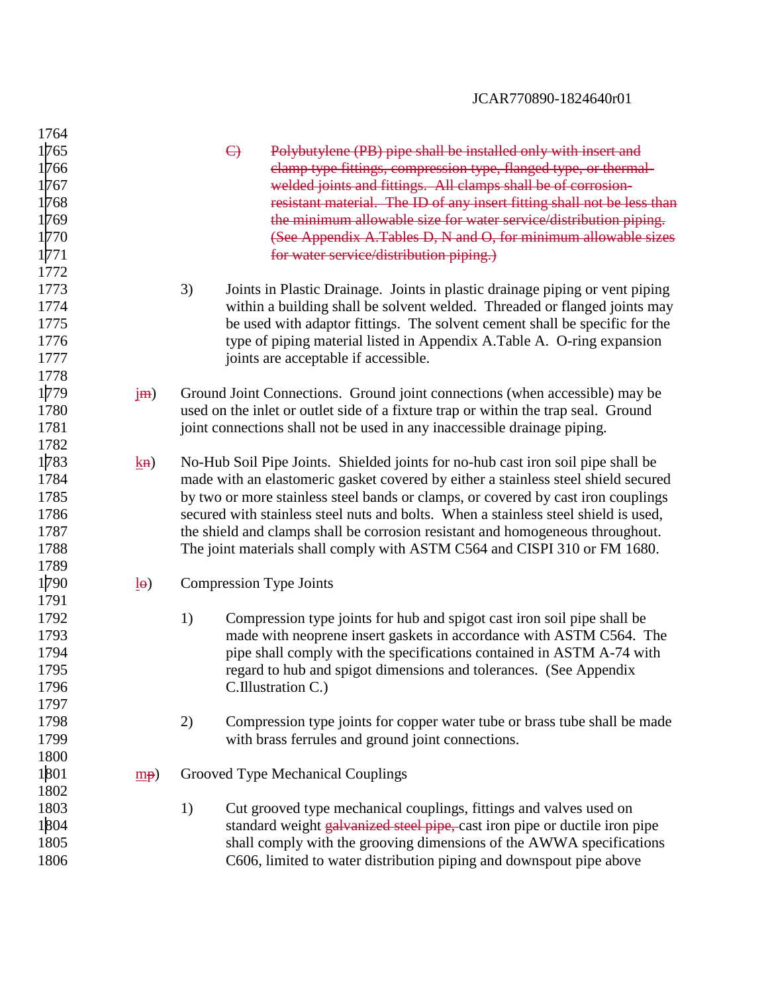| 1764 |                       |                                                                                     |
|------|-----------------------|-------------------------------------------------------------------------------------|
| 1765 |                       | $\Theta$<br>Polybutylene (PB) pipe shall be installed only with insert and          |
| 1766 |                       | clamp type fittings, compression type, flanged type, or thermal-                    |
| 1767 |                       | welded joints and fittings. All clamps shall be of corrosion-                       |
| 1768 |                       | resistant material. The ID of any insert fitting shall not be less than             |
| 1769 |                       | the minimum allowable size for water service/distribution piping.                   |
| 1770 |                       | (See Appendix A.Tables D, N and O, for minimum allowable sizes                      |
| 1771 |                       | for water service/distribution piping.)                                             |
| 1772 |                       |                                                                                     |
| 1773 |                       | 3)<br>Joints in Plastic Drainage. Joints in plastic drainage piping or vent piping  |
| 1774 |                       | within a building shall be solvent welded. Threaded or flanged joints may           |
| 1775 |                       | be used with adaptor fittings. The solvent cement shall be specific for the         |
| 1776 |                       | type of piping material listed in Appendix A. Table A. O-ring expansion             |
| 1777 |                       | joints are acceptable if accessible.                                                |
| 1778 |                       |                                                                                     |
| 1779 | jm)                   | Ground Joint Connections. Ground joint connections (when accessible) may be         |
| 1780 |                       | used on the inlet or outlet side of a fixture trap or within the trap seal. Ground  |
| 1781 |                       | joint connections shall not be used in any inaccessible drainage piping.            |
| 1782 |                       |                                                                                     |
| 1783 | $k$ <b>H</b> )        | No-Hub Soil Pipe Joints. Shielded joints for no-hub cast iron soil pipe shall be    |
| 1784 |                       | made with an elastomeric gasket covered by either a stainless steel shield secured  |
| 1785 |                       | by two or more stainless steel bands or clamps, or covered by cast iron couplings   |
| 1786 |                       | secured with stainless steel nuts and bolts. When a stainless steel shield is used, |
| 1787 |                       | the shield and clamps shall be corrosion resistant and homogeneous throughout.      |
| 1788 |                       | The joint materials shall comply with ASTM C564 and CISPI 310 or FM 1680.           |
| 1789 |                       |                                                                                     |
| 1790 | $\underline{I}\Theta$ | <b>Compression Type Joints</b>                                                      |
| 1791 |                       |                                                                                     |
| 1792 |                       | 1)<br>Compression type joints for hub and spigot cast iron soil pipe shall be       |
| 1793 |                       | made with neoprene insert gaskets in accordance with ASTM C564. The                 |
| 1794 |                       | pipe shall comply with the specifications contained in ASTM A-74 with               |
| 1795 |                       | regard to hub and spigot dimensions and tolerances. (See Appendix                   |
| 1796 |                       | C.Illustration C.)                                                                  |
| 1797 |                       |                                                                                     |
| 1798 |                       | 2)<br>Compression type joints for copper water tube or brass tube shall be made     |
| 1799 |                       | with brass ferrules and ground joint connections.                                   |
| 1800 |                       |                                                                                     |
| 1801 | $\underline{mp}$      | Grooved Type Mechanical Couplings                                                   |
| 1802 |                       |                                                                                     |
| 1803 |                       | 1)<br>Cut grooved type mechanical couplings, fittings and valves used on            |
| 1804 |                       | standard weight galvanized steel pipe, cast iron pipe or ductile iron pipe          |
| 1805 |                       | shall comply with the grooving dimensions of the AWWA specifications                |
| 1806 |                       | C606, limited to water distribution piping and downspout pipe above                 |
|      |                       |                                                                                     |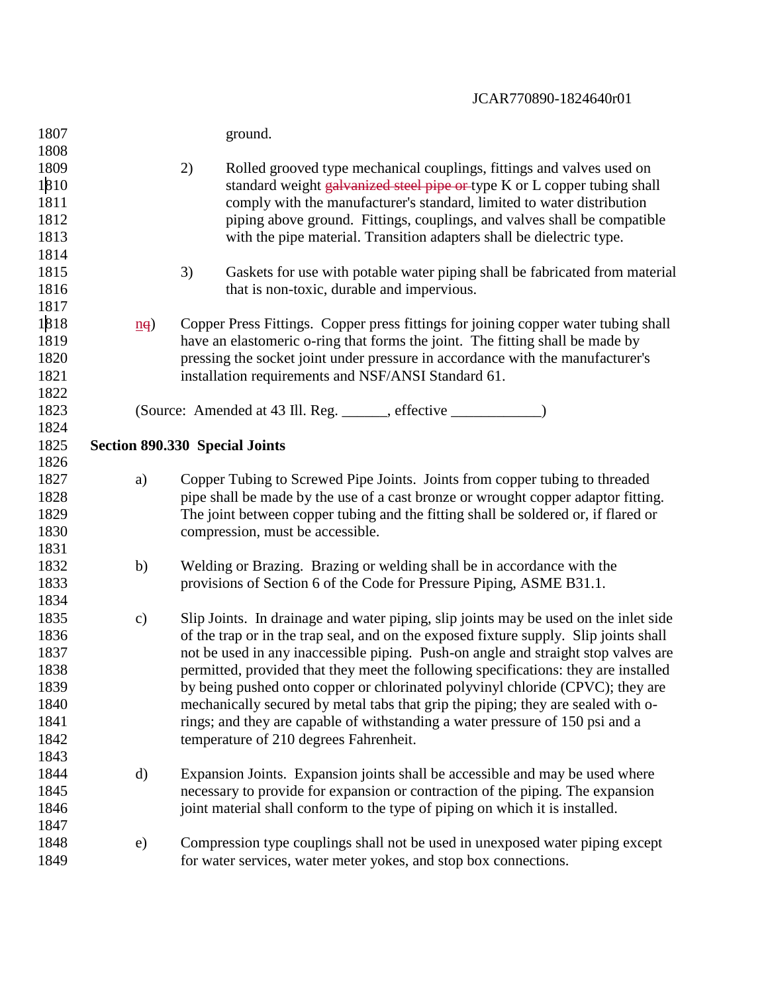| 1807 |                              | ground.                                                                               |
|------|------------------------------|---------------------------------------------------------------------------------------|
| 1808 |                              |                                                                                       |
| 1809 |                              | 2)<br>Rolled grooved type mechanical couplings, fittings and valves used on           |
| 1810 |                              | standard weight galvanized steel pipe or type K or L copper tubing shall              |
| 1811 |                              | comply with the manufacturer's standard, limited to water distribution                |
| 1812 |                              | piping above ground. Fittings, couplings, and valves shall be compatible              |
| 1813 |                              | with the pipe material. Transition adapters shall be dielectric type.                 |
| 1814 |                              |                                                                                       |
| 1815 |                              | 3)<br>Gaskets for use with potable water piping shall be fabricated from material     |
| 1816 |                              | that is non-toxic, durable and impervious.                                            |
| 1817 |                              |                                                                                       |
| 1818 | $\underline{n}$ <sup>a</sup> | Copper Press Fittings. Copper press fittings for joining copper water tubing shall    |
| 1819 |                              | have an elastomeric o-ring that forms the joint. The fitting shall be made by         |
| 1820 |                              | pressing the socket joint under pressure in accordance with the manufacturer's        |
| 1821 |                              | installation requirements and NSF/ANSI Standard 61.                                   |
| 1822 |                              |                                                                                       |
| 1823 |                              |                                                                                       |
| 1824 |                              |                                                                                       |
| 1825 |                              | <b>Section 890.330 Special Joints</b>                                                 |
| 1826 |                              |                                                                                       |
| 1827 | a)                           | Copper Tubing to Screwed Pipe Joints. Joints from copper tubing to threaded           |
| 1828 |                              | pipe shall be made by the use of a cast bronze or wrought copper adaptor fitting.     |
| 1829 |                              | The joint between copper tubing and the fitting shall be soldered or, if flared or    |
| 1830 |                              | compression, must be accessible.                                                      |
| 1831 |                              |                                                                                       |
| 1832 | b)                           | Welding or Brazing. Brazing or welding shall be in accordance with the                |
| 1833 |                              | provisions of Section 6 of the Code for Pressure Piping, ASME B31.1.                  |
| 1834 |                              |                                                                                       |
| 1835 | $\mathbf{c})$                | Slip Joints. In drainage and water piping, slip joints may be used on the inlet side  |
| 1836 |                              | of the trap or in the trap seal, and on the exposed fixture supply. Slip joints shall |
| 1837 |                              | not be used in any inaccessible piping. Push-on angle and straight stop valves are    |
| 1838 |                              | permitted, provided that they meet the following specifications: they are installed   |
| 1839 |                              | by being pushed onto copper or chlorinated polyvinyl chloride (CPVC); they are        |
| 1840 |                              | mechanically secured by metal tabs that grip the piping; they are sealed with o-      |
| 1841 |                              | rings; and they are capable of withstanding a water pressure of 150 psi and a         |
| 1842 |                              | temperature of 210 degrees Fahrenheit.                                                |
| 1843 |                              |                                                                                       |
| 1844 | $\rm d)$                     | Expansion Joints. Expansion joints shall be accessible and may be used where          |
| 1845 |                              | necessary to provide for expansion or contraction of the piping. The expansion        |
| 1846 |                              | joint material shall conform to the type of piping on which it is installed.          |
| 1847 |                              |                                                                                       |
| 1848 | e)                           | Compression type couplings shall not be used in unexposed water piping except         |
| 1849 |                              | for water services, water meter yokes, and stop box connections.                      |
|      |                              |                                                                                       |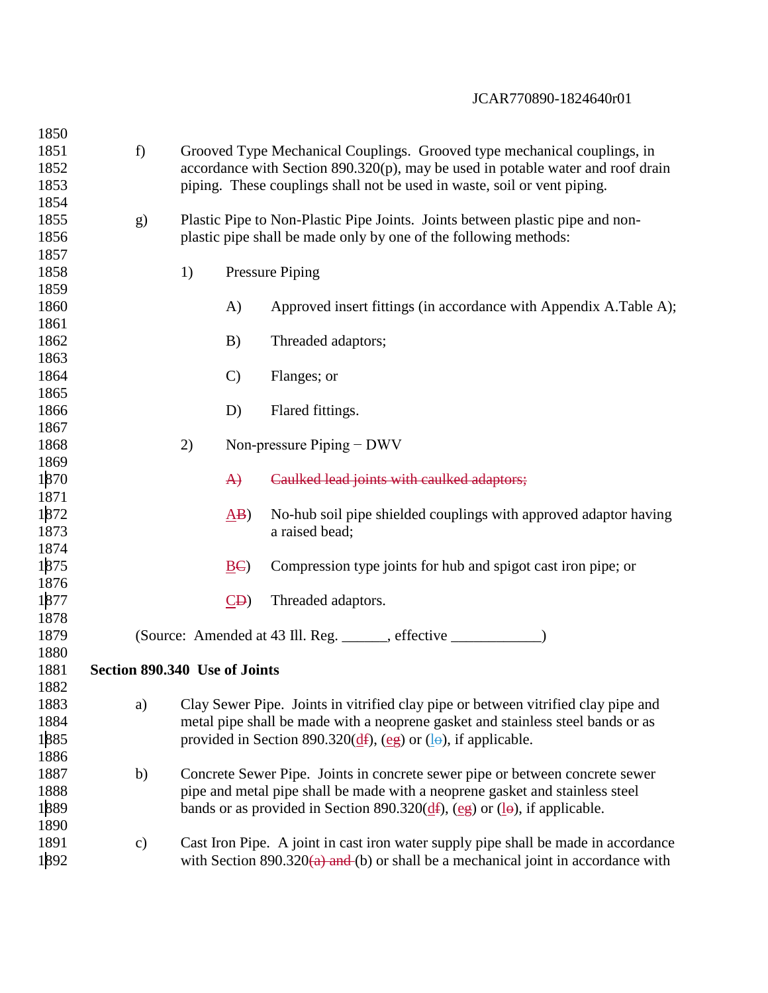| 1850 |                               |    |                  |                                                                                                                             |
|------|-------------------------------|----|------------------|-----------------------------------------------------------------------------------------------------------------------------|
| 1851 | f)                            |    |                  | Grooved Type Mechanical Couplings. Grooved type mechanical couplings, in                                                    |
| 1852 |                               |    |                  | accordance with Section $890.320(p)$ , may be used in potable water and roof drain                                          |
| 1853 |                               |    |                  | piping. These couplings shall not be used in waste, soil or vent piping.                                                    |
| 1854 |                               |    |                  |                                                                                                                             |
| 1855 | g)                            |    |                  | Plastic Pipe to Non-Plastic Pipe Joints. Joints between plastic pipe and non-                                               |
| 1856 |                               |    |                  | plastic pipe shall be made only by one of the following methods:                                                            |
| 1857 |                               |    |                  |                                                                                                                             |
| 1858 |                               | 1) |                  | <b>Pressure Piping</b>                                                                                                      |
| 1859 |                               |    |                  |                                                                                                                             |
| 1860 |                               |    | A)               | Approved insert fittings (in accordance with Appendix A.Table A);                                                           |
| 1861 |                               |    |                  |                                                                                                                             |
| 1862 |                               |    | B)               | Threaded adaptors;                                                                                                          |
| 1863 |                               |    |                  |                                                                                                                             |
| 1864 |                               |    | $\mathcal{C}$    | Flanges; or                                                                                                                 |
| 1865 |                               |    |                  |                                                                                                                             |
| 1866 |                               |    | D)               | Flared fittings.                                                                                                            |
| 1867 |                               |    |                  |                                                                                                                             |
| 1868 |                               | 2) |                  | Non-pressure $Piping - DWV$                                                                                                 |
| 1869 |                               |    |                  |                                                                                                                             |
| 1870 |                               |    | $\ket{A}$        | Caulked lead joints with caulked adaptors;                                                                                  |
| 1871 |                               |    |                  |                                                                                                                             |
| 1872 |                               |    | $\Delta$ B)      | No-hub soil pipe shielded couplings with approved adaptor having                                                            |
| 1873 |                               |    |                  | a raised bead;                                                                                                              |
| 1874 |                               |    |                  |                                                                                                                             |
| 1875 |                               |    | $\underline{BC}$ | Compression type joints for hub and spigot cast iron pipe; or                                                               |
| 1876 |                               |    |                  |                                                                                                                             |
| 1877 |                               |    | $\overline{CD}$  | Threaded adaptors.                                                                                                          |
| 1878 |                               |    |                  |                                                                                                                             |
| 1879 |                               |    |                  | (Source: Amended at 43 Ill. Reg. ______, effective ________                                                                 |
| 1880 |                               |    |                  |                                                                                                                             |
| 1881 | Section 890.340 Use of Joints |    |                  |                                                                                                                             |
| 1882 |                               |    |                  |                                                                                                                             |
| 1883 | a)                            |    |                  | Clay Sewer Pipe. Joints in vitrified clay pipe or between vitrified clay pipe and                                           |
| 1884 |                               |    |                  | metal pipe shall be made with a neoprene gasket and stainless steel bands or as                                             |
| 1885 |                               |    |                  | provided in Section 890.320( $\frac{df}{dx}$ ), (eg) or ( $\frac{1}{e}$ ), if applicable.                                   |
| 1886 |                               |    |                  |                                                                                                                             |
| 1887 | b)                            |    |                  | Concrete Sewer Pipe. Joints in concrete sewer pipe or between concrete sewer                                                |
| 1888 |                               |    |                  | pipe and metal pipe shall be made with a neoprene gasket and stainless steel                                                |
| 1889 |                               |    |                  | bands or as provided in Section 890.320 $(\underline{d}f)$ , $(\underline{eg})$ or $(\underline{1}\theta)$ , if applicable. |
| 1890 |                               |    |                  |                                                                                                                             |
| 1891 | $\mathbf{c})$                 |    |                  | Cast Iron Pipe. A joint in cast iron water supply pipe shall be made in accordance                                          |
| 1892 |                               |    |                  | with Section 890.320 $(a)$ and (b) or shall be a mechanical joint in accordance with                                        |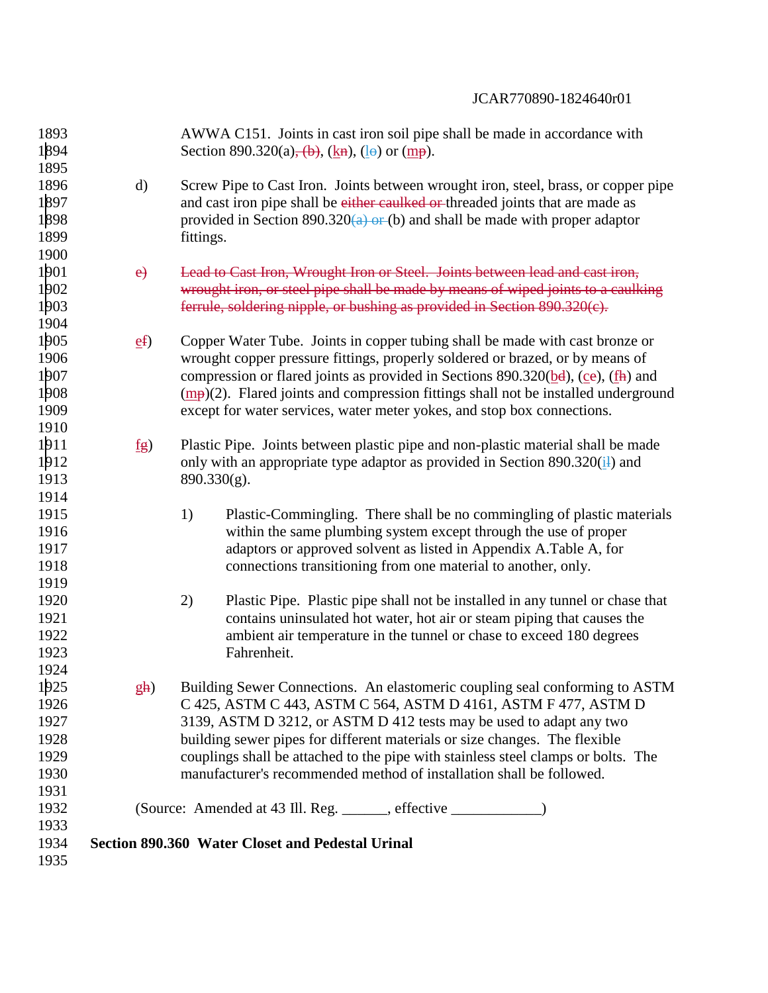| 1893<br>1894 |                  | AWWA C151. Joints in cast iron soil pipe shall be made in accordance with<br>Section 890.320(a), $(\frac{b}{b})$ , $(\frac{k}{n})$ , $(\frac{1}{e})$ or $(\frac{m}{p})$ . |
|--------------|------------------|---------------------------------------------------------------------------------------------------------------------------------------------------------------------------|
| 1895         |                  |                                                                                                                                                                           |
| 1896         | $\rm d)$         | Screw Pipe to Cast Iron. Joints between wrought iron, steel, brass, or copper pipe                                                                                        |
| 1897         |                  | and cast iron pipe shall be either caulked or threaded joints that are made as                                                                                            |
| 1898         |                  | provided in Section 890.320(a) or (b) and shall be made with proper adaptor                                                                                               |
| 1899         |                  | fittings.                                                                                                                                                                 |
| 1900         |                  |                                                                                                                                                                           |
| 1901         | e)               | Lead to Cast Iron, Wrought Iron or Steel. Joints between lead and cast iron,                                                                                              |
| 1902         |                  | wrought iron, or steel pipe shall be made by means of wiped joints to a caulking                                                                                          |
| 1903         |                  | ferrule, soldering nipple, or bushing as provided in Section 890.320(c).                                                                                                  |
| 1904         |                  |                                                                                                                                                                           |
| 1905         | ef               | Copper Water Tube. Joints in copper tubing shall be made with cast bronze or                                                                                              |
| 1906         |                  | wrought copper pressure fittings, properly soldered or brazed, or by means of                                                                                             |
| 1907         |                  | compression or flared joints as provided in Sections 890.320( $\underline{b}d$ ), ( $\underline{c}e$ ), ( $\underline{f}h$ ) and                                          |
| 1908         |                  | $\frac{mp}{2}$ . Flared joints and compression fittings shall not be installed underground                                                                                |
| 1909         |                  | except for water services, water meter yokes, and stop box connections.                                                                                                   |
| 1910         |                  |                                                                                                                                                                           |
| 1911         |                  |                                                                                                                                                                           |
|              | $f_{\mathbf{g}}$ | Plastic Pipe. Joints between plastic pipe and non-plastic material shall be made                                                                                          |
| 1912         |                  | only with an appropriate type adaptor as provided in Section $890.320(\frac{11}{11})$ and                                                                                 |
| 1913         |                  | $890.330(g)$ .                                                                                                                                                            |
| 1914         |                  |                                                                                                                                                                           |
| 1915         |                  | 1)<br>Plastic-Commingling. There shall be no commingling of plastic materials                                                                                             |
| 1916         |                  | within the same plumbing system except through the use of proper                                                                                                          |
| 1917         |                  | adaptors or approved solvent as listed in Appendix A.Table A, for                                                                                                         |
| 1918         |                  | connections transitioning from one material to another, only.                                                                                                             |
| 1919         |                  |                                                                                                                                                                           |
| 1920         |                  | 2)<br>Plastic Pipe. Plastic pipe shall not be installed in any tunnel or chase that                                                                                       |
| 1921         |                  | contains uninsulated hot water, hot air or steam piping that causes the                                                                                                   |
| 1922         |                  | ambient air temperature in the tunnel or chase to exceed 180 degrees                                                                                                      |
| 1923         |                  | Fahrenheit.                                                                                                                                                               |
| 1924         |                  |                                                                                                                                                                           |
| 1925         | $g$ h)           | Building Sewer Connections. An elastomeric coupling seal conforming to ASTM                                                                                               |
| 1926         |                  | C 425, ASTM C 443, ASTM C 564, ASTM D 4161, ASTM F 477, ASTM D                                                                                                            |
| 1927         |                  | 3139, ASTM D 3212, or ASTM D 412 tests may be used to adapt any two                                                                                                       |
| 1928         |                  | building sewer pipes for different materials or size changes. The flexible                                                                                                |
| 1929         |                  | couplings shall be attached to the pipe with stainless steel clamps or bolts. The                                                                                         |
| 1930         |                  | manufacturer's recommended method of installation shall be followed.                                                                                                      |
| 1931         |                  |                                                                                                                                                                           |
| 1932         |                  | (Source: Amended at 43 Ill. Reg. ______, effective ______________)                                                                                                        |
| 1933         |                  |                                                                                                                                                                           |
| 1934         |                  | Section 890.360 Water Closet and Pedestal Urinal                                                                                                                          |
| 1935         |                  |                                                                                                                                                                           |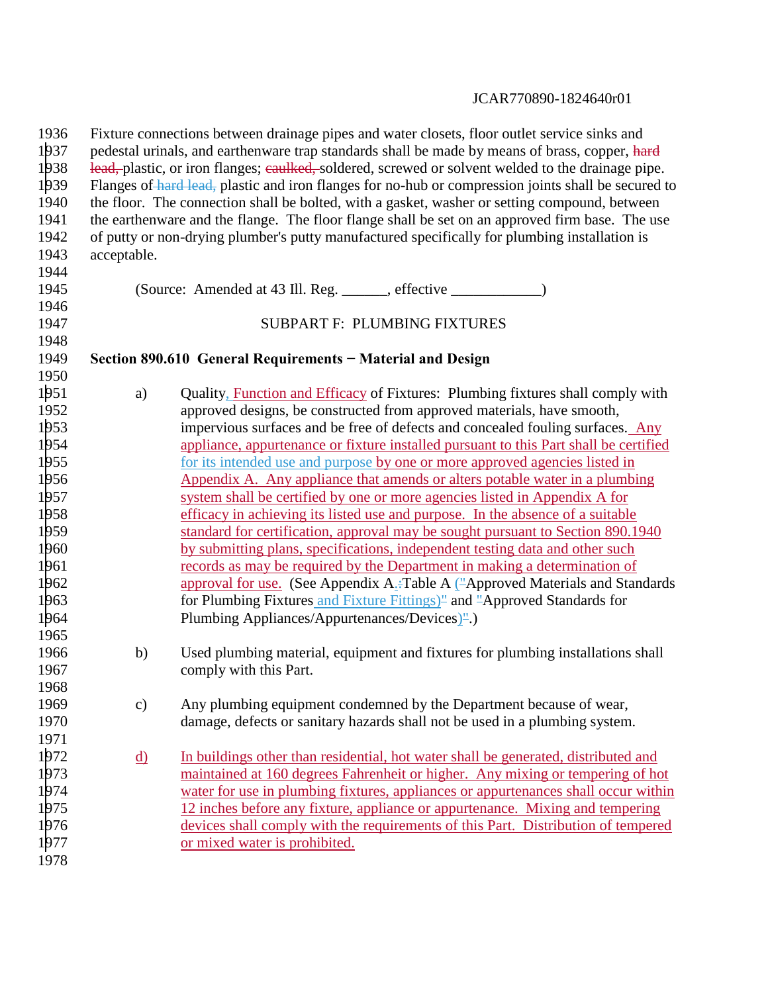| Fixture connections between drainage pipes and water closets, floor outlet service sinks and<br>pedestal urinals, and earthenware trap standards shall be made by means of brass, copper, hard |                                                                                                 |  |  |  |  |  |
|------------------------------------------------------------------------------------------------------------------------------------------------------------------------------------------------|-------------------------------------------------------------------------------------------------|--|--|--|--|--|
| lead, plastic, or iron flanges; caulked, soldered, screwed or solvent welded to the drainage pipe.                                                                                             |                                                                                                 |  |  |  |  |  |
| Flanges of hard lead, plastic and iron flanges for no-hub or compression joints shall be secured to                                                                                            |                                                                                                 |  |  |  |  |  |
| the floor. The connection shall be bolted, with a gasket, washer or setting compound, between                                                                                                  |                                                                                                 |  |  |  |  |  |
|                                                                                                                                                                                                | the earthenware and the flange. The floor flange shall be set on an approved firm base. The use |  |  |  |  |  |
|                                                                                                                                                                                                | of putty or non-drying plumber's putty manufactured specifically for plumbing installation is   |  |  |  |  |  |
|                                                                                                                                                                                                |                                                                                                 |  |  |  |  |  |
|                                                                                                                                                                                                |                                                                                                 |  |  |  |  |  |
|                                                                                                                                                                                                | (Source: Amended at 43 Ill. Reg. ______, effective _____________)                               |  |  |  |  |  |
|                                                                                                                                                                                                |                                                                                                 |  |  |  |  |  |
|                                                                                                                                                                                                | <b>SUBPART F: PLUMBING FIXTURES</b>                                                             |  |  |  |  |  |
|                                                                                                                                                                                                |                                                                                                 |  |  |  |  |  |
|                                                                                                                                                                                                | Section 890.610 General Requirements - Material and Design                                      |  |  |  |  |  |
|                                                                                                                                                                                                | Quality, Function and Efficacy of Fixtures: Plumbing fixtures shall comply with                 |  |  |  |  |  |
|                                                                                                                                                                                                | approved designs, be constructed from approved materials, have smooth,                          |  |  |  |  |  |
|                                                                                                                                                                                                | impervious surfaces and be free of defects and concealed fouling surfaces. Any                  |  |  |  |  |  |
|                                                                                                                                                                                                | appliance, appurtenance or fixture installed pursuant to this Part shall be certified           |  |  |  |  |  |
|                                                                                                                                                                                                | for its intended use and purpose by one or more approved agencies listed in                     |  |  |  |  |  |
|                                                                                                                                                                                                | Appendix A. Any appliance that amends or alters potable water in a plumbing                     |  |  |  |  |  |
|                                                                                                                                                                                                | system shall be certified by one or more agencies listed in Appendix A for                      |  |  |  |  |  |
|                                                                                                                                                                                                | efficacy in achieving its listed use and purpose. In the absence of a suitable                  |  |  |  |  |  |
|                                                                                                                                                                                                | standard for certification, approval may be sought pursuant to Section 890.1940                 |  |  |  |  |  |
|                                                                                                                                                                                                | by submitting plans, specifications, independent testing data and other such                    |  |  |  |  |  |
|                                                                                                                                                                                                | records as may be required by the Department in making a determination of                       |  |  |  |  |  |
|                                                                                                                                                                                                | approval for use. (See Appendix A <sub>2</sub> -Table A ("Approved Materials and Standards"     |  |  |  |  |  |
|                                                                                                                                                                                                | for Plumbing Fixtures and Fixture Fittings)" and "Approved Standards for                        |  |  |  |  |  |
|                                                                                                                                                                                                | Plumbing Appliances/Appurtenances/Devices) <sup>"</sup> .)                                      |  |  |  |  |  |
|                                                                                                                                                                                                |                                                                                                 |  |  |  |  |  |
| b)                                                                                                                                                                                             | Used plumbing material, equipment and fixtures for plumbing installations shall                 |  |  |  |  |  |
|                                                                                                                                                                                                | comply with this Part.                                                                          |  |  |  |  |  |
|                                                                                                                                                                                                |                                                                                                 |  |  |  |  |  |
| $\mathbf{c})$                                                                                                                                                                                  | Any plumbing equipment condemned by the Department because of wear,                             |  |  |  |  |  |
|                                                                                                                                                                                                | damage, defects or sanitary hazards shall not be used in a plumbing system.                     |  |  |  |  |  |
|                                                                                                                                                                                                |                                                                                                 |  |  |  |  |  |
|                                                                                                                                                                                                | In buildings other than residential, hot water shall be generated, distributed and              |  |  |  |  |  |
|                                                                                                                                                                                                | maintained at 160 degrees Fahrenheit or higher. Any mixing or tempering of hot                  |  |  |  |  |  |
|                                                                                                                                                                                                | water for use in plumbing fixtures, appliances or appurtenances shall occur within              |  |  |  |  |  |
|                                                                                                                                                                                                | 12 inches before any fixture, appliance or appurtenance. Mixing and tempering                   |  |  |  |  |  |
|                                                                                                                                                                                                | devices shall comply with the requirements of this Part. Distribution of tempered               |  |  |  |  |  |
|                                                                                                                                                                                                | or mixed water is prohibited.                                                                   |  |  |  |  |  |
|                                                                                                                                                                                                |                                                                                                 |  |  |  |  |  |
|                                                                                                                                                                                                | acceptable.<br>a)<br><u>d)</u>                                                                  |  |  |  |  |  |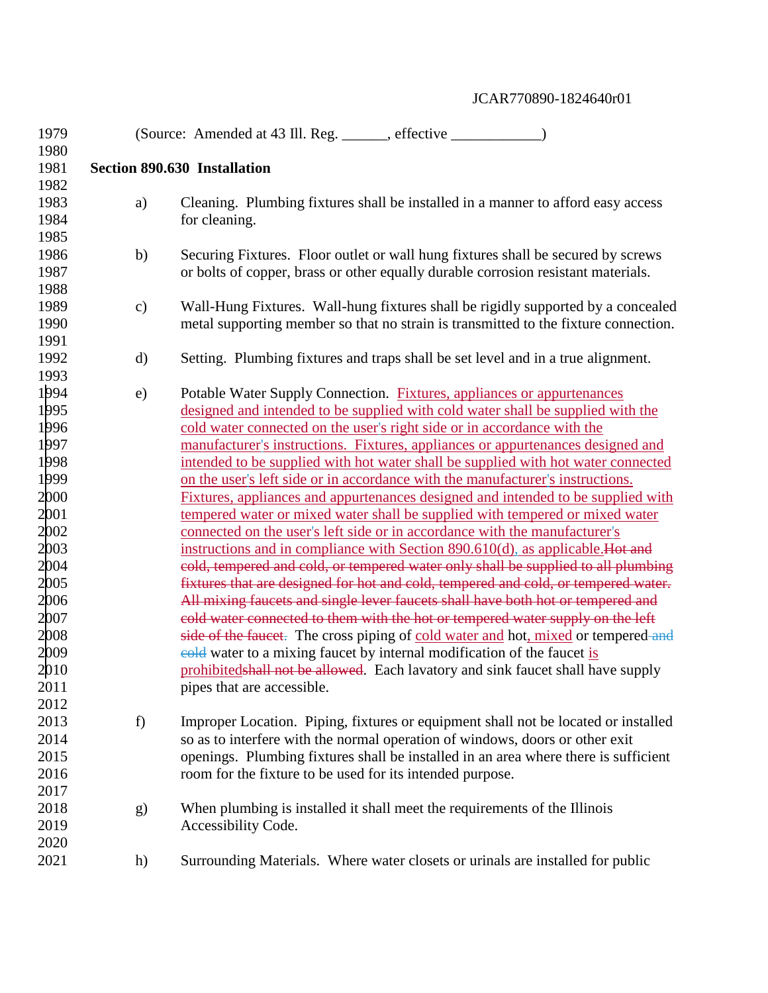| 1979 |               | (Source: Amended at 43 Ill. Reg. ______, effective _____________)                   |
|------|---------------|-------------------------------------------------------------------------------------|
| 1980 |               |                                                                                     |
| 1981 |               | <b>Section 890.630 Installation</b>                                                 |
| 1982 |               |                                                                                     |
| 1983 | a)            | Cleaning. Plumbing fixtures shall be installed in a manner to afford easy access    |
| 1984 |               | for cleaning.                                                                       |
| 1985 |               |                                                                                     |
| 1986 | b)            | Securing Fixtures. Floor outlet or wall hung fixtures shall be secured by screws    |
| 1987 |               | or bolts of copper, brass or other equally durable corrosion resistant materials.   |
| 1988 |               |                                                                                     |
| 1989 | $\mathbf{c})$ | Wall-Hung Fixtures. Wall-hung fixtures shall be rigidly supported by a concealed    |
| 1990 |               | metal supporting member so that no strain is transmitted to the fixture connection. |
| 1991 |               |                                                                                     |
| 1992 | $\mathbf{d}$  | Setting. Plumbing fixtures and traps shall be set level and in a true alignment.    |
| 1993 |               |                                                                                     |
| 1994 | $\epsilon$ )  | Potable Water Supply Connection. Fixtures, appliances or appurtenances              |
| 1995 |               | designed and intended to be supplied with cold water shall be supplied with the     |
| 1996 |               | cold water connected on the user's right side or in accordance with the             |
| 1997 |               | manufacturer's instructions. Fixtures, appliances or appurtenances designed and     |
| 1998 |               | intended to be supplied with hot water shall be supplied with hot water connected   |
| 1999 |               | on the user's left side or in accordance with the manufacturer's instructions.      |
| 2000 |               | Fixtures, appliances and appurtenances designed and intended to be supplied with    |
| 2001 |               | tempered water or mixed water shall be supplied with tempered or mixed water        |
| 2002 |               | connected on the user's left side or in accordance with the manufacturer's          |
| 2003 |               | instructions and in compliance with Section 890.610(d), as applicable. Hot and      |
| 2004 |               | cold, tempered and cold, or tempered water only shall be supplied to all plumbing   |
| 2005 |               | fixtures that are designed for hot and cold, tempered and cold, or tempered water.  |
| 2006 |               | All mixing faucets and single lever faucets shall have both hot or tempered and     |
| 2007 |               | cold water connected to them with the hot or tempered water supply on the left      |
| 2008 |               | side of the faucet. The cross piping of cold water and hot, mixed or tempered and   |
| 2009 |               | eold water to a mixing faucet by internal modification of the faucet is             |
| 2010 |               | prohibited shall not be allowed. Each lavatory and sink faucet shall have supply    |
| 2011 |               | pipes that are accessible.                                                          |
| 2012 |               |                                                                                     |
| 2013 | f)            | Improper Location. Piping, fixtures or equipment shall not be located or installed  |
| 2014 |               | so as to interfere with the normal operation of windows, doors or other exit        |
| 2015 |               | openings. Plumbing fixtures shall be installed in an area where there is sufficient |
| 2016 |               | room for the fixture to be used for its intended purpose.                           |
| 2017 |               |                                                                                     |
| 2018 | g)            | When plumbing is installed it shall meet the requirements of the Illinois           |
| 2019 |               | Accessibility Code.                                                                 |
| 2020 |               |                                                                                     |
| 2021 | h)            | Surrounding Materials. Where water closets or urinals are installed for public      |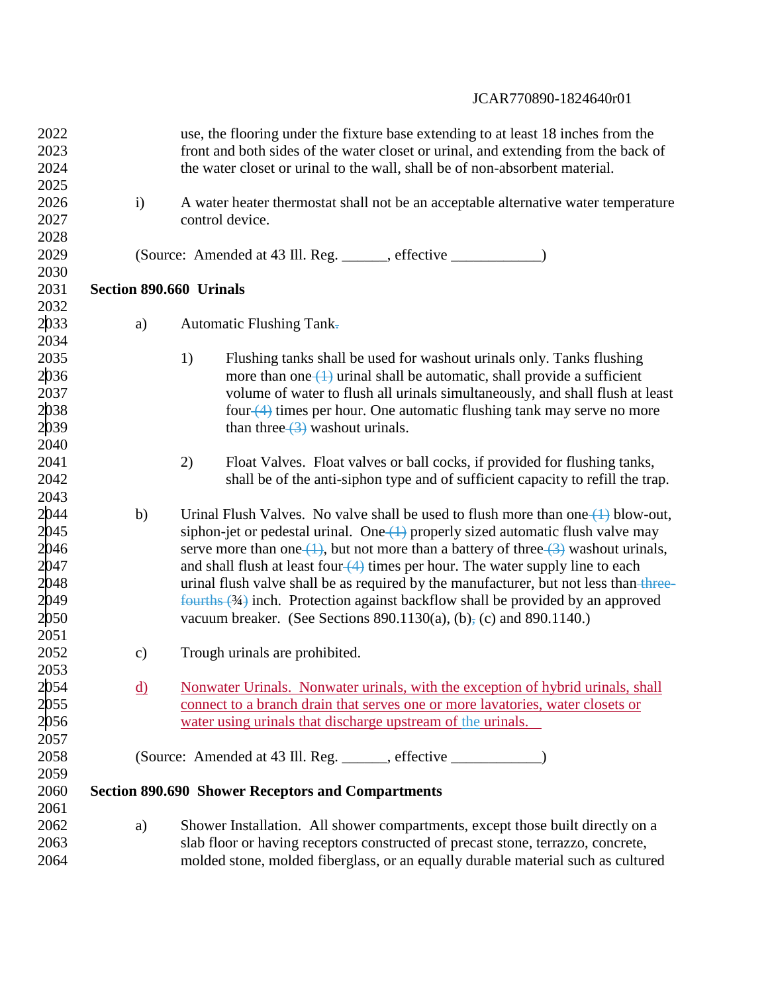| 2022         |              |               | use, the flooring under the fixture base extending to at least 18 inches from the       |
|--------------|--------------|---------------|-----------------------------------------------------------------------------------------|
| 2023         |              |               | front and both sides of the water closet or urinal, and extending from the back of      |
| 2024         |              |               | the water closet or urinal to the wall, shall be of non-absorbent material.             |
| 2025         |              |               |                                                                                         |
| 2026         | $\mathbf{i}$ |               | A water heater thermostat shall not be an acceptable alternative water temperature      |
| 2027         |              |               | control device.                                                                         |
| 2028         |              |               |                                                                                         |
| 2029         |              |               |                                                                                         |
| 2030         |              |               |                                                                                         |
| 2031         |              |               | Section 890.660 Urinals                                                                 |
| 2032         |              |               |                                                                                         |
| 2033         |              | a)            | <b>Automatic Flushing Tank-</b>                                                         |
| 2034         |              |               |                                                                                         |
| 2035         |              |               | 1)<br>Flushing tanks shall be used for washout urinals only. Tanks flushing             |
| 2036         |              |               | more than one $(1)$ urinal shall be automatic, shall provide a sufficient               |
| 2037         |              |               | volume of water to flush all urinals simultaneously, and shall flush at least           |
| 2038         |              |               | four (4) times per hour. One automatic flushing tank may serve no more                  |
| 2039         |              |               | than three $\left(\frac{3}{2}\right)$ washout urinals.                                  |
| 2040         |              |               |                                                                                         |
| 2041         |              |               | 2)<br>Float Valves. Float valves or ball cocks, if provided for flushing tanks,         |
| 2042         |              |               | shall be of the anti-siphon type and of sufficient capacity to refill the trap.         |
| 2043         |              |               |                                                                                         |
| 2044         |              | b)            | Urinal Flush Valves. No valve shall be used to flush more than one $(1)$ blow-out,      |
| 2045         |              |               | siphon-jet or pedestal urinal. One $(1)$ properly sized automatic flush valve may       |
| 2046         |              |               | serve more than one $(1)$ , but not more than a battery of three $(3)$ washout urinals, |
| 2047         |              |               | and shall flush at least four $(4)$ times per hour. The water supply line to each       |
| 2048         |              |               | urinal flush valve shall be as required by the manufacturer, but not less than three-   |
| 2049         |              |               | $f$ ourths $(34)$ inch. Protection against backflow shall be provided by an approved    |
| 2050         |              |               | vacuum breaker. (See Sections 890.1130(a), (b) <sub>7</sub> (c) and 890.1140.)          |
| 2051         |              |               |                                                                                         |
| 2052         |              | $\mathbf{c})$ | Trough urinals are prohibited.                                                          |
| 2053         |              |               |                                                                                         |
|              |              | <u>d)</u>     | Nonwater Urinals. Nonwater urinals, with the exception of hybrid urinals, shall         |
| 2054<br>2055 |              |               | connect to a branch drain that serves one or more layatories, water closets or          |
| 2056         |              |               | water using urinals that discharge upstream of the urinals.                             |
| 2057         |              |               |                                                                                         |
| 2058         |              |               | (Source: Amended at 43 Ill. Reg. ______, effective ____________)                        |
| 2059         |              |               |                                                                                         |
| 2060         |              |               | <b>Section 890.690 Shower Receptors and Compartments</b>                                |
| 2061         |              |               |                                                                                         |
| 2062         |              | a)            | Shower Installation. All shower compartments, except those built directly on a          |
| 2063         |              |               | slab floor or having receptors constructed of precast stone, terrazzo, concrete,        |
| 2064         |              |               | molded stone, molded fiberglass, or an equally durable material such as cultured        |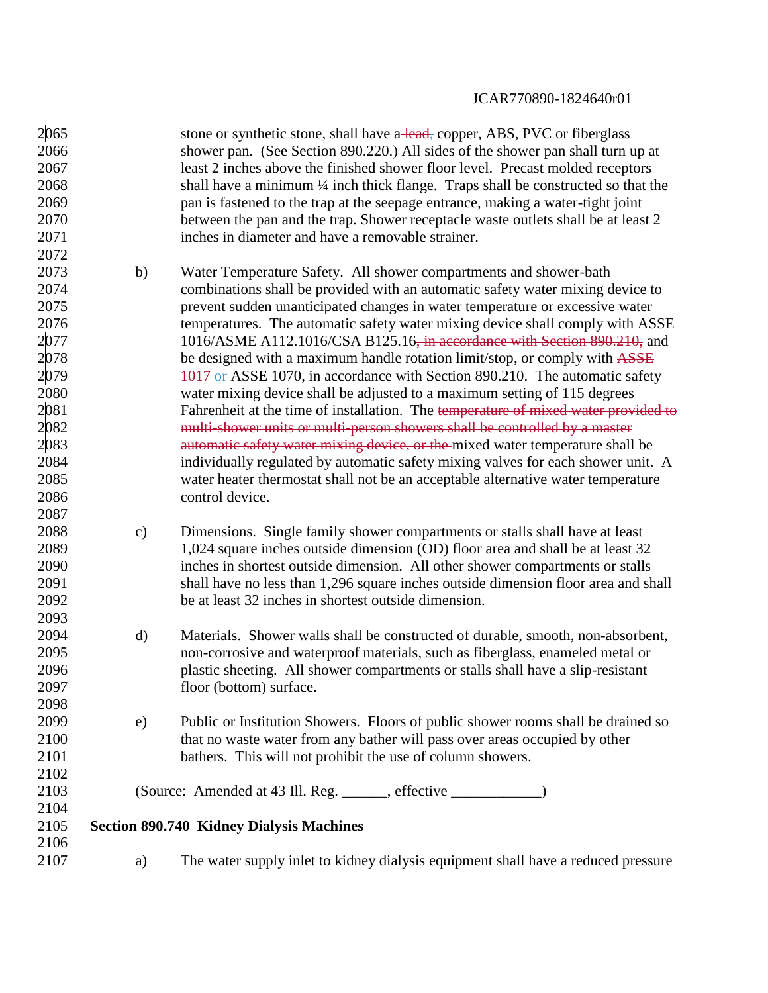| 2065<br>2066<br>2067<br>2068<br>2069<br>2070<br>2071<br>2072                                 |               | stone or synthetic stone, shall have a lead, copper, ABS, PVC or fiberglass<br>shower pan. (See Section 890.220.) All sides of the shower pan shall turn up at<br>least 2 inches above the finished shower floor level. Precast molded receptors<br>shall have a minimum 1/4 inch thick flange. Traps shall be constructed so that the<br>pan is fastened to the trap at the seepage entrance, making a water-tight joint<br>between the pan and the trap. Shower receptacle waste outlets shall be at least 2<br>inches in diameter and have a removable strainer.                                                                                                                                                                                                                                                                                                                                                                                                                 |
|----------------------------------------------------------------------------------------------|---------------|-------------------------------------------------------------------------------------------------------------------------------------------------------------------------------------------------------------------------------------------------------------------------------------------------------------------------------------------------------------------------------------------------------------------------------------------------------------------------------------------------------------------------------------------------------------------------------------------------------------------------------------------------------------------------------------------------------------------------------------------------------------------------------------------------------------------------------------------------------------------------------------------------------------------------------------------------------------------------------------|
| 2073<br>2074<br>2075<br>2076<br>2077<br>2078<br>2079<br>2080<br>2081<br>2082<br>2083<br>2084 | b)            | Water Temperature Safety. All shower compartments and shower-bath<br>combinations shall be provided with an automatic safety water mixing device to<br>prevent sudden unanticipated changes in water temperature or excessive water<br>temperatures. The automatic safety water mixing device shall comply with ASSE<br>1016/ASME A112.1016/CSA B125.16, in accordance with Section 890.210, and<br>be designed with a maximum handle rotation limit/stop, or comply with ASSE<br>1017 or ASSE 1070, in accordance with Section 890.210. The automatic safety<br>water mixing device shall be adjusted to a maximum setting of 115 degrees<br>Fahrenheit at the time of installation. The temperature of mixed water provided to<br>multi-shower units or multi-person showers shall be controlled by a master<br>automatic safety water mixing device, or the mixed water temperature shall be<br>individually regulated by automatic safety mixing valves for each shower unit. A |
| 2085<br>2086<br>2087                                                                         |               | water heater thermostat shall not be an acceptable alternative water temperature<br>control device.                                                                                                                                                                                                                                                                                                                                                                                                                                                                                                                                                                                                                                                                                                                                                                                                                                                                                 |
| 2088<br>2089<br>2090<br>2091<br>2092<br>2093                                                 | $\mathbf{c})$ | Dimensions. Single family shower compartments or stalls shall have at least<br>1,024 square inches outside dimension (OD) floor area and shall be at least 32<br>inches in shortest outside dimension. All other shower compartments or stalls<br>shall have no less than 1,296 square inches outside dimension floor area and shall<br>be at least 32 inches in shortest outside dimension.                                                                                                                                                                                                                                                                                                                                                                                                                                                                                                                                                                                        |
| 2094<br>2095<br>2096<br>2097<br>2098                                                         | d)            | Materials. Shower walls shall be constructed of durable, smooth, non-absorbent,<br>non-corrosive and waterproof materials, such as fiberglass, enameled metal or<br>plastic sheeting. All shower compartments or stalls shall have a slip-resistant<br>floor (bottom) surface.                                                                                                                                                                                                                                                                                                                                                                                                                                                                                                                                                                                                                                                                                                      |
| 2099<br>2100<br>2101<br>2102                                                                 | e)            | Public or Institution Showers. Floors of public shower rooms shall be drained so<br>that no waste water from any bather will pass over areas occupied by other<br>bathers. This will not prohibit the use of column showers.                                                                                                                                                                                                                                                                                                                                                                                                                                                                                                                                                                                                                                                                                                                                                        |
| 2103                                                                                         |               |                                                                                                                                                                                                                                                                                                                                                                                                                                                                                                                                                                                                                                                                                                                                                                                                                                                                                                                                                                                     |
| 2104                                                                                         |               |                                                                                                                                                                                                                                                                                                                                                                                                                                                                                                                                                                                                                                                                                                                                                                                                                                                                                                                                                                                     |
| 2105                                                                                         |               | <b>Section 890.740 Kidney Dialysis Machines</b>                                                                                                                                                                                                                                                                                                                                                                                                                                                                                                                                                                                                                                                                                                                                                                                                                                                                                                                                     |
| 2106                                                                                         |               |                                                                                                                                                                                                                                                                                                                                                                                                                                                                                                                                                                                                                                                                                                                                                                                                                                                                                                                                                                                     |
| 2107                                                                                         | a)            | The water supply inlet to kidney dialysis equipment shall have a reduced pressure                                                                                                                                                                                                                                                                                                                                                                                                                                                                                                                                                                                                                                                                                                                                                                                                                                                                                                   |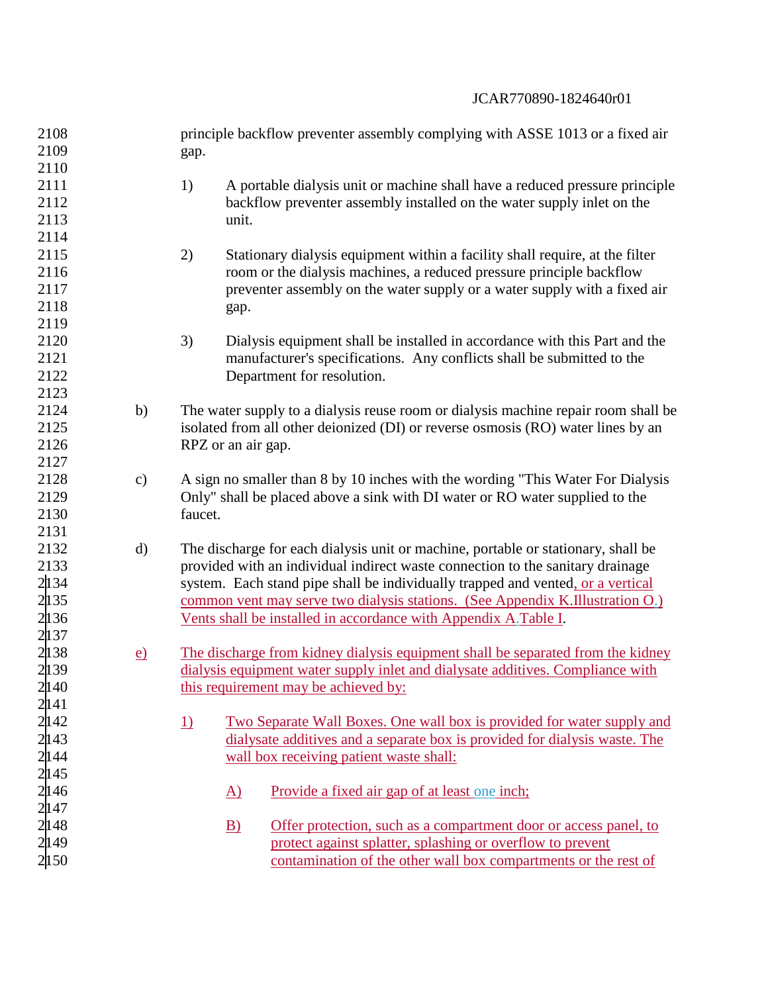| 2108  |                 | principle backflow preventer assembly complying with ASSE 1013 or a fixed air              |
|-------|-----------------|--------------------------------------------------------------------------------------------|
| 2109  |                 | gap.                                                                                       |
| 2110  |                 |                                                                                            |
| 2111  |                 | 1)<br>A portable dialysis unit or machine shall have a reduced pressure principle          |
| 2112  |                 | backflow preventer assembly installed on the water supply inlet on the                     |
| 2113  |                 | unit.                                                                                      |
| 2114  |                 |                                                                                            |
| 2115  |                 | 2)<br>Stationary dialysis equipment within a facility shall require, at the filter         |
| 2116  |                 | room or the dialysis machines, a reduced pressure principle backflow                       |
| 2117  |                 | preventer assembly on the water supply or a water supply with a fixed air                  |
| 2118  |                 | gap.                                                                                       |
| 2119  |                 |                                                                                            |
| 2120  |                 | 3)<br>Dialysis equipment shall be installed in accordance with this Part and the           |
| 2121  |                 | manufacturer's specifications. Any conflicts shall be submitted to the                     |
| 2122  |                 | Department for resolution.                                                                 |
| 2123  |                 |                                                                                            |
| 2124  | b)              | The water supply to a dialysis reuse room or dialysis machine repair room shall be         |
| 2125  |                 | isolated from all other deionized (DI) or reverse osmosis (RO) water lines by an           |
| 2126  |                 | RPZ or an air gap.                                                                         |
| 2127  |                 |                                                                                            |
| 2128  | $\mathbf{c})$   | A sign no smaller than 8 by 10 inches with the wording "This Water For Dialysis            |
| 2129  |                 | Only" shall be placed above a sink with DI water or RO water supplied to the               |
| 2130  |                 | faucet.                                                                                    |
| 2131  |                 |                                                                                            |
| 2132  | $\mathbf{d}$    | The discharge for each dialysis unit or machine, portable or stationary, shall be          |
| 2133  |                 | provided with an individual indirect waste connection to the sanitary drainage             |
| 2134  |                 | system. Each stand pipe shall be individually trapped and vented, or a vertical            |
| 2135  |                 | common vent may serve two dialysis stations. (See Appendix K.Illustration O.)              |
| 2136  |                 | Vents shall be installed in accordance with Appendix A. Table I.                           |
| 2137  |                 |                                                                                            |
| 2138  | $\underline{e}$ | The discharge from kidney dialysis equipment shall be separated from the kidney            |
| 2139  |                 | dialysis equipment water supply inlet and dialysate additives. Compliance with             |
| 2140  |                 | this requirement may be achieved by:                                                       |
| 2141  |                 |                                                                                            |
| 2142  |                 | <u>Two Separate Wall Boxes. One wall box is provided for water supply and</u><br><u>1)</u> |
| 2143  |                 | dialysate additives and a separate box is provided for dialysis waste. The                 |
| 2144  |                 | wall box receiving patient waste shall:                                                    |
| 2 145 |                 |                                                                                            |
| 2 146 |                 | $\underline{A}$<br>Provide a fixed air gap of at least one inch;                           |
| 2 147 |                 |                                                                                            |
| 2148  |                 | Offer protection, such as a compartment door or access panel, to<br>$\mathbf{B}$           |
| 2149  |                 | protect against splatter, splashing or overflow to prevent                                 |
| 2150  |                 | contamination of the other wall box compartments or the rest of                            |
|       |                 |                                                                                            |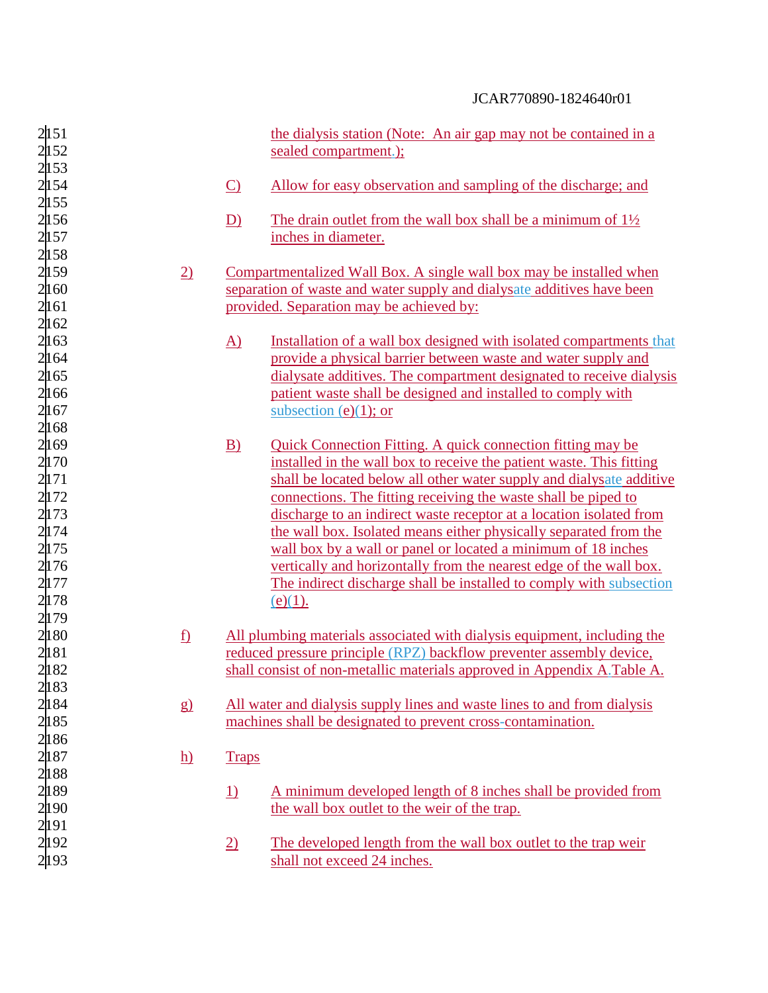| 2151  |                          |                 | the dialysis station (Note: An air gap may not be contained in a         |
|-------|--------------------------|-----------------|--------------------------------------------------------------------------|
| 2152  |                          |                 | sealed compartment.);                                                    |
| 2 153 |                          |                 |                                                                          |
| 2154  |                          | $\Omega$        | Allow for easy observation and sampling of the discharge; and            |
| 2 155 |                          |                 |                                                                          |
| 2156  |                          | D)              | The drain outlet from the wall box shall be a minimum of $1\frac{1}{2}$  |
| 2 157 |                          |                 | inches in diameter.                                                      |
| 2158  |                          |                 |                                                                          |
| 2159  | $\underline{2}$          |                 | Compartmentalized Wall Box. A single wall box may be installed when      |
| 2160  |                          |                 | separation of waste and water supply and dialysate additives have been   |
| 2161  |                          |                 | provided. Separation may be achieved by:                                 |
| 2 162 |                          |                 |                                                                          |
|       |                          |                 |                                                                          |
| 2 163 |                          | $\underline{A}$ | Installation of a wall box designed with isolated compartments that      |
| 2 164 |                          |                 | provide a physical barrier between waste and water supply and            |
| 2165  |                          |                 | dialysate additives. The compartment designated to receive dialysis      |
| 2166  |                          |                 | patient waste shall be designed and installed to comply with             |
| 2 167 |                          |                 | subsection (e)(1); or                                                    |
| 2168  |                          |                 |                                                                          |
| 2 169 |                          | B)              | Quick Connection Fitting. A quick connection fitting may be              |
| 2170  |                          |                 | installed in the wall box to receive the patient waste. This fitting     |
| 2 171 |                          |                 | shall be located below all other water supply and dialysate additive     |
| 2172  |                          |                 | connections. The fitting receiving the waste shall be piped to           |
| 2 173 |                          |                 | discharge to an indirect waste receptor at a location isolated from      |
| 2 174 |                          |                 | the wall box. Isolated means either physically separated from the        |
| 2 175 |                          |                 | wall box by a wall or panel or located a minimum of 18 inches            |
| 2176  |                          |                 | vertically and horizontally from the nearest edge of the wall box.       |
| 2177  |                          |                 | The indirect discharge shall be installed to comply with subsection      |
| 2178  |                          |                 | $(e)(1)$ .                                                               |
| 2179  |                          |                 |                                                                          |
| 2 180 | $\underline{\mathbf{f}}$ |                 | All plumbing materials associated with dialysis equipment, including the |
| 2 181 |                          |                 | reduced pressure principle (RPZ) backflow preventer assembly device,     |
| 2 182 |                          |                 | shall consist of non-metallic materials approved in Appendix A. Table A. |
| 2183  |                          |                 |                                                                          |
| 2184  | g)                       |                 | All water and dialysis supply lines and waste lines to and from dialysis |
| 2 185 |                          |                 | machines shall be designated to prevent cross-contamination.             |
| 2186  |                          |                 |                                                                          |
| 2 187 | $\underline{h}$          | <b>Traps</b>    |                                                                          |
| 2 188 |                          |                 |                                                                          |
| 2 189 |                          |                 |                                                                          |
|       |                          | $\underline{1}$ | <u>A minimum developed length of 8 inches shall be provided from</u>     |
| 2190  |                          |                 | the wall box outlet to the weir of the trap.                             |
| 2 191 |                          |                 |                                                                          |
| 2192  |                          | $\underline{2}$ | The developed length from the wall box outlet to the trap weir           |
| 2 193 |                          |                 | shall not exceed 24 inches.                                              |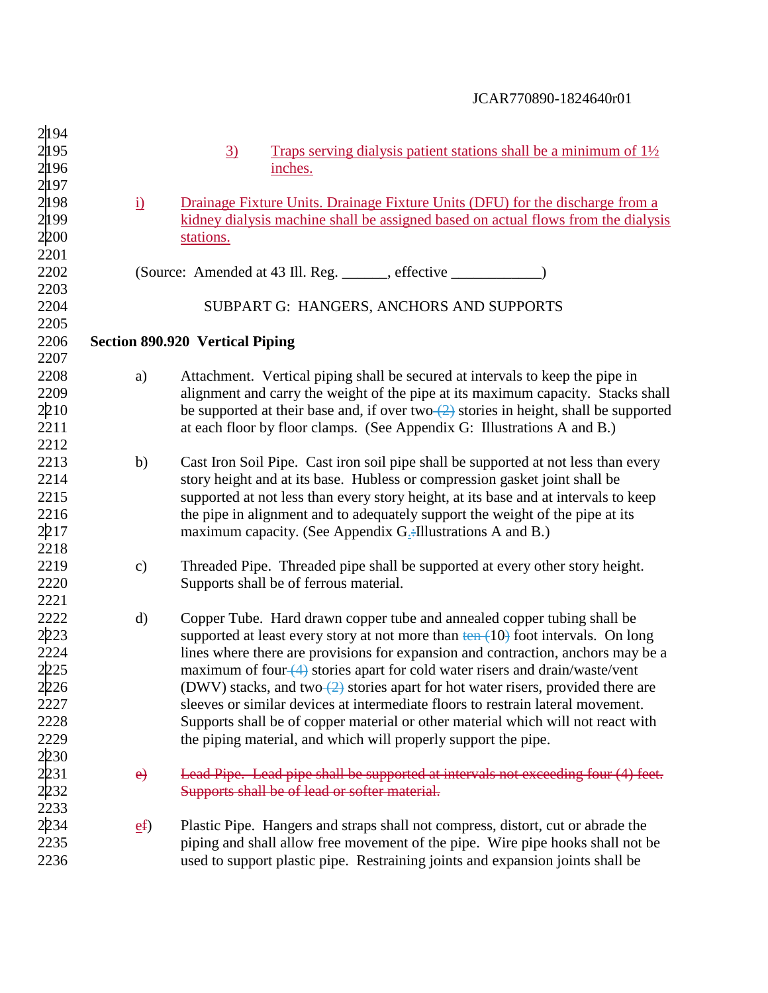| 2194 |                 |                                                                                                              |
|------|-----------------|--------------------------------------------------------------------------------------------------------------|
| 2195 |                 | $\underline{3}$<br>Traps serving dialysis patient stations shall be a minimum of $1\frac{1}{2}$              |
| 2196 |                 | inches.                                                                                                      |
| 2197 |                 |                                                                                                              |
| 2198 | $\underline{i}$ | Drainage Fixture Units. Drainage Fixture Units (DFU) for the discharge from a                                |
| 2199 |                 | kidney dialysis machine shall be assigned based on actual flows from the dialysis                            |
| 2200 |                 | stations.                                                                                                    |
| 2201 |                 |                                                                                                              |
| 2202 |                 |                                                                                                              |
| 2203 |                 |                                                                                                              |
| 2204 |                 | SUBPART G: HANGERS, ANCHORS AND SUPPORTS                                                                     |
| 2205 |                 |                                                                                                              |
| 2206 |                 |                                                                                                              |
| 2207 |                 | <b>Section 890.920 Vertical Piping</b>                                                                       |
| 2208 |                 |                                                                                                              |
|      | a)              | Attachment. Vertical piping shall be secured at intervals to keep the pipe in                                |
| 2209 |                 | alignment and carry the weight of the pipe at its maximum capacity. Stacks shall                             |
| 2210 |                 | be supported at their base and, if over two $\left(\frac{2}{2}\right)$ stories in height, shall be supported |
| 2211 |                 | at each floor by floor clamps. (See Appendix G: Illustrations A and B.)                                      |
| 2212 |                 |                                                                                                              |
| 2213 | b)              | Cast Iron Soil Pipe. Cast iron soil pipe shall be supported at not less than every                           |
| 2214 |                 | story height and at its base. Hubless or compression gasket joint shall be                                   |
| 2215 |                 | supported at not less than every story height, at its base and at intervals to keep                          |
| 2216 |                 | the pipe in alignment and to adequately support the weight of the pipe at its                                |
| 2217 |                 | maximum capacity. (See Appendix $G$ -Illustrations A and B.)                                                 |
| 2218 |                 |                                                                                                              |
| 2219 | $\mathbf{c})$   | Threaded Pipe. Threaded pipe shall be supported at every other story height.                                 |
| 2220 |                 | Supports shall be of ferrous material.                                                                       |
| 2221 |                 |                                                                                                              |
| 2222 | $\rm d)$        | Copper Tube. Hard drawn copper tube and annealed copper tubing shall be                                      |
| 2223 |                 | supported at least every story at not more than $\frac{\tan (10)}{\tan (10)}$ foot intervals. On long        |
| 2224 |                 | lines where there are provisions for expansion and contraction, anchors may be a                             |
| 2225 |                 | maximum of four $(4)$ stories apart for cold water risers and drain/waste/vent                               |
| 2226 |                 | (DWV) stacks, and two $(2)$ stories apart for hot water risers, provided there are                           |
| 2227 |                 | sleeves or similar devices at intermediate floors to restrain lateral movement.                              |
| 2228 |                 | Supports shall be of copper material or other material which will not react with                             |
| 2229 |                 | the piping material, and which will properly support the pipe.                                               |
| 2230 |                 |                                                                                                              |
| 2231 | e)              | Lead Pipe. Lead pipe shall be supported at intervals not exceeding four (4) feet.                            |
| 2232 |                 | Supports shall be of lead or softer material.                                                                |
| 2233 |                 |                                                                                                              |
| 2234 | ef              | Plastic Pipe. Hangers and straps shall not compress, distort, cut or abrade the                              |
| 2235 |                 | piping and shall allow free movement of the pipe. Wire pipe hooks shall not be                               |
| 2236 |                 | used to support plastic pipe. Restraining joints and expansion joints shall be                               |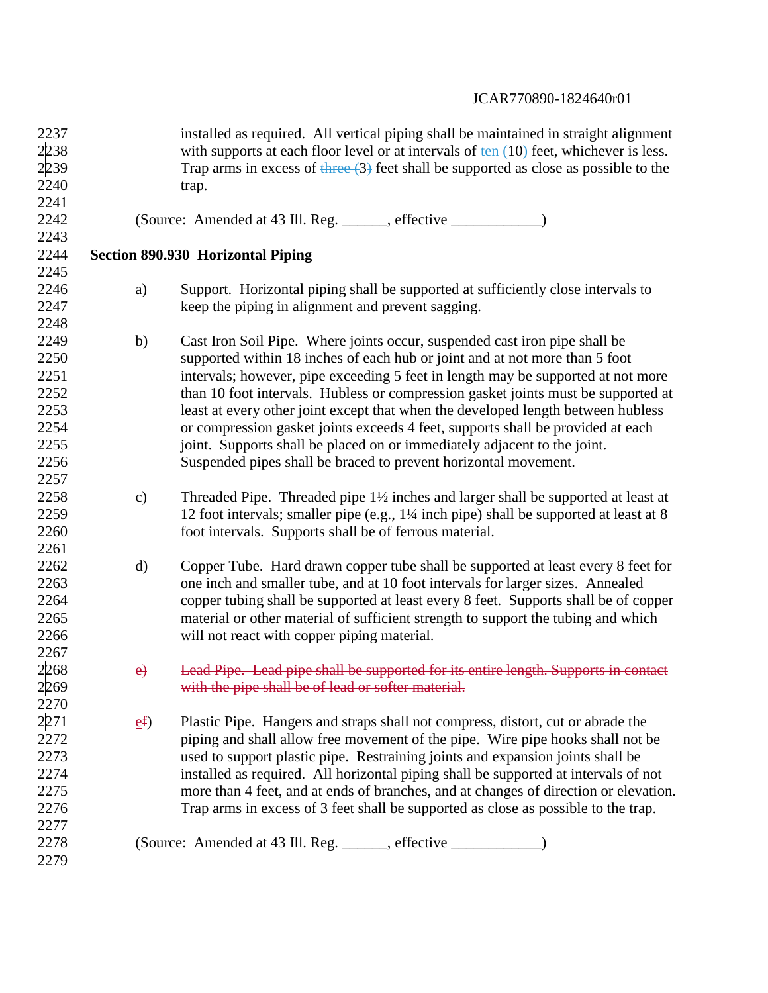| 2237 |               | installed as required. All vertical piping shall be maintained in straight alignment                 |
|------|---------------|------------------------------------------------------------------------------------------------------|
| 2238 |               | with supports at each floor level or at intervals of $tan(10)$ feet, whichever is less.              |
| 2239 |               | Trap arms in excess of $\frac{4 \text{Area}}{3}$ feet shall be supported as close as possible to the |
| 2240 |               | trap.                                                                                                |
| 2241 |               |                                                                                                      |
| 2242 |               |                                                                                                      |
| 2243 |               |                                                                                                      |
| 2244 |               | <b>Section 890.930 Horizontal Piping</b>                                                             |
| 2245 |               |                                                                                                      |
| 2246 | a)            | Support. Horizontal piping shall be supported at sufficiently close intervals to                     |
| 2247 |               | keep the piping in alignment and prevent sagging.                                                    |
| 2248 |               |                                                                                                      |
| 2249 | b)            | Cast Iron Soil Pipe. Where joints occur, suspended cast iron pipe shall be                           |
| 2250 |               | supported within 18 inches of each hub or joint and at not more than 5 foot                          |
| 2251 |               | intervals; however, pipe exceeding 5 feet in length may be supported at not more                     |
| 2252 |               | than 10 foot intervals. Hubless or compression gasket joints must be supported at                    |
| 2253 |               | least at every other joint except that when the developed length between hubless                     |
| 2254 |               | or compression gasket joints exceeds 4 feet, supports shall be provided at each                      |
| 2255 |               | joint. Supports shall be placed on or immediately adjacent to the joint.                             |
| 2256 |               | Suspended pipes shall be braced to prevent horizontal movement.                                      |
| 2257 |               |                                                                                                      |
| 2258 | $\mathbf{c})$ | Threaded Pipe. Threaded pipe $1\frac{1}{2}$ inches and larger shall be supported at least at         |
| 2259 |               | 12 foot intervals; smaller pipe (e.g., 1¼ inch pipe) shall be supported at least at 8                |
| 2260 |               | foot intervals. Supports shall be of ferrous material.                                               |
| 2261 |               |                                                                                                      |
| 2262 | $\rm d)$      | Copper Tube. Hard drawn copper tube shall be supported at least every 8 feet for                     |
| 2263 |               | one inch and smaller tube, and at 10 foot intervals for larger sizes. Annealed                       |
| 2264 |               | copper tubing shall be supported at least every 8 feet. Supports shall be of copper                  |
| 2265 |               | material or other material of sufficient strength to support the tubing and which                    |
| 2266 |               | will not react with copper piping material.                                                          |
| 2267 |               |                                                                                                      |
| 2268 | e)            | Lead Pipe. Lead pipe shall be supported for its entire length. Supports in contact                   |
| 2269 |               | with the pipe shall be of lead or softer material.                                                   |
| 2270 |               |                                                                                                      |
| 2271 | ef            | Plastic Pipe. Hangers and straps shall not compress, distort, cut or abrade the                      |
| 2272 |               | piping and shall allow free movement of the pipe. Wire pipe hooks shall not be                       |
| 2273 |               | used to support plastic pipe. Restraining joints and expansion joints shall be                       |
| 2274 |               | installed as required. All horizontal piping shall be supported at intervals of not                  |
| 2275 |               | more than 4 feet, and at ends of branches, and at changes of direction or elevation.                 |
| 2276 |               | Trap arms in excess of 3 feet shall be supported as close as possible to the trap.                   |
| 2277 |               |                                                                                                      |
| 2278 |               | (Source: Amended at 43 Ill. Reg. ______, effective _______________)                                  |
| 2279 |               |                                                                                                      |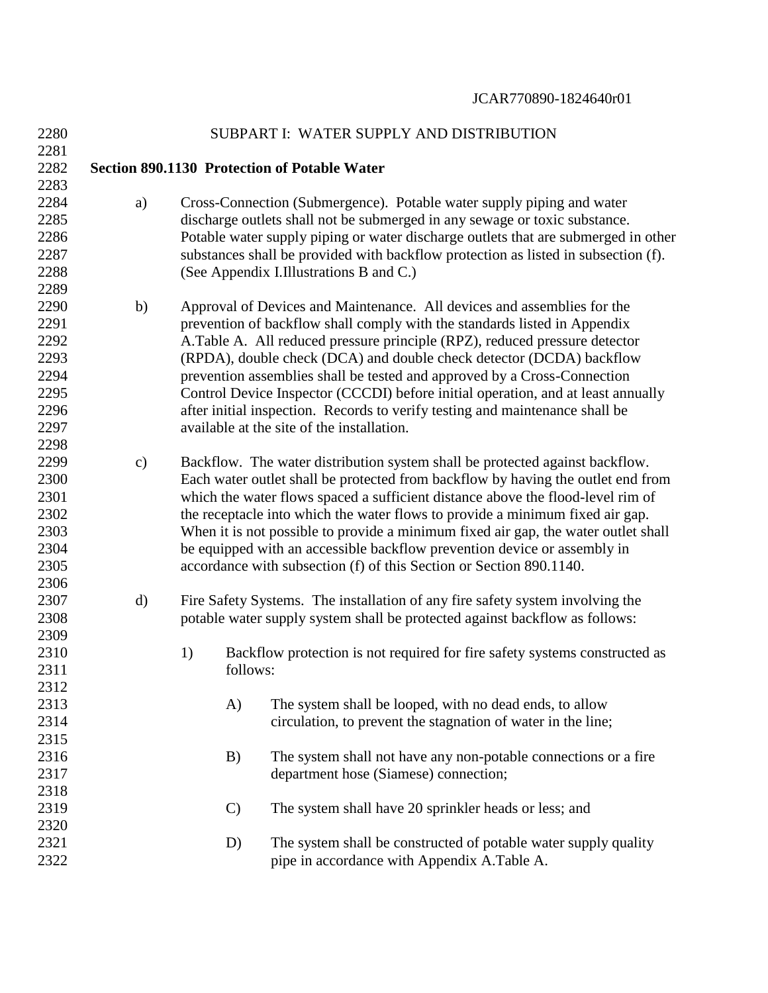| 2280         |               |               | SUBPART I: WATER SUPPLY AND DISTRIBUTION                                                                                                            |
|--------------|---------------|---------------|-----------------------------------------------------------------------------------------------------------------------------------------------------|
| 2281         |               |               |                                                                                                                                                     |
| 2282         |               |               | <b>Section 890.1130 Protection of Potable Water</b>                                                                                                 |
| 2283         |               |               |                                                                                                                                                     |
| 2284<br>2285 | a)            |               | Cross-Connection (Submergence). Potable water supply piping and water<br>discharge outlets shall not be submerged in any sewage or toxic substance. |
| 2286         |               |               | Potable water supply piping or water discharge outlets that are submerged in other                                                                  |
| 2287<br>2288 |               |               | substances shall be provided with backflow protection as listed in subsection (f).<br>(See Appendix I.Illustrations B and C.)                       |
| 2289         |               |               |                                                                                                                                                     |
| 2290         | b)            |               | Approval of Devices and Maintenance. All devices and assemblies for the                                                                             |
| 2291         |               |               | prevention of backflow shall comply with the standards listed in Appendix                                                                           |
| 2292         |               |               | A.Table A. All reduced pressure principle (RPZ), reduced pressure detector                                                                          |
| 2293         |               |               | (RPDA), double check (DCA) and double check detector (DCDA) backflow                                                                                |
| 2294         |               |               | prevention assemblies shall be tested and approved by a Cross-Connection                                                                            |
| 2295         |               |               | Control Device Inspector (CCCDI) before initial operation, and at least annually                                                                    |
| 2296         |               |               | after initial inspection. Records to verify testing and maintenance shall be                                                                        |
| 2297         |               |               | available at the site of the installation.                                                                                                          |
| 2298         |               |               |                                                                                                                                                     |
| 2299         | $\mathbf{c})$ |               | Backflow. The water distribution system shall be protected against backflow.                                                                        |
| 2300         |               |               | Each water outlet shall be protected from backflow by having the outlet end from                                                                    |
| 2301         |               |               | which the water flows spaced a sufficient distance above the flood-level rim of                                                                     |
| 2302         |               |               | the receptacle into which the water flows to provide a minimum fixed air gap.                                                                       |
| 2303         |               |               | When it is not possible to provide a minimum fixed air gap, the water outlet shall                                                                  |
| 2304         |               |               | be equipped with an accessible backflow prevention device or assembly in                                                                            |
| 2305         |               |               | accordance with subsection (f) of this Section or Section 890.1140.                                                                                 |
| 2306         |               |               |                                                                                                                                                     |
| 2307         | d)            |               | Fire Safety Systems. The installation of any fire safety system involving the                                                                       |
| 2308         |               |               | potable water supply system shall be protected against backflow as follows:                                                                         |
| 2309         |               |               |                                                                                                                                                     |
| 2310         |               | 1)            | Backflow protection is not required for fire safety systems constructed as                                                                          |
| 2311         |               | follows:      |                                                                                                                                                     |
| 2312         |               |               |                                                                                                                                                     |
| 2313         |               | A)            | The system shall be looped, with no dead ends, to allow                                                                                             |
| 2314         |               |               | circulation, to prevent the stagnation of water in the line;                                                                                        |
| 2315         |               |               |                                                                                                                                                     |
| 2316         |               | B)            | The system shall not have any non-potable connections or a fire                                                                                     |
| 2317         |               |               | department hose (Siamese) connection;                                                                                                               |
| 2318         |               |               |                                                                                                                                                     |
| 2319         |               | $\mathcal{C}$ | The system shall have 20 sprinkler heads or less; and                                                                                               |
| 2320         |               |               |                                                                                                                                                     |
| 2321         |               | D)            | The system shall be constructed of potable water supply quality                                                                                     |
| 2322         |               |               | pipe in accordance with Appendix A.Table A.                                                                                                         |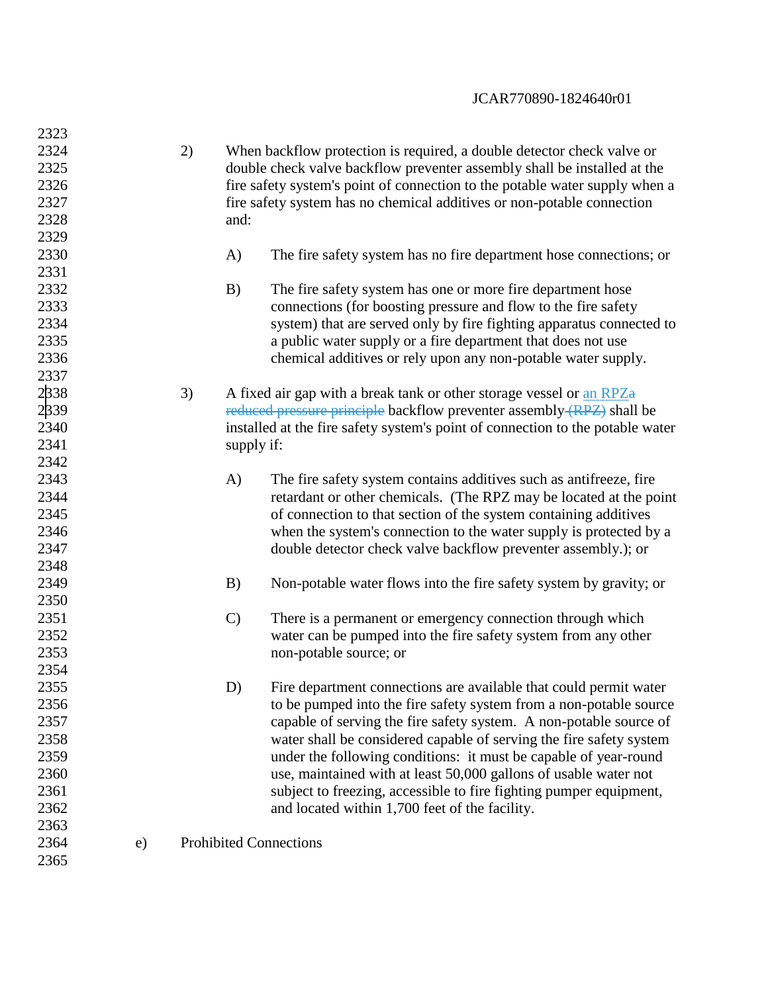| 2323 |    |    |               |                                                                                |
|------|----|----|---------------|--------------------------------------------------------------------------------|
| 2324 |    | 2) |               | When backflow protection is required, a double detector check valve or         |
| 2325 |    |    |               | double check valve backflow preventer assembly shall be installed at the       |
| 2326 |    |    |               | fire safety system's point of connection to the potable water supply when a    |
| 2327 |    |    |               | fire safety system has no chemical additives or non-potable connection         |
| 2328 |    |    | and:          |                                                                                |
| 2329 |    |    |               |                                                                                |
| 2330 |    |    | A)            | The fire safety system has no fire department hose connections; or             |
| 2331 |    |    |               |                                                                                |
| 2332 |    |    | B)            | The fire safety system has one or more fire department hose                    |
| 2333 |    |    |               | connections (for boosting pressure and flow to the fire safety                 |
| 2334 |    |    |               | system) that are served only by fire fighting apparatus connected to           |
| 2335 |    |    |               | a public water supply or a fire department that does not use                   |
| 2336 |    |    |               | chemical additives or rely upon any non-potable water supply.                  |
| 2337 |    |    |               |                                                                                |
| 2338 |    | 3) |               | A fixed air gap with a break tank or other storage vessel or an RPZa           |
| 2339 |    |    |               | reduced pressure principle backflow preventer assembly (RPZ) shall be          |
| 2340 |    |    |               | installed at the fire safety system's point of connection to the potable water |
| 2341 |    |    | supply if:    |                                                                                |
| 2342 |    |    |               |                                                                                |
| 2343 |    |    |               |                                                                                |
| 2344 |    |    | A)            | The fire safety system contains additives such as antifreeze, fire             |
| 2345 |    |    |               | retardant or other chemicals. (The RPZ may be located at the point             |
| 2346 |    |    |               | of connection to that section of the system containing additives               |
|      |    |    |               | when the system's connection to the water supply is protected by a             |
| 2347 |    |    |               | double detector check valve backflow preventer assembly.); or                  |
| 2348 |    |    |               |                                                                                |
| 2349 |    |    | B)            | Non-potable water flows into the fire safety system by gravity; or             |
| 2350 |    |    |               |                                                                                |
| 2351 |    |    | $\mathcal{C}$ | There is a permanent or emergency connection through which                     |
| 2352 |    |    |               | water can be pumped into the fire safety system from any other                 |
| 2353 |    |    |               | non-potable source; or                                                         |
| 2354 |    |    |               |                                                                                |
| 2355 |    |    | D)            | Fire department connections are available that could permit water              |
| 2356 |    |    |               | to be pumped into the fire safety system from a non-potable source             |
| 2357 |    |    |               | capable of serving the fire safety system. A non-potable source of             |
| 2358 |    |    |               | water shall be considered capable of serving the fire safety system            |
| 2359 |    |    |               | under the following conditions: it must be capable of year-round               |
| 2360 |    |    |               | use, maintained with at least 50,000 gallons of usable water not               |
| 2361 |    |    |               | subject to freezing, accessible to fire fighting pumper equipment,             |
| 2362 |    |    |               | and located within 1,700 feet of the facility.                                 |
| 2363 |    |    |               |                                                                                |
| 2364 | e) |    |               | <b>Prohibited Connections</b>                                                  |
| 2365 |    |    |               |                                                                                |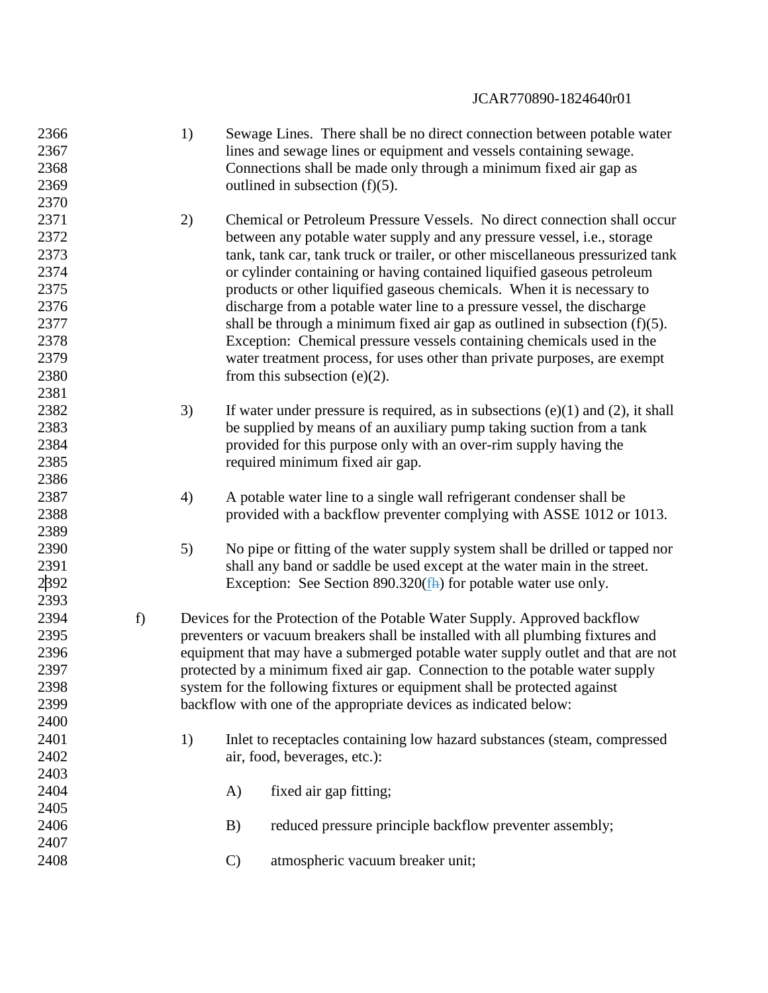| 2366 |    | 1) |               | Sewage Lines. There shall be no direct connection between potable water              |
|------|----|----|---------------|--------------------------------------------------------------------------------------|
| 2367 |    |    |               | lines and sewage lines or equipment and vessels containing sewage.                   |
| 2368 |    |    |               | Connections shall be made only through a minimum fixed air gap as                    |
| 2369 |    |    |               | outlined in subsection $(f)(5)$ .                                                    |
| 2370 |    |    |               |                                                                                      |
| 2371 |    | 2) |               | Chemical or Petroleum Pressure Vessels. No direct connection shall occur             |
| 2372 |    |    |               | between any potable water supply and any pressure vessel, <i>i.e.</i> , storage      |
| 2373 |    |    |               | tank, tank car, tank truck or trailer, or other miscellaneous pressurized tank       |
| 2374 |    |    |               | or cylinder containing or having contained liquified gaseous petroleum               |
| 2375 |    |    |               | products or other liquified gaseous chemicals. When it is necessary to               |
| 2376 |    |    |               | discharge from a potable water line to a pressure vessel, the discharge              |
| 2377 |    |    |               | shall be through a minimum fixed air gap as outlined in subsection $(f)(5)$ .        |
| 2378 |    |    |               | Exception: Chemical pressure vessels containing chemicals used in the                |
| 2379 |    |    |               | water treatment process, for uses other than private purposes, are exempt            |
| 2380 |    |    |               | from this subsection $(e)(2)$ .                                                      |
| 2381 |    |    |               |                                                                                      |
| 2382 |    | 3) |               | If water under pressure is required, as in subsections $(e)(1)$ and $(2)$ , it shall |
| 2383 |    |    |               | be supplied by means of an auxiliary pump taking suction from a tank                 |
| 2384 |    |    |               | provided for this purpose only with an over-rim supply having the                    |
| 2385 |    |    |               | required minimum fixed air gap.                                                      |
| 2386 |    |    |               |                                                                                      |
| 2387 |    | 4) |               | A potable water line to a single wall refrigerant condenser shall be                 |
| 2388 |    |    |               | provided with a backflow preventer complying with ASSE 1012 or 1013.                 |
| 2389 |    |    |               |                                                                                      |
| 2390 |    | 5) |               | No pipe or fitting of the water supply system shall be drilled or tapped nor         |
| 2391 |    |    |               | shall any band or saddle be used except at the water main in the street.             |
| 2392 |    |    |               | Exception: See Section $890.320$ ( $\frac{f}{f}$ ) for potable water use only.       |
| 2393 |    |    |               |                                                                                      |
| 2394 | f) |    |               | Devices for the Protection of the Potable Water Supply. Approved backflow            |
| 2395 |    |    |               | preventers or vacuum breakers shall be installed with all plumbing fixtures and      |
| 2396 |    |    |               | equipment that may have a submerged potable water supply outlet and that are not     |
| 2397 |    |    |               | protected by a minimum fixed air gap. Connection to the potable water supply         |
| 2398 |    |    |               | system for the following fixtures or equipment shall be protected against            |
| 2399 |    |    |               | backflow with one of the appropriate devices as indicated below:                     |
| 2400 |    |    |               |                                                                                      |
| 2401 |    | 1) |               |                                                                                      |
| 2402 |    |    |               | Inlet to receptacles containing low hazard substances (steam, compressed             |
| 2403 |    |    |               | air, food, beverages, etc.):                                                         |
|      |    |    |               |                                                                                      |
| 2404 |    |    | A)            | fixed air gap fitting;                                                               |
| 2405 |    |    |               |                                                                                      |
| 2406 |    |    | B)            | reduced pressure principle backflow preventer assembly;                              |
| 2407 |    |    |               |                                                                                      |
| 2408 |    |    | $\mathcal{C}$ | atmospheric vacuum breaker unit;                                                     |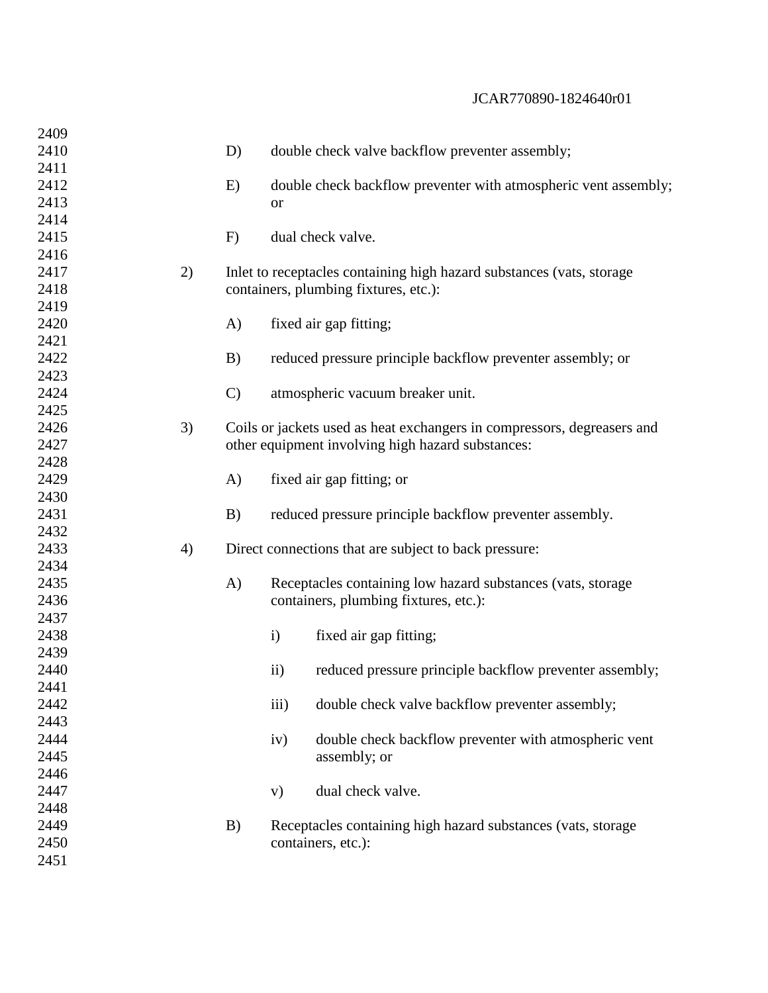| 2409         |    |               |                                                                         |
|--------------|----|---------------|-------------------------------------------------------------------------|
| 2410         |    | D)            | double check valve backflow preventer assembly;                         |
| 2411         |    |               |                                                                         |
| 2412         |    | E)            | double check backflow preventer with atmospheric vent assembly;         |
| 2413         |    |               | <b>or</b>                                                               |
| 2414         |    |               |                                                                         |
| 2415         |    | F)            | dual check valve.                                                       |
| 2416         |    |               |                                                                         |
| 2417         | 2) |               | Inlet to receptacles containing high hazard substances (vats, storage   |
| 2418         |    |               | containers, plumbing fixtures, etc.):                                   |
| 2419         |    |               |                                                                         |
| 2420         |    | A)            | fixed air gap fitting;                                                  |
| 2421         |    |               |                                                                         |
| 2422         |    | B)            | reduced pressure principle backflow preventer assembly; or              |
| 2423         |    |               |                                                                         |
| 2424         |    | $\mathcal{C}$ | atmospheric vacuum breaker unit.                                        |
| 2425         |    |               |                                                                         |
| 2426         | 3) |               | Coils or jackets used as heat exchangers in compressors, degreasers and |
| 2427         |    |               | other equipment involving high hazard substances:                       |
| 2428         |    |               |                                                                         |
| 2429         |    | A)            | fixed air gap fitting; or                                               |
| 2430         |    |               |                                                                         |
| 2431         |    | B)            | reduced pressure principle backflow preventer assembly.                 |
| 2432         |    |               |                                                                         |
| 2433         | 4) |               | Direct connections that are subject to back pressure:                   |
| 2434         |    |               |                                                                         |
| 2435         |    | A)            | Receptacles containing low hazard substances (vats, storage             |
| 2436         |    |               | containers, plumbing fixtures, etc.):                                   |
| 2437         |    |               |                                                                         |
| 2438         |    |               | fixed air gap fitting;<br>$\mathbf{i}$                                  |
| 2439         |    |               |                                                                         |
| 2440         |    |               | reduced pressure principle backflow preventer assembly;<br>$\rm ii)$    |
| 2441         |    |               |                                                                         |
| 2442         |    |               | iii)<br>double check valve backflow preventer assembly;                 |
| 2443         |    |               |                                                                         |
| 2444         |    |               | double check backflow preventer with atmospheric vent<br>iv)            |
| 2445         |    |               | assembly; or                                                            |
| 2446         |    |               |                                                                         |
| 2447         |    |               | dual check valve.<br>V)                                                 |
| 2448         |    |               |                                                                         |
| 2449<br>2450 |    | B)            | Receptacles containing high hazard substances (vats, storage            |
|              |    |               | containers, etc.):                                                      |
| 2451         |    |               |                                                                         |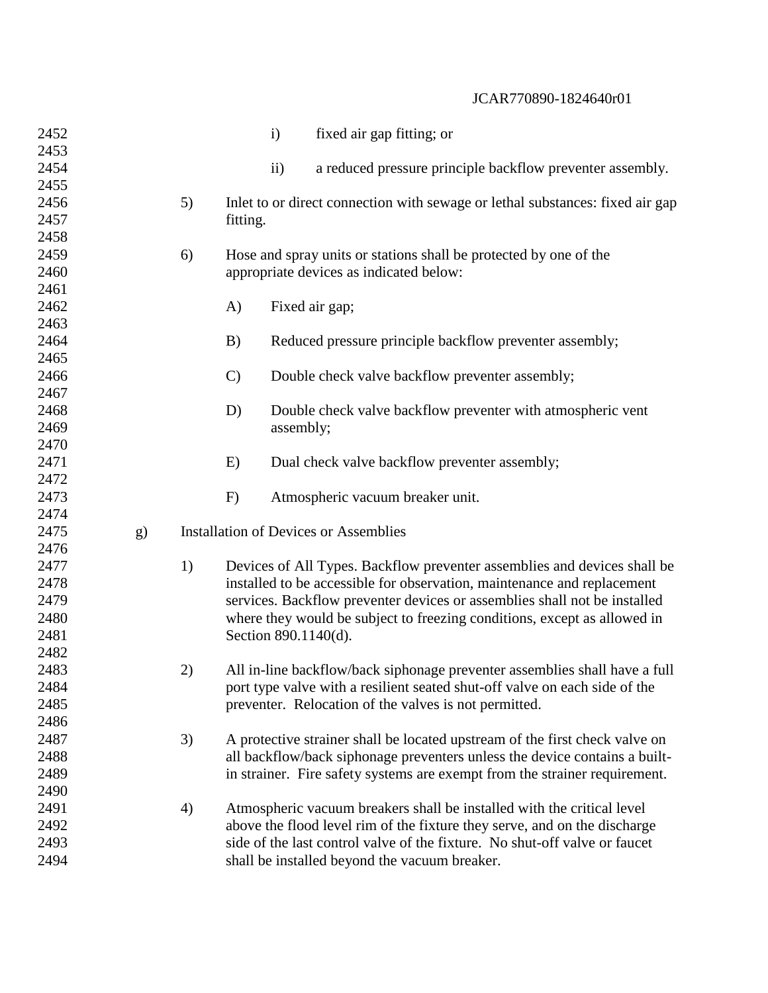| 2452 |    |    |                      | $\mathbf{i}$   | fixed air gap fitting; or                                                     |
|------|----|----|----------------------|----------------|-------------------------------------------------------------------------------|
| 2453 |    |    |                      |                |                                                                               |
| 2454 |    |    |                      | $\mathbf{ii}$  | a reduced pressure principle backflow preventer assembly.                     |
| 2455 |    |    |                      |                |                                                                               |
| 2456 |    | 5) |                      |                | Inlet to or direct connection with sewage or lethal substances: fixed air gap |
| 2457 |    |    | fitting.             |                |                                                                               |
| 2458 |    |    |                      |                |                                                                               |
| 2459 |    | 6) |                      |                | Hose and spray units or stations shall be protected by one of the             |
| 2460 |    |    |                      |                | appropriate devices as indicated below:                                       |
| 2461 |    |    |                      |                |                                                                               |
| 2462 |    |    | A)                   | Fixed air gap; |                                                                               |
| 2463 |    |    |                      |                |                                                                               |
| 2464 |    |    | B)                   |                | Reduced pressure principle backflow preventer assembly;                       |
| 2465 |    |    |                      |                |                                                                               |
| 2466 |    |    | $\mathcal{C}$        |                | Double check valve backflow preventer assembly;                               |
| 2467 |    |    |                      |                |                                                                               |
| 2468 |    |    | D)                   |                | Double check valve backflow preventer with atmospheric vent                   |
| 2469 |    |    |                      | assembly;      |                                                                               |
| 2470 |    |    |                      |                |                                                                               |
| 2471 |    |    | E)                   |                | Dual check valve backflow preventer assembly;                                 |
| 2472 |    |    |                      |                |                                                                               |
| 2473 |    |    | F)                   |                | Atmospheric vacuum breaker unit.                                              |
| 2474 |    |    |                      |                |                                                                               |
| 2475 | g) |    |                      |                | <b>Installation of Devices or Assemblies</b>                                  |
| 2476 |    |    |                      |                |                                                                               |
| 2477 |    | 1) |                      |                | Devices of All Types. Backflow preventer assemblies and devices shall be      |
| 2478 |    |    |                      |                | installed to be accessible for observation, maintenance and replacement       |
| 2479 |    |    |                      |                | services. Backflow preventer devices or assemblies shall not be installed     |
| 2480 |    |    |                      |                | where they would be subject to freezing conditions, except as allowed in      |
| 2481 |    |    | Section 890.1140(d). |                |                                                                               |
| 2482 |    |    |                      |                |                                                                               |
| 2483 |    | 2) |                      |                | All in-line backflow/back siphonage preventer assemblies shall have a full    |
| 2484 |    |    |                      |                | port type valve with a resilient seated shut-off valve on each side of the    |
| 2485 |    |    |                      |                | preventer. Relocation of the valves is not permitted.                         |
| 2486 |    |    |                      |                |                                                                               |
| 2487 |    | 3) |                      |                | A protective strainer shall be located upstream of the first check valve on   |
| 2488 |    |    |                      |                | all backflow/back siphonage preventers unless the device contains a built-    |
| 2489 |    |    |                      |                | in strainer. Fire safety systems are exempt from the strainer requirement.    |
| 2490 |    |    |                      |                |                                                                               |
| 2491 |    | 4) |                      |                | Atmospheric vacuum breakers shall be installed with the critical level        |
| 2492 |    |    |                      |                | above the flood level rim of the fixture they serve, and on the discharge     |
| 2493 |    |    |                      |                | side of the last control valve of the fixture. No shut-off valve or faucet    |
| 2494 |    |    |                      |                | shall be installed beyond the vacuum breaker.                                 |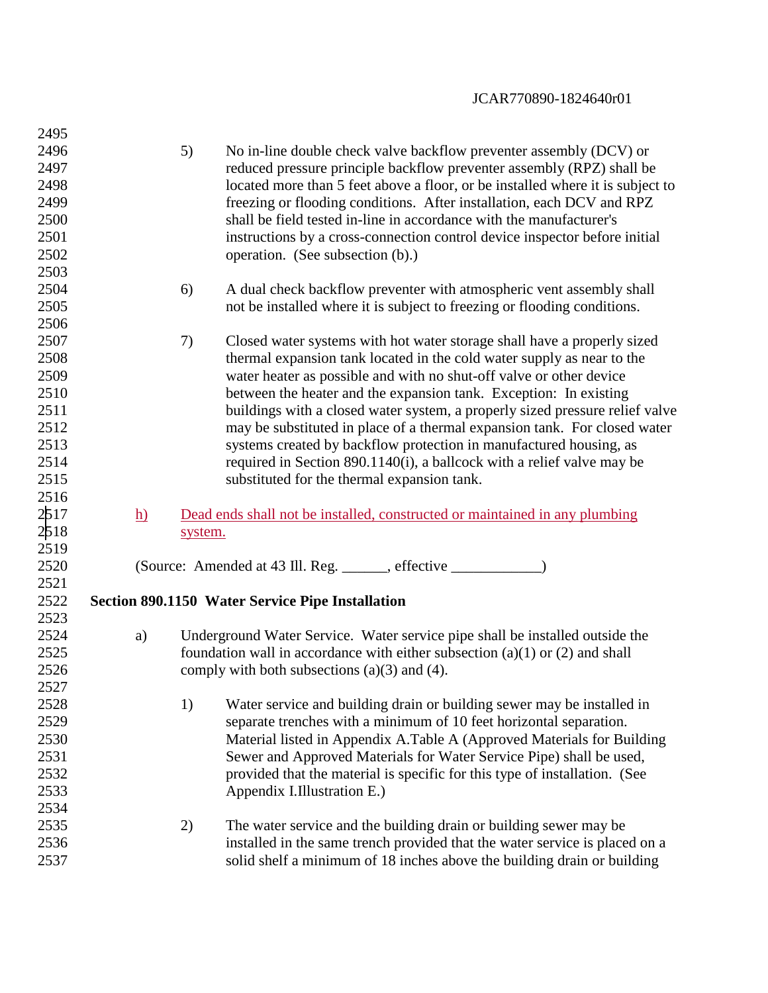| 2495 |                 |         |                                                                                  |
|------|-----------------|---------|----------------------------------------------------------------------------------|
| 2496 |                 | 5)      | No in-line double check valve backflow preventer assembly (DCV) or               |
| 2497 |                 |         | reduced pressure principle backflow preventer assembly (RPZ) shall be            |
| 2498 |                 |         | located more than 5 feet above a floor, or be installed where it is subject to   |
| 2499 |                 |         | freezing or flooding conditions. After installation, each DCV and RPZ            |
| 2500 |                 |         | shall be field tested in-line in accordance with the manufacturer's              |
| 2501 |                 |         | instructions by a cross-connection control device inspector before initial       |
| 2502 |                 |         | operation. (See subsection (b).)                                                 |
| 2503 |                 |         |                                                                                  |
| 2504 |                 | 6)      | A dual check backflow preventer with atmospheric vent assembly shall             |
| 2505 |                 |         | not be installed where it is subject to freezing or flooding conditions.         |
| 2506 |                 |         |                                                                                  |
| 2507 |                 | 7)      | Closed water systems with hot water storage shall have a properly sized          |
| 2508 |                 |         | thermal expansion tank located in the cold water supply as near to the           |
| 2509 |                 |         | water heater as possible and with no shut-off valve or other device              |
| 2510 |                 |         | between the heater and the expansion tank. Exception: In existing                |
| 2511 |                 |         | buildings with a closed water system, a properly sized pressure relief valve     |
| 2512 |                 |         | may be substituted in place of a thermal expansion tank. For closed water        |
| 2513 |                 |         |                                                                                  |
| 2514 |                 |         | systems created by backflow protection in manufactured housing, as               |
| 2515 |                 |         | required in Section 890.1140(i), a ballcock with a relief valve may be           |
|      |                 |         | substituted for the thermal expansion tank.                                      |
| 2516 |                 |         |                                                                                  |
| 2517 | $\underline{h}$ |         | Dead ends shall not be installed, constructed or maintained in any plumbing      |
| 2518 |                 | system. |                                                                                  |
| 2519 |                 |         |                                                                                  |
| 2520 |                 |         | (Source: Amended at 43 Ill. Reg. ______, effective _____________)                |
| 2521 |                 |         |                                                                                  |
| 2522 |                 |         | <b>Section 890.1150 Water Service Pipe Installation</b>                          |
| 2523 |                 |         |                                                                                  |
| 2524 | a)              |         | Underground Water Service. Water service pipe shall be installed outside the     |
| 2525 |                 |         | foundation wall in accordance with either subsection $(a)(1)$ or $(2)$ and shall |
| 2526 |                 |         | comply with both subsections $(a)(3)$ and $(4)$ .                                |
| 2527 |                 |         |                                                                                  |
| 2528 |                 | 1)      | Water service and building drain or building sewer may be installed in           |
| 2529 |                 |         | separate trenches with a minimum of 10 feet horizontal separation.               |
| 2530 |                 |         | Material listed in Appendix A.Table A (Approved Materials for Building           |
| 2531 |                 |         | Sewer and Approved Materials for Water Service Pipe) shall be used,              |
| 2532 |                 |         | provided that the material is specific for this type of installation. (See       |
| 2533 |                 |         | Appendix I.Illustration E.)                                                      |
| 2534 |                 |         |                                                                                  |
| 2535 |                 | 2)      | The water service and the building drain or building sewer may be                |
| 2536 |                 |         | installed in the same trench provided that the water service is placed on a      |
| 2537 |                 |         | solid shelf a minimum of 18 inches above the building drain or building          |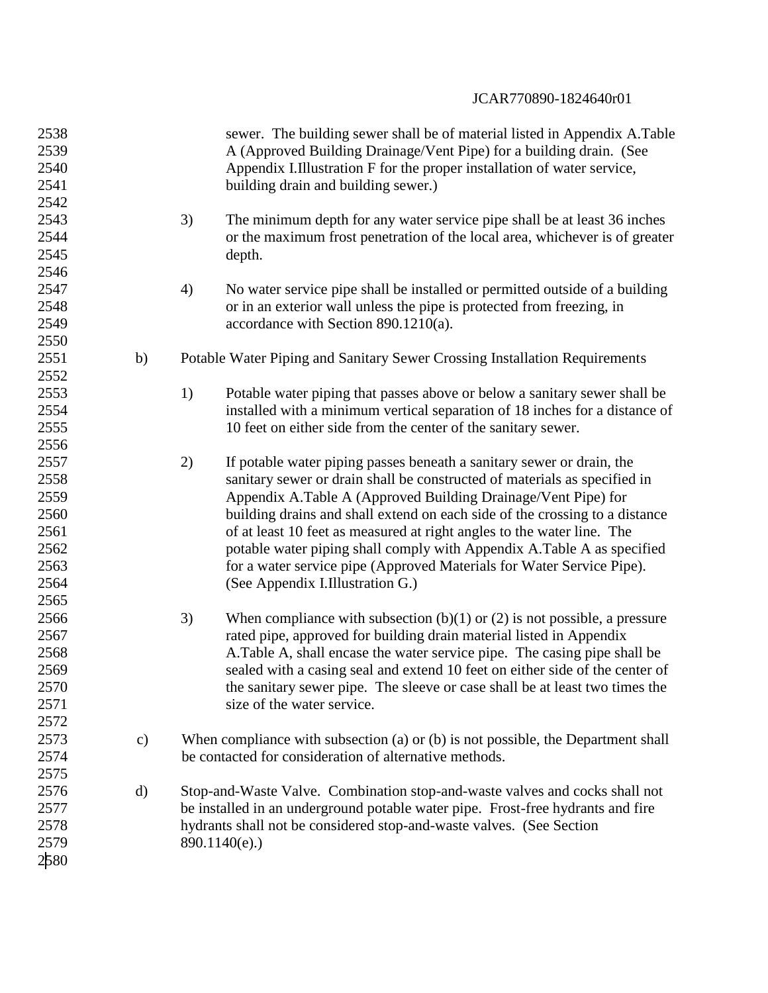| 2538 |               |    | sewer. The building sewer shall be of material listed in Appendix A.Table        |
|------|---------------|----|----------------------------------------------------------------------------------|
| 2539 |               |    | A (Approved Building Drainage/Vent Pipe) for a building drain. (See              |
| 2540 |               |    | Appendix I.Illustration F for the proper installation of water service,          |
| 2541 |               |    | building drain and building sewer.)                                              |
| 2542 |               |    |                                                                                  |
| 2543 |               | 3) | The minimum depth for any water service pipe shall be at least 36 inches         |
| 2544 |               |    | or the maximum frost penetration of the local area, whichever is of greater      |
| 2545 |               |    | depth.                                                                           |
| 2546 |               |    |                                                                                  |
| 2547 |               | 4) | No water service pipe shall be installed or permitted outside of a building      |
| 2548 |               |    | or in an exterior wall unless the pipe is protected from freezing, in            |
| 2549 |               |    | accordance with Section $890.1210(a)$ .                                          |
| 2550 |               |    |                                                                                  |
| 2551 | b)            |    | Potable Water Piping and Sanitary Sewer Crossing Installation Requirements       |
| 2552 |               |    |                                                                                  |
| 2553 |               | 1) | Potable water piping that passes above or below a sanitary sewer shall be        |
| 2554 |               |    | installed with a minimum vertical separation of 18 inches for a distance of      |
| 2555 |               |    | 10 feet on either side from the center of the sanitary sewer.                    |
| 2556 |               |    |                                                                                  |
| 2557 |               | 2) | If potable water piping passes beneath a sanitary sewer or drain, the            |
| 2558 |               |    | sanitary sewer or drain shall be constructed of materials as specified in        |
| 2559 |               |    | Appendix A.Table A (Approved Building Drainage/Vent Pipe) for                    |
| 2560 |               |    | building drains and shall extend on each side of the crossing to a distance      |
| 2561 |               |    | of at least 10 feet as measured at right angles to the water line. The           |
| 2562 |               |    | potable water piping shall comply with Appendix A.Table A as specified           |
| 2563 |               |    | for a water service pipe (Approved Materials for Water Service Pipe).            |
| 2564 |               |    | (See Appendix I.Illustration G.)                                                 |
| 2565 |               |    |                                                                                  |
| 2566 |               | 3) | When compliance with subsection $(b)(1)$ or $(2)$ is not possible, a pressure    |
| 2567 |               |    | rated pipe, approved for building drain material listed in Appendix              |
| 2568 |               |    | A. Table A, shall encase the water service pipe. The casing pipe shall be        |
| 2569 |               |    | sealed with a casing seal and extend 10 feet on either side of the center of     |
| 2570 |               |    | the sanitary sewer pipe. The sleeve or case shall be at least two times the      |
| 2571 |               |    | size of the water service.                                                       |
| 2572 |               |    |                                                                                  |
| 2573 | $\mathbf{c})$ |    | When compliance with subsection (a) or (b) is not possible, the Department shall |
| 2574 |               |    | be contacted for consideration of alternative methods.                           |
| 2575 |               |    |                                                                                  |
| 2576 | $\rm d)$      |    | Stop-and-Waste Valve. Combination stop-and-waste valves and cocks shall not      |
| 2577 |               |    | be installed in an underground potable water pipe. Frost-free hydrants and fire  |
| 2578 |               |    | hydrants shall not be considered stop-and-waste valves. (See Section             |
| 2579 |               |    | $890.1140(e)$ .)                                                                 |
| 2580 |               |    |                                                                                  |
|      |               |    |                                                                                  |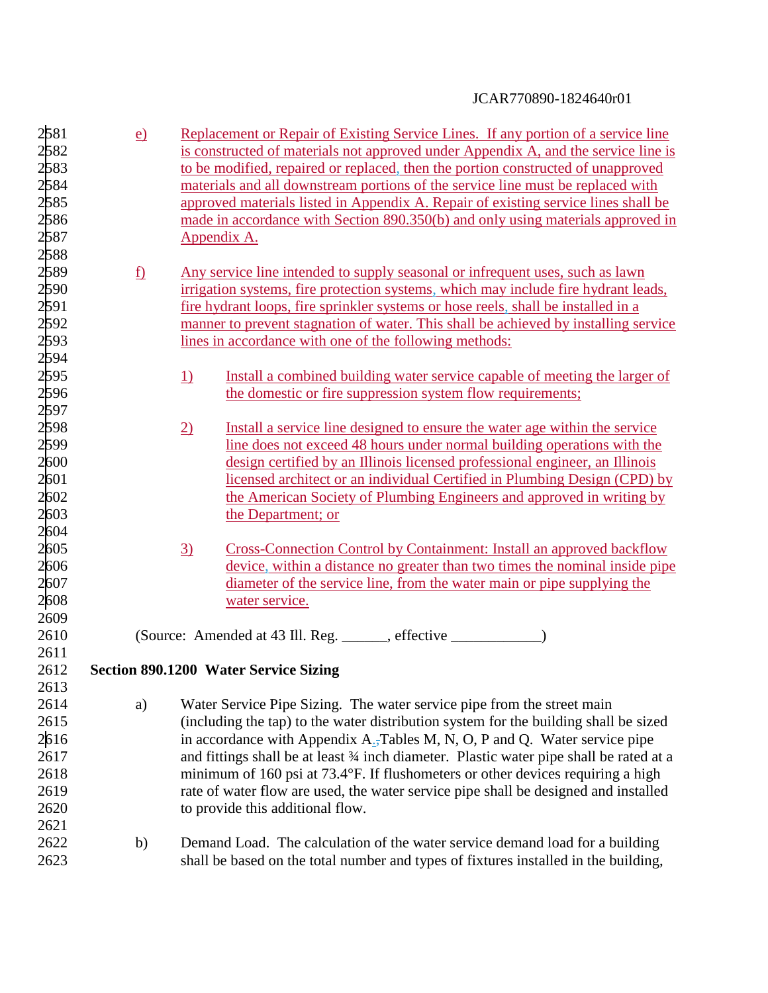| 2581         | $\underline{e}$          | Replacement or Repair of Existing Service Lines. If any portion of a service line                                                                                        |
|--------------|--------------------------|--------------------------------------------------------------------------------------------------------------------------------------------------------------------------|
| 2582         |                          | is constructed of materials not approved under Appendix A, and the service line is                                                                                       |
| 2583         |                          | to be modified, repaired or replaced, then the portion constructed of unapproved                                                                                         |
| 2584         |                          | materials and all downstream portions of the service line must be replaced with                                                                                          |
| 2585         |                          | approved materials listed in Appendix A. Repair of existing service lines shall be                                                                                       |
| 2586         |                          | made in accordance with Section 890.350(b) and only using materials approved in                                                                                          |
| 2587         |                          | Appendix A.                                                                                                                                                              |
| 2588         |                          |                                                                                                                                                                          |
| 2589         | $\underline{\mathbf{f}}$ | Any service line intended to supply seasonal or infrequent uses, such as lawn                                                                                            |
| 2590         |                          | irrigation systems, fire protection systems, which may include fire hydrant leads,                                                                                       |
| 2591         |                          | fire hydrant loops, fire sprinkler systems or hose reels, shall be installed in a                                                                                        |
| 2592         |                          | manner to prevent stagnation of water. This shall be achieved by installing service                                                                                      |
| 2593         |                          | lines in accordance with one of the following methods:                                                                                                                   |
| 2594         |                          |                                                                                                                                                                          |
| 2595         |                          | 1)<br>Install a combined building water service capable of meeting the larger of                                                                                         |
| 2596         |                          | the domestic or fire suppression system flow requirements;                                                                                                               |
| 2597         |                          |                                                                                                                                                                          |
|              |                          |                                                                                                                                                                          |
| 2598<br>2599 |                          | $\overline{2)}$<br>Install a service line designed to ensure the water age within the service<br>line does not exceed 48 hours under normal building operations with the |
|              |                          |                                                                                                                                                                          |
| 2600         |                          | design certified by an Illinois licensed professional engineer, an Illinois                                                                                              |
| 2601         |                          | licensed architect or an individual Certified in Plumbing Design (CPD) by                                                                                                |
| 2602         |                          | the American Society of Plumbing Engineers and approved in writing by                                                                                                    |
| 2603         |                          | the Department; or                                                                                                                                                       |
| 2604         |                          |                                                                                                                                                                          |
| 2605         |                          | 3)<br>Cross-Connection Control by Containment: Install an approved backflow                                                                                              |
| 2606         |                          | device, within a distance no greater than two times the nominal inside pipe                                                                                              |
| 2607         |                          | diameter of the service line, from the water main or pipe supplying the                                                                                                  |
| 2608         |                          | water service.                                                                                                                                                           |
| 2609         |                          |                                                                                                                                                                          |
| 2610         |                          | (Source: Amended at 43 Ill. Reg. _____, effective _______                                                                                                                |
| 2611         |                          |                                                                                                                                                                          |
| 2612         |                          | <b>Section 890.1200 Water Service Sizing</b>                                                                                                                             |
| 2613         |                          |                                                                                                                                                                          |
| 2614         | a)                       | Water Service Pipe Sizing. The water service pipe from the street main                                                                                                   |
| 2615         |                          | (including the tap) to the water distribution system for the building shall be sized                                                                                     |
| 2616         |                          | in accordance with Appendix $A_{\overline{a}}$ Tables M, N, O, P and Q. Water service pipe                                                                               |
| 2617         |                          | and fittings shall be at least 34 inch diameter. Plastic water pipe shall be rated at a                                                                                  |
| 2618         |                          | minimum of 160 psi at $73.4$ °F. If flushometers or other devices requiring a high                                                                                       |
| 2619         |                          | rate of water flow are used, the water service pipe shall be designed and installed                                                                                      |
| 2620         |                          | to provide this additional flow.                                                                                                                                         |
| 2621         |                          |                                                                                                                                                                          |
| 2622         | b)                       | Demand Load. The calculation of the water service demand load for a building                                                                                             |
| 2623         |                          | shall be based on the total number and types of fixtures installed in the building,                                                                                      |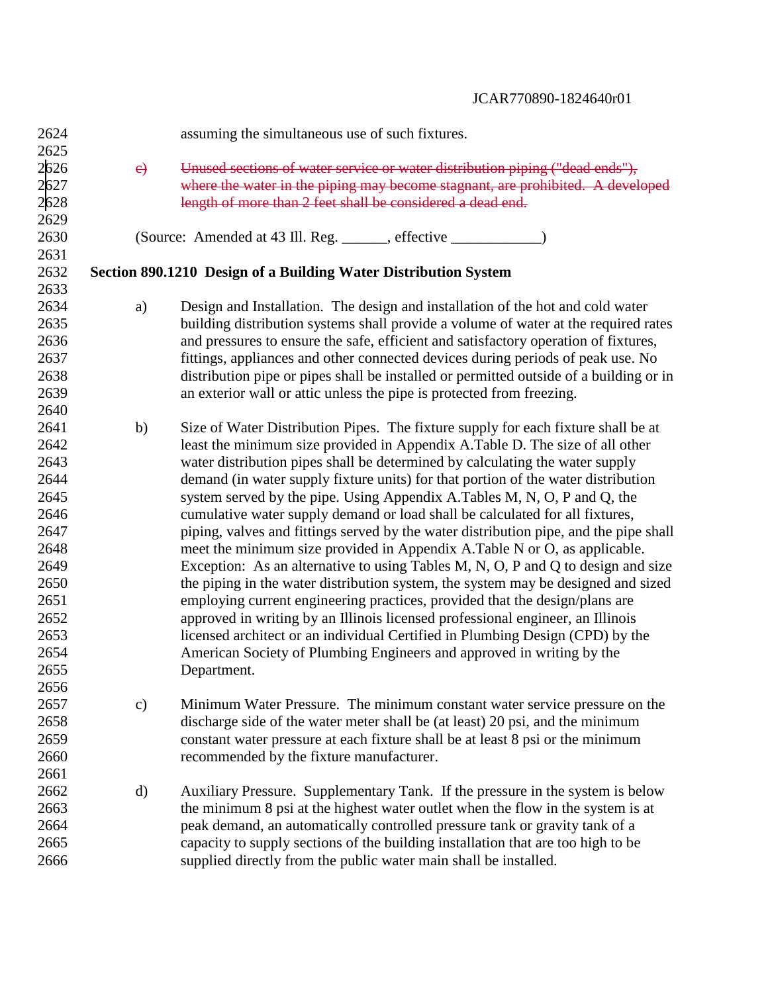| 2624 |               | assuming the simultaneous use of such fixtures.                                        |
|------|---------------|----------------------------------------------------------------------------------------|
| 2625 |               |                                                                                        |
| 2626 | e)            | Unused sections of water service or water distribution piping ("dead ends"),           |
| 2627 |               | where the water in the piping may become stagnant, are prohibited. A developed         |
| 2628 |               | length of more than 2 feet shall be considered a dead end.                             |
| 2629 |               |                                                                                        |
| 2630 |               |                                                                                        |
| 2631 |               |                                                                                        |
| 2632 |               | Section 890.1210 Design of a Building Water Distribution System                        |
| 2633 |               |                                                                                        |
| 2634 | a)            | Design and Installation. The design and installation of the hot and cold water         |
| 2635 |               | building distribution systems shall provide a volume of water at the required rates    |
| 2636 |               | and pressures to ensure the safe, efficient and satisfactory operation of fixtures,    |
| 2637 |               | fittings, appliances and other connected devices during periods of peak use. No        |
| 2638 |               | distribution pipe or pipes shall be installed or permitted outside of a building or in |
| 2639 |               | an exterior wall or attic unless the pipe is protected from freezing.                  |
| 2640 |               |                                                                                        |
| 2641 | b)            | Size of Water Distribution Pipes. The fixture supply for each fixture shall be at      |
| 2642 |               | least the minimum size provided in Appendix A.Table D. The size of all other           |
| 2643 |               | water distribution pipes shall be determined by calculating the water supply           |
| 2644 |               | demand (in water supply fixture units) for that portion of the water distribution      |
| 2645 |               | system served by the pipe. Using Appendix A.Tables M, N, O, P and Q, the               |
| 2646 |               | cumulative water supply demand or load shall be calculated for all fixtures,           |
| 2647 |               | piping, valves and fittings served by the water distribution pipe, and the pipe shall  |
| 2648 |               | meet the minimum size provided in Appendix A.Table N or O, as applicable.              |
| 2649 |               | Exception: As an alternative to using Tables M, N, O, P and Q to design and size       |
| 2650 |               | the piping in the water distribution system, the system may be designed and sized      |
| 2651 |               | employing current engineering practices, provided that the design/plans are            |
| 2652 |               | approved in writing by an Illinois licensed professional engineer, an Illinois         |
| 2653 |               | licensed architect or an individual Certified in Plumbing Design (CPD) by the          |
| 2654 |               | American Society of Plumbing Engineers and approved in writing by the                  |
| 2655 |               | Department.                                                                            |
| 2656 |               |                                                                                        |
| 2657 | $\mathbf{c})$ | Minimum Water Pressure. The minimum constant water service pressure on the             |
| 2658 |               | discharge side of the water meter shall be (at least) 20 psi, and the minimum          |
| 2659 |               | constant water pressure at each fixture shall be at least 8 psi or the minimum         |
| 2660 |               | recommended by the fixture manufacturer.                                               |
| 2661 |               |                                                                                        |
| 2662 | $\mathbf{d}$  | Auxiliary Pressure. Supplementary Tank. If the pressure in the system is below         |
| 2663 |               | the minimum 8 psi at the highest water outlet when the flow in the system is at        |
| 2664 |               | peak demand, an automatically controlled pressure tank or gravity tank of a            |
| 2665 |               | capacity to supply sections of the building installation that are too high to be       |
| 2666 |               | supplied directly from the public water main shall be installed.                       |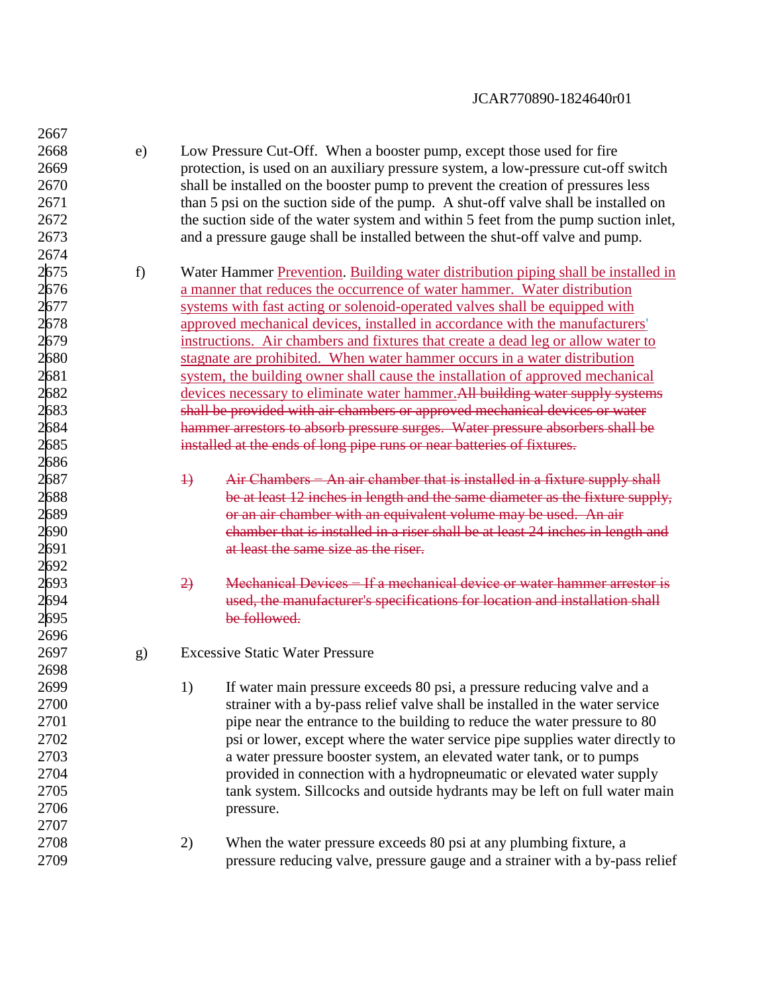| 2667 |    |                |                                                                                     |
|------|----|----------------|-------------------------------------------------------------------------------------|
| 2668 | e) |                | Low Pressure Cut-Off. When a booster pump, except those used for fire               |
| 2669 |    |                | protection, is used on an auxiliary pressure system, a low-pressure cut-off switch  |
| 2670 |    |                | shall be installed on the booster pump to prevent the creation of pressures less    |
| 2671 |    |                | than 5 psi on the suction side of the pump. A shut-off valve shall be installed on  |
| 2672 |    |                | the suction side of the water system and within 5 feet from the pump suction inlet, |
| 2673 |    |                | and a pressure gauge shall be installed between the shut-off valve and pump.        |
| 2674 |    |                |                                                                                     |
| 2675 | f) |                | Water Hammer Prevention. Building water distribution piping shall be installed in   |
| 2676 |    |                | a manner that reduces the occurrence of water hammer. Water distribution            |
| 2677 |    |                | systems with fast acting or solenoid-operated valves shall be equipped with         |
| 2678 |    |                | approved mechanical devices, installed in accordance with the manufacturers'        |
| 2679 |    |                | instructions. Air chambers and fixtures that create a dead leg or allow water to    |
| 2680 |    |                | stagnate are prohibited. When water hammer occurs in a water distribution           |
| 2681 |    |                | system, the building owner shall cause the installation of approved mechanical      |
| 2682 |    |                | devices necessary to eliminate water hammer. All building water supply systems      |
| 2683 |    |                | shall be provided with air chambers or approved mechanical devices or water         |
| 2684 |    |                | hammer arrestors to absorb pressure surges. Water pressure absorbers shall be       |
| 2685 |    |                | installed at the ends of long pipe runs or near batteries of fixtures.              |
| 2686 |    |                |                                                                                     |
| 2687 |    | $\rightarrow$  | Air Chambers – An air chamber that is installed in a fixture supply shall           |
| 2688 |    |                | be at least 12 inches in length and the same diameter as the fixture supply,        |
| 2689 |    |                | or an air chamber with an equivalent volume may be used. An air                     |
| 2690 |    |                | chamber that is installed in a riser shall be at least 24 inches in length and      |
| 2691 |    |                | at least the same size as the riser.                                                |
| 2692 |    |                |                                                                                     |
| 2693 |    | $\overline{2}$ | Mechanical Devices – If a mechanical device or water hammer arrestor is             |
| 2694 |    |                | used, the manufacturer's specifications for location and installation shall         |
| 2695 |    |                | be followed.                                                                        |
| 2696 |    |                |                                                                                     |
| 2697 | g) |                | <b>Excessive Static Water Pressure</b>                                              |
| 2698 |    |                |                                                                                     |
| 2699 |    | 1)             | If water main pressure exceeds 80 psi, a pressure reducing valve and a              |
| 2700 |    |                | strainer with a by-pass relief valve shall be installed in the water service        |
| 2701 |    |                | pipe near the entrance to the building to reduce the water pressure to 80           |
| 2702 |    |                | psi or lower, except where the water service pipe supplies water directly to        |
| 2703 |    |                | a water pressure booster system, an elevated water tank, or to pumps                |
| 2704 |    |                | provided in connection with a hydropneumatic or elevated water supply               |
| 2705 |    |                | tank system. Sillcocks and outside hydrants may be left on full water main          |
| 2706 |    |                | pressure.                                                                           |
| 2707 |    |                |                                                                                     |
| 2708 |    | 2)             | When the water pressure exceeds 80 psi at any plumbing fixture, a                   |
| 2709 |    |                | pressure reducing valve, pressure gauge and a strainer with a by-pass relief        |
|      |    |                |                                                                                     |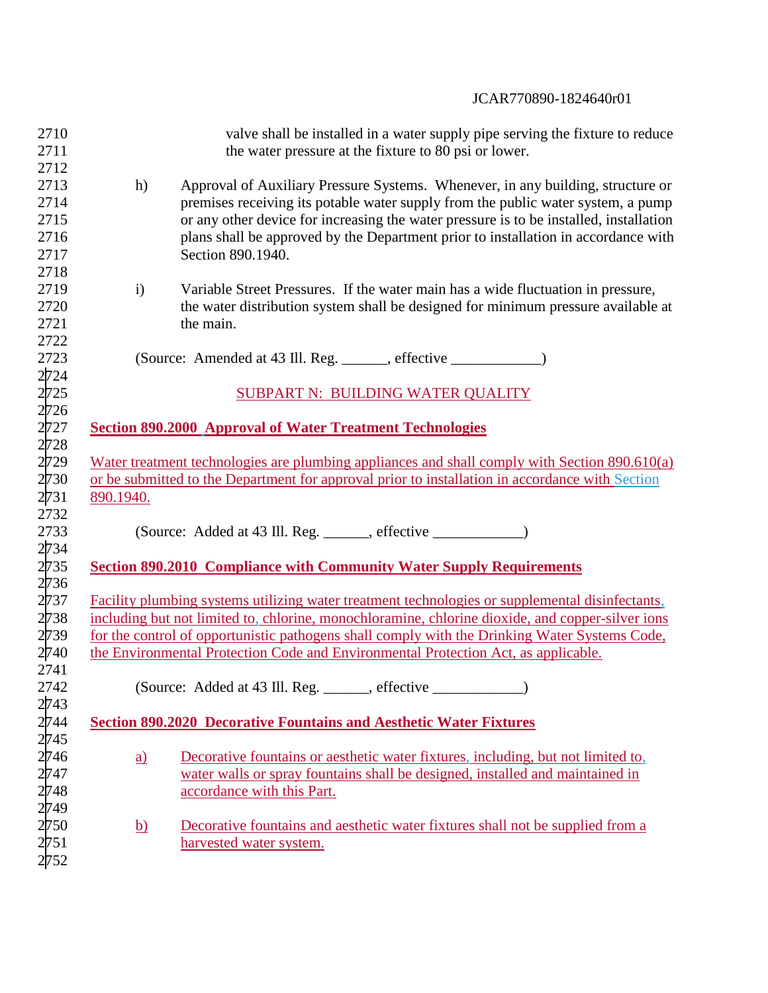| 2710<br>2711 | valve shall be installed in a water supply pipe serving the fixture to reduce<br>the water pressure at the fixture to 80 psi or lower. |  |  |  |  |
|--------------|----------------------------------------------------------------------------------------------------------------------------------------|--|--|--|--|
| 2712         |                                                                                                                                        |  |  |  |  |
| 2713         | Approval of Auxiliary Pressure Systems. Whenever, in any building, structure or<br>h)                                                  |  |  |  |  |
| 2714         | premises receiving its potable water supply from the public water system, a pump                                                       |  |  |  |  |
| 2715         | or any other device for increasing the water pressure is to be installed, installation                                                 |  |  |  |  |
| 2716         | plans shall be approved by the Department prior to installation in accordance with                                                     |  |  |  |  |
| 2717         | Section 890.1940.                                                                                                                      |  |  |  |  |
| 2718         |                                                                                                                                        |  |  |  |  |
| 2719         | $\mathbf{i}$<br>Variable Street Pressures. If the water main has a wide fluctuation in pressure,                                       |  |  |  |  |
| 2720         | the water distribution system shall be designed for minimum pressure available at                                                      |  |  |  |  |
| 2721         | the main.                                                                                                                              |  |  |  |  |
| 2722         |                                                                                                                                        |  |  |  |  |
| 2723         | (Source: Amended at 43 Ill. Reg. ______, effective _____________)                                                                      |  |  |  |  |
| 2724         |                                                                                                                                        |  |  |  |  |
| 2725         | <b>SUBPART N: BUILDING WATER QUALITY</b>                                                                                               |  |  |  |  |
| 2726         |                                                                                                                                        |  |  |  |  |
| 2727         | <b>Section 890.2000 Approval of Water Treatment Technologies</b>                                                                       |  |  |  |  |
| 2728         |                                                                                                                                        |  |  |  |  |
| 2729         | Water treatment technologies are plumbing appliances and shall comply with Section 890.610(a)                                          |  |  |  |  |
| 2730         | or be submitted to the Department for approval prior to installation in accordance with Section                                        |  |  |  |  |
| 2731         | 890.1940.                                                                                                                              |  |  |  |  |
| 2732         |                                                                                                                                        |  |  |  |  |
| 2733         | (Source: Added at 43 Ill. Reg. ______, effective ______________)                                                                       |  |  |  |  |
| 2734         |                                                                                                                                        |  |  |  |  |
| 2735         | <b>Section 890.2010 Compliance with Community Water Supply Requirements</b>                                                            |  |  |  |  |
| 2736         |                                                                                                                                        |  |  |  |  |
| 2737         | Facility plumbing systems utilizing water treatment technologies or supplemental disinfectants,                                        |  |  |  |  |
| 2738         | including but not limited to, chlorine, monochloramine, chlorine dioxide, and copper-silver ions                                       |  |  |  |  |
| 2739         | for the control of opportunistic pathogens shall comply with the Drinking Water Systems Code,                                          |  |  |  |  |
| 2740         | the Environmental Protection Code and Environmental Protection Act, as applicable.                                                     |  |  |  |  |
| 2741         |                                                                                                                                        |  |  |  |  |
| 2742         | (Source: Added at 43 Ill. Reg. ______, effective ___________)                                                                          |  |  |  |  |
| 2743         |                                                                                                                                        |  |  |  |  |
| 2744         | <b>Section 890.2020 Decorative Fountains and Aesthetic Water Fixtures</b>                                                              |  |  |  |  |
| 2745         |                                                                                                                                        |  |  |  |  |
| 2746         | Decorative fountains or aesthetic water fixtures, including, but not limited to,<br>$\underline{a}$                                    |  |  |  |  |
| 2747         | water walls or spray fountains shall be designed, installed and maintained in                                                          |  |  |  |  |
| 2748         | accordance with this Part.                                                                                                             |  |  |  |  |
| 2749         |                                                                                                                                        |  |  |  |  |
| 2750         | Decorative fountains and aesthetic water fixtures shall not be supplied from a<br><u>b)</u>                                            |  |  |  |  |
| 2751         | harvested water system.                                                                                                                |  |  |  |  |
| 2752         |                                                                                                                                        |  |  |  |  |
|              |                                                                                                                                        |  |  |  |  |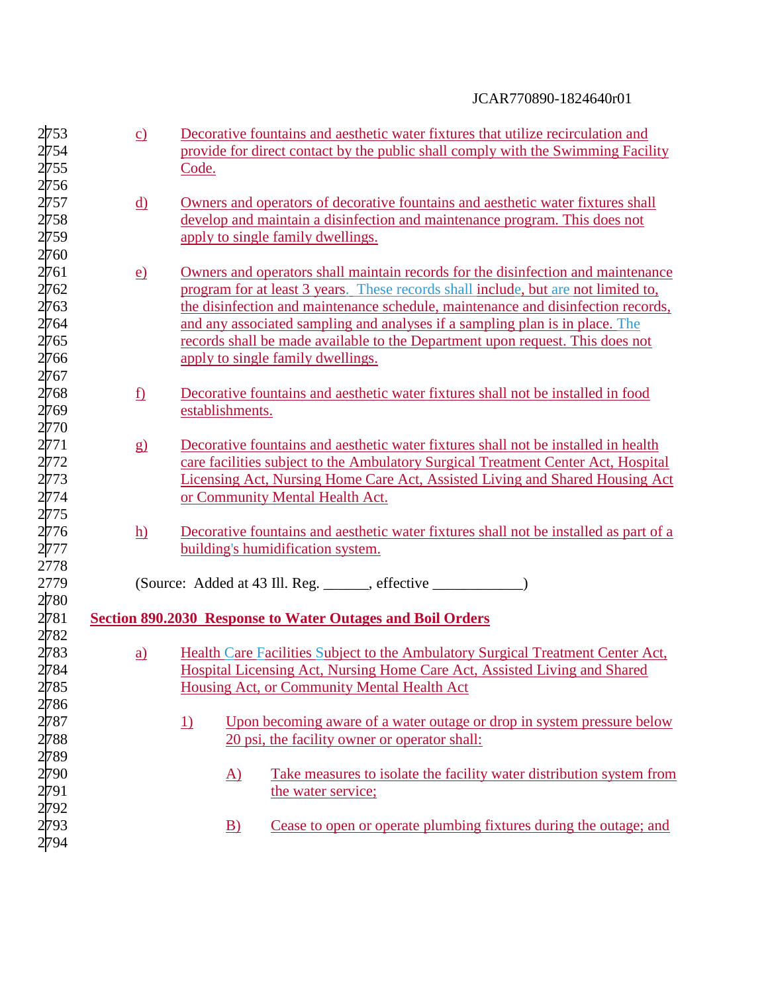| 2753 | $\underline{c}$          | Decorative fountains and aesthetic water fixtures that utilize recirculation and      |
|------|--------------------------|---------------------------------------------------------------------------------------|
| 2754 |                          | provide for direct contact by the public shall comply with the Swimming Facility      |
| 2755 |                          | Code.                                                                                 |
| 2756 |                          |                                                                                       |
| 2757 | <u>d)</u>                | Owners and operators of decorative fountains and aesthetic water fixtures shall       |
| 2758 |                          | develop and maintain a disinfection and maintenance program. This does not            |
| 2759 |                          | apply to single family dwellings.                                                     |
| 2760 |                          |                                                                                       |
| 2761 | $\underline{e}$          | Owners and operators shall maintain records for the disinfection and maintenance      |
| 2762 |                          | program for at least 3 years. These records shall include, but are not limited to,    |
| 2763 |                          | the disinfection and maintenance schedule, maintenance and disinfection records,      |
| 2764 |                          | and any associated sampling and analyses if a sampling plan is in place. The          |
| 2765 |                          | records shall be made available to the Department upon request. This does not         |
| 2766 |                          | apply to single family dwellings.                                                     |
| 2767 |                          |                                                                                       |
| 2768 | $\underline{\mathbf{f}}$ | Decorative fountains and aesthetic water fixtures shall not be installed in food      |
| 2769 |                          | establishments.                                                                       |
| 2770 |                          |                                                                                       |
| 2771 |                          | Decorative fountains and aesthetic water fixtures shall not be installed in health    |
| 2772 | g)                       | care facilities subject to the Ambulatory Surgical Treatment Center Act, Hospital     |
|      |                          |                                                                                       |
| 2773 |                          | Licensing Act, Nursing Home Care Act, Assisted Living and Shared Housing Act          |
| 2774 |                          | or Community Mental Health Act.                                                       |
| 2775 |                          |                                                                                       |
| 2776 | h)                       | Decorative fountains and aesthetic water fixtures shall not be installed as part of a |
| 2777 |                          | building's humidification system.                                                     |
| 2778 |                          |                                                                                       |
| 2779 |                          | (Source: Added at 43 Ill. Reg. ______, effective ____________)                        |
| 2780 |                          |                                                                                       |
| 2781 |                          | <b>Section 890.2030 Response to Water Outages and Boil Orders</b>                     |
| 2782 |                          |                                                                                       |
| 2783 | $\underline{a}$          | Health Care Facilities Subject to the Ambulatory Surgical Treatment Center Act,       |
| 2784 |                          | Hospital Licensing Act, Nursing Home Care Act, Assisted Living and Shared             |
| 2785 |                          | Housing Act, or Community Mental Health Act                                           |
| 2786 |                          |                                                                                       |
| 2787 |                          | Upon becoming aware of a water outage or drop in system pressure below<br><u>1)</u>   |
| 2788 |                          | 20 psi, the facility owner or operator shall:                                         |
| 2789 |                          |                                                                                       |
| 2790 |                          | Take measures to isolate the facility water distribution system from<br><u>A)</u>     |
| 2791 |                          | the water service;                                                                    |
| 2792 |                          |                                                                                       |
| 2793 |                          | Cease to open or operate plumbing fixtures during the outage; and<br>$\mathbf{B}$     |
| 2794 |                          |                                                                                       |
|      |                          |                                                                                       |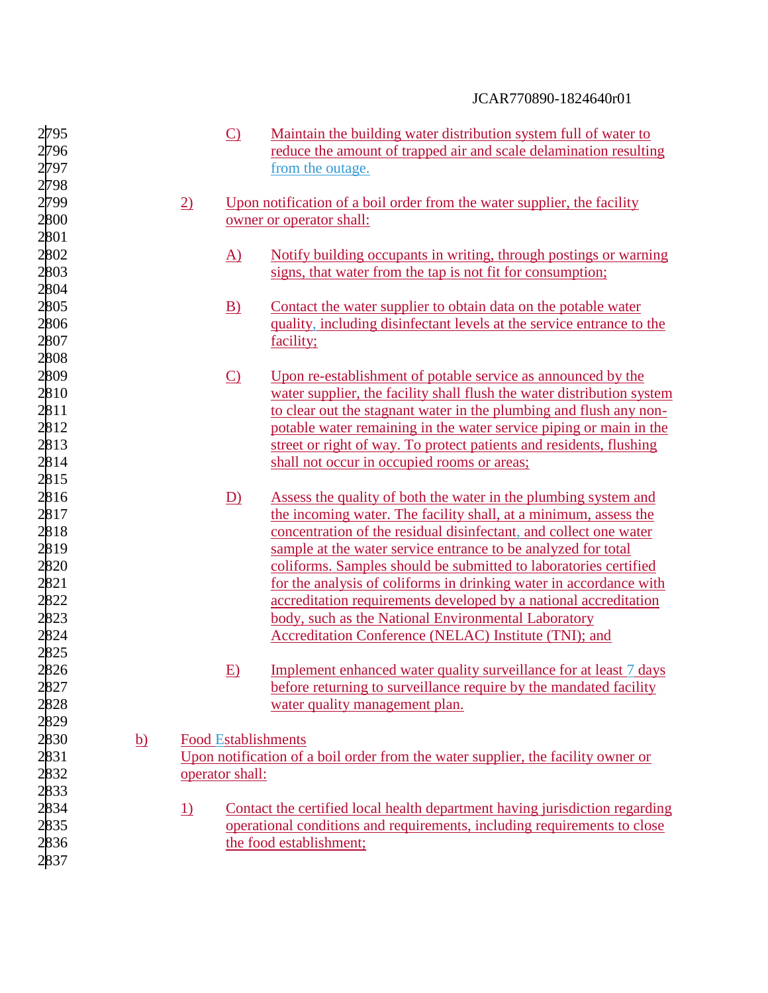| 2795<br>2796<br>2797                      |                 | $\circ$                                       | Maintain the building water distribution system full of water to<br>reduce the amount of trapped air and scale delamination resulting<br>from the outage.                                                                                                         |
|-------------------------------------------|-----------------|-----------------------------------------------|-------------------------------------------------------------------------------------------------------------------------------------------------------------------------------------------------------------------------------------------------------------------|
| 2798<br>2799<br>2800                      | $\overline{2)}$ |                                               | Upon notification of a boil order from the water supplier, the facility<br>owner or operator shall:                                                                                                                                                               |
| 2801<br>2802<br>2803                      |                 | $\Delta$ )                                    | Notify building occupants in writing, through postings or warning<br>signs, that water from the tap is not fit for consumption;                                                                                                                                   |
| 2804<br>2805<br>2806<br>2807              |                 | $\underline{B}$                               | Contact the water supplier to obtain data on the potable water<br>quality, including disinfectant levels at the service entrance to the<br>facility;                                                                                                              |
| 2808<br>2809<br>2810                      |                 | $\Omega$                                      | Upon re-establishment of potable service as announced by the<br>water supplier, the facility shall flush the water distribution system                                                                                                                            |
| 2811<br>2812<br>2813                      |                 |                                               | to clear out the stagnant water in the plumbing and flush any non-<br>potable water remaining in the water service piping or main in the<br>street or right of way. To protect patients and residents, flushing                                                   |
| 2814<br>2815<br>2816                      |                 | D)                                            | shall not occur in occupied rooms or areas;<br>Assess the quality of both the water in the plumbing system and                                                                                                                                                    |
| 2817<br>2818<br>2819                      |                 |                                               | the incoming water. The facility shall, at a minimum, assess the<br>concentration of the residual disinfectant, and collect one water<br>sample at the water service entrance to be analyzed for total                                                            |
| 2820<br>2821<br>2822<br>2823              |                 |                                               | coliforms. Samples should be submitted to laboratories certified<br>for the analysis of coliforms in drinking water in accordance with<br>accreditation requirements developed by a national accreditation<br>body, such as the National Environmental Laboratory |
| 2824<br>2825                              |                 |                                               | Accreditation Conference (NELAC) Institute (TNI); and                                                                                                                                                                                                             |
| 2826<br>2827<br>2828                      |                 | E)                                            | Implement enhanced water quality surveillance for at least 7 days<br>before returning to surveillance require by the mandated facility<br>water quality management plan.                                                                                          |
| 2829<br>2830<br><u>b)</u><br>2831<br>2832 |                 | <b>Food Establishments</b><br>operator shall: | Upon notification of a boil order from the water supplier, the facility owner or                                                                                                                                                                                  |
| 2833<br>2834<br>2835                      | <u>1)</u>       |                                               | Contact the certified local health department having jurisdiction regarding<br>operational conditions and requirements, including requirements to close                                                                                                           |
| 2836<br>2837                              |                 |                                               | the food establishment;                                                                                                                                                                                                                                           |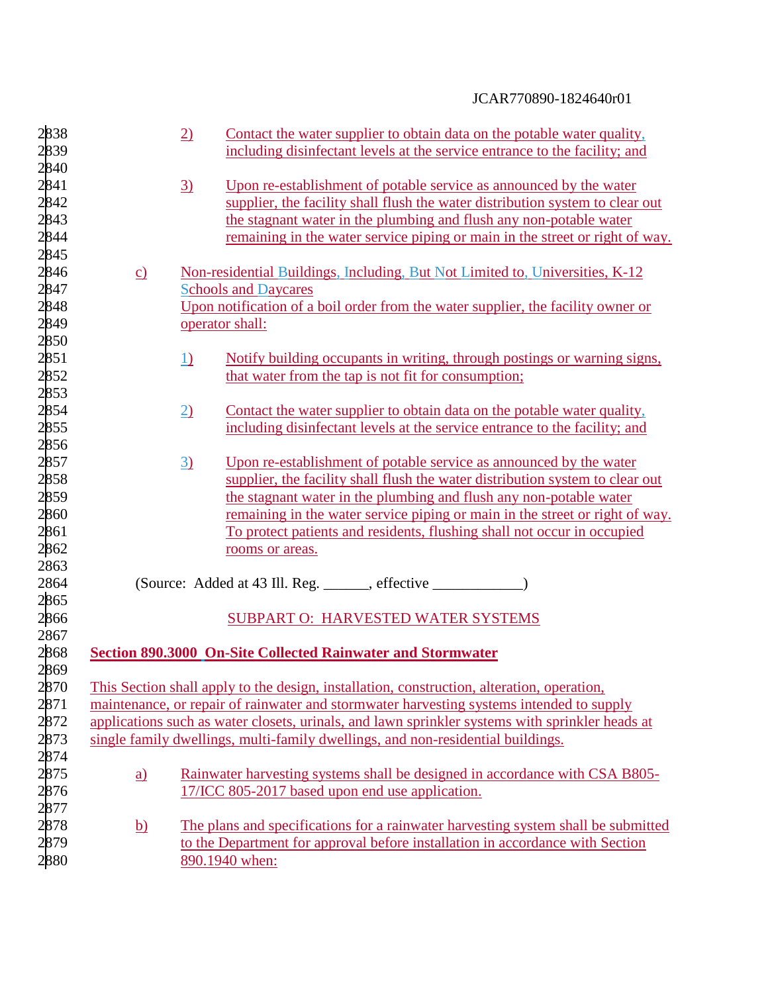| 2838 |                 | $\underline{2}$ | Contact the water supplier to obtain data on the potable water quality,                         |  |
|------|-----------------|-----------------|-------------------------------------------------------------------------------------------------|--|
| 2839 |                 |                 | including disinfectant levels at the service entrance to the facility; and                      |  |
| 2840 |                 |                 |                                                                                                 |  |
| 2841 |                 | $\underline{3}$ | Upon re-establishment of potable service as announced by the water                              |  |
| 2842 |                 |                 | supplier, the facility shall flush the water distribution system to clear out                   |  |
| 2843 |                 |                 | the stagnant water in the plumbing and flush any non-potable water                              |  |
| 2844 |                 |                 | remaining in the water service piping or main in the street or right of way.                    |  |
| 2845 |                 |                 |                                                                                                 |  |
| 2846 | $\underline{c}$ |                 | Non-residential Buildings, Including, But Not Limited to, Universities, K-12                    |  |
| 2847 |                 |                 | <b>Schools and Daycares</b>                                                                     |  |
| 2848 |                 |                 | Upon notification of a boil order from the water supplier, the facility owner or                |  |
| 2849 |                 |                 | operator shall:                                                                                 |  |
| 2850 |                 |                 |                                                                                                 |  |
| 2851 |                 | 1)              | Notify building occupants in writing, through postings or warning signs,                        |  |
| 2852 |                 |                 | that water from the tap is not fit for consumption;                                             |  |
| 2853 |                 |                 |                                                                                                 |  |
| 2854 |                 | $\underline{2}$ | Contact the water supplier to obtain data on the potable water quality,                         |  |
| 2855 |                 |                 | including disinfectant levels at the service entrance to the facility; and                      |  |
| 2856 |                 |                 |                                                                                                 |  |
| 2857 |                 | $\underline{3}$ | Upon re-establishment of potable service as announced by the water                              |  |
| 2858 |                 |                 | supplier, the facility shall flush the water distribution system to clear out                   |  |
| 2859 |                 |                 | the stagnant water in the plumbing and flush any non-potable water                              |  |
| 2860 |                 |                 | remaining in the water service piping or main in the street or right of way.                    |  |
| 2861 |                 |                 | To protect patients and residents, flushing shall not occur in occupied                         |  |
| 2862 |                 |                 | rooms or areas.                                                                                 |  |
| 2863 |                 |                 |                                                                                                 |  |
| 2864 |                 |                 |                                                                                                 |  |
| 2865 |                 |                 |                                                                                                 |  |
| 2866 |                 |                 | <b>SUBPART O: HARVESTED WATER SYSTEMS</b>                                                       |  |
| 2867 |                 |                 |                                                                                                 |  |
| 2868 |                 |                 | <b>Section 890.3000 On-Site Collected Rainwater and Stormwater</b>                              |  |
| 2869 |                 |                 |                                                                                                 |  |
| 2870 |                 |                 | This Section shall apply to the design, installation, construction, alteration, operation,      |  |
| 2871 |                 |                 | maintenance, or repair of rainwater and stormwater harvesting systems intended to supply        |  |
| 2872 |                 |                 | applications such as water closets, urinals, and lawn sprinkler systems with sprinkler heads at |  |
| 2873 |                 |                 | single family dwellings, multi-family dwellings, and non-residential buildings.                 |  |
| 2874 |                 |                 |                                                                                                 |  |
| 2875 | <u>a)</u>       |                 | Rainwater harvesting systems shall be designed in accordance with CSA B805-                     |  |
| 2876 |                 |                 | 17/ICC 805-2017 based upon end use application.                                                 |  |
| 2877 |                 |                 |                                                                                                 |  |
| 2878 | <u>b)</u>       |                 | The plans and specifications for a rainwater harvesting system shall be submitted               |  |
| 2879 |                 |                 | to the Department for approval before installation in accordance with Section                   |  |
| 2880 |                 |                 | 890.1940 when:                                                                                  |  |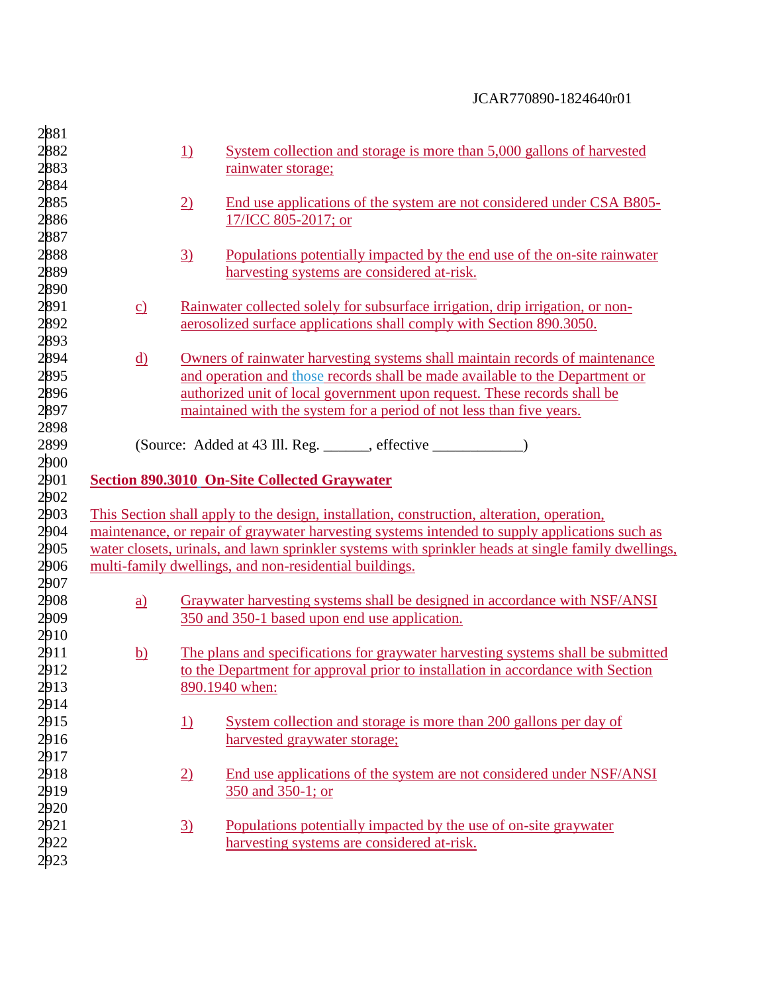| 2881<br>2882<br>2883                 |                                                                            | <u>1)</u>       | System collection and storage is more than 5,000 gallons of harvested<br>rainwater storage;                                                                                                                                                                                                                      |  |  |
|--------------------------------------|----------------------------------------------------------------------------|-----------------|------------------------------------------------------------------------------------------------------------------------------------------------------------------------------------------------------------------------------------------------------------------------------------------------------------------|--|--|
| 2884<br>2885<br>2886                 |                                                                            | $\underline{2}$ | End use applications of the system are not considered under CSA B805-<br>17/ICC 805-2017; or                                                                                                                                                                                                                     |  |  |
| 2887<br>2888<br>2889                 |                                                                            | $\overline{3}$  | Populations potentially impacted by the end use of the on-site rainwater<br>harvesting systems are considered at-risk.                                                                                                                                                                                           |  |  |
| 2890<br>2891<br>2892<br>2893         | $\underline{c}$                                                            |                 | Rainwater collected solely for subsurface irrigation, drip irrigation, or non-<br>aerosolized surface applications shall comply with Section 890.3050.                                                                                                                                                           |  |  |
| 2894<br>2895<br>2896<br>2897         | <u>d)</u>                                                                  |                 | Owners of rainwater harvesting systems shall maintain records of maintenance<br>and operation and those records shall be made available to the Department or<br>authorized unit of local government upon request. These records shall be<br>maintained with the system for a period of not less than five years. |  |  |
| 2899<br>2900                         | 2898<br>(Source: Added at 43 Ill. Reg. ______, effective ________________) |                 |                                                                                                                                                                                                                                                                                                                  |  |  |
| 2901                                 |                                                                            |                 | <b>Section 890.3010 On-Site Collected Graywater</b>                                                                                                                                                                                                                                                              |  |  |
| 2902<br>2903                         |                                                                            |                 | This Section shall apply to the design, installation, construction, alteration, operation,                                                                                                                                                                                                                       |  |  |
| 2904                                 |                                                                            |                 | maintenance, or repair of graywater harvesting systems intended to supply applications such as                                                                                                                                                                                                                   |  |  |
| 2905                                 |                                                                            |                 | water closets, urinals, and lawn sprinkler systems with sprinkler heads at single family dwellings,                                                                                                                                                                                                              |  |  |
| 2906<br>2907                         |                                                                            |                 | multi-family dwellings, and non-residential buildings.                                                                                                                                                                                                                                                           |  |  |
| 2908<br>2909                         | $\underline{a}$                                                            |                 | Graywater harvesting systems shall be designed in accordance with NSF/ANSI<br>350 and 350-1 based upon end use application.                                                                                                                                                                                      |  |  |
| 2910<br>2911<br>2912<br>2913<br>2914 | $\underline{b}$                                                            |                 | The plans and specifications for graywater harvesting systems shall be submitted<br>to the Department for approval prior to installation in accordance with Section<br>890.1940 when:                                                                                                                            |  |  |
| 2915<br>2916<br>2917                 |                                                                            | <u>1)</u>       | System collection and storage is more than 200 gallons per day of<br>harvested graywater storage;                                                                                                                                                                                                                |  |  |
| 2918<br>2919                         |                                                                            | $\overline{2)}$ | End use applications of the system are not considered under NSF/ANSI<br>350 and 350-1; or                                                                                                                                                                                                                        |  |  |
| 2920<br>2921<br>2922<br>2923         |                                                                            | $\underline{3}$ | Populations potentially impacted by the use of on-site graywater<br>harvesting systems are considered at-risk.                                                                                                                                                                                                   |  |  |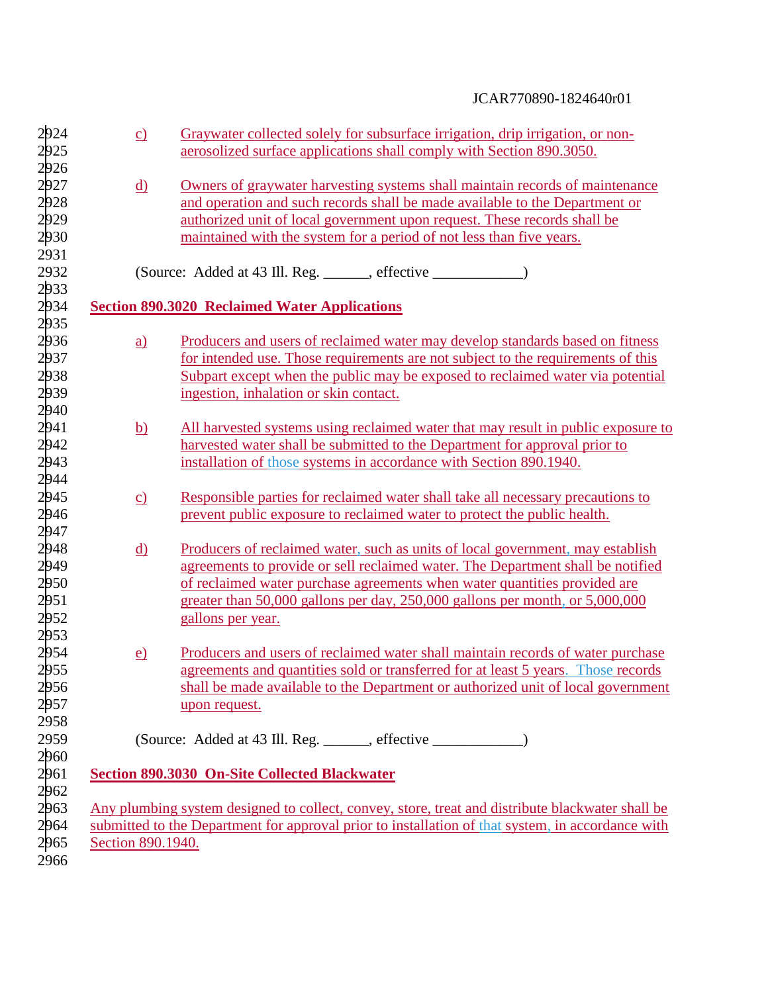| 2924 | $\underline{c}$   | Graywater collected solely for subsurface irrigation, drip irrigation, or non-                    |
|------|-------------------|---------------------------------------------------------------------------------------------------|
| 2925 |                   | aerosolized surface applications shall comply with Section 890.3050.                              |
| 2926 |                   |                                                                                                   |
| 2927 | $\underline{d}$   | Owners of graywater harvesting systems shall maintain records of maintenance                      |
| 2928 |                   | and operation and such records shall be made available to the Department or                       |
| 2929 |                   | authorized unit of local government upon request. These records shall be                          |
| 2930 |                   | maintained with the system for a period of not less than five years.                              |
| 2931 |                   |                                                                                                   |
| 2932 |                   | (Source: Added at 43 Ill. Reg. ______, effective ____________)                                    |
| 2933 |                   |                                                                                                   |
| 2934 |                   | <b>Section 890.3020 Reclaimed Water Applications</b>                                              |
| 2935 |                   |                                                                                                   |
| 2936 | $\underline{a}$   | Producers and users of reclaimed water may develop standards based on fitness                     |
| 2937 |                   | for intended use. Those requirements are not subject to the requirements of this                  |
|      |                   | Subpart except when the public may be exposed to reclaimed water via potential                    |
| 2938 |                   |                                                                                                   |
| 2939 |                   | ingestion, inhalation or skin contact.                                                            |
| 2940 |                   |                                                                                                   |
| 2941 | <u>b)</u>         | All harvested systems using reclaimed water that may result in public exposure to                 |
| 2942 |                   | harvested water shall be submitted to the Department for approval prior to                        |
| 2943 |                   | installation of those systems in accordance with Section 890.1940.                                |
| 2944 |                   |                                                                                                   |
| 2945 | $\underline{c}$   | Responsible parties for reclaimed water shall take all necessary precautions to                   |
| 2946 |                   | prevent public exposure to reclaimed water to protect the public health.                          |
| 2947 |                   |                                                                                                   |
| 2948 | <u>d)</u>         | Producers of reclaimed water, such as units of local government, may establish                    |
| 2949 |                   | agreements to provide or sell reclaimed water. The Department shall be notified                   |
| 2950 |                   | of reclaimed water purchase agreements when water quantities provided are                         |
| 2951 |                   | greater than 50,000 gallons per day, 250,000 gallons per month, or 5,000,000                      |
| 2952 |                   | gallons per year.                                                                                 |
| 2953 |                   |                                                                                                   |
| 2954 | $\underline{e}$   | Producers and users of reclaimed water shall maintain records of water purchase                   |
| 2955 |                   | agreements and quantities sold or transferred for at least 5 years. Those records                 |
| 2956 |                   | shall be made available to the Department or authorized unit of local government                  |
| 2957 |                   |                                                                                                   |
|      |                   | upon request.                                                                                     |
| 2958 |                   |                                                                                                   |
| 2959 |                   | (Source: Added at 43 Ill. Reg. ______, effective _______________)                                 |
| 2960 |                   |                                                                                                   |
| 2961 |                   | <b>Section 890.3030 On-Site Collected Blackwater</b>                                              |
| 2962 |                   |                                                                                                   |
| 2963 |                   | Any plumbing system designed to collect, convey, store, treat and distribute blackwater shall be  |
| 2964 |                   | submitted to the Department for approval prior to installation of that system, in accordance with |
| 2965 | Section 890.1940. |                                                                                                   |
| 2966 |                   |                                                                                                   |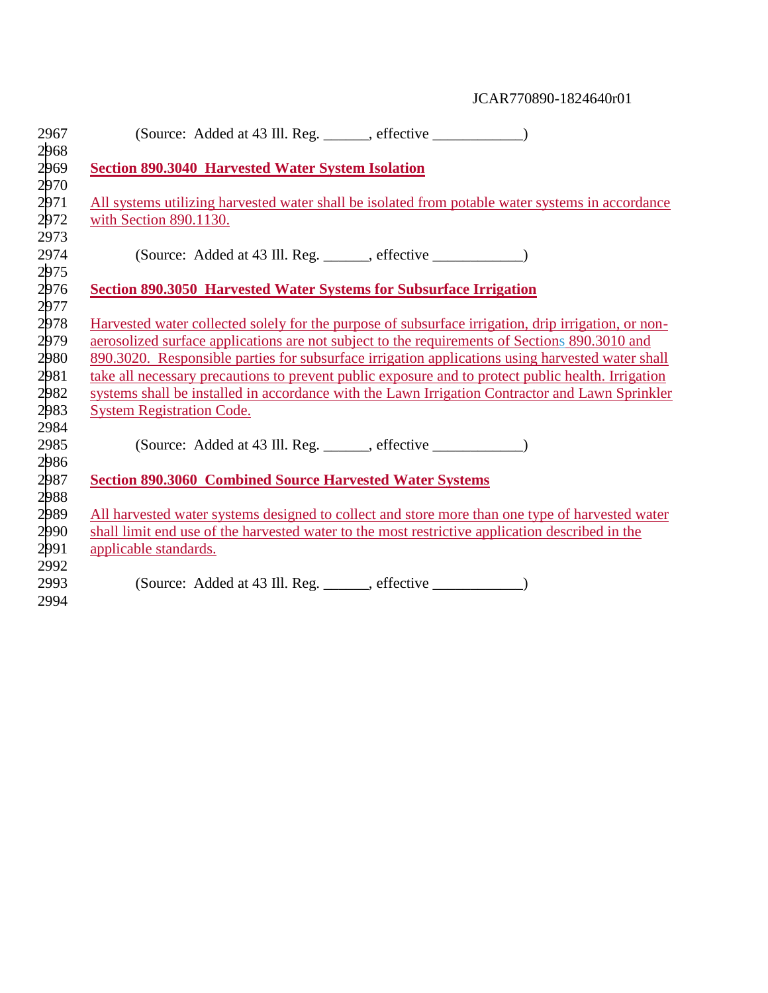| 2967                                                 | (Source: Added at 43 Ill. Reg. ______, effective _____________)                                                                                                                                                                                                                                                                                                                                                                                                                                                                                       |
|------------------------------------------------------|-------------------------------------------------------------------------------------------------------------------------------------------------------------------------------------------------------------------------------------------------------------------------------------------------------------------------------------------------------------------------------------------------------------------------------------------------------------------------------------------------------------------------------------------------------|
| 2968<br>2969<br>2970                                 | <b>Section 890.3040 Harvested Water System Isolation</b>                                                                                                                                                                                                                                                                                                                                                                                                                                                                                              |
| 2971<br>2972                                         | All systems utilizing harvested water shall be isolated from potable water systems in accordance<br>with Section 890.1130.                                                                                                                                                                                                                                                                                                                                                                                                                            |
| 2973<br>2974<br>2975                                 | (Source: Added at 43 Ill. Reg. ______, effective ____________)                                                                                                                                                                                                                                                                                                                                                                                                                                                                                        |
| 2976<br>2977                                         | <b>Section 890.3050 Harvested Water Systems for Subsurface Irrigation</b>                                                                                                                                                                                                                                                                                                                                                                                                                                                                             |
| 2978<br>2979<br>2980<br>2981<br>2982<br>2983<br>2984 | Harvested water collected solely for the purpose of subsurface irrigation, drip irrigation, or non-<br>aerosolized surface applications are not subject to the requirements of Sections 890.3010 and<br>890.3020. Responsible parties for subsurface irrigation applications using harvested water shall<br>take all necessary precautions to prevent public exposure and to protect public health. Irrigation<br>systems shall be installed in accordance with the Lawn Irrigation Contractor and Lawn Sprinkler<br><b>System Registration Code.</b> |
| 2985                                                 | (Source: Added at 43 Ill. Reg. ______, effective _____________)                                                                                                                                                                                                                                                                                                                                                                                                                                                                                       |
| 2986<br>2987<br>2988                                 | <b>Section 890.3060 Combined Source Harvested Water Systems</b>                                                                                                                                                                                                                                                                                                                                                                                                                                                                                       |
| 2989<br>2990<br>2991                                 | All harvested water systems designed to collect and store more than one type of harvested water<br>shall limit end use of the harvested water to the most restrictive application described in the<br>applicable standards.                                                                                                                                                                                                                                                                                                                           |
| 2992<br>2993<br>2994                                 | (Source: Added at 43 Ill. Reg. ______, effective _____________)                                                                                                                                                                                                                                                                                                                                                                                                                                                                                       |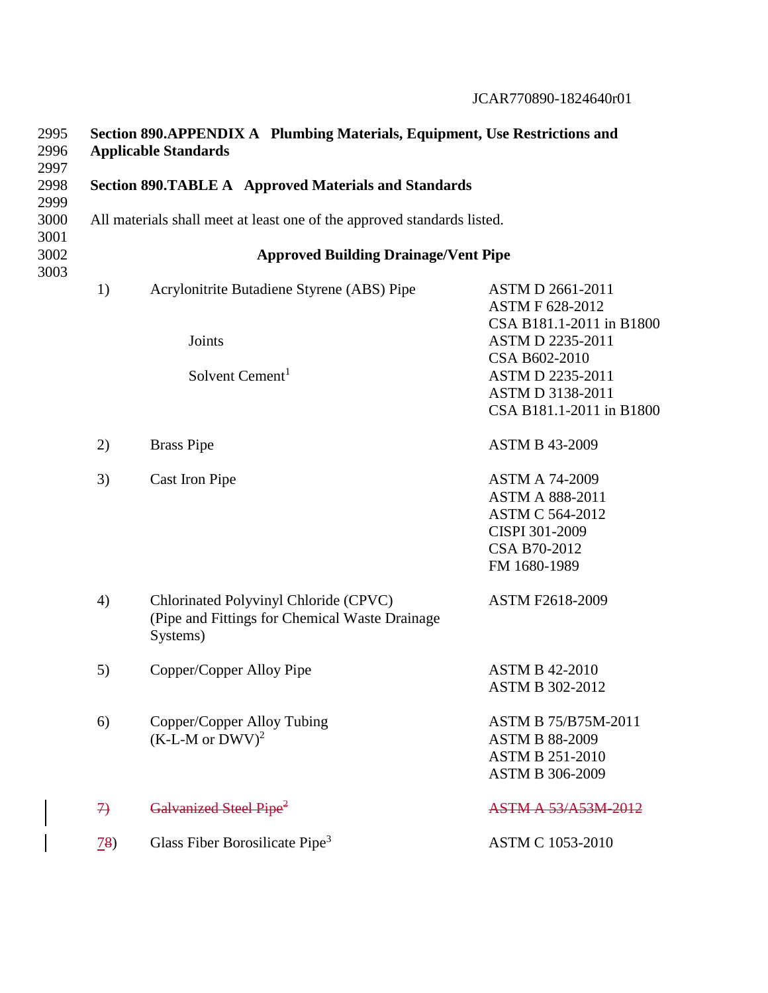ASTM C 564-2012 CISPI 301-2009

| 2995<br>2996<br>2997 | Section 890.APPENDIX A Plumbing Materials, Equipment, Use Restrictions and<br><b>Applicable Standards</b> |                                                                         |                                                                                |  |  |  |  |
|----------------------|-----------------------------------------------------------------------------------------------------------|-------------------------------------------------------------------------|--------------------------------------------------------------------------------|--|--|--|--|
| 2998                 |                                                                                                           | <b>Section 890.TABLE A</b> Approved Materials and Standards             |                                                                                |  |  |  |  |
| 2999<br>3000<br>3001 |                                                                                                           | All materials shall meet at least one of the approved standards listed. |                                                                                |  |  |  |  |
| 3002<br>3003         |                                                                                                           | <b>Approved Building Drainage/Vent Pipe</b>                             |                                                                                |  |  |  |  |
|                      | 1)                                                                                                        | Acrylonitrite Butadiene Styrene (ABS) Pipe                              | <b>ASTM D 2661-2011</b><br><b>ASTM F 628-2012</b><br>CSA B181.1-2011 in B1800  |  |  |  |  |
|                      |                                                                                                           | Joints                                                                  | <b>ASTM D 2235-2011</b><br>CSA B602-2010                                       |  |  |  |  |
|                      |                                                                                                           | Solvent Cement <sup>1</sup>                                             | <b>ASTM D 2235-2011</b><br><b>ASTM D 3138-2011</b><br>CSA B181.1-2011 in B1800 |  |  |  |  |
|                      | 2)                                                                                                        | <b>Brass Pipe</b>                                                       | <b>ASTM B 43-2009</b>                                                          |  |  |  |  |
|                      | 3)                                                                                                        | Cast Iron Pipe                                                          | <b>ASTM A 74-2009</b><br><b>ASTM A 888-2011</b>                                |  |  |  |  |

CSA B70-2012 FM 1680-1989 4) Chlorinated Polyvinyl Chloride (CPVC) (Pipe and Fittings for Chemical Waste Drainage Systems) ASTM F2618-2009

5) Copper/Copper Alloy Pipe ASTM B 42-2010 ASTM B 302-2012 6) Copper/Copper Alloy Tubing ASTM B 75/B75M-2011  $(K-L-M \text{ or } DWV)^2$  ASTM B 88-2009 ASTM B 251-2010 ASTM B 306-2009 7) Galvanized Steel Pipe<sup>2</sup> ASTM A 53/A53M-2012

78) Glass Fiber Borosilicate Pipe<sup>3</sup> ASTM C 1053-2010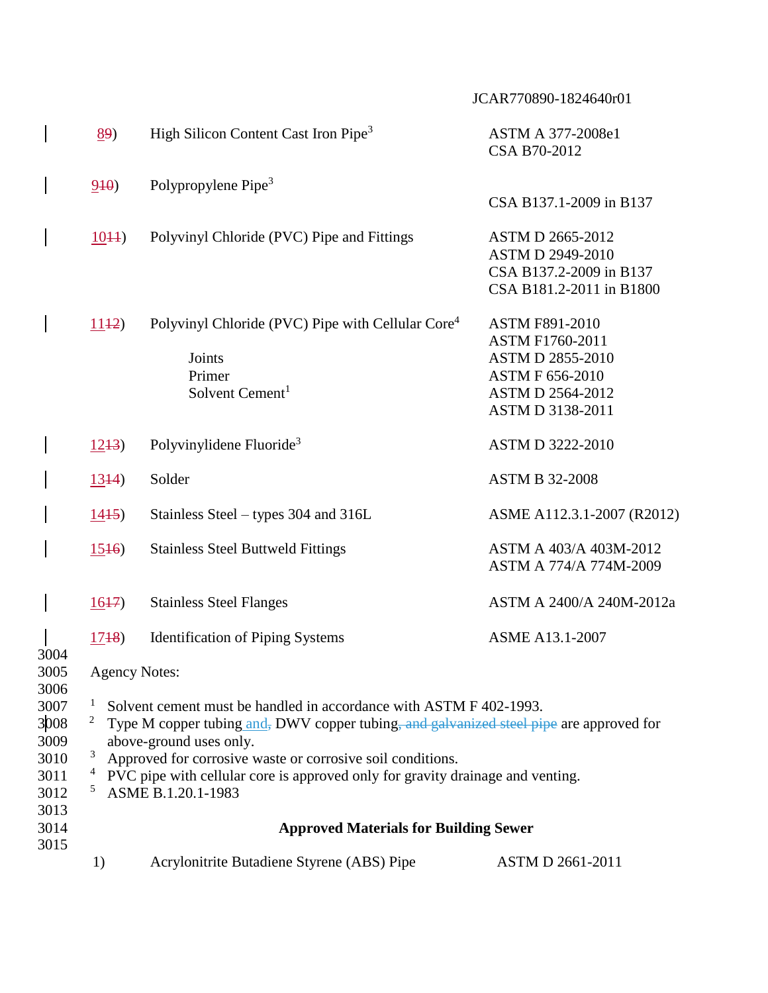|                                                              | 89)                                                                                                                                                                                                                                                                                                                                                                                                                          | High Silicon Content Cast Iron Pipe <sup>3</sup>                                                                 | ASTM A 377-2008e1<br>CSA B70-2012                                                                                                            |  |  |  |  |
|--------------------------------------------------------------|------------------------------------------------------------------------------------------------------------------------------------------------------------------------------------------------------------------------------------------------------------------------------------------------------------------------------------------------------------------------------------------------------------------------------|------------------------------------------------------------------------------------------------------------------|----------------------------------------------------------------------------------------------------------------------------------------------|--|--|--|--|
|                                                              | 940                                                                                                                                                                                                                                                                                                                                                                                                                          | Polypropylene Pipe <sup>3</sup>                                                                                  | CSA B137.1-2009 in B137                                                                                                                      |  |  |  |  |
|                                                              | 1044)                                                                                                                                                                                                                                                                                                                                                                                                                        | Polyvinyl Chloride (PVC) Pipe and Fittings                                                                       | <b>ASTM D 2665-2012</b><br><b>ASTM D 2949-2010</b><br>CSA B137.2-2009 in B137<br>CSA B181.2-2011 in B1800                                    |  |  |  |  |
|                                                              | 1142)                                                                                                                                                                                                                                                                                                                                                                                                                        | Polyvinyl Chloride (PVC) Pipe with Cellular Core <sup>4</sup><br>Joints<br>Primer<br>Solvent Cement <sup>1</sup> | <b>ASTM F891-2010</b><br>ASTM F1760-2011<br><b>ASTM D 2855-2010</b><br><b>ASTM F 656-2010</b><br><b>ASTM D 2564-2012</b><br>ASTM D 3138-2011 |  |  |  |  |
|                                                              | 1243)                                                                                                                                                                                                                                                                                                                                                                                                                        | Polyvinylidene Fluoride <sup>3</sup>                                                                             | <b>ASTM D 3222-2010</b>                                                                                                                      |  |  |  |  |
|                                                              | 1344)                                                                                                                                                                                                                                                                                                                                                                                                                        | Solder                                                                                                           | <b>ASTM B 32-2008</b>                                                                                                                        |  |  |  |  |
|                                                              | 1445                                                                                                                                                                                                                                                                                                                                                                                                                         | Stainless Steel – types 304 and 316L                                                                             | ASME A112.3.1-2007 (R2012)                                                                                                                   |  |  |  |  |
|                                                              | $15+6$                                                                                                                                                                                                                                                                                                                                                                                                                       | <b>Stainless Steel Buttweld Fittings</b>                                                                         | ASTM A 403/A 403M-2012<br>ASTM A 774/A 774M-2009                                                                                             |  |  |  |  |
|                                                              | 1647                                                                                                                                                                                                                                                                                                                                                                                                                         | <b>Stainless Steel Flanges</b>                                                                                   | ASTM A 2400/A 240M-2012a                                                                                                                     |  |  |  |  |
|                                                              | $17+8$                                                                                                                                                                                                                                                                                                                                                                                                                       | <b>Identification of Piping Systems</b>                                                                          | <b>ASME A13.1-2007</b>                                                                                                                       |  |  |  |  |
| 3004<br>3005                                                 | <b>Agency Notes:</b>                                                                                                                                                                                                                                                                                                                                                                                                         |                                                                                                                  |                                                                                                                                              |  |  |  |  |
| 3006<br>3007<br>3008<br>3009<br>3010<br>3011<br>3012<br>3013 | $\mathbf{I}$<br>Solvent cement must be handled in accordance with ASTM F 402-1993.<br>$\overline{c}$<br>Type M copper tubing and, DWV copper tubing, and galvanized steel pipe are approved for<br>above-ground uses only.<br>3<br>Approved for corrosive waste or corrosive soil conditions.<br>$\overline{a}$<br>PVC pipe with cellular core is approved only for gravity drainage and venting.<br>5<br>ASME B.1.20.1-1983 |                                                                                                                  |                                                                                                                                              |  |  |  |  |
| 3014<br>3015                                                 | <b>Approved Materials for Building Sewer</b>                                                                                                                                                                                                                                                                                                                                                                                 |                                                                                                                  |                                                                                                                                              |  |  |  |  |
|                                                              | 1)                                                                                                                                                                                                                                                                                                                                                                                                                           | Acrylonitrite Butadiene Styrene (ABS) Pipe                                                                       | <b>ASTM D 2661-2011</b>                                                                                                                      |  |  |  |  |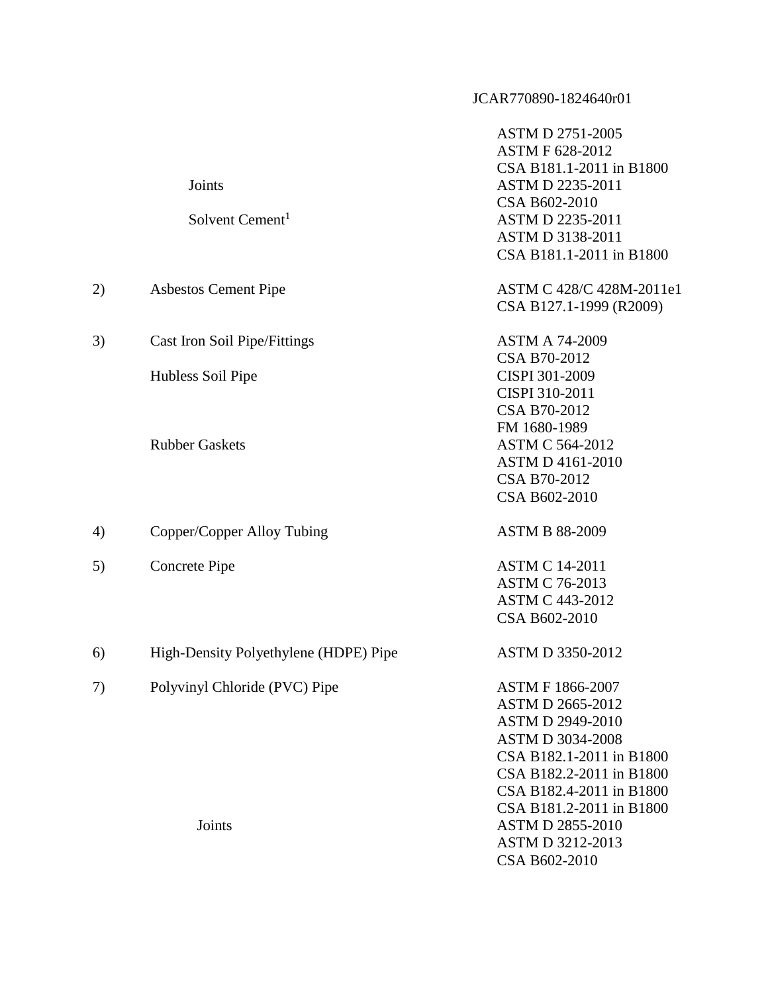|    | Joints<br>Solvent Cement <sup>1</sup>                    | <b>ASTM D 2751-2005</b><br><b>ASTM F 628-2012</b><br>CSA B181.1-2011 in B1800<br>ASTM D 2235-2011<br>CSA B602-2010<br>ASTM D 2235-2011<br>ASTM D 3138-2011<br>CSA B181.1-2011 in B1800                                   |
|----|----------------------------------------------------------|--------------------------------------------------------------------------------------------------------------------------------------------------------------------------------------------------------------------------|
| 2) | <b>Asbestos Cement Pipe</b>                              | ASTM C 428/C 428M-2011e1<br>CSA B127.1-1999 (R2009)                                                                                                                                                                      |
| 3) | <b>Cast Iron Soil Pipe/Fittings</b><br>Hubless Soil Pipe | <b>ASTM A 74-2009</b><br>CSA B70-2012<br>CISPI 301-2009                                                                                                                                                                  |
|    | <b>Rubber Gaskets</b>                                    | CISPI 310-2011<br>CSA B70-2012<br>FM 1680-1989<br><b>ASTM C 564-2012</b><br><b>ASTM D 4161-2010</b><br>CSA B70-2012<br>CSA B602-2010                                                                                     |
| 4) | Copper/Copper Alloy Tubing                               | <b>ASTM B 88-2009</b>                                                                                                                                                                                                    |
| 5) | Concrete Pipe                                            | <b>ASTM C 14-2011</b><br><b>ASTM C 76-2013</b><br><b>ASTM C 443-2012</b><br>CSA B602-2010                                                                                                                                |
| 6) | High-Density Polyethylene (HDPE) Pipe                    | ASTM D 3350-2012                                                                                                                                                                                                         |
| 7) | Polyvinyl Chloride (PVC) Pipe                            | <b>ASTM F 1866-2007</b><br><b>ASTM D 2665-2012</b><br><b>ASTM D 2949-2010</b><br><b>ASTM D 3034-2008</b><br>CSA B182.1-2011 in B1800<br>CSA B182.2-2011 in B1800<br>CSA B182.4-2011 in B1800<br>CSA B181.2-2011 in B1800 |
|    | Joints                                                   | <b>ASTM D 2855-2010</b><br><b>ASTM D 3212-2013</b>                                                                                                                                                                       |

CSA B602-2010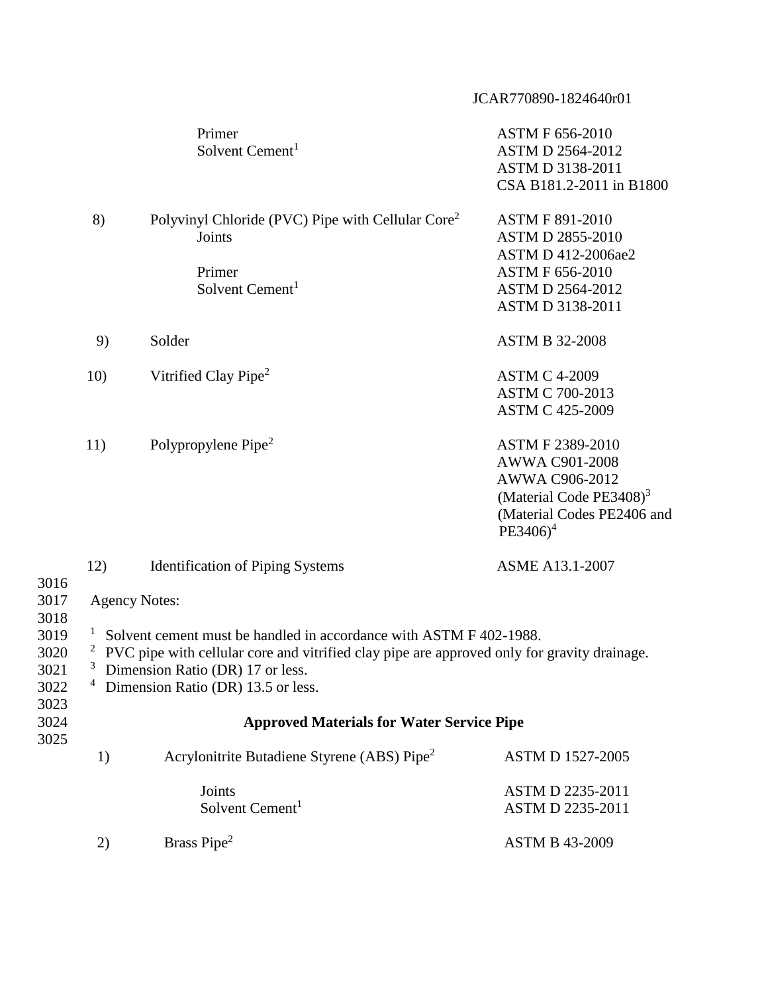|                                                                              |                                                                                                                                                                                                                                                                       |                                                                                                                  | JCAR770890-1824640r01                                                                                                                            |  |  |
|------------------------------------------------------------------------------|-----------------------------------------------------------------------------------------------------------------------------------------------------------------------------------------------------------------------------------------------------------------------|------------------------------------------------------------------------------------------------------------------|--------------------------------------------------------------------------------------------------------------------------------------------------|--|--|
|                                                                              |                                                                                                                                                                                                                                                                       | Primer<br>Solvent Cement <sup>1</sup>                                                                            | <b>ASTM F 656-2010</b><br><b>ASTM D 2564-2012</b><br>ASTM D 3138-2011<br>CSA B181.2-2011 in B1800                                                |  |  |
|                                                                              | 8)                                                                                                                                                                                                                                                                    | Polyvinyl Chloride (PVC) Pipe with Cellular Core <sup>2</sup><br>Joints<br>Primer<br>Solvent Cement <sup>1</sup> | <b>ASTM F 891-2010</b><br><b>ASTM D 2855-2010</b><br>ASTM D 412-2006ae2<br><b>ASTM F 656-2010</b><br><b>ASTM D 2564-2012</b><br>ASTM D 3138-2011 |  |  |
|                                                                              | 9)                                                                                                                                                                                                                                                                    | Solder                                                                                                           | <b>ASTM B 32-2008</b>                                                                                                                            |  |  |
|                                                                              | 10)                                                                                                                                                                                                                                                                   | Vitrified Clay Pipe <sup>2</sup>                                                                                 | <b>ASTM C 4-2009</b><br><b>ASTM C 700-2013</b><br><b>ASTM C 425-2009</b>                                                                         |  |  |
|                                                                              | 11)                                                                                                                                                                                                                                                                   | Polypropylene Pipe <sup>2</sup>                                                                                  | ASTM F 2389-2010<br>AWWA C901-2008<br>AWWA C906-2012<br>(Material Code $PE3408$ ) <sup>3</sup><br>(Material Codes PE2406 and<br>$PE3406)^4$      |  |  |
| 3016<br>3017<br>3018<br>3019<br>3020<br>3021<br>3022<br>3023<br>3024<br>3025 | 12)                                                                                                                                                                                                                                                                   | <b>Identification of Piping Systems</b>                                                                          | <b>ASME A13.1-2007</b>                                                                                                                           |  |  |
|                                                                              | <b>Agency Notes:</b>                                                                                                                                                                                                                                                  |                                                                                                                  |                                                                                                                                                  |  |  |
|                                                                              | <sup>1</sup> Solvent cement must be handled in accordance with ASTM F 402-1988.<br>PVC pipe with cellular core and vitrified clay pipe are approved only for gravity drainage.<br>Dimension Ratio (DR) 17 or less.<br><sup>4</sup> Dimension Ratio (DR) 13.5 or less. |                                                                                                                  |                                                                                                                                                  |  |  |
|                                                                              | <b>Approved Materials for Water Service Pipe</b>                                                                                                                                                                                                                      |                                                                                                                  |                                                                                                                                                  |  |  |
|                                                                              | 1)                                                                                                                                                                                                                                                                    | Acrylonitrite Butadiene Styrene (ABS) Pipe <sup>2</sup>                                                          | <b>ASTM D 1527-2005</b>                                                                                                                          |  |  |
|                                                                              |                                                                                                                                                                                                                                                                       | Joints<br>Solvent Cement <sup>1</sup>                                                                            | ASTM D 2235-2011<br>ASTM D 2235-2011                                                                                                             |  |  |
|                                                                              | 2)                                                                                                                                                                                                                                                                    | Brass Pipe <sup>2</sup>                                                                                          | <b>ASTM B 43-2009</b>                                                                                                                            |  |  |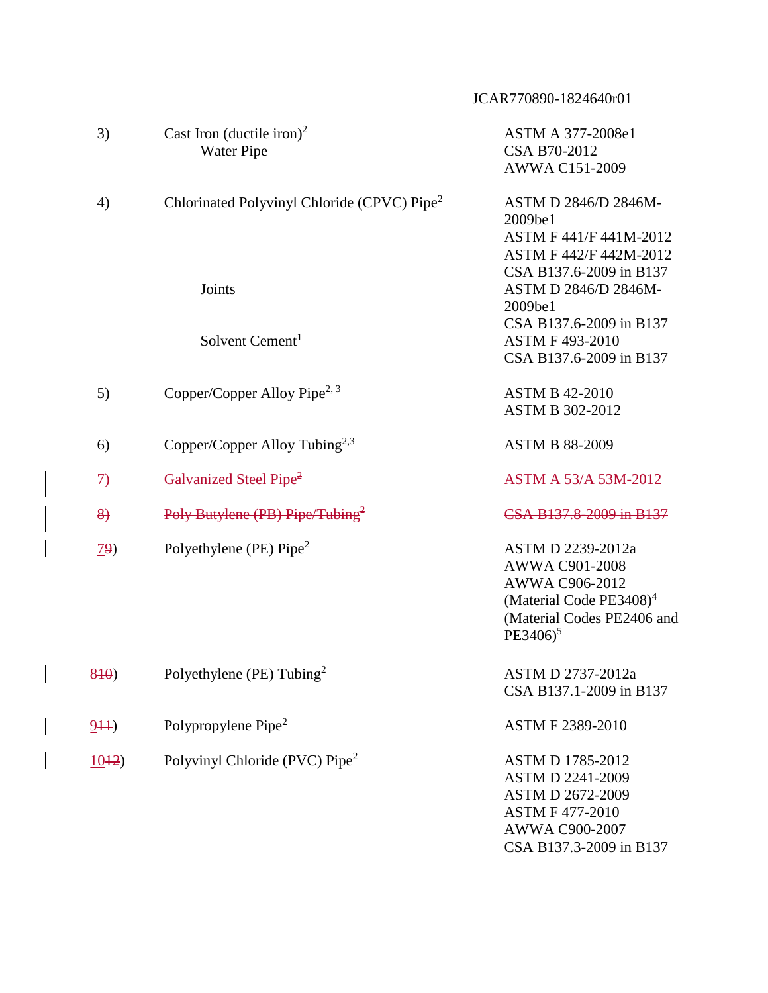|                    |                                                         | JCAR770890-1824640r01                                                                                                                                  |
|--------------------|---------------------------------------------------------|--------------------------------------------------------------------------------------------------------------------------------------------------------|
| 3)                 | Cast Iron (ductile iron) <sup>2</sup><br>Water Pipe     | ASTM A 377-2008e1<br>CSA B70-2012<br>AWWA C151-2009                                                                                                    |
| 4)                 | Chlorinated Polyvinyl Chloride (CPVC) Pipe <sup>2</sup> | ASTM D 2846/D 2846M-<br>2009be1<br>ASTM F 441/F 441M-2012<br>ASTM F 442/F 442M-2012                                                                    |
|                    | Joints                                                  | CSA B137.6-2009 in B137<br>ASTM D 2846/D 2846M-<br>2009be1                                                                                             |
|                    | Solvent Cement <sup>1</sup>                             | CSA B137.6-2009 in B137<br><b>ASTM F 493-2010</b><br>CSA B137.6-2009 in B137                                                                           |
| 5)                 | Copper/Copper Alloy Pipe <sup>2, 3</sup>                | <b>ASTM B 42-2010</b><br><b>ASTM B 302-2012</b>                                                                                                        |
| 6)                 | Copper/Copper Alloy Tubing <sup>2,3</sup>               | <b>ASTM B 88-2009</b>                                                                                                                                  |
| $\rightarrow$      | Galvanized Steel Pipe <sup>2</sup>                      | <b>ASTM A 53/A 53M-2012</b>                                                                                                                            |
| $\left\{8\right\}$ | Poly Butylene (PB) Pipe/Tubing <sup>2</sup>             | CSA B137.8-2009 in B137                                                                                                                                |
| <u>79</u> )        | Polyethylene (PE) Pipe <sup>2</sup>                     | ASTM D 2239-2012a<br>AWWA C901-2008<br>AWWA C906-2012<br>(Material Code $PE3408$ ) <sup>4</sup><br>(Material Codes PE2406 and<br>$PE3406$ <sup>5</sup> |
| 840                | Polyethylene (PE) Tubing <sup>2</sup>                   | ASTM D 2737-2012a<br>CSA B137.1-2009 in B137                                                                                                           |
| 944)               | Polypropylene Pipe <sup>2</sup>                         | ASTM F 2389-2010                                                                                                                                       |
| 1012               | Polyvinyl Chloride (PVC) Pipe <sup>2</sup>              | <b>ASTM D 1785-2012</b><br><b>ASTM D 2241-2009</b><br>ASTM D 2672-2009<br><b>ASTM F 477-2010</b>                                                       |

AWWA C900-2007

CSA B137.3-2009 in B137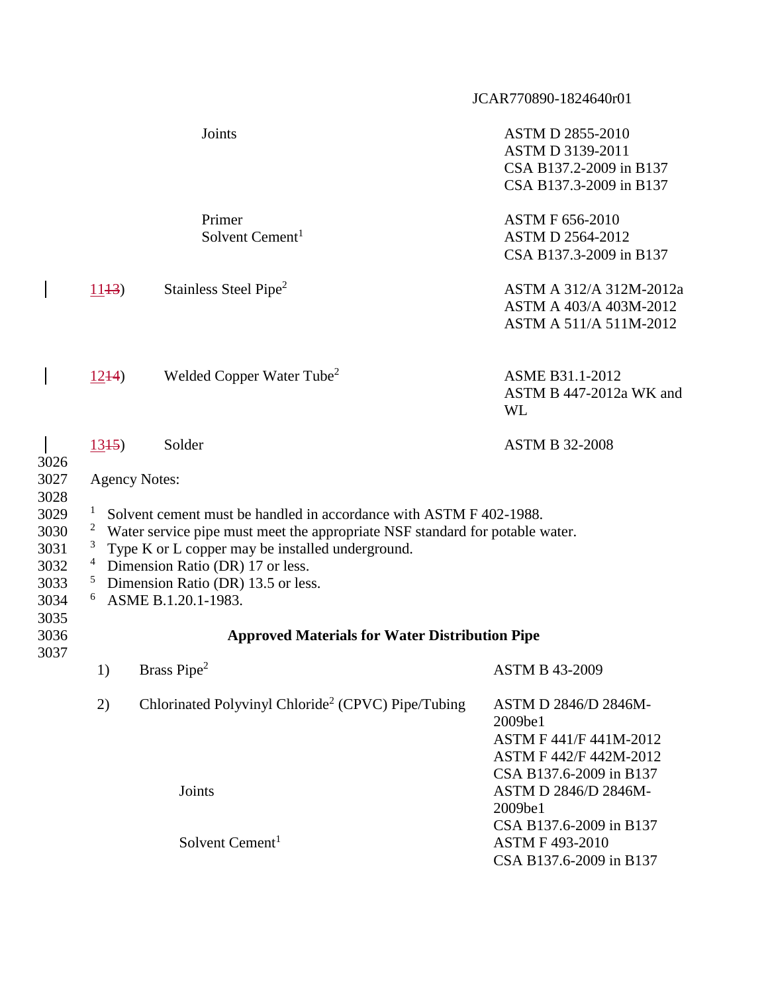|                                                                      |                                                                                                                                                                                                                                                                                                                                                                                                          |                                                                | JCAR770890-1824640r01                                                                                          |  |
|----------------------------------------------------------------------|----------------------------------------------------------------------------------------------------------------------------------------------------------------------------------------------------------------------------------------------------------------------------------------------------------------------------------------------------------------------------------------------------------|----------------------------------------------------------------|----------------------------------------------------------------------------------------------------------------|--|
|                                                                      |                                                                                                                                                                                                                                                                                                                                                                                                          | Joints                                                         | <b>ASTM D 2855-2010</b><br>ASTM D 3139-2011<br>CSA B137.2-2009 in B137<br>CSA B137.3-2009 in B137              |  |
|                                                                      |                                                                                                                                                                                                                                                                                                                                                                                                          | Primer<br>Solvent Cement <sup>1</sup>                          | <b>ASTM F 656-2010</b><br><b>ASTM D 2564-2012</b><br>CSA B137.3-2009 in B137                                   |  |
|                                                                      | 1143                                                                                                                                                                                                                                                                                                                                                                                                     | Stainless Steel Pipe <sup>2</sup>                              | ASTM A 312/A 312M-2012a<br>ASTM A 403/A 403M-2012<br>ASTM A 511/A 511M-2012                                    |  |
|                                                                      | $12+4$                                                                                                                                                                                                                                                                                                                                                                                                   | Welded Copper Water Tube <sup>2</sup>                          | ASME B31.1-2012<br>ASTM B 447-2012a WK and<br><b>WL</b>                                                        |  |
| 3026                                                                 | 1345                                                                                                                                                                                                                                                                                                                                                                                                     | Solder                                                         | <b>ASTM B 32-2008</b>                                                                                          |  |
| 3027<br>3028<br>3029<br>3030<br>3031<br>3032<br>3033<br>3034<br>3035 | <b>Agency Notes:</b><br>Solvent cement must be handled in accordance with ASTM F 402-1988.<br>$\overline{\mathbf{c}}$<br>Water service pipe must meet the appropriate NSF standard for potable water.<br>3<br>Type K or L copper may be installed underground.<br>$\overline{a}$<br>Dimension Ratio (DR) 17 or less.<br>$\mathfrak{S}$<br>Dimension Ratio (DR) 13.5 or less.<br>6<br>ASME B.1.20.1-1983. |                                                                |                                                                                                                |  |
| 3036<br>3037                                                         |                                                                                                                                                                                                                                                                                                                                                                                                          | <b>Approved Materials for Water Distribution Pipe</b>          |                                                                                                                |  |
|                                                                      | 1)                                                                                                                                                                                                                                                                                                                                                                                                       | Brass Pipe <sup>2</sup>                                        | <b>ASTM B 43-2009</b>                                                                                          |  |
|                                                                      | 2)                                                                                                                                                                                                                                                                                                                                                                                                       | Chlorinated Polyvinyl Chloride <sup>2</sup> (CPVC) Pipe/Tubing | ASTM D 2846/D 2846M-<br>2009be1<br>ASTM F 441/F 441M-2012<br>ASTM F 442/F 442M-2012<br>CSA B137.6-2009 in B137 |  |
|                                                                      |                                                                                                                                                                                                                                                                                                                                                                                                          | Joints                                                         | ASTM D 2846/D 2846M-<br>2009be1                                                                                |  |
|                                                                      |                                                                                                                                                                                                                                                                                                                                                                                                          | Solvent Cement <sup>1</sup>                                    | CSA B137.6-2009 in B137<br><b>ASTM F 493-2010</b><br>CSA B137.6-2009 in B137                                   |  |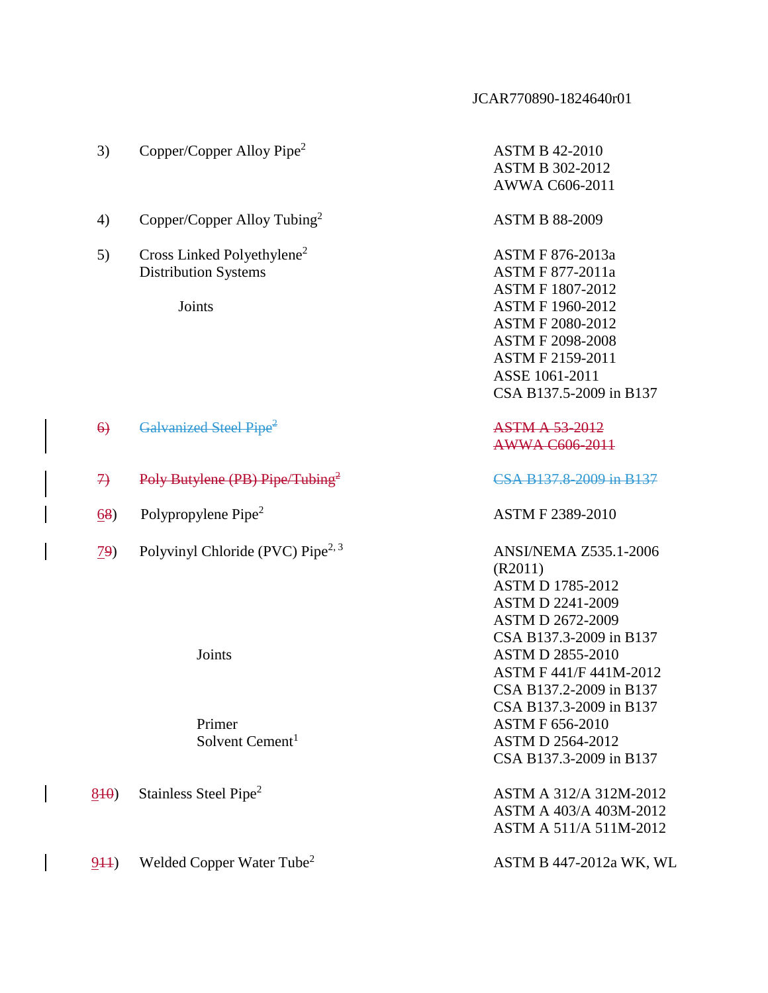| 3)              | Copper/Copper Alloy Pipe <sup>2</sup>                                           | <b>ASTM B 42-2010</b><br><b>ASTM B 302-2012</b><br>AWWA C606-2011                                                                                                                                                        |
|-----------------|---------------------------------------------------------------------------------|--------------------------------------------------------------------------------------------------------------------------------------------------------------------------------------------------------------------------|
| 4)              | Copper/Copper Alloy Tubing <sup>2</sup>                                         | <b>ASTM B 88-2009</b>                                                                                                                                                                                                    |
| 5)              | Cross Linked Polyethylene <sup>2</sup><br><b>Distribution Systems</b><br>Joints | ASTM F 876-2013a<br><b>ASTM F 877-2011a</b><br><b>ASTM F 1807-2012</b><br><b>ASTM F 1960-2012</b><br><b>ASTM F 2080-2012</b><br><b>ASTM F 2098-2008</b><br>ASTM F 2159-2011<br>ASSE 1061-2011<br>CSA B137.5-2009 in B137 |
| $\Theta$        | Galvanized Steel Pipe <sup>2</sup>                                              | <b>ASTM A 53-2012</b><br>AWWA C606-2011                                                                                                                                                                                  |
| $\rightarrow$   | Poly Butylene (PB) Pipe/Tubing <sup>2</sup>                                     | CSA B137.8-2009 in B137                                                                                                                                                                                                  |
| 68)             | Polypropylene Pipe <sup>2</sup>                                                 | ASTM F 2389-2010                                                                                                                                                                                                         |
| $\overline{29}$ | Polyvinyl Chloride (PVC) Pipe <sup>2, 3</sup>                                   | <b>ANSI/NEMA Z535.1-2006</b><br>(R2011)<br><b>ASTM D 1785-2012</b><br><b>ASTM D 2241-2009</b><br><b>ASTM D 2672-2009</b><br>CSA B137.3-2009 in B137                                                                      |
|                 | Joints                                                                          | <b>ASTM D 2855-2010</b><br>ASTM F 441/F 441M-2012<br>CSA B137.2-2009 in B137<br>CSA B137.3-2009 in B137                                                                                                                  |
|                 | Primer<br>Solvent Cement <sup>1</sup>                                           | <b>ASTM F 656-2010</b><br><b>ASTM D 2564-2012</b><br>CSA B137.3-2009 in B137                                                                                                                                             |
| 840             | Stainless Steel Pipe <sup>2</sup>                                               | ASTM A 312/A 312M-2012<br>ASTM A 403/A 403M-2012<br>ASTM A 511/A 511M-2012                                                                                                                                               |
| 944)            | Welded Copper Water Tube <sup>2</sup>                                           | ASTM B 447-2012a WK, WL                                                                                                                                                                                                  |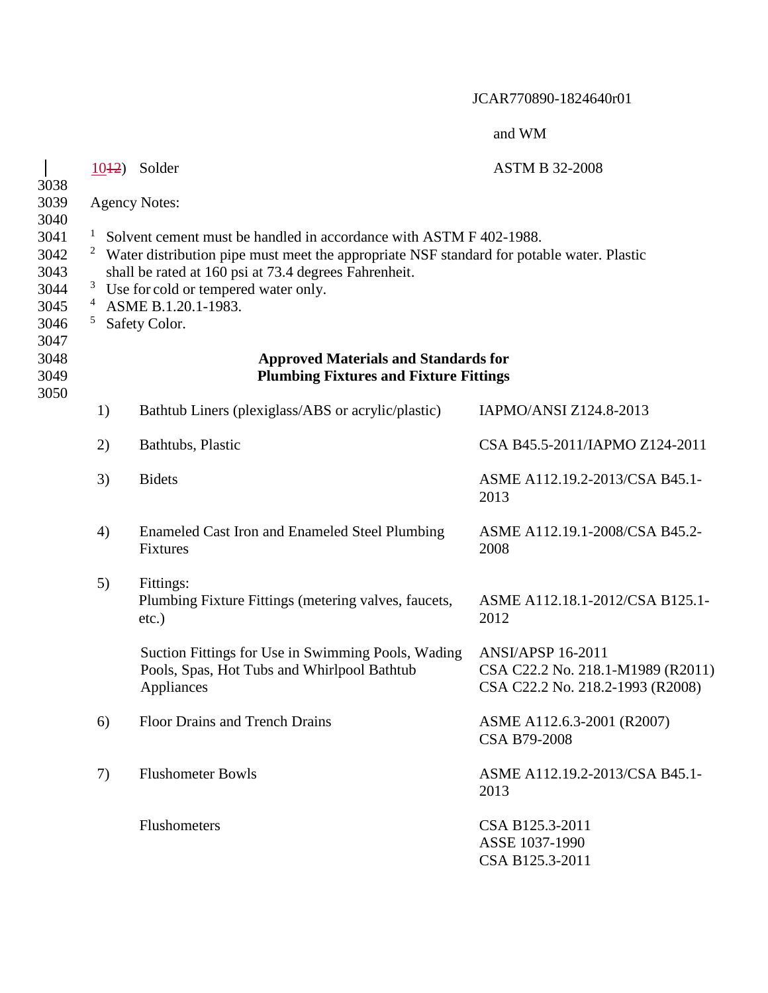|                                                              |                                                                                                                                                                                                                                                                                                                                                                                 | 1042) Solder                                                                                                    | <b>ASTM B 32-2008</b>                                                                             |
|--------------------------------------------------------------|---------------------------------------------------------------------------------------------------------------------------------------------------------------------------------------------------------------------------------------------------------------------------------------------------------------------------------------------------------------------------------|-----------------------------------------------------------------------------------------------------------------|---------------------------------------------------------------------------------------------------|
| 3038<br>3039                                                 |                                                                                                                                                                                                                                                                                                                                                                                 | <b>Agency Notes:</b>                                                                                            |                                                                                                   |
| 3040<br>3041<br>3042<br>3043<br>3044<br>3045<br>3046<br>3047 | $\mathbf{I}$<br>Solvent cement must be handled in accordance with ASTM F 402-1988.<br>$\mathbf{2}$<br>Water distribution pipe must meet the appropriate NSF standard for potable water. Plastic<br>shall be rated at 160 psi at 73.4 degrees Fahrenheit.<br>$\mathbf{3}$<br>Use for cold or tempered water only.<br>$\overline{4}$<br>ASME B.1.20.1-1983.<br>5<br>Safety Color. |                                                                                                                 |                                                                                                   |
| 3048<br>3049                                                 |                                                                                                                                                                                                                                                                                                                                                                                 | <b>Approved Materials and Standards for</b><br><b>Plumbing Fixtures and Fixture Fittings</b>                    |                                                                                                   |
| 3050                                                         | 1)                                                                                                                                                                                                                                                                                                                                                                              | Bathtub Liners (plexiglass/ABS or acrylic/plastic)                                                              | IAPMO/ANSI Z124.8-2013                                                                            |
|                                                              | 2)                                                                                                                                                                                                                                                                                                                                                                              | Bathtubs, Plastic                                                                                               | CSA B45.5-2011/IAPMO Z124-2011                                                                    |
|                                                              | 3)                                                                                                                                                                                                                                                                                                                                                                              | <b>Bidets</b>                                                                                                   | ASME A112.19.2-2013/CSA B45.1-<br>2013                                                            |
|                                                              | 4)                                                                                                                                                                                                                                                                                                                                                                              | Enameled Cast Iron and Enameled Steel Plumbing<br>Fixtures                                                      | ASME A112.19.1-2008/CSA B45.2-<br>2008                                                            |
|                                                              | 5)                                                                                                                                                                                                                                                                                                                                                                              | Fittings:<br>Plumbing Fixture Fittings (metering valves, faucets,<br>$etc.$ )                                   | ASME A112.18.1-2012/CSA B125.1-<br>2012                                                           |
|                                                              |                                                                                                                                                                                                                                                                                                                                                                                 | Suction Fittings for Use in Swimming Pools, Wading<br>Pools, Spas, Hot Tubs and Whirlpool Bathtub<br>Appliances | <b>ANSI/APSP 16-2011</b><br>CSA C22.2 No. 218.1-M1989 (R2011)<br>CSA C22.2 No. 218.2-1993 (R2008) |
|                                                              | 6)                                                                                                                                                                                                                                                                                                                                                                              | <b>Floor Drains and Trench Drains</b>                                                                           | ASME A112.6.3-2001 (R2007)<br><b>CSA B79-2008</b>                                                 |
|                                                              | 7)                                                                                                                                                                                                                                                                                                                                                                              | <b>Flushometer Bowls</b>                                                                                        | ASME A112.19.2-2013/CSA B45.1-<br>2013                                                            |
|                                                              |                                                                                                                                                                                                                                                                                                                                                                                 | <b>Flushometers</b>                                                                                             | CSA B125.3-2011<br>ASSE 1037-1990<br>CSA B125.3-2011                                              |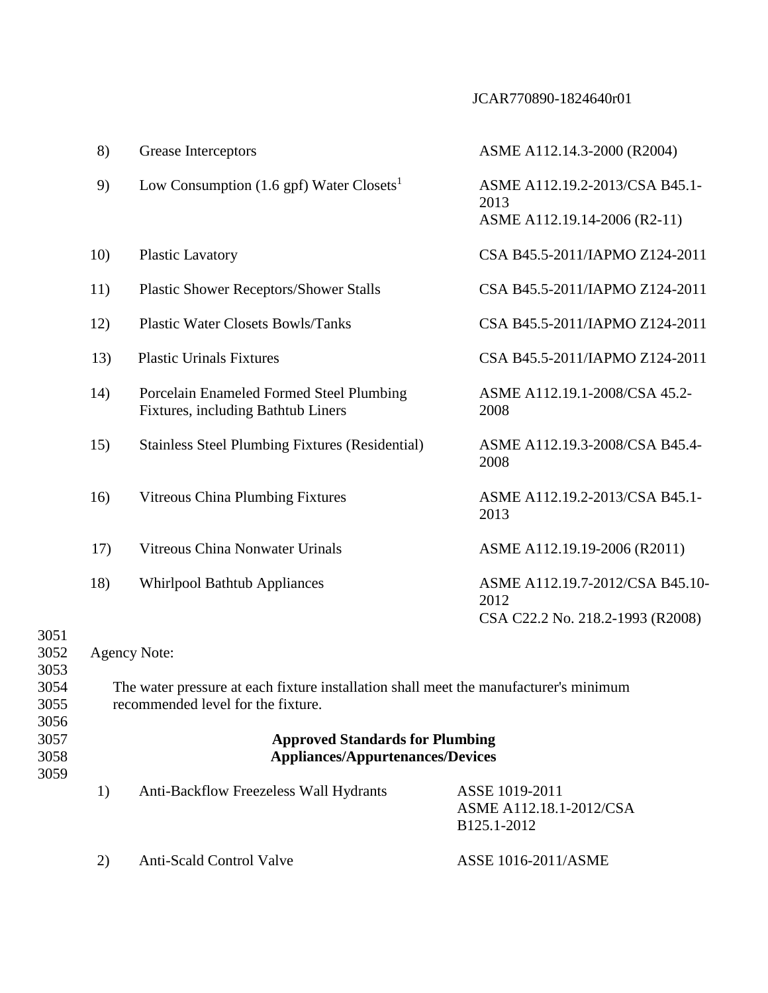|                                                                                                                                                                                                                                                                  | 8)  | Grease Interceptors                                                            | ASME A112.14.3-2000 (R2004)                                                 |
|------------------------------------------------------------------------------------------------------------------------------------------------------------------------------------------------------------------------------------------------------------------|-----|--------------------------------------------------------------------------------|-----------------------------------------------------------------------------|
|                                                                                                                                                                                                                                                                  | 9)  | Low Consumption $(1.6 \text{ gpf})$ Water Closets <sup>1</sup>                 | ASME A112.19.2-2013/CSA B45.1-<br>2013<br>ASME A112.19.14-2006 (R2-11)      |
|                                                                                                                                                                                                                                                                  | 10) | <b>Plastic Lavatory</b>                                                        | CSA B45.5-2011/IAPMO Z124-2011                                              |
|                                                                                                                                                                                                                                                                  | 11) | <b>Plastic Shower Receptors/Shower Stalls</b>                                  | CSA B45.5-2011/IAPMO Z124-2011                                              |
|                                                                                                                                                                                                                                                                  | 12) | <b>Plastic Water Closets Bowls/Tanks</b>                                       | CSA B45.5-2011/IAPMO Z124-2011                                              |
|                                                                                                                                                                                                                                                                  | 13) | <b>Plastic Urinals Fixtures</b>                                                | CSA B45.5-2011/IAPMO Z124-2011                                              |
|                                                                                                                                                                                                                                                                  | 14) | Porcelain Enameled Formed Steel Plumbing<br>Fixtures, including Bathtub Liners | ASME A112.19.1-2008/CSA 45.2-<br>2008                                       |
|                                                                                                                                                                                                                                                                  | 15) | <b>Stainless Steel Plumbing Fixtures (Residential)</b>                         | ASME A112.19.3-2008/CSA B45.4-<br>2008                                      |
|                                                                                                                                                                                                                                                                  | 16) | Vitreous China Plumbing Fixtures                                               | ASME A112.19.2-2013/CSA B45.1-<br>2013                                      |
|                                                                                                                                                                                                                                                                  | 17) | Vitreous China Nonwater Urinals                                                | ASME A112.19.19-2006 (R2011)                                                |
| 3051                                                                                                                                                                                                                                                             | 18) | <b>Whirlpool Bathtub Appliances</b>                                            | ASME A112.19.7-2012/CSA B45.10-<br>2012<br>CSA C22.2 No. 218.2-1993 (R2008) |
| 3052<br>3053                                                                                                                                                                                                                                                     |     | <b>Agency Note:</b>                                                            |                                                                             |
| 3054<br>The water pressure at each fixture installation shall meet the manufacturer's minimum<br>3055<br>recommended level for the fixture.<br>3056<br>3057<br><b>Approved Standards for Plumbing</b><br>3058<br><b>Appliances/Appurtenances/Devices</b><br>3059 |     |                                                                                |                                                                             |
|                                                                                                                                                                                                                                                                  |     |                                                                                |                                                                             |
|                                                                                                                                                                                                                                                                  | 1)  | Anti-Backflow Freezeless Wall Hydrants                                         | ASSE 1019-2011<br>ASME A112.18.1-2012/CSA<br>B125.1-2012                    |

2) Anti-Scald Control Valve ASSE 1016-2011/ASME

3051 3052

3053<br>3054

3055 3056

3059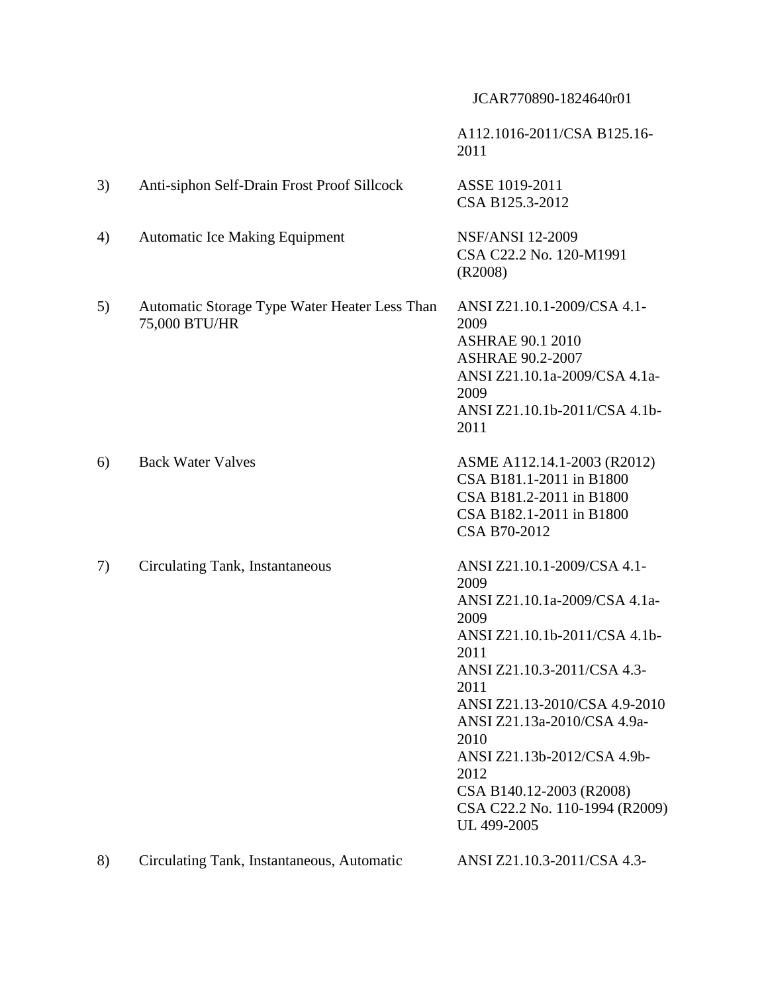|    |                                                                | A112.1016-2011/CSA B125.16-<br>2011                                                                                                                                                                                                                                                                                                                      |
|----|----------------------------------------------------------------|----------------------------------------------------------------------------------------------------------------------------------------------------------------------------------------------------------------------------------------------------------------------------------------------------------------------------------------------------------|
| 3) | Anti-siphon Self-Drain Frost Proof Sillcock                    | ASSE 1019-2011<br>CSA B125.3-2012                                                                                                                                                                                                                                                                                                                        |
| 4) | <b>Automatic Ice Making Equipment</b>                          | <b>NSF/ANSI 12-2009</b><br>CSA C22.2 No. 120-M1991<br>(R2008)                                                                                                                                                                                                                                                                                            |
| 5) | Automatic Storage Type Water Heater Less Than<br>75,000 BTU/HR | ANSI Z21.10.1-2009/CSA 4.1-<br>2009<br><b>ASHRAE 90.1 2010</b><br><b>ASHRAE 90.2-2007</b><br>ANSI Z21.10.1a-2009/CSA 4.1a-<br>2009<br>ANSI Z21.10.1b-2011/CSA 4.1b-<br>2011                                                                                                                                                                              |
| 6) | <b>Back Water Valves</b>                                       | ASME A112.14.1-2003 (R2012)<br>CSA B181.1-2011 in B1800<br>CSA B181.2-2011 in B1800<br>CSA B182.1-2011 in B1800<br>CSA B70-2012                                                                                                                                                                                                                          |
| 7) | Circulating Tank, Instantaneous                                | ANSI Z21.10.1-2009/CSA 4.1-<br>2009<br>ANSI Z21.10.1a-2009/CSA 4.1a-<br>2009<br>ANSI Z21.10.1b-2011/CSA 4.1b-<br>2011<br>ANSI Z21.10.3-2011/CSA 4.3-<br>2011<br>ANSI Z21.13-2010/CSA 4.9-2010<br>ANSI Z21.13a-2010/CSA 4.9a-<br>2010<br>ANSI Z21.13b-2012/CSA 4.9b-<br>2012<br>CSA B140.12-2003 (R2008)<br>CSA C22.2 No. 110-1994 (R2009)<br>UL 499-2005 |
| 8) | Circulating Tank, Instantaneous, Automatic                     | ANSI Z21.10.3-2011/CSA 4.3-                                                                                                                                                                                                                                                                                                                              |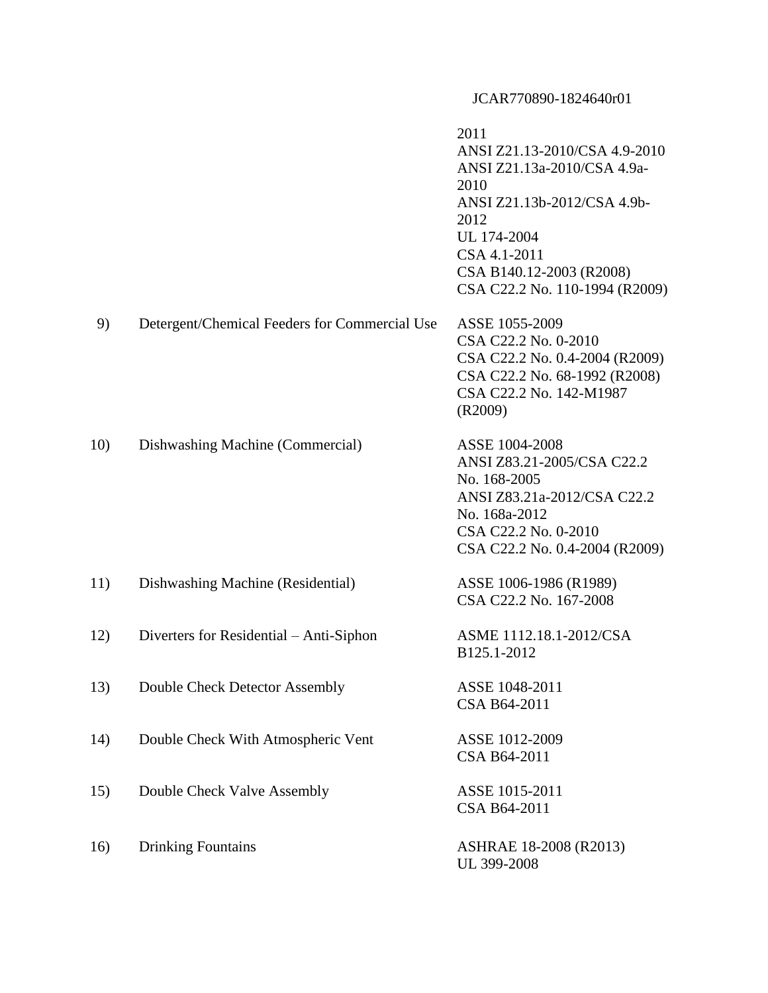|     |                                               | 2011<br>ANSI Z21.13-2010/CSA 4.9-2010<br>ANSI Z21.13a-2010/CSA 4.9a-<br>2010<br>ANSI Z21.13b-2012/CSA 4.9b-<br>2012<br>UL 174-2004<br>CSA 4.1-2011<br>CSA B140.12-2003 (R2008)<br>CSA C22.2 No. 110-1994 (R2009) |
|-----|-----------------------------------------------|------------------------------------------------------------------------------------------------------------------------------------------------------------------------------------------------------------------|
| 9)  | Detergent/Chemical Feeders for Commercial Use | ASSE 1055-2009<br>CSA C22.2 No. 0-2010<br>CSA C22.2 No. 0.4-2004 (R2009)<br>CSA C22.2 No. 68-1992 (R2008)<br>CSA C22.2 No. 142-M1987<br>(R2009)                                                                  |
| 10) | Dishwashing Machine (Commercial)              | ASSE 1004-2008<br>ANSI Z83.21-2005/CSA C22.2<br>No. 168-2005<br>ANSI Z83.21a-2012/CSA C22.2<br>No. 168a-2012<br>CSA C22.2 No. 0-2010<br>CSA C22.2 No. 0.4-2004 (R2009)                                           |
| 11) | Dishwashing Machine (Residential)             | ASSE 1006-1986 (R1989)<br>CSA C22.2 No. 167-2008                                                                                                                                                                 |
| 12) | Diverters for Residential – Anti-Siphon       | ASME 1112.18.1-2012/CSA<br>B125.1-2012                                                                                                                                                                           |
| 13) | Double Check Detector Assembly                | ASSE 1048-2011<br>CSA B64-2011                                                                                                                                                                                   |
| 14) | Double Check With Atmospheric Vent            | ASSE 1012-2009<br>CSA B64-2011                                                                                                                                                                                   |
| 15) | Double Check Valve Assembly                   | ASSE 1015-2011<br>CSA B64-2011                                                                                                                                                                                   |
| 16) | <b>Drinking Fountains</b>                     | ASHRAE 18-2008 (R2013)<br>UL 399-2008                                                                                                                                                                            |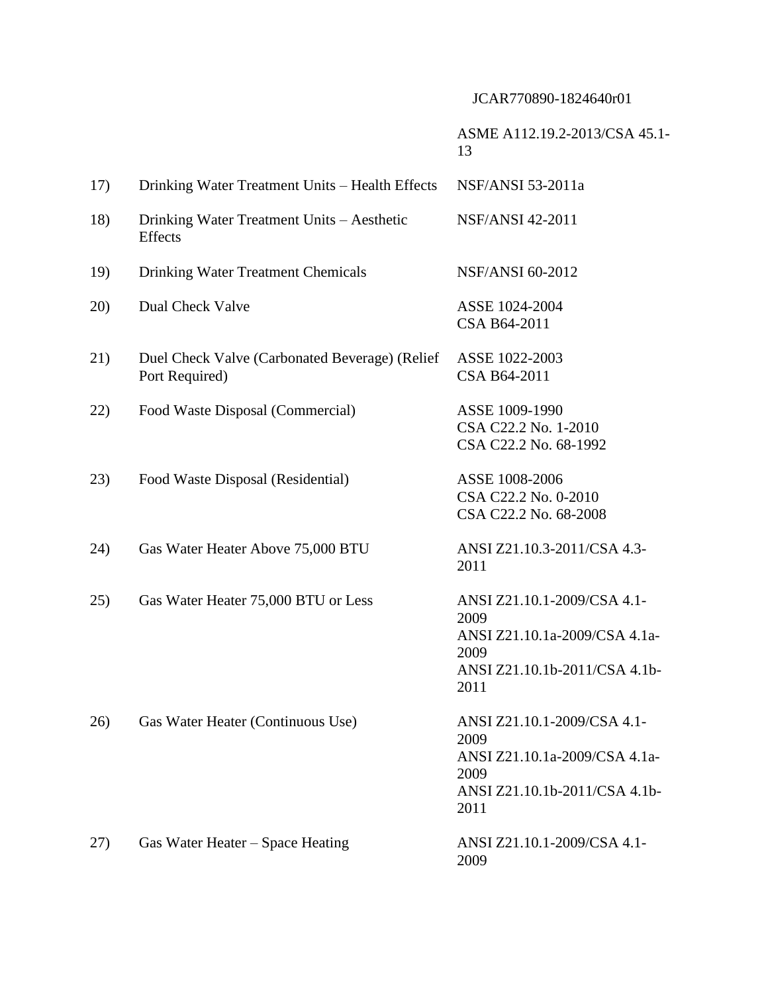## ASME A112.19.2-2013/CSA 45.1- 13

| 17) | Drinking Water Treatment Units – Health Effects                  | NSF/ANSI 53-2011a                                                                                                     |
|-----|------------------------------------------------------------------|-----------------------------------------------------------------------------------------------------------------------|
| 18) | Drinking Water Treatment Units - Aesthetic<br>Effects            | <b>NSF/ANSI 42-2011</b>                                                                                               |
| 19) | <b>Drinking Water Treatment Chemicals</b>                        | <b>NSF/ANSI 60-2012</b>                                                                                               |
| 20) | Dual Check Valve                                                 | ASSE 1024-2004<br>CSA B64-2011                                                                                        |
| 21) | Duel Check Valve (Carbonated Beverage) (Relief<br>Port Required) | ASSE 1022-2003<br>CSA B64-2011                                                                                        |
| 22) | Food Waste Disposal (Commercial)                                 | ASSE 1009-1990<br>CSA C22.2 No. 1-2010<br>CSA C22.2 No. 68-1992                                                       |
| 23) | Food Waste Disposal (Residential)                                | ASSE 1008-2006<br>CSA C22.2 No. 0-2010<br>CSA C22.2 No. 68-2008                                                       |
| 24) | Gas Water Heater Above 75,000 BTU                                | ANSI Z21.10.3-2011/CSA 4.3-<br>2011                                                                                   |
| 25) | Gas Water Heater 75,000 BTU or Less                              | ANSI Z21.10.1-2009/CSA 4.1-<br>2009<br>ANSI Z21.10.1a-2009/CSA 4.1a-<br>2009<br>ANSI Z21.10.1b-2011/CSA 4.1b-<br>2011 |
| 26) | Gas Water Heater (Continuous Use)                                | ANSI Z21.10.1-2009/CSA 4.1-<br>2009<br>ANSI Z21.10.1a-2009/CSA 4.1a-<br>2009<br>ANSI Z21.10.1b-2011/CSA 4.1b-<br>2011 |
| 27) | Gas Water Heater – Space Heating                                 | ANSI Z21.10.1-2009/CSA 4.1-<br>2009                                                                                   |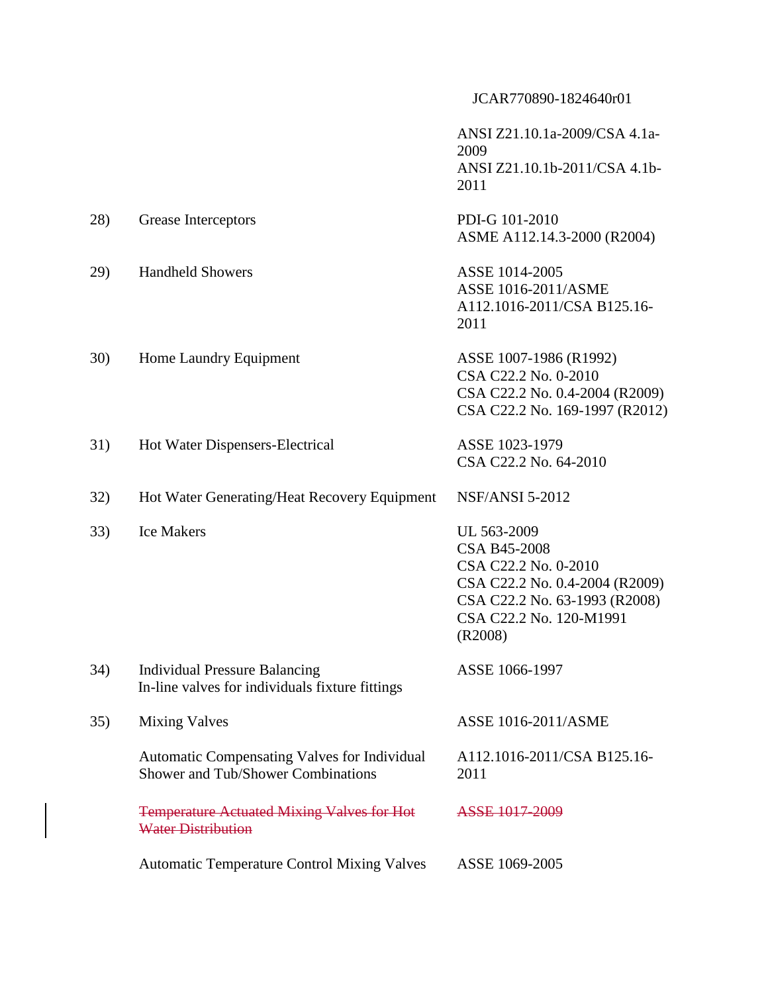ANSI Z21.10.1a-2009/CSA 4.1a-2009 ANSI Z21.10.1b-2011/CSA 4.1b-2011

| 28) | Grease Interceptors     | PDI-G 101-2010<br>ASME A112.14.3-2000 (R2004) |
|-----|-------------------------|-----------------------------------------------|
| 29) | <b>Handheld Showers</b> | ASSE 1014-2005                                |

ASSE 1016-2011/ASME A112.1016-2011/CSA B125.16- 2011

CSA C22.2 No. 169-1997 (R2012)

30) Home Laundry Equipment ASSE 1007-1986 (R1992) CSA C22.2 No. 0-2010 CSA C22.2 No. 0.4-2004 (R2009)

31) Hot Water Dispensers-Electrical ASSE 1023-1979 CSA C22.2 No. 64-2010

32) Hot Water Generating/Heat Recovery Equipment NSF/ANSI 5-2012

33) Ice Makers UL 563-2009

CSA B45-2008 CSA C22.2 No. 0-2010 CSA C22.2 No. 0.4-2004 (R2009) CSA C22.2 No. 63-1993 (R2008) CSA C22.2 No. 120-M1991 (R2008)

34) Individual Pressure Balancing In-line valves for individuals fixture fittings

35) Mixing Valves

Automatic Compensating Valves for Individual Shower and Tub/Shower Combinations

Temperature Actuated Mixing Valves for Hot Water Distribution

ASSE 1016-2011/ASME

ASSE 1066-1997

A112.1016-2011/CSA B125.16- 2011

ASSE 1017-2009

Automatic Temperature Control Mixing Valves ASSE 1069-2005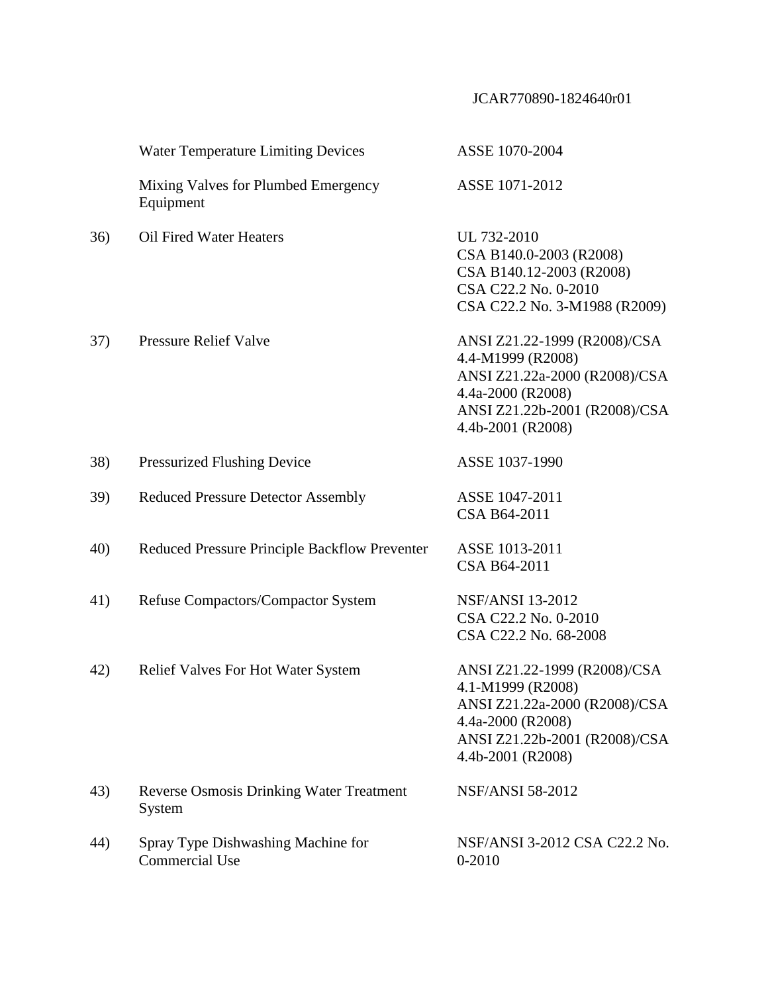|     | <b>Water Temperature Limiting Devices</b>                   | ASSE 1070-2004                                                                                                                                                |
|-----|-------------------------------------------------------------|---------------------------------------------------------------------------------------------------------------------------------------------------------------|
|     | Mixing Valves for Plumbed Emergency<br>Equipment            | ASSE 1071-2012                                                                                                                                                |
| 36) | <b>Oil Fired Water Heaters</b>                              | UL 732-2010<br>CSA B140.0-2003 (R2008)<br>CSA B140.12-2003 (R2008)<br>CSA C22.2 No. 0-2010<br>CSA C22.2 No. 3-M1988 (R2009)                                   |
| 37) | <b>Pressure Relief Valve</b>                                | ANSI Z21.22-1999 (R2008)/CSA<br>4.4-M1999 (R2008)<br>ANSI Z21.22a-2000 (R2008)/CSA<br>4.4a-2000 (R2008)<br>ANSI Z21.22b-2001 (R2008)/CSA<br>4.4b-2001 (R2008) |
| 38) | <b>Pressurized Flushing Device</b>                          | ASSE 1037-1990                                                                                                                                                |
| 39) | <b>Reduced Pressure Detector Assembly</b>                   | ASSE 1047-2011<br>CSA B64-2011                                                                                                                                |
| 40) | Reduced Pressure Principle Backflow Preventer               | ASSE 1013-2011<br>CSA B64-2011                                                                                                                                |
| 41) | Refuse Compactors/Compactor System                          | <b>NSF/ANSI 13-2012</b><br>CSA C22.2 No. 0-2010<br>CSA C22.2 No. 68-2008                                                                                      |
| 42) | <b>Relief Valves For Hot Water System</b>                   | ANSI Z21.22-1999 (R2008)/CSA<br>4.1-M1999 (R2008)<br>ANSI Z21.22a-2000 (R2008)/CSA<br>4.4a-2000 (R2008)<br>ANSI Z21.22b-2001 (R2008)/CSA<br>4.4b-2001 (R2008) |
| 43) | <b>Reverse Osmosis Drinking Water Treatment</b><br>System   | <b>NSF/ANSI 58-2012</b>                                                                                                                                       |
| 44) | Spray Type Dishwashing Machine for<br><b>Commercial Use</b> | NSF/ANSI 3-2012 CSA C22.2 No.<br>$0 - 2010$                                                                                                                   |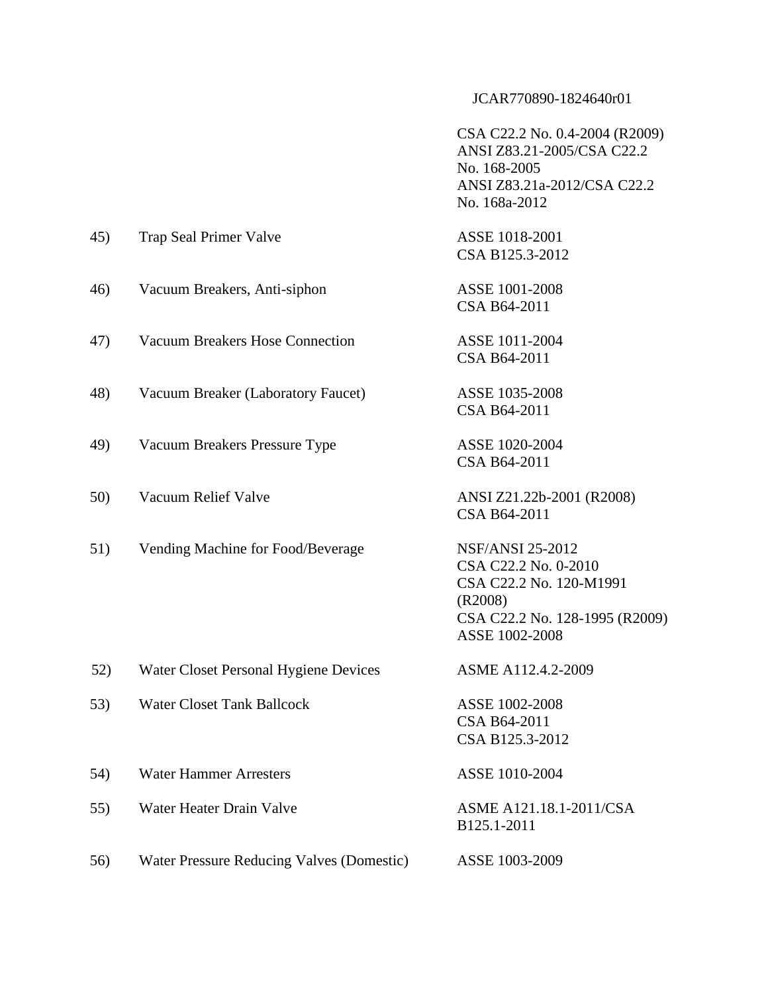CSA C22.2 No. 0.4-2004 (R2009) ANSI Z83.21-2005/CSA C22.2 No. 168-2005 ANSI Z83.21a-2012/CSA C22.2 No. 168a-2012

| 45) | Trap Seal Primer Valve                           | ASSE 1018-2001<br>CSA B125.3-2012                                                                                                         |
|-----|--------------------------------------------------|-------------------------------------------------------------------------------------------------------------------------------------------|
| 46) | Vacuum Breakers, Anti-siphon                     | ASSE 1001-2008<br>CSA B64-2011                                                                                                            |
| 47) | <b>Vacuum Breakers Hose Connection</b>           | ASSE 1011-2004<br>CSA B64-2011                                                                                                            |
| 48) | Vacuum Breaker (Laboratory Faucet)               | ASSE 1035-2008<br>CSA B64-2011                                                                                                            |
| 49) | Vacuum Breakers Pressure Type                    | ASSE 1020-2004<br>CSA B64-2011                                                                                                            |
| 50) | Vacuum Relief Valve                              | ANSI Z21.22b-2001 (R2008)<br>CSA B64-2011                                                                                                 |
| 51) | Vending Machine for Food/Beverage                | <b>NSF/ANSI 25-2012</b><br>CSA C22.2 No. 0-2010<br>CSA C22.2 No. 120-M1991<br>(R2008)<br>CSA C22.2 No. 128-1995 (R2009)<br>ASSE 1002-2008 |
| 52) | Water Closet Personal Hygiene Devices            | ASME A112.4.2-2009                                                                                                                        |
| 53) | <b>Water Closet Tank Ballcock</b>                | ASSE 1002-2008<br>CSA B64-2011<br>CSA B125.3-2012                                                                                         |
| 54) | <b>Water Hammer Arresters</b>                    | ASSE 1010-2004                                                                                                                            |
| 55) | Water Heater Drain Valve                         | ASME A121.18.1-2011/CSA<br>B125.1-2011                                                                                                    |
| 56) | <b>Water Pressure Reducing Valves (Domestic)</b> | ASSE 1003-2009                                                                                                                            |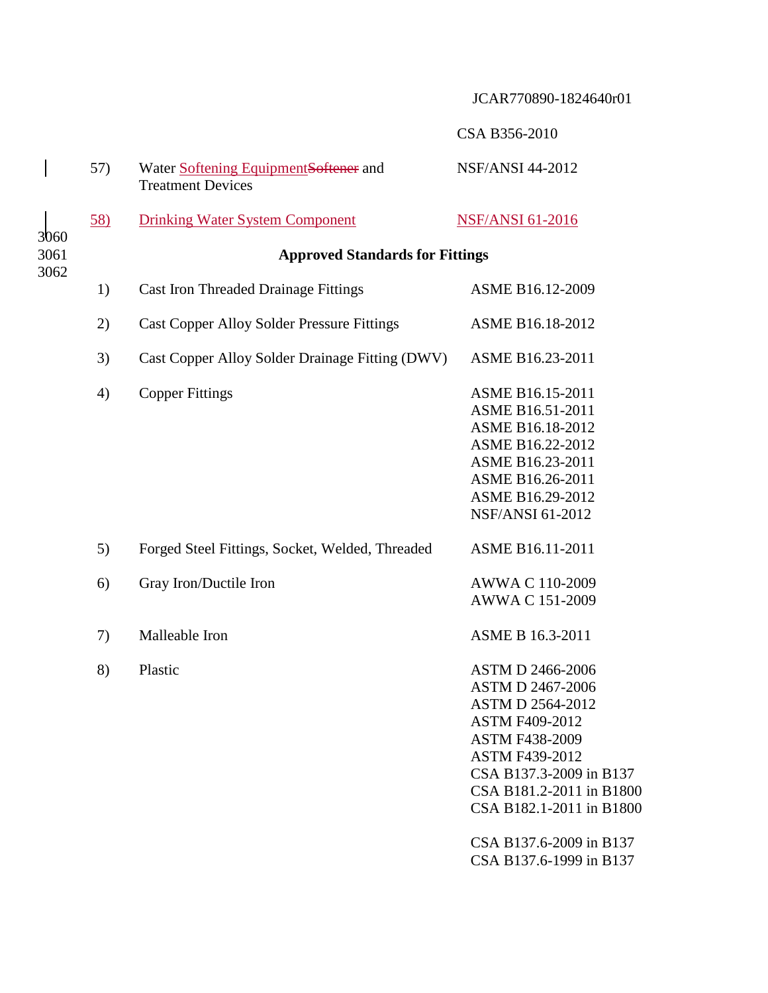|                      |                |                                                                    | CSA B356-2010                                                                                                  |  |
|----------------------|----------------|--------------------------------------------------------------------|----------------------------------------------------------------------------------------------------------------|--|
|                      | 57)            | Water Softening Equipment Softener and<br><b>Treatment Devices</b> | <b>NSF/ANSI 44-2012</b>                                                                                        |  |
| 3060<br>3061<br>3062 | $\frac{58}{2}$ | <b>Drinking Water System Component</b>                             | <b>NSF/ANSI 61-2016</b>                                                                                        |  |
|                      |                | <b>Approved Standards for Fittings</b>                             |                                                                                                                |  |
|                      | 1)             | <b>Cast Iron Threaded Drainage Fittings</b>                        | ASME B16.12-2009                                                                                               |  |
|                      | 2)             | <b>Cast Copper Alloy Solder Pressure Fittings</b>                  | ASME B16.18-2012                                                                                               |  |
|                      | 3)             | Cast Copper Alloy Solder Drainage Fitting (DWV)                    | ASME B16.23-2011                                                                                               |  |
|                      | 4)             | <b>Copper Fittings</b>                                             | <b>ASME B16.15-2011</b><br>ASME B16.51-2011<br><b>ASME B16.18-2012</b><br>ASME B16.22-2012<br>ASME B16.23-2011 |  |

| 5) | Forged Steel Fittings, Socket, Welded, Threaded | ASME B16.11-2011                                                                                                                                                                                  |
|----|-------------------------------------------------|---------------------------------------------------------------------------------------------------------------------------------------------------------------------------------------------------|
| 6) | Gray Iron/Ductile Iron                          | AWWA C 110-2009<br>AWWA C 151-2009                                                                                                                                                                |
| 7) | Malleable Iron                                  | <b>ASME B 16.3-2011</b>                                                                                                                                                                           |
| 8) | Plastic                                         | <b>ASTM D 2466-2006</b><br>ASTM D 2467-2006<br><b>ASTM D 2564-2012</b><br>ASTM F409-2012<br><b>ASTM F438-2009</b><br><b>ASTM F439-2012</b><br>CSA B137.3-2009 in B137<br>CSA B181.2-2011 in B1800 |

CSA B182.1-2011 in B1800 CSA B137.6-2009 in B137

ASME B16.26-2011 ASME B16.29-2012 NSF/ANSI 61-2012

CSA B137.6-1999 in B137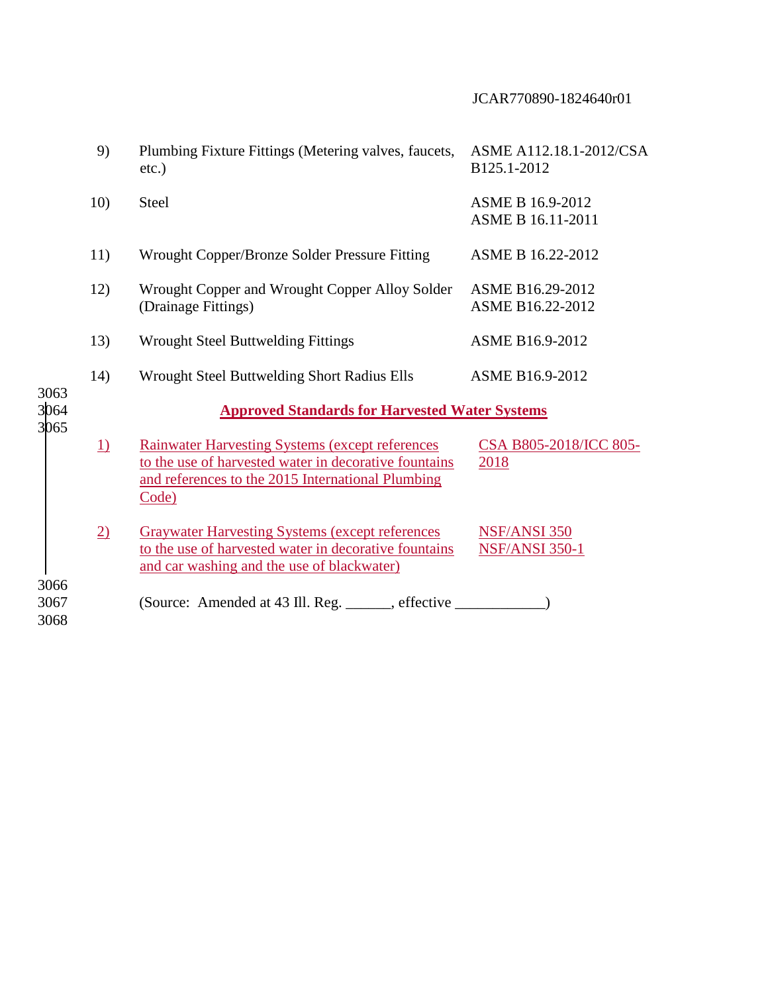|                      | 9)              | Plumbing Fixture Fittings (Metering valves, faucets,<br>$etc.$ )                                                                                                               | ASME A112.18.1-2012/CSA<br>B125.1-2012       |  |
|----------------------|-----------------|--------------------------------------------------------------------------------------------------------------------------------------------------------------------------------|----------------------------------------------|--|
|                      | 10)             | Steel                                                                                                                                                                          | <b>ASME B 16.9-2012</b><br>ASME B 16.11-2011 |  |
|                      | 11)             | Wrought Copper/Bronze Solder Pressure Fitting                                                                                                                                  | ASME B 16.22-2012                            |  |
|                      | 12)             | Wrought Copper and Wrought Copper Alloy Solder<br>(Drainage Fittings)                                                                                                          | ASME B16.29-2012<br>ASME B16.22-2012         |  |
|                      | 13)             | <b>Wrought Steel Buttwelding Fittings</b>                                                                                                                                      | ASME B16.9-2012                              |  |
|                      | 14)             | Wrought Steel Buttwelding Short Radius Ells                                                                                                                                    | <b>ASME B16.9-2012</b>                       |  |
| 3063<br>3064         |                 | <b>Approved Standards for Harvested Water Systems</b>                                                                                                                          |                                              |  |
| 3065                 | $\underline{1}$ | <b>Rainwater Harvesting Systems (except references)</b><br>to the use of harvested water in decorative fountains<br>and references to the 2015 International Plumbing<br>Code) | CSA B805-2018/ICC 805-<br>2018               |  |
|                      | $\overline{2}$  | <b>Graywater Harvesting Systems (except references)</b><br>to the use of harvested water in decorative fountains<br>and car washing and the use of blackwater)                 | <b>NSF/ANSI 350</b><br><b>NSF/ANSI 350-1</b> |  |
| 3066<br>3067<br>3068 |                 | (Source: Amended at 43 Ill. Reg. ______, effective ________                                                                                                                    |                                              |  |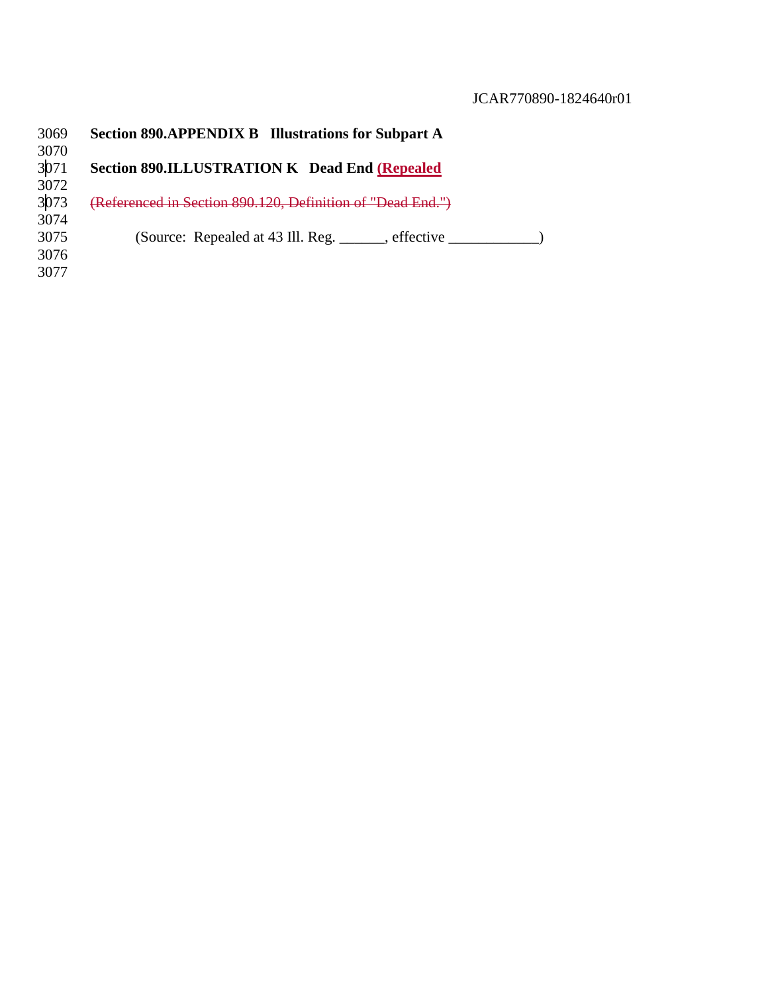| 3069 | <b>Section 890.APPENDIX B Illustrations for Subpart A</b>  |
|------|------------------------------------------------------------|
| 3070 |                                                            |
| 3071 | <b>Section 890.ILLUSTRATION K Dead End (Repealed)</b>      |
| 3072 |                                                            |
| 3073 | (Referenced in Section 890.120, Definition of "Dead End.") |
| 3074 |                                                            |
| 3075 | (Source: Repealed at 43 Ill. Reg. effective                |
| 3076 |                                                            |
| 3077 |                                                            |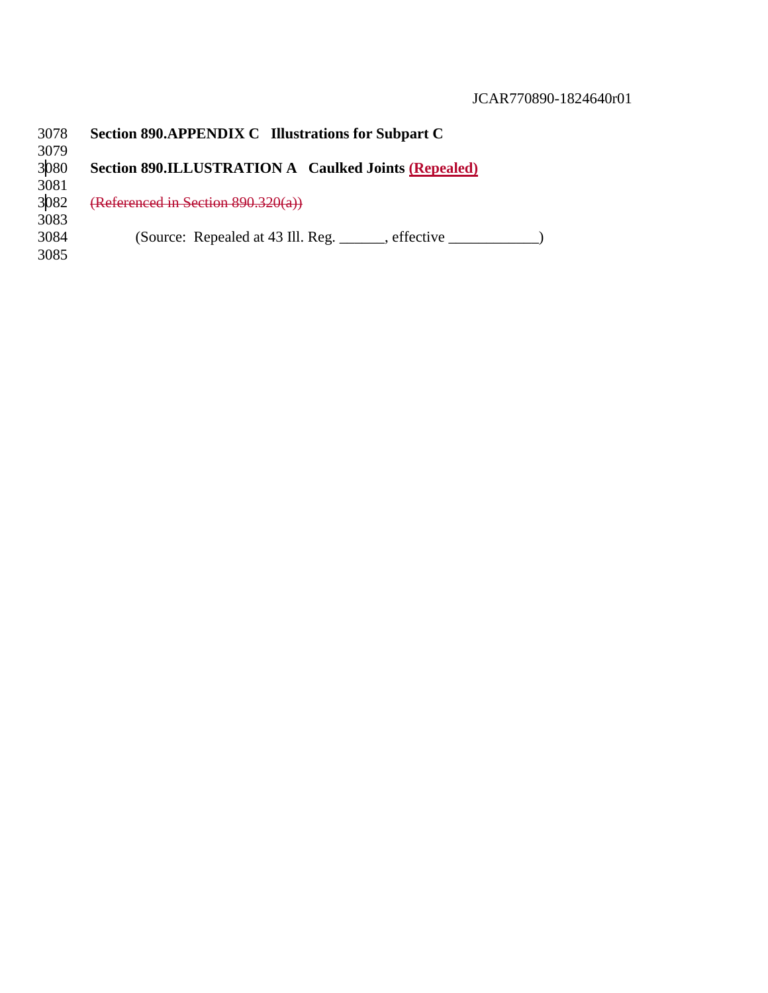| 3078 | <b>Section 890.APPENDIX C</b> Illustrations for Subpart C   |
|------|-------------------------------------------------------------|
| 3079 |                                                             |
| 3080 | <b>Section 890.ILLUSTRATION A</b> Caulked Joints (Repealed) |
| 3081 |                                                             |
| 3082 | (Referenced in Section $890.320(a)$ )                       |
| 3083 |                                                             |
| 3084 | (Source: Repealed at 43 Ill. Reg. ______, effective _______ |
| 3085 |                                                             |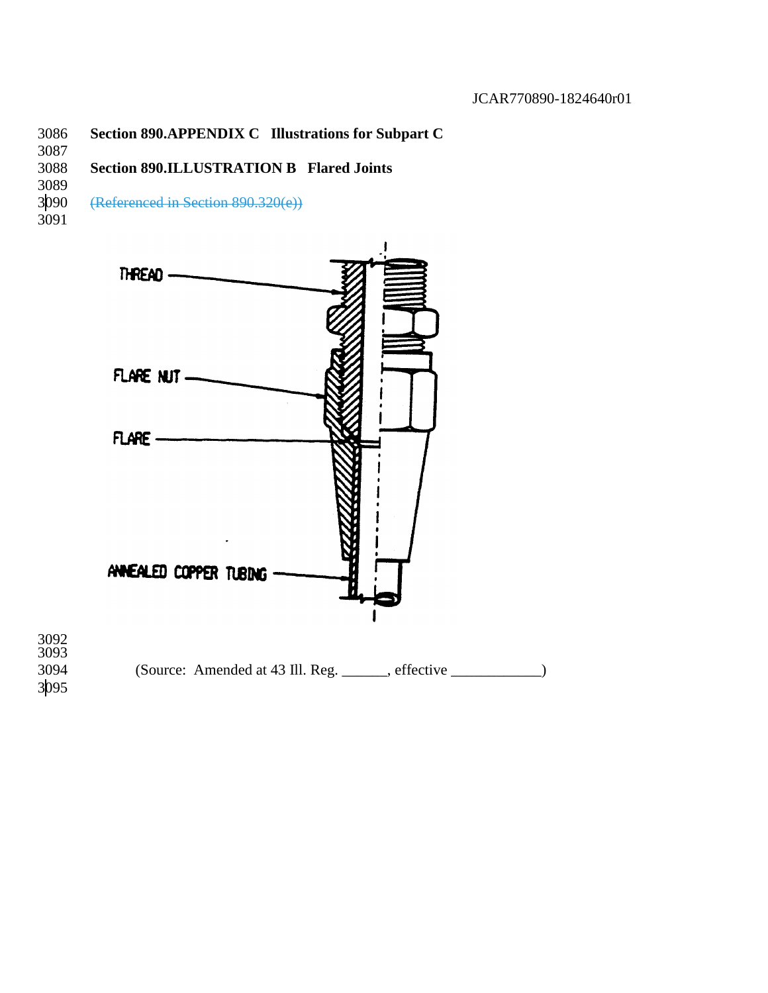### **Section 890.APPENDIX C Illustrations for Subpart C**

### **Section 890.ILLUSTRATION B Flared Joints**

3089<br>3090

(Referenced in Section 890.320(e))